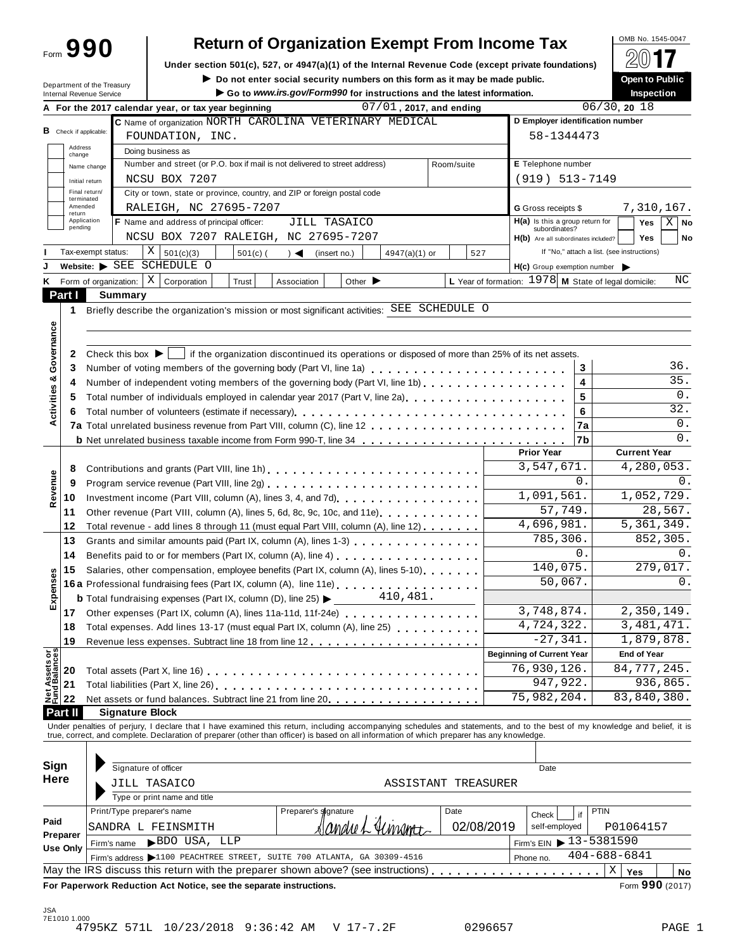| Form 990 |  |  |  |
|----------|--|--|--|
|          |  |  |  |

# **Return of Organization Exempt From Income Tax**<br>section 501(c). 527. or 4947(a)(1) of the Internal Revenue Code (except private foundations)  $\bigotimes_{\mathbb{Z}} \mathbb{C}$

Under section 501(c), 527, or 4947(a)(1) of the Internal Revenue Code (except private foundations)

Under section 501(c), 527, or 4947(a)(1) or the Internal Revenue Code (except private foundations)<br>Department of the Treasury **Department of the Treasury Department of the Treasury Department of the Treasury** 

| Open to Public |  |
|----------------|--|
|                |  |

|                                              | Department of the Treasury<br><b>Internal Revenue Service</b> |                                                                                   | $\blacktriangleright$ Do not enter social security numbers on this form as it may be made public.                                                                                                                              | Go to www.irs.gov/Form990 for instructions and the latest information. |                             |                            |                     |  |                                                        |                         | <b>Open to Public</b><br><b>Inspection</b> |
|----------------------------------------------|---------------------------------------------------------------|-----------------------------------------------------------------------------------|--------------------------------------------------------------------------------------------------------------------------------------------------------------------------------------------------------------------------------|------------------------------------------------------------------------|-----------------------------|----------------------------|---------------------|--|--------------------------------------------------------|-------------------------|--------------------------------------------|
|                                              |                                                               |                                                                                   | A For the 2017 calendar year, or tax year beginning                                                                                                                                                                            |                                                                        |                             | $07/01$ , 2017, and ending |                     |  |                                                        |                         | 06/30, 2018                                |
|                                              |                                                               |                                                                                   | C Name of organization NORTH CAROLINA VETERINARY MEDICAL                                                                                                                                                                       |                                                                        |                             |                            |                     |  | D Employer identification number                       |                         |                                            |
|                                              | <b>B</b> Check if applicable:                                 |                                                                                   | FOUNDATION, INC.                                                                                                                                                                                                               |                                                                        |                             |                            |                     |  | 58-1344473                                             |                         |                                            |
|                                              | Address<br>change                                             | Doing business as                                                                 |                                                                                                                                                                                                                                |                                                                        |                             |                            |                     |  |                                                        |                         |                                            |
|                                              | Name change                                                   |                                                                                   | Number and street (or P.O. box if mail is not delivered to street address)                                                                                                                                                     |                                                                        |                             |                            | Room/suite          |  | E Telephone number                                     |                         |                                            |
|                                              | Initial return                                                |                                                                                   | NCSU BOX 7207                                                                                                                                                                                                                  |                                                                        |                             |                            |                     |  | $(919) 513 - 7149$                                     |                         |                                            |
|                                              | Final return/                                                 |                                                                                   | City or town, state or province, country, and ZIP or foreign postal code                                                                                                                                                       |                                                                        |                             |                            |                     |  |                                                        |                         |                                            |
|                                              | terminated<br>Amended                                         |                                                                                   | RALEIGH, NC 27695-7207                                                                                                                                                                                                         |                                                                        |                             |                            |                     |  | G Gross receipts \$                                    |                         | 7,310,167.                                 |
|                                              | return<br>Application                                         |                                                                                   | F Name and address of principal officer:                                                                                                                                                                                       | JILL TASAICO                                                           |                             |                            |                     |  | $H(a)$ is this a group return for                      |                         | $X \mid$ No<br>Yes                         |
|                                              | pending                                                       |                                                                                   | NCSU BOX 7207 RALEIGH, NC 27695-7207                                                                                                                                                                                           |                                                                        |                             |                            |                     |  | subordinates?<br>H(b) Are all subordinates included?   |                         | <b>Yes</b><br>No                           |
|                                              | Tax-exempt status:                                            | X                                                                                 | 501(c)(3)<br>$501(c)$ (                                                                                                                                                                                                        | $\rightarrow$                                                          | (insert no.)                | $4947(a)(1)$ or            | 527                 |  |                                                        |                         | If "No," attach a list. (see instructions) |
|                                              |                                                               |                                                                                   | Website: SEE SCHEDULE O                                                                                                                                                                                                        |                                                                        |                             |                            |                     |  | H(c) Group exemption number                            |                         |                                            |
| ĸ                                            | Form of organization:                                         | x                                                                                 | Corporation<br>Trust                                                                                                                                                                                                           | Association                                                            | Other $\blacktriangleright$ |                            |                     |  | L Year of formation: $1978$ M State of legal domicile: |                         | NC                                         |
| Part I                                       |                                                               | <b>Summary</b>                                                                    |                                                                                                                                                                                                                                |                                                                        |                             |                            |                     |  |                                                        |                         |                                            |
|                                              | 1                                                             |                                                                                   | Briefly describe the organization's mission or most significant activities: SEE SCHEDULE O                                                                                                                                     |                                                                        |                             |                            |                     |  |                                                        |                         |                                            |
|                                              |                                                               |                                                                                   |                                                                                                                                                                                                                                |                                                                        |                             |                            |                     |  |                                                        |                         |                                            |
| Governance                                   |                                                               |                                                                                   |                                                                                                                                                                                                                                |                                                                        |                             |                            |                     |  |                                                        |                         |                                            |
|                                              | 2                                                             |                                                                                   | Check this box $\blacktriangleright$   if the organization discontinued its operations or disposed of more than 25% of its net assets.                                                                                         |                                                                        |                             |                            |                     |  |                                                        |                         |                                            |
|                                              | 3                                                             |                                                                                   | Number of voting members of the governing body (Part VI, line 1a)                                                                                                                                                              |                                                                        |                             |                            |                     |  |                                                        | 3                       | 36.                                        |
|                                              | 4                                                             |                                                                                   | Number of independent voting members of the governing body (Part VI, line 1b).                                                                                                                                                 |                                                                        |                             |                            |                     |  |                                                        | 4                       | $\overline{35}$ .                          |
| Activities &                                 | 5                                                             |                                                                                   | Total number of individuals employed in calendar year 2017 (Part V, line 2a)                                                                                                                                                   |                                                                        |                             |                            |                     |  |                                                        | 5                       | 0.                                         |
|                                              | 6                                                             |                                                                                   |                                                                                                                                                                                                                                |                                                                        |                             |                            |                     |  |                                                        | 6                       | 32.                                        |
|                                              |                                                               |                                                                                   |                                                                                                                                                                                                                                |                                                                        |                             |                            |                     |  |                                                        | 7a                      | 0.                                         |
|                                              |                                                               |                                                                                   | <b>b</b> Net unrelated business taxable income from Form 990-T, line 34                                                                                                                                                        |                                                                        |                             |                            |                     |  |                                                        | 7b                      | 0.                                         |
|                                              |                                                               |                                                                                   |                                                                                                                                                                                                                                |                                                                        |                             |                            |                     |  | <b>Prior Year</b>                                      |                         | <b>Current Year</b>                        |
|                                              |                                                               |                                                                                   |                                                                                                                                                                                                                                |                                                                        |                             |                            |                     |  | 3,547,671.                                             |                         | 4,280,053.                                 |
| Revenue                                      | 8                                                             |                                                                                   |                                                                                                                                                                                                                                |                                                                        |                             |                            |                     |  | 0.                                                     |                         | $0$ .                                      |
|                                              | 9                                                             |                                                                                   |                                                                                                                                                                                                                                |                                                                        |                             |                            |                     |  | 1,091,561.                                             |                         | 1,052,729.                                 |
| 10                                           |                                                               |                                                                                   | Investment income (Part VIII, column (A), lines 3, 4, and 7d)<br>[2010]                                                                                                                                                        |                                                                        |                             |                            |                     |  | 57,749.                                                |                         | 28,567.                                    |
| 11                                           |                                                               |                                                                                   | Other revenue (Part VIII, column (A), lines 5, 6d, 8c, 9c, 10c, and 11e)                                                                                                                                                       |                                                                        |                             |                            |                     |  | 4,696,981.                                             |                         | 5, 361, 349.                               |
| 12                                           |                                                               |                                                                                   | Total revenue - add lines 8 through 11 (must equal Part VIII, column (A), line 12)                                                                                                                                             |                                                                        |                             |                            |                     |  | 785,306.                                               |                         |                                            |
| 13                                           |                                                               |                                                                                   | Grants and similar amounts paid (Part IX, column (A), lines 1-3)                                                                                                                                                               |                                                                        |                             |                            |                     |  |                                                        | 0.                      | 852,305.<br>$0$ .                          |
| 14                                           |                                                               |                                                                                   |                                                                                                                                                                                                                                |                                                                        | 140,075.                    |                            | 279,017.            |  |                                                        |                         |                                            |
| 15                                           |                                                               | Salaries, other compensation, employee benefits (Part IX, column (A), lines 5-10) |                                                                                                                                                                                                                                |                                                                        |                             |                            |                     |  |                                                        | 50,067.                 | 0.                                         |
| Expenses                                     |                                                               | 16a Professional fundraising fees (Part IX, column (A), line 11e)<br>410,481.     |                                                                                                                                                                                                                                |                                                                        |                             |                            |                     |  |                                                        |                         |                                            |
|                                              |                                                               |                                                                                   | <b>b</b> Total fundraising expenses (Part IX, column (D), line 25) $\blacktriangleright$                                                                                                                                       |                                                                        |                             |                            |                     |  | 3,748,874.                                             |                         | 2,350,149.                                 |
|                                              | 17                                                            |                                                                                   | Other expenses (Part IX, column (A), lines 11a-11d, 11f-24e)                                                                                                                                                                   |                                                                        |                             |                            |                     |  |                                                        |                         |                                            |
| 18                                           |                                                               |                                                                                   | Total expenses. Add lines 13-17 (must equal Part IX, column (A), line 25)                                                                                                                                                      |                                                                        |                             |                            |                     |  | 4,724,322.<br>$-27, 341.$                              |                         | 3, 481, 471.                               |
| 19                                           |                                                               |                                                                                   | Revenue less expenses. Subtract line 18 from line 12.                                                                                                                                                                          |                                                                        |                             |                            |                     |  | <b>Beginning of Current Year</b>                       |                         | 1,879,878.<br><b>End of Year</b>           |
|                                              |                                                               |                                                                                   |                                                                                                                                                                                                                                |                                                                        |                             |                            |                     |  |                                                        |                         |                                            |
| <b>Net Assets or<br/>Fund Balances</b><br>20 |                                                               |                                                                                   |                                                                                                                                                                                                                                |                                                                        |                             |                            |                     |  | 76,930,126.                                            |                         | 84, 777, 245.                              |
| 21                                           |                                                               |                                                                                   |                                                                                                                                                                                                                                |                                                                        |                             | .                          |                     |  | 947,922.                                               |                         | 936,865.                                   |
| 22                                           |                                                               |                                                                                   | Net assets or fund balances. Subtract line 21 from line 20 <b>.</b>                                                                                                                                                            |                                                                        |                             |                            |                     |  | 75,982,204.                                            |                         | 83,840,380.                                |
| Part II                                      |                                                               | <b>Signature Block</b>                                                            |                                                                                                                                                                                                                                |                                                                        |                             |                            |                     |  |                                                        |                         |                                            |
|                                              |                                                               |                                                                                   | Under penalties of perjury, I declare that I have examined this return, including accompanying schedules and statements, and to the best of my knowledge and belief, it is true, correct, and complete. Declaration of prepare |                                                                        |                             |                            |                     |  |                                                        |                         |                                            |
|                                              |                                                               |                                                                                   |                                                                                                                                                                                                                                |                                                                        |                             |                            |                     |  |                                                        |                         |                                            |
| Sign                                         |                                                               | Signature of officer                                                              |                                                                                                                                                                                                                                |                                                                        |                             |                            |                     |  | Date                                                   |                         |                                            |
| Here                                         |                                                               |                                                                                   |                                                                                                                                                                                                                                |                                                                        |                             |                            |                     |  |                                                        |                         |                                            |
|                                              |                                                               | JILL TASAICO                                                                      | Type or print name and title                                                                                                                                                                                                   |                                                                        |                             |                            | ASSISTANT TREASURER |  |                                                        |                         |                                            |
|                                              |                                                               | Print/Type preparer's name                                                        |                                                                                                                                                                                                                                | Preparer's signature                                                   |                             |                            | Date                |  |                                                        | PTIN                    |                                            |
| Paid                                         |                                                               |                                                                                   |                                                                                                                                                                                                                                |                                                                        |                             |                            | 02/08/2019          |  | Check                                                  | if                      |                                            |
| Preparer                                     |                                                               |                                                                                   | SANDRA L FEINSMITH                                                                                                                                                                                                             |                                                                        |                             | NNUM <del>t</del>          |                     |  | self-employed                                          |                         | P01064157                                  |
| <b>Use Only</b>                              |                                                               | Firm's name                                                                       | BDO USA, LLP                                                                                                                                                                                                                   |                                                                        |                             |                            |                     |  | Firm's EIN ▶ 13-5381590                                |                         |                                            |
|                                              |                                                               |                                                                                   | Firm's address >1100 PEACHTREE STREET, SUITE 700 ATLANTA, GA 30309-4516<br>May the IRS discuss this return with the preparer shown above? (see instructions)                                                                   |                                                                        |                             |                            |                     |  | Phone no.                                              | $404 - 688 - 6841$<br>Χ |                                            |
|                                              |                                                               |                                                                                   |                                                                                                                                                                                                                                |                                                                        |                             |                            |                     |  | .                                                      |                         | Yes<br>No                                  |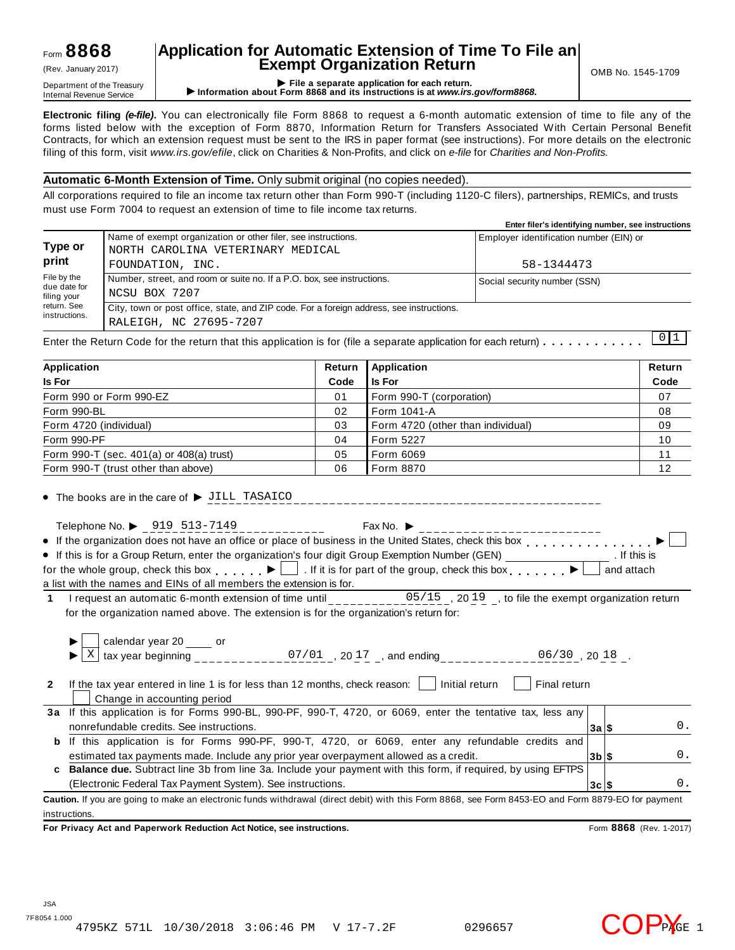## Form **8868**

## **Application for Automatic Extension of Time To File an Exempt Organization Return** (Rev. January 2017) OMB No. 1545-1709

Department of the Treasury<br>Department of the Treasury<br>Internal Revenue Service **CONFICE 1999 File a separate application for each return.**<br>Internal Revenue Service **CONFICE 1999 File a separate application for each return.** 

**Electronic filing** *(e-file)***.** You can electronically file Form 8868 to request a 6-month automatic extension of time to file any of the forms listed below with the exception of Form 8870, Information Return for Transfers Associated With Certain Personal Benefit Contracts, for which an extension request must be sent to the IRS in paper format (see instructions). For more details on the electronic filing of this form, visit *www.irs.gov/efile*, click on Charities & Non-Profits, and click on *e-file* for *Charities and Non-Profits.*

#### **Automatic 6-Month Extension of Time.** Only submit original (no copies needed).

All corporations required to file an income tax return other than Form 990-T (including 1120-C filers), partnerships, REMICs, and trusts must use Form 7004 to request an extension of time to file income tax returns.

|                                                                                          | Enter filer's identifying number, see instructions    |
|------------------------------------------------------------------------------------------|-------------------------------------------------------|
| Name of exempt organization or other filer, see instructions.                            | Employer identification number (EIN) or               |
|                                                                                          |                                                       |
|                                                                                          | 58-1344473                                            |
| Number, street, and room or suite no. If a P.O. box, see instructions.                   | Social security number (SSN)                          |
| NCSU BOX 7207                                                                            |                                                       |
| City, town or post office, state, and ZIP code. For a foreign address, see instructions. |                                                       |
| RALEIGH, NC 27695-7207                                                                   | .                                                     |
|                                                                                          | NORTH CAROLINA VETERINARY MEDICAL<br>FOUNDATION, INC. |

Enter the Return Code for the return that this application is for (file a separate application for each return)  $\dots \dots$ 0 1

| Application                              | Return | <b>Application</b>                | Return |
|------------------------------------------|--------|-----------------------------------|--------|
| <b>Is For</b>                            | Code   | <b>Is For</b>                     | Code   |
| Form 990 or Form 990-EZ                  | 01     | Form 990-T (corporation)          | 07     |
| Form 990-BL                              | 02     | l Form 1041-A                     | 08     |
| Form 4720 (individual)                   | 03     | Form 4720 (other than individual) | 09     |
| Form 990-PF                              | 04     | Form 5227                         | 10     |
| Form 990-T (sec. 401(a) or 408(a) trust) | 05     | Form 6069                         | 11     |
| Form 990-T (trust other than above)      | 06     | Form 8870                         | 12     |

 $\bullet$  The books are in the care of  $\triangleright$  JILL TASAICO \_\_\_\_\_\_\_\_\_\_\_\_\_\_\_\_\_\_\_\_\_\_\_\_\_\_\_\_

Telephone No.  $\triangleright$  919 513-7149<br>If the experiments of the state of the state of the state of the limit of  $\cdot$ If the organization does not have an office or place of business in the United States, check this box  $\Box$ If this is for a Group Return, enter the organization's four digit Group Exemption Number (GEN)  $\overline{\phantom{a}}$  for the organization's four digit Group Exemption Number (GEN) . If this is for the whole group, check this box  $\Box$  If it is for part of the group, check this box  $\Box$  and attach a list with the names and EINs of all members the extension is for.

1 I request an automatic 6-month extension of time until  $05/15$ , 2019, to file the exempt organization return for the organization named above. The extension is for the organization's return for:

|              | calendar year 20 _____ or<br>tax year beginning<br>07/01, 2017, and ending<br>$06/30$ , 20 18.                                                     |                 |  |       |
|--------------|----------------------------------------------------------------------------------------------------------------------------------------------------|-----------------|--|-------|
| $\mathbf{2}$ | Initial return<br>If the tax year entered in line 1 is for less than 12 months, check reason:<br>Final return<br>Change in accounting period       |                 |  |       |
|              | 3a If this application is for Forms 990-BL, 990-PF, 990-T, 4720, or 6069, enter the tentative tax, less any                                        |                 |  |       |
|              | nonrefundable credits. See instructions.                                                                                                           | $3a$ $s$        |  | $0$ . |
| b            | this application is for Forms 990-PF, 990-T, 4720, or 6069, enter any refundable credits and<br>lf.                                                |                 |  |       |
|              | estimated tax payments made. Include any prior year overpayment allowed as a credit.                                                               | $3b$ $\vert$ \$ |  | 0.    |
| c            | <b>Balance due.</b> Subtract line 3b from line 3a. Include your payment with this form, if required, by using EFTPS                                |                 |  |       |
|              | (Electronic Federal Tax Payment System). See instructions.                                                                                         | $3c$ $\sqrt{5}$ |  | 0.    |
|              | Caution. If you are going to make an electronic funds withdrawal (direct debit) with this Form 8868, see Form 8453-EO and Form 8879-EO for payment |                 |  |       |

instructions.

**For Privacy Act and Paperwork Reduction Act Notice, see instructions.** Form **8868** (Rev. 1-2017)

COPPAGE 1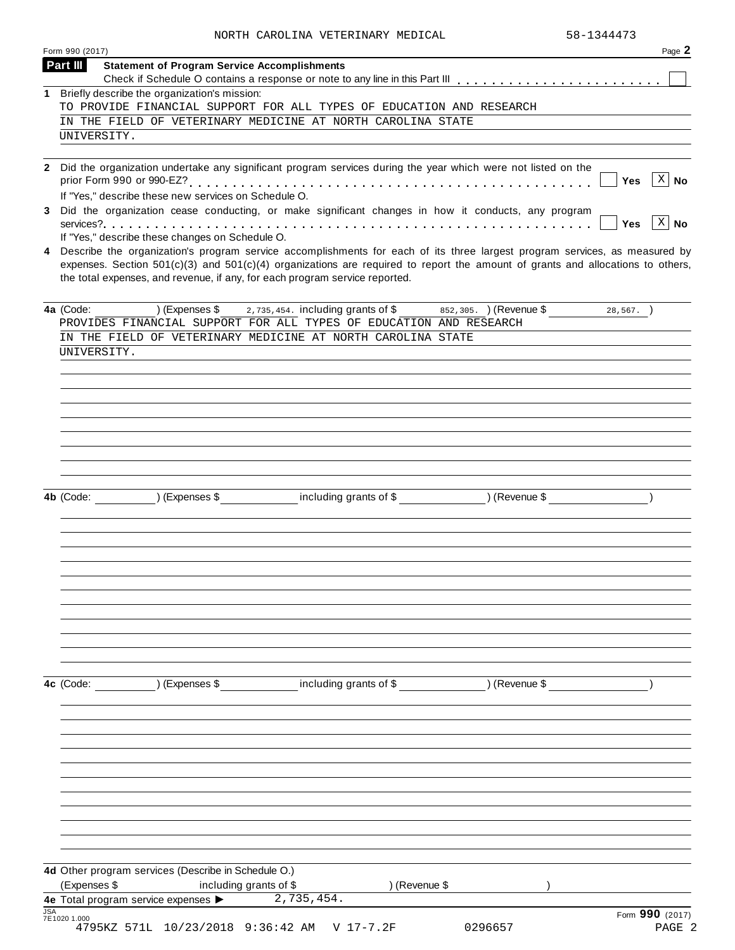| Form 990 (2017)            |                                                                                                                                | Page 2                     |
|----------------------------|--------------------------------------------------------------------------------------------------------------------------------|----------------------------|
| Part III                   | <b>Statement of Program Service Accomplishments</b>                                                                            |                            |
| 1                          | Briefly describe the organization's mission:                                                                                   |                            |
|                            | TO PROVIDE FINANCIAL SUPPORT FOR ALL TYPES OF EDUCATION AND RESEARCH                                                           |                            |
|                            | IN THE FIELD OF VETERINARY MEDICINE AT NORTH CAROLINA STATE                                                                    |                            |
|                            | UNIVERSITY.                                                                                                                    |                            |
|                            |                                                                                                                                |                            |
|                            | 2 Did the organization undertake any significant program services during the year which were not listed on the                 |                            |
|                            |                                                                                                                                | $X \mid No$<br>Yes         |
|                            | If "Yes," describe these new services on Schedule O.                                                                           |                            |
|                            | 3 Did the organization cease conducting, or make significant changes in how it conducts, any program                           |                            |
|                            | If "Yes," describe these changes on Schedule O.                                                                                | $x \mid N$ o<br><b>Yes</b> |
| 4                          | Describe the organization's program service accomplishments for each of its three largest program services, as measured by     |                            |
|                            | expenses. Section 501(c)(3) and 501(c)(4) organizations are required to report the amount of grants and allocations to others, |                            |
|                            | the total expenses, and revenue, if any, for each program service reported.                                                    |                            |
|                            |                                                                                                                                |                            |
| 4a (Code:                  | 2,735,454. including grants of \$852,305. (Revenue \$<br>) (Expenses \$                                                        | $28,567.$ )                |
|                            | PROVIDES FINANCIAL SUPPORT FOR ALL TYPES OF EDUCATION AND RESEARCH                                                             |                            |
|                            | IN THE FIELD OF VETERINARY MEDICINE AT NORTH CAROLINA STATE                                                                    |                            |
|                            | UNIVERSITY.                                                                                                                    |                            |
|                            |                                                                                                                                |                            |
|                            |                                                                                                                                |                            |
|                            |                                                                                                                                |                            |
|                            |                                                                                                                                |                            |
|                            |                                                                                                                                |                            |
|                            |                                                                                                                                |                            |
|                            |                                                                                                                                |                            |
|                            |                                                                                                                                |                            |
| 4b (Code:                  | including grants of \$ (Revenue \$)<br>) (Expenses \$                                                                          |                            |
|                            |                                                                                                                                |                            |
|                            |                                                                                                                                |                            |
|                            |                                                                                                                                |                            |
|                            |                                                                                                                                |                            |
|                            |                                                                                                                                |                            |
|                            |                                                                                                                                |                            |
|                            |                                                                                                                                |                            |
|                            |                                                                                                                                |                            |
|                            |                                                                                                                                |                            |
|                            |                                                                                                                                |                            |
|                            |                                                                                                                                |                            |
|                            | 4c (Code: ) (Expenses \$ including grants of \$ ) (Revenue \$                                                                  |                            |
|                            |                                                                                                                                |                            |
|                            |                                                                                                                                |                            |
|                            |                                                                                                                                |                            |
|                            |                                                                                                                                |                            |
|                            |                                                                                                                                |                            |
|                            |                                                                                                                                |                            |
|                            |                                                                                                                                |                            |
|                            |                                                                                                                                |                            |
|                            |                                                                                                                                |                            |
|                            |                                                                                                                                |                            |
|                            |                                                                                                                                |                            |
|                            | 4d Other program services (Describe in Schedule O.)                                                                            |                            |
| (Expenses \$               | including grants of \$<br>) (Revenue \$                                                                                        |                            |
|                            | 4e Total program service expenses > 2,735,454.                                                                                 |                            |
| <b>JSA</b><br>7E1020 1.000 |                                                                                                                                | Form 990 (2017)            |
|                            | 4795KZ 571L 10/23/2018 9:36:42 AM V 17-7.2F<br>0296657                                                                         | PAGE 2                     |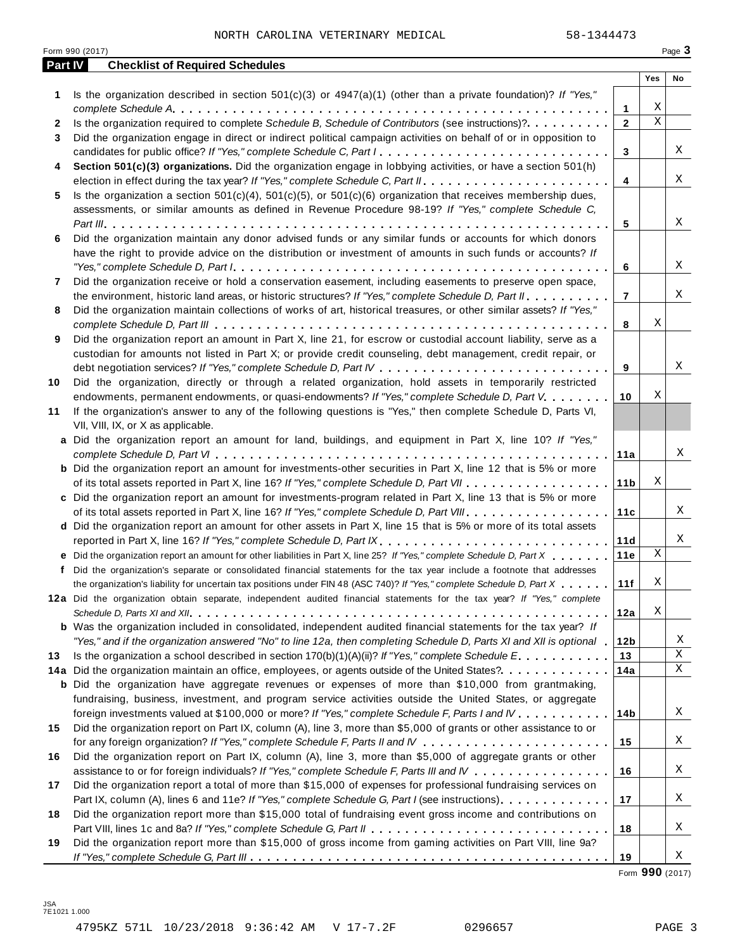|         | Form 990 (2017)                                                                                                                                                                                                                                                                                                                                                                               |                   |             | Page 3      |
|---------|-----------------------------------------------------------------------------------------------------------------------------------------------------------------------------------------------------------------------------------------------------------------------------------------------------------------------------------------------------------------------------------------------|-------------------|-------------|-------------|
| Part IV | <b>Checklist of Required Schedules</b>                                                                                                                                                                                                                                                                                                                                                        |                   |             |             |
|         |                                                                                                                                                                                                                                                                                                                                                                                               |                   | Yes         | No          |
| 1.      | Is the organization described in section $501(c)(3)$ or $4947(a)(1)$ (other than a private foundation)? If "Yes,"                                                                                                                                                                                                                                                                             |                   | Χ           |             |
|         | Is the organization required to complete Schedule B, Schedule of Contributors (see instructions)?.                                                                                                                                                                                                                                                                                            | 1<br>$\mathbf{2}$ | $\mathbf X$ |             |
| 2<br>3  | Did the organization engage in direct or indirect political campaign activities on behalf of or in opposition to                                                                                                                                                                                                                                                                              |                   |             |             |
|         | candidates for public office? If "Yes," complete Schedule C, Part I.                                                                                                                                                                                                                                                                                                                          | 3                 |             | Χ           |
| 4       | Section 501(c)(3) organizations. Did the organization engage in lobbying activities, or have a section 501(h)                                                                                                                                                                                                                                                                                 |                   |             |             |
|         |                                                                                                                                                                                                                                                                                                                                                                                               | $\overline{4}$    |             | Χ           |
| 5       | Is the organization a section $501(c)(4)$ , $501(c)(5)$ , or $501(c)(6)$ organization that receives membership dues,                                                                                                                                                                                                                                                                          |                   |             |             |
|         | assessments, or similar amounts as defined in Revenue Procedure 98-19? If "Yes," complete Schedule C,                                                                                                                                                                                                                                                                                         |                   |             |             |
|         |                                                                                                                                                                                                                                                                                                                                                                                               | 5                 |             | Χ           |
| 6       | Did the organization maintain any donor advised funds or any similar funds or accounts for which donors                                                                                                                                                                                                                                                                                       |                   |             |             |
|         | have the right to provide advice on the distribution or investment of amounts in such funds or accounts? If                                                                                                                                                                                                                                                                                   |                   |             |             |
|         | "Yes," complete Schedule D, Part $l_1, \ldots, l_k, \ldots, l_k, \ldots, l_k, \ldots, l_k, \ldots, l_k, \ldots, l_k, \ldots, l_k, \ldots, l_k, \ldots, l_k, \ldots, l_k, \ldots, l_k, \ldots, l_k, \ldots, l_k, \ldots, l_k, \ldots, l_k, \ldots, l_k, \ldots, l_k, \ldots, l_k, \ldots, l_k, \ldots, l_k, \ldots, l_k, \ldots, l_k, \ldots, l_k, \ldots, l_k, \ldots, l_k, \ldots, l_k, \ld$ | 6                 |             | Χ           |
| 7       | Did the organization receive or hold a conservation easement, including easements to preserve open space,                                                                                                                                                                                                                                                                                     |                   |             |             |
|         | the environment, historic land areas, or historic structures? If "Yes," complete Schedule D, Part II.                                                                                                                                                                                                                                                                                         | $\overline{7}$    |             | Χ           |
| 8       | Did the organization maintain collections of works of art, historical treasures, or other similar assets? If "Yes,"                                                                                                                                                                                                                                                                           |                   |             |             |
|         |                                                                                                                                                                                                                                                                                                                                                                                               | 8                 | Χ           |             |
| 9       | Did the organization report an amount in Part X, line 21, for escrow or custodial account liability, serve as a                                                                                                                                                                                                                                                                               |                   |             |             |
|         | custodian for amounts not listed in Part X; or provide credit counseling, debt management, credit repair, or                                                                                                                                                                                                                                                                                  |                   |             |             |
|         |                                                                                                                                                                                                                                                                                                                                                                                               | 9                 |             | Χ           |
| 10      | Did the organization, directly or through a related organization, hold assets in temporarily restricted                                                                                                                                                                                                                                                                                       |                   |             |             |
|         | endowments, permanent endowments, or quasi-endowments? If "Yes," complete Schedule D, Part V.                                                                                                                                                                                                                                                                                                 | 10                | Χ           |             |
| 11      | If the organization's answer to any of the following questions is "Yes," then complete Schedule D, Parts VI,                                                                                                                                                                                                                                                                                  |                   |             |             |
|         | VII, VIII, IX, or X as applicable.                                                                                                                                                                                                                                                                                                                                                            |                   |             |             |
|         | a Did the organization report an amount for land, buildings, and equipment in Part X, line 10? If "Yes,"                                                                                                                                                                                                                                                                                      |                   |             |             |
|         |                                                                                                                                                                                                                                                                                                                                                                                               | 11a               |             | Χ           |
|         | <b>b</b> Did the organization report an amount for investments-other securities in Part X, line 12 that is 5% or more                                                                                                                                                                                                                                                                         |                   |             |             |
|         |                                                                                                                                                                                                                                                                                                                                                                                               | 11 <sub>b</sub>   | Χ           |             |
|         | c Did the organization report an amount for investments-program related in Part X, line 13 that is 5% or more                                                                                                                                                                                                                                                                                 |                   |             |             |
|         |                                                                                                                                                                                                                                                                                                                                                                                               | 11c               |             | Χ           |
|         | d Did the organization report an amount for other assets in Part X, line 15 that is 5% or more of its total assets                                                                                                                                                                                                                                                                            |                   |             |             |
|         | reported in Part X, line 16? If "Yes," complete Schedule D, Part IX.                                                                                                                                                                                                                                                                                                                          | 11d               |             | Χ           |
|         | e Did the organization report an amount for other liabilities in Part X, line 25? If "Yes," complete Schedule D, Part X                                                                                                                                                                                                                                                                       | 11e               | Χ           |             |
|         | f Did the organization's separate or consolidated financial statements for the tax year include a footnote that addresses                                                                                                                                                                                                                                                                     |                   |             |             |
|         | the organization's liability for uncertain tax positions under FIN 48 (ASC 740)? If "Yes," complete Schedule D, Part X                                                                                                                                                                                                                                                                        | 11f               | Χ           |             |
|         | 12a Did the organization obtain separate, independent audited financial statements for the tax year? If "Yes," complete                                                                                                                                                                                                                                                                       |                   |             |             |
|         |                                                                                                                                                                                                                                                                                                                                                                                               | 12a               | Χ           |             |
|         | <b>b</b> Was the organization included in consolidated, independent audited financial statements for the tax year? If                                                                                                                                                                                                                                                                         |                   |             |             |
|         | "Yes," and if the organization answered "No" to line 12a, then completing Schedule D, Parts XI and XII is optional 1                                                                                                                                                                                                                                                                          | 12b               |             | Χ           |
| 13      | Is the organization a school described in section 170(b)(1)(A)(ii)? If "Yes," complete Schedule E.                                                                                                                                                                                                                                                                                            | 13                |             | $\mathbf X$ |
|         | 14a Did the organization maintain an office, employees, or agents outside of the United States?.                                                                                                                                                                                                                                                                                              | 14a               |             | X           |
|         | <b>b</b> Did the organization have aggregate revenues or expenses of more than \$10,000 from grantmaking,                                                                                                                                                                                                                                                                                     |                   |             |             |
|         | fundraising, business, investment, and program service activities outside the United States, or aggregate                                                                                                                                                                                                                                                                                     |                   |             |             |
|         | foreign investments valued at \$100,000 or more? If "Yes," complete Schedule F, Parts I and IV                                                                                                                                                                                                                                                                                                | 14 <sub>b</sub>   |             | Χ           |
| 15      | Did the organization report on Part IX, column (A), line 3, more than \$5,000 of grants or other assistance to or                                                                                                                                                                                                                                                                             |                   |             |             |
|         |                                                                                                                                                                                                                                                                                                                                                                                               | 15                |             | Χ           |
| 16      | Did the organization report on Part IX, column (A), line 3, more than \$5,000 of aggregate grants or other                                                                                                                                                                                                                                                                                    |                   |             |             |
|         | assistance to or for foreign individuals? If "Yes," complete Schedule F, Parts III and IV                                                                                                                                                                                                                                                                                                     | 16                |             | Χ           |
| 17      | Did the organization report a total of more than \$15,000 of expenses for professional fundraising services on                                                                                                                                                                                                                                                                                |                   |             |             |
|         | Part IX, column (A), lines 6 and 11e? If "Yes," complete Schedule G, Part I (see instructions)                                                                                                                                                                                                                                                                                                | 17                |             | Χ           |
| 18      | Did the organization report more than \$15,000 total of fundraising event gross income and contributions on                                                                                                                                                                                                                                                                                   |                   |             |             |
|         |                                                                                                                                                                                                                                                                                                                                                                                               | 18                |             | Χ           |
| 19      | Did the organization report more than \$15,000 of gross income from gaming activities on Part VIII, line 9a?                                                                                                                                                                                                                                                                                  |                   |             |             |
|         |                                                                                                                                                                                                                                                                                                                                                                                               | 19                |             | Χ           |

Form **990** (2017)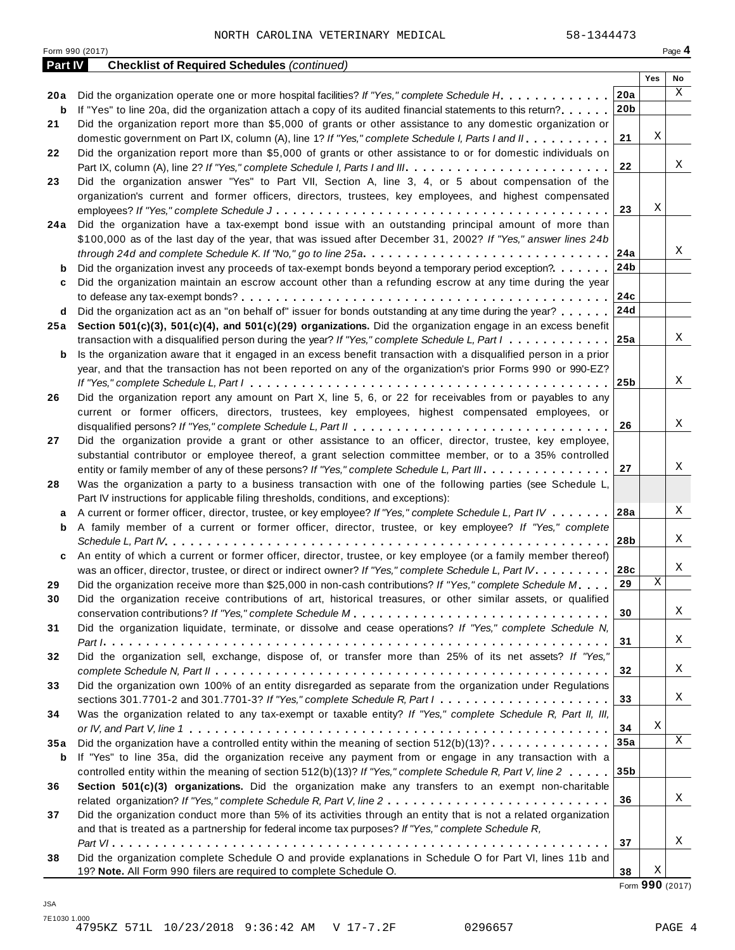Form <sup>990</sup> (2017) Page **4**

| <b>Part IV</b> | <b>Checklist of Required Schedules (continued)</b>                                                                    |                 |     |    |
|----------------|-----------------------------------------------------------------------------------------------------------------------|-----------------|-----|----|
|                |                                                                                                                       |                 | Yes | No |
| 20 a           | Did the organization operate one or more hospital facilities? If "Yes," complete Schedule H.                          | 20a             |     | X  |
| b              | If "Yes" to line 20a, did the organization attach a copy of its audited financial statements to this return?          | 20 <sub>b</sub> |     |    |
| 21             | Did the organization report more than \$5,000 of grants or other assistance to any domestic organization or           |                 | Χ   |    |
|                | domestic government on Part IX, column (A), line 1? If "Yes," complete Schedule I, Parts I and II.                    | 21              |     |    |
| 22             | Did the organization report more than \$5,000 of grants or other assistance to or for domestic individuals on         | 22              |     | X  |
| 23             | Did the organization answer "Yes" to Part VII, Section A, line 3, 4, or 5 about compensation of the                   |                 |     |    |
|                | organization's current and former officers, directors, trustees, key employees, and highest compensated               |                 |     |    |
|                |                                                                                                                       | 23              | Χ   |    |
| 24 a           | Did the organization have a tax-exempt bond issue with an outstanding principal amount of more than                   |                 |     |    |
|                | \$100,000 as of the last day of the year, that was issued after December 31, 2002? If "Yes," answer lines 24b         |                 |     |    |
|                | through 24d and complete Schedule K. If "No," go to line 25a                                                          | 24a             |     | Χ  |
| b              | Did the organization invest any proceeds of tax-exempt bonds beyond a temporary period exception?.                    | 24b             |     |    |
| c              | Did the organization maintain an escrow account other than a refunding escrow at any time during the year             |                 |     |    |
|                |                                                                                                                       | 24c             |     |    |
| d              | Did the organization act as an "on behalf of" issuer for bonds outstanding at any time during the year?               | 24d             |     |    |
| 25 a           | Section 501(c)(3), 501(c)(4), and 501(c)(29) organizations. Did the organization engage in an excess benefit          |                 |     |    |
|                | transaction with a disqualified person during the year? If "Yes," complete Schedule L, Part I                         | 25a             |     | Χ  |
| b              | Is the organization aware that it engaged in an excess benefit transaction with a disqualified person in a prior      |                 |     |    |
|                | year, and that the transaction has not been reported on any of the organization's prior Forms 990 or 990-EZ?          |                 |     |    |
|                |                                                                                                                       | 25 <sub>b</sub> |     | Χ  |
| 26             | Did the organization report any amount on Part X, line 5, 6, or 22 for receivables from or payables to any            |                 |     |    |
|                | current or former officers, directors, trustees, key employees, highest compensated employees, or                     |                 |     |    |
|                |                                                                                                                       | 26              |     | Χ  |
| 27             | Did the organization provide a grant or other assistance to an officer, director, trustee, key employee,              |                 |     |    |
|                | substantial contributor or employee thereof, a grant selection committee member, or to a 35% controlled               |                 |     |    |
|                | entity or family member of any of these persons? If "Yes," complete Schedule L, Part III.                             | 27              |     | Χ  |
| 28             | Was the organization a party to a business transaction with one of the following parties (see Schedule L,             |                 |     |    |
|                | Part IV instructions for applicable filing thresholds, conditions, and exceptions):                                   |                 |     |    |
| a              | A current or former officer, director, trustee, or key employee? If "Yes," complete Schedule L, Part IV               | 28a             |     | X  |
| b              | A family member of a current or former officer, director, trustee, or key employee? If "Yes," complete                |                 |     |    |
|                |                                                                                                                       | 28b             |     | Χ  |
| c              | An entity of which a current or former officer, director, trustee, or key employee (or a family member thereof)       |                 |     |    |
|                | was an officer, director, trustee, or direct or indirect owner? If "Yes," complete Schedule L, Part IV.               | 28c             |     | Χ  |
| 29             | Did the organization receive more than \$25,000 in non-cash contributions? If "Yes," complete Schedule M.             | 29              | Χ   |    |
| 30             | Did the organization receive contributions of art, historical treasures, or other similar assets, or qualified        |                 |     |    |
|                |                                                                                                                       | 30              |     | Χ  |
| 31             | Did the organization liquidate, terminate, or dissolve and cease operations? If "Yes," complete Schedule N,           |                 |     | Χ  |
|                |                                                                                                                       | 31              |     |    |
| 32             | Did the organization sell, exchange, dispose of, or transfer more than 25% of its net assets? If "Yes,"               |                 |     | X  |
|                | Did the organization own 100% of an entity disregarded as separate from the organization under Regulations            | 32              |     |    |
| 33             | sections 301.7701-2 and 301.7701-3? If "Yes," complete Schedule R, Part                                               | 33              |     | X  |
| 34             | Was the organization related to any tax-exempt or taxable entity? If "Yes," complete Schedule R, Part II, III,        |                 |     |    |
|                |                                                                                                                       | 34              | Χ   |    |
|                | Did the organization have a controlled entity within the meaning of section $512(b)(13)? \ldots \ldots \ldots \ldots$ | 35a             |     | X  |
| 35a<br>b       | If "Yes" to line 35a, did the organization receive any payment from or engage in any transaction with a               |                 |     |    |
|                | controlled entity within the meaning of section 512(b)(13)? If "Yes," complete Schedule R, Part V, line 2             | 35 <sub>b</sub> |     |    |
| 36             | Section 501(c)(3) organizations. Did the organization make any transfers to an exempt non-charitable                  |                 |     |    |
|                |                                                                                                                       | 36              |     | X  |
| 37             | Did the organization conduct more than 5% of its activities through an entity that is not a related organization      |                 |     |    |
|                | and that is treated as a partnership for federal income tax purposes? If "Yes," complete Schedule R,                  |                 |     |    |
|                |                                                                                                                       | 37              |     | X  |
| 38             | Did the organization complete Schedule O and provide explanations in Schedule O for Part VI, lines 11b and            |                 |     |    |
|                | 19? Note. All Form 990 filers are required to complete Schedule O.                                                    | 38              | X   |    |

Form **990** (2017)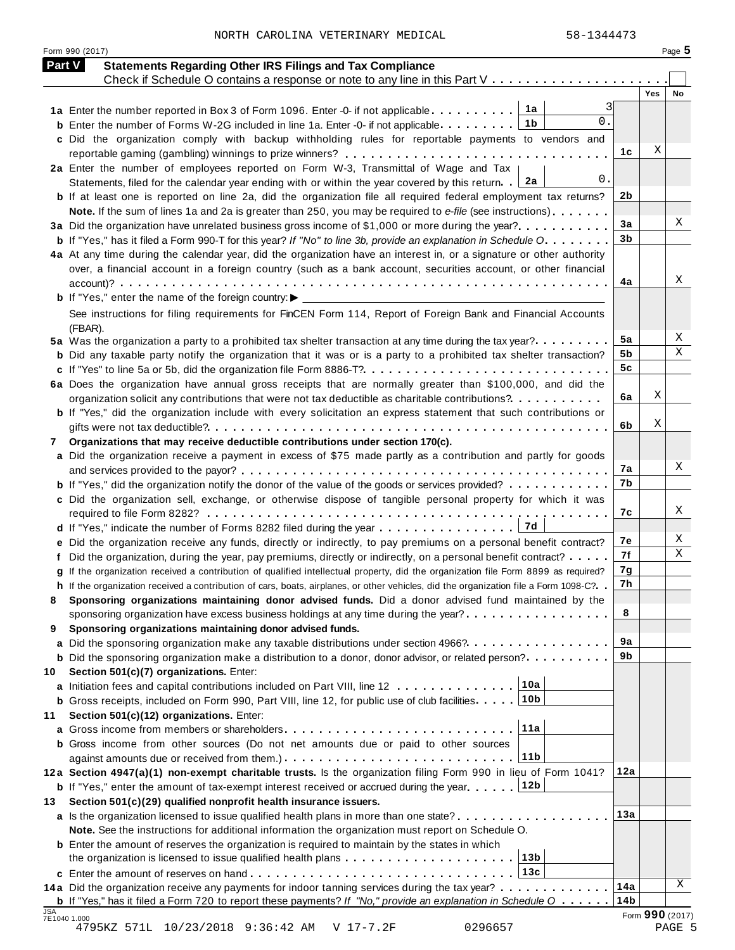Form <sup>990</sup> (2017) Page **5**

| <b>Part V</b> | <b>Statements Regarding Other IRS Filings and Tax Compliance</b>                                                                        |                 |                 |     |
|---------------|-----------------------------------------------------------------------------------------------------------------------------------------|-----------------|-----------------|-----|
|               | Check if Schedule O contains a response or note to any line in this Part V                                                              |                 | Yes             | No. |
|               | 31<br>1a Enter the number reported in Box 3 of Form 1096. Enter -0- if not applicable $\ldots \ldots \ldots$                            |                 |                 |     |
|               | 0.<br>1b<br><b>b</b> Enter the number of Forms W-2G included in line 1a. Enter -0- if not applicable                                    |                 |                 |     |
|               | c Did the organization comply with backup withholding rules for reportable payments to vendors and                                      |                 |                 |     |
|               |                                                                                                                                         | 1с              | Χ               |     |
|               | 2a Enter the number of employees reported on Form W-3, Transmittal of Wage and Tax                                                      |                 |                 |     |
|               | $0$ .<br>2a<br>Statements, filed for the calendar year ending with or within the year covered by this return.                           |                 |                 |     |
|               | <b>b</b> If at least one is reported on line 2a, did the organization file all required federal employment tax returns?                 | 2 <sub>b</sub>  |                 |     |
|               | Note. If the sum of lines 1a and 2a is greater than 250, you may be required to e-file (see instructions)                               |                 |                 |     |
|               |                                                                                                                                         | 3a              |                 | Χ   |
|               | <b>b</b> If "Yes," has it filed a Form 990-T for this year? If "No" to line 3b, provide an explanation in Schedule O                    | 3 <sub>b</sub>  |                 |     |
|               | 4a At any time during the calendar year, did the organization have an interest in, or a signature or other authority                    |                 |                 |     |
|               | over, a financial account in a foreign country (such as a bank account, securities account, or other financial                          |                 |                 |     |
|               |                                                                                                                                         | 4a              |                 | Χ   |
|               |                                                                                                                                         |                 |                 |     |
|               | See instructions for filing requirements for FinCEN Form 114, Report of Foreign Bank and Financial Accounts                             |                 |                 |     |
|               | (FBAR).                                                                                                                                 |                 |                 |     |
|               | 5a Was the organization a party to a prohibited tax shelter transaction at any time during the tax year?                                | 5a              |                 | Х   |
|               | <b>b</b> Did any taxable party notify the organization that it was or is a party to a prohibited tax shelter transaction?               | 5b              |                 | Χ   |
|               |                                                                                                                                         | 5 <sub>c</sub>  |                 |     |
|               | 6a Does the organization have annual gross receipts that are normally greater than \$100,000, and did the                               |                 |                 |     |
|               | organization solicit any contributions that were not tax deductible as charitable contributions?                                        | 6a              | Χ               |     |
|               | <b>b</b> If "Yes," did the organization include with every solicitation an express statement that such contributions or                 |                 |                 |     |
|               |                                                                                                                                         | 6b              | Χ               |     |
| 7             | Organizations that may receive deductible contributions under section 170(c).                                                           |                 |                 |     |
|               | a Did the organization receive a payment in excess of \$75 made partly as a contribution and partly for goods                           |                 |                 |     |
|               |                                                                                                                                         | 7a              |                 | X   |
|               | <b>b</b> If "Yes," did the organization notify the donor of the value of the goods or services provided?                                | 7b              |                 |     |
|               | c Did the organization sell, exchange, or otherwise dispose of tangible personal property for which it was                              |                 |                 |     |
|               |                                                                                                                                         | 7c              |                 | Χ   |
|               |                                                                                                                                         |                 |                 |     |
|               | e Did the organization receive any funds, directly or indirectly, to pay premiums on a personal benefit contract?                       | 7е              |                 | X   |
|               | f Did the organization, during the year, pay premiums, directly or indirectly, on a personal benefit contract?                          | 7f              |                 | Χ   |
|               | g If the organization received a contribution of qualified intellectual property, did the organization file Form 8899 as required?      | 7g              |                 |     |
|               | h If the organization received a contribution of cars, boats, airplanes, or other vehicles, did the organization file a Form 1098-C?. . | 7h              |                 |     |
| 8             | Sponsoring organizations maintaining donor advised funds. Did a donor advised fund maintained by the                                    |                 |                 |     |
|               | sponsoring organization have excess business holdings at any time during the year?                                                      | 8               |                 |     |
| 9             | Sponsoring organizations maintaining donor advised funds.                                                                               |                 |                 |     |
|               | a Did the sponsoring organization make any taxable distributions under section 4966?                                                    | 9а              |                 |     |
|               | <b>b</b> Did the sponsoring organization make a distribution to a donor, donor advisor, or related person?                              | 9b              |                 |     |
| 10            | Section 501(c)(7) organizations. Enter:                                                                                                 |                 |                 |     |
|               | 10a<br>a Initiation fees and capital contributions included on Part VIII, line 12                                                       |                 |                 |     |
|               | 10 <sub>b</sub><br><b>b</b> Gross receipts, included on Form 990, Part VIII, line 12, for public use of club facilities.                |                 |                 |     |
| 11            | Section 501(c)(12) organizations. Enter:                                                                                                |                 |                 |     |
|               | 11a                                                                                                                                     |                 |                 |     |
|               | <b>b</b> Gross income from other sources (Do not net amounts due or paid to other sources                                               |                 |                 |     |
|               | 11b                                                                                                                                     |                 |                 |     |
|               | 12a Section 4947(a)(1) non-exempt charitable trusts. Is the organization filing Form 990 in lieu of Form 1041?                          | 12a             |                 |     |
|               | 12b<br><b>b</b> If "Yes," enter the amount of tax-exempt interest received or accrued during the year                                   |                 |                 |     |
| 13            | Section 501(c)(29) qualified nonprofit health insurance issuers.                                                                        |                 |                 |     |
|               | a Is the organization licensed to issue qualified health plans in more than one state?                                                  | 13a             |                 |     |
|               | Note. See the instructions for additional information the organization must report on Schedule O.                                       |                 |                 |     |
|               | <b>b</b> Enter the amount of reserves the organization is required to maintain by the states in which                                   |                 |                 |     |
|               | 13 <sub>b</sub><br>the organization is licensed to issue qualified health plans                                                         |                 |                 |     |
|               | 13c                                                                                                                                     |                 |                 |     |
|               | 14a Did the organization receive any payments for indoor tanning services during the tax year?                                          | 14a             |                 | Χ   |
|               | <b>b</b> If "Yes," has it filed a Form 720 to report these payments? If "No," provide an explanation in Schedule $0$                    | 14 <sub>b</sub> |                 |     |
| <b>JSA</b>    | 7E1040 1.000                                                                                                                            |                 | Form 990 (2017) |     |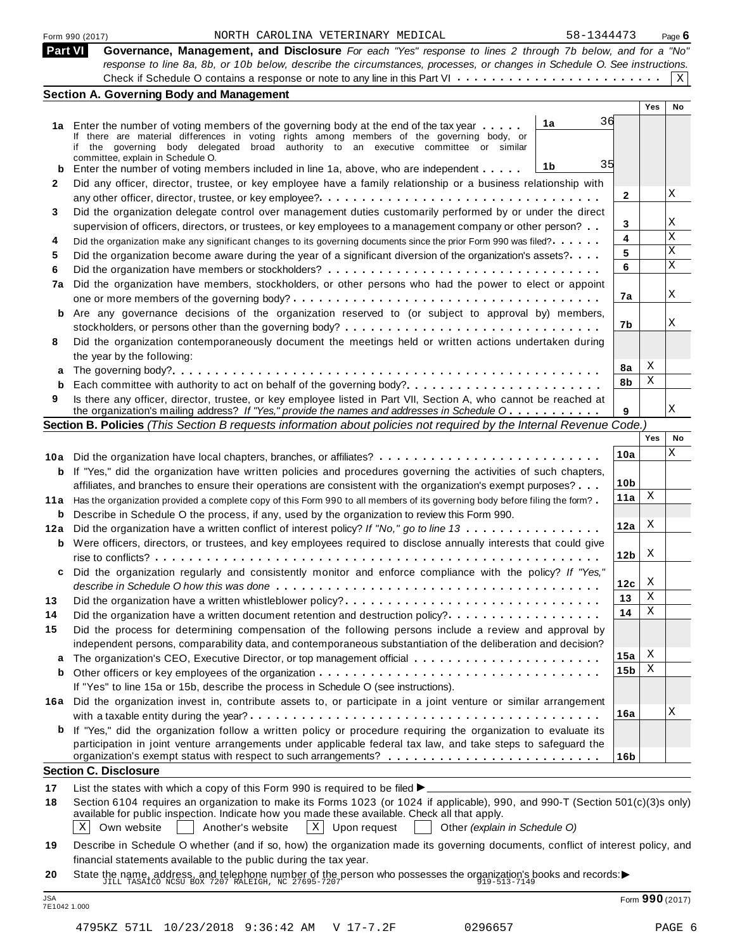|         | 58-1344473<br>NORTH CAROLINA VETERINARY MEDICAL<br>Form 990 (2017)                                                                                                                                      |                 |            | Page $6$ |
|---------|---------------------------------------------------------------------------------------------------------------------------------------------------------------------------------------------------------|-----------------|------------|----------|
| Part VI | Governance, Management, and Disclosure For each "Yes" response to lines 2 through 7b below, and for a "No"                                                                                              |                 |            |          |
|         | response to line 8a, 8b, or 10b below, describe the circumstances, processes, or changes in Schedule O. See instructions.                                                                               |                 |            |          |
|         |                                                                                                                                                                                                         |                 |            | Χ        |
|         | <b>Section A. Governing Body and Management</b>                                                                                                                                                         |                 |            |          |
|         |                                                                                                                                                                                                         |                 | <b>Yes</b> | No       |
|         | 1a<br>1a Enter the number of voting members of the governing body at the end of the tax year                                                                                                            | 36              |            |          |
|         | If there are material differences in voting rights among members of the governing body, or                                                                                                              |                 |            |          |
|         | if the governing body delegated broad authority to an executive committee or similar<br>committee, explain in Schedule O.                                                                               |                 |            |          |
| b       | 1b<br>Enter the number of voting members included in line 1a, above, who are independent                                                                                                                | 35              |            |          |
| 2       | Did any officer, director, trustee, or key employee have a family relationship or a business relationship with                                                                                          |                 |            |          |
|         |                                                                                                                                                                                                         | 2               |            | X        |
| 3       | Did the organization delegate control over management duties customarily performed by or under the direct                                                                                               |                 |            |          |
|         | supervision of officers, directors, or trustees, or key employees to a management company or other person?                                                                                              | 3               |            | Χ        |
| 4       | Did the organization make any significant changes to its governing documents since the prior Form 990 was filed?.                                                                                       | 4               |            | X        |
| 5       | Did the organization become aware during the year of a significant diversion of the organization's assets?                                                                                              | 5               |            | X        |
| 6       |                                                                                                                                                                                                         | 6               |            | X        |
| 7a      | Did the organization have members, stockholders, or other persons who had the power to elect or appoint                                                                                                 |                 |            |          |
|         |                                                                                                                                                                                                         | 7а              |            | X        |
|         | <b>b</b> Are any governance decisions of the organization reserved to (or subject to approval by) members,                                                                                              |                 |            |          |
|         |                                                                                                                                                                                                         | 7b              |            | Χ        |
| 8       | Did the organization contemporaneously document the meetings held or written actions undertaken during                                                                                                  |                 |            |          |
|         | the year by the following:                                                                                                                                                                              |                 |            |          |
| a       |                                                                                                                                                                                                         | 8a              | Χ          |          |
| b       | Each committee with authority to act on behalf of the governing body?                                                                                                                                   | 8b              | Χ          |          |
| 9       | Is there any officer, director, trustee, or key employee listed in Part VII, Section A, who cannot be reached at                                                                                        |                 |            |          |
|         | the organization's mailing address? If "Yes," provide the names and addresses in Schedule O                                                                                                             | 9               |            | X        |
|         | Section B. Policies (This Section B requests information about policies not required by the Internal Revenue Code.)                                                                                     |                 |            |          |
|         |                                                                                                                                                                                                         |                 | Yes        | No       |
|         | 10a Did the organization have local chapters, branches, or affiliates?                                                                                                                                  | 10a             |            | Χ        |
|         | <b>b</b> If "Yes," did the organization have written policies and procedures governing the activities of such chapters,                                                                                 |                 |            |          |
|         | affiliates, and branches to ensure their operations are consistent with the organization's exempt purposes?                                                                                             | 10 <sub>b</sub> |            |          |
| 11 a    | Has the organization provided a complete copy of this Form 990 to all members of its governing body before filing the form?                                                                             | 11a             | Χ          |          |
| b       | Describe in Schedule O the process, if any, used by the organization to review this Form 990.                                                                                                           |                 |            |          |
| 12a     | Did the organization have a written conflict of interest policy? If "No," go to line 13                                                                                                                 | 12a             | Χ          |          |
|         | <b>b</b> Were officers, directors, or trustees, and key employees required to disclose annually interests that could give                                                                               |                 |            |          |
|         |                                                                                                                                                                                                         | 12 <sub>b</sub> | X          |          |
|         | Did the organization regularly and consistently monitor and enforce compliance with the policy? If "Yes,"                                                                                               |                 |            |          |
|         |                                                                                                                                                                                                         | 12c             | X          |          |
| 13      | Did the organization have a written whistleblower policy?                                                                                                                                               | 13              | Χ          |          |
| 14      | Did the organization have a written document retention and destruction policy?                                                                                                                          | 14              | Χ          |          |
| 15      | Did the process for determining compensation of the following persons include a review and approval by                                                                                                  |                 |            |          |
|         | independent persons, comparability data, and contemporaneous substantiation of the deliberation and decision?                                                                                           |                 |            |          |
| a       |                                                                                                                                                                                                         | 15a             | Χ          |          |
| b       |                                                                                                                                                                                                         | 15 <sub>b</sub> | Χ          |          |
|         | If "Yes" to line 15a or 15b, describe the process in Schedule O (see instructions).                                                                                                                     |                 |            |          |
|         | 16a Did the organization invest in, contribute assets to, or participate in a joint venture or similar arrangement                                                                                      |                 |            |          |
|         |                                                                                                                                                                                                         | 16a             |            | Χ        |
|         | <b>b</b> If "Yes," did the organization follow a written policy or procedure requiring the organization to evaluate its                                                                                 |                 |            |          |
|         | participation in joint venture arrangements under applicable federal tax law, and take steps to safeguard the                                                                                           |                 |            |          |
|         |                                                                                                                                                                                                         | 16 <sub>b</sub> |            |          |
|         |                                                                                                                                                                                                         |                 |            |          |
|         | <b>Section C. Disclosure</b>                                                                                                                                                                            |                 |            |          |
| 17      | List the states with which a copy of this Form 990 is required to be filed $\blacktriangleright$                                                                                                        |                 |            |          |
|         | Section 6104 requires an organization to make its Forms 1023 (or 1024 if applicable), 990, and 990-T (Section 501(c)(3)s only)                                                                          |                 |            |          |
| 18      | available for public inspection. Indicate how you made these available. Check all that apply.<br>$\mathbf{X}$<br>Own website<br>Another's website<br>Upon request<br>Χ<br>Other (explain in Schedule O) |                 |            |          |

**20** Imancial statements available to the public during the tax year.<br>State the name, address, and telephone number of the person who possesses the organization's books and records:<br>JILL TASAICO NCSU BOX 7207 RALEIGH, NC 27695

JSA Form **<sup>990</sup>** (2017) 7E1042 1.000

financial statements available to the public during the tax year.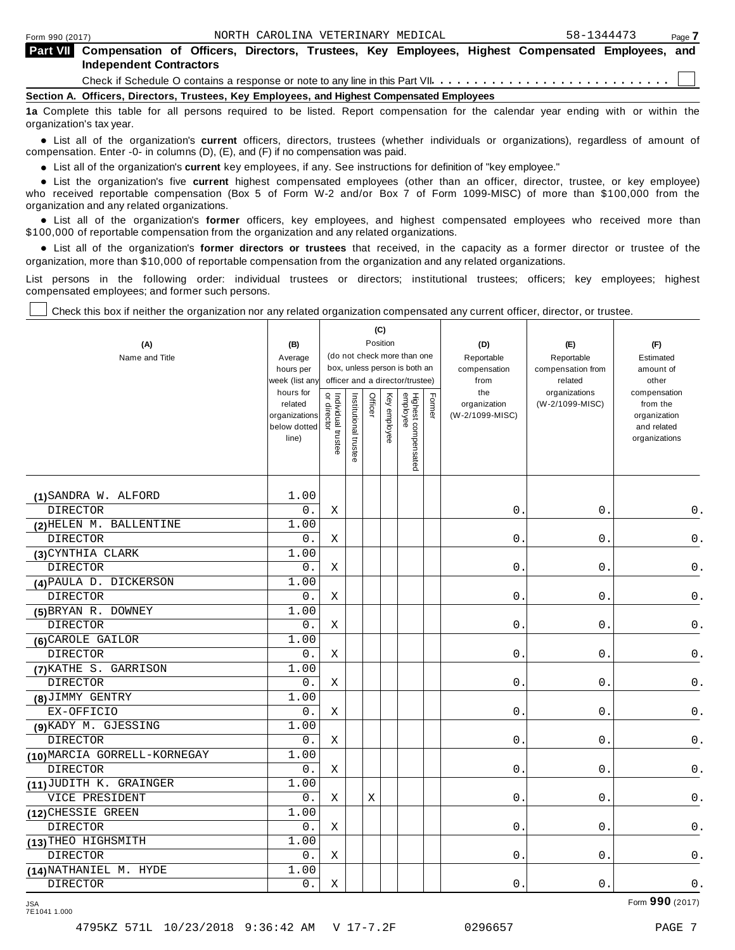|                                |  | <b>Part VII</b> Compensation of Officers, Directors, Trustees, Key Employees, Highest Compensated Employees, and                  |  |  |  |  |  |
|--------------------------------|--|-----------------------------------------------------------------------------------------------------------------------------------|--|--|--|--|--|
| <b>Independent Contractors</b> |  |                                                                                                                                   |  |  |  |  |  |
|                                |  |                                                                                                                                   |  |  |  |  |  |
|                                |  | Section A. Officers, Directors, Trustees, Key Employees, and Highest Compensated Employees                                        |  |  |  |  |  |
| organization's tax year.       |  | 1a Complete this table for all persons required to be listed. Report compensation for the calendar year ending with or within the |  |  |  |  |  |

anization's lax year.<br>● List all of the organization's **current** officers, directors, trustees (whether individuals or organizations), regardless of amount of<br>nnensation Enter -0- in columns (D) (E) and (E) if no compensa compensation. Enter -0- in columns (D), (E), and (F) if no compensation was paid.

• List all of the organization's **current** key employees, if any. See instructions for definition of "key employee."<br>● List the experientials five expect highest expressed explores (other than an efficer director of

**Example in the organization's current** key employees, if any. See instructions for definition of key employee.<br>• List the organization's five **current** highest compensated employees (other than an officer, director, trust who received reportable compensation (Box 5 of Form W-2 and/or Box 7 of Form 1099-MISC) of more than \$100,000 from the

organization and any related organizations.<br>• List all of the organization's **former** officers, key employees, and highest compensated employees who received more than<br>\$1.00.000 of reportable componention from the erganiza \$100,000 of reportable compensation from the organization and any related organizations.

% List all of the organization's **former directors or trustees** that received, in the capacity as a former director or trustee of the organization, more than \$10,000 of reportable compensation from the organization and any related organizations.

List persons in the following order: individual trustees or directors; institutional trustees; officers; key employees; highest compensated employees; and former such persons.

┯

Check this box if neither the organization nor any related organization compensated any current officer, director, or trustee.

┰

| (A)<br>Name and Title                | (B)<br>Average<br>hours per<br>week (list an<br>hours for<br>related<br>organizations<br>below dotted<br>line) | (C)<br>Position<br>(do not check more than one<br>box, unless person is both an<br>officer and a director/trustee)<br>Individual trustee<br>  or director<br>Highest compensated<br>employee<br>Institutional trustee<br>Officer<br>Key employee |  |   | Former | (D)<br>Reportable<br>compensation<br>from<br>the<br>organization<br>(W-2/1099-MISC) | (E)<br>Reportable<br>compensation from<br>related<br>organizations<br>(W-2/1099-MISC) | (F)<br>Estimated<br>amount of<br>other<br>compensation<br>from the<br>organization<br>and related<br>organizations |               |
|--------------------------------------|----------------------------------------------------------------------------------------------------------------|--------------------------------------------------------------------------------------------------------------------------------------------------------------------------------------------------------------------------------------------------|--|---|--------|-------------------------------------------------------------------------------------|---------------------------------------------------------------------------------------|--------------------------------------------------------------------------------------------------------------------|---------------|
|                                      |                                                                                                                |                                                                                                                                                                                                                                                  |  |   |        |                                                                                     |                                                                                       |                                                                                                                    |               |
|                                      |                                                                                                                |                                                                                                                                                                                                                                                  |  |   |        |                                                                                     |                                                                                       |                                                                                                                    |               |
| (1) SANDRA W. ALFORD                 | 1.00                                                                                                           |                                                                                                                                                                                                                                                  |  |   |        |                                                                                     |                                                                                       |                                                                                                                    |               |
| <b>DIRECTOR</b>                      | $0$ .                                                                                                          | X                                                                                                                                                                                                                                                |  |   |        |                                                                                     | 0.                                                                                    | 0.                                                                                                                 | 0.            |
| (2) HELEN M. BALLENTINE              | 1.00                                                                                                           |                                                                                                                                                                                                                                                  |  |   |        |                                                                                     | $0$ .                                                                                 |                                                                                                                    |               |
| <b>DIRECTOR</b>                      | 0.<br>1.00                                                                                                     | Χ                                                                                                                                                                                                                                                |  |   |        |                                                                                     |                                                                                       | $\boldsymbol{0}$ .                                                                                                 | $\mathsf 0$ . |
| (3) CYNTHIA CLARK<br><b>DIRECTOR</b> | 0.                                                                                                             | Χ                                                                                                                                                                                                                                                |  |   |        |                                                                                     | $\mathsf{O}$ .                                                                        | $0$ .                                                                                                              | $\mathsf 0$ . |
| (4) PAULA D. DICKERSON               | 1.00                                                                                                           |                                                                                                                                                                                                                                                  |  |   |        |                                                                                     |                                                                                       |                                                                                                                    |               |
| <b>DIRECTOR</b>                      | 0.                                                                                                             | Χ                                                                                                                                                                                                                                                |  |   |        |                                                                                     | 0.                                                                                    | $0$ .                                                                                                              | $\mathsf 0$ . |
| (5) BRYAN R. DOWNEY                  | 1.00                                                                                                           |                                                                                                                                                                                                                                                  |  |   |        |                                                                                     |                                                                                       |                                                                                                                    |               |
| <b>DIRECTOR</b>                      | $0$ .                                                                                                          | Χ                                                                                                                                                                                                                                                |  |   |        |                                                                                     | 0.                                                                                    | $0$ .                                                                                                              | 0.            |
| (6) CAROLE GAILOR                    | 1.00                                                                                                           |                                                                                                                                                                                                                                                  |  |   |        |                                                                                     |                                                                                       |                                                                                                                    |               |
| <b>DIRECTOR</b>                      | $0$ .                                                                                                          | Χ                                                                                                                                                                                                                                                |  |   |        |                                                                                     | 0.                                                                                    | 0.                                                                                                                 | 0.            |
| (7) KATHE S. GARRISON                | 1.00                                                                                                           |                                                                                                                                                                                                                                                  |  |   |        |                                                                                     |                                                                                       |                                                                                                                    |               |
| <b>DIRECTOR</b>                      | 0.                                                                                                             | Χ                                                                                                                                                                                                                                                |  |   |        |                                                                                     | 0.                                                                                    | 0.                                                                                                                 | 0.            |
| (8) JIMMY GENTRY                     | 1.00                                                                                                           |                                                                                                                                                                                                                                                  |  |   |        |                                                                                     |                                                                                       |                                                                                                                    |               |
| EX-OFFICIO                           | 0.                                                                                                             | Χ                                                                                                                                                                                                                                                |  |   |        |                                                                                     | 0.                                                                                    | $\overline{0}$ .                                                                                                   | 0.            |
| (9) KADY M. GJESSING                 | 1.00                                                                                                           |                                                                                                                                                                                                                                                  |  |   |        |                                                                                     |                                                                                       |                                                                                                                    |               |
| <b>DIRECTOR</b>                      | $0$ .                                                                                                          | X                                                                                                                                                                                                                                                |  |   |        |                                                                                     | $\mathbf 0$ .                                                                         | $0$ .                                                                                                              | $0$ .         |
| (10) MARCIA GORRELL-KORNEGAY         | 1.00                                                                                                           |                                                                                                                                                                                                                                                  |  |   |        |                                                                                     |                                                                                       |                                                                                                                    |               |
| <b>DIRECTOR</b>                      | $\overline{0}$ .                                                                                               | Χ                                                                                                                                                                                                                                                |  |   |        |                                                                                     | $0$ .                                                                                 | $0$ .                                                                                                              | $0$ .         |
| (11) JUDITH K. GRAINGER              | 1.00                                                                                                           |                                                                                                                                                                                                                                                  |  |   |        |                                                                                     |                                                                                       |                                                                                                                    |               |
| VICE PRESIDENT                       | $0$ .                                                                                                          | Χ                                                                                                                                                                                                                                                |  | Χ |        |                                                                                     | 0.                                                                                    | 0.                                                                                                                 | 0.            |
| (12) CHESSIE GREEN                   | 1.00                                                                                                           |                                                                                                                                                                                                                                                  |  |   |        |                                                                                     |                                                                                       |                                                                                                                    |               |
| <b>DIRECTOR</b>                      | $0$ .                                                                                                          | Χ                                                                                                                                                                                                                                                |  |   |        |                                                                                     | 0.                                                                                    | 0.                                                                                                                 | 0.            |
| (13) THEO HIGHSMITH                  | 1.00                                                                                                           |                                                                                                                                                                                                                                                  |  |   |        |                                                                                     |                                                                                       |                                                                                                                    |               |
| <b>DIRECTOR</b>                      | 0.                                                                                                             | Χ                                                                                                                                                                                                                                                |  |   |        |                                                                                     | 0.                                                                                    | 0.                                                                                                                 | 0.            |
| (14) NATHANIEL M. HYDE               | 1.00                                                                                                           |                                                                                                                                                                                                                                                  |  |   |        |                                                                                     |                                                                                       |                                                                                                                    |               |
| <b>DIRECTOR</b>                      | 0.                                                                                                             | X                                                                                                                                                                                                                                                |  |   |        |                                                                                     | 0.                                                                                    | $0$ .                                                                                                              | $0$ .         |

7E1041 1.000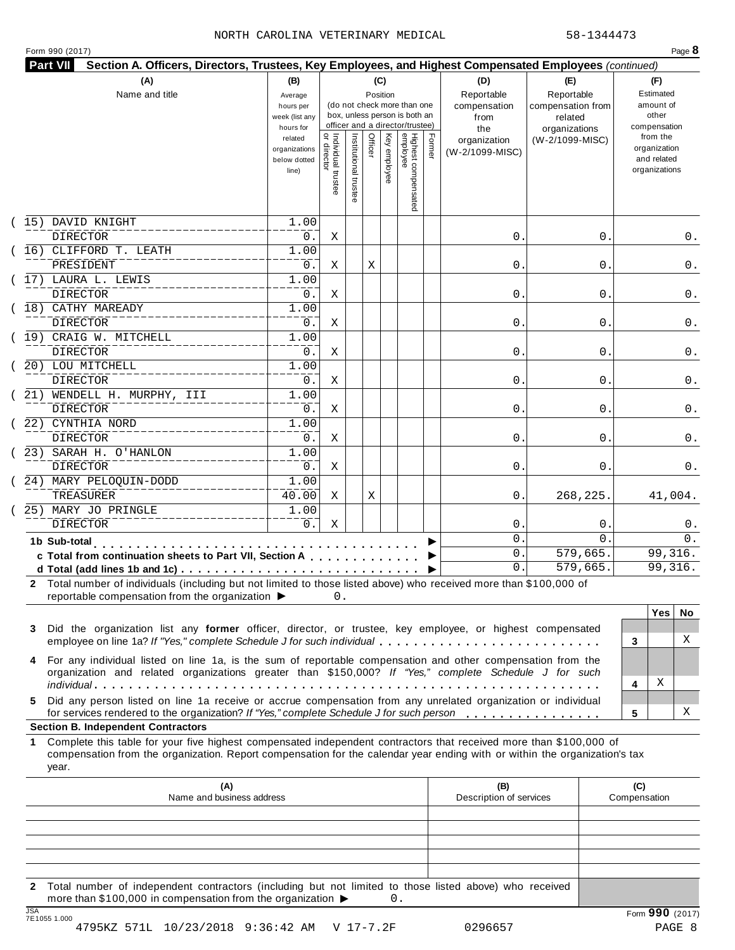|  |  | Form 990 (2017) |
|--|--|-----------------|
|--|--|-----------------|

|              | (A)<br>Name and title                                                                                                                                                              | (B)<br>Average<br>hours per<br>week (list any<br>hours for |                                     |                       | (C)<br>Position |              | (do not check more than one<br>box, unless person is both an<br>officer and a director/trustee) |        | (D)<br>Reportable<br>compensation<br>from<br>the | (E)<br>Reportable<br>compensation from<br>related<br>organizations | (F)<br>Estimated<br>amount of<br>other<br>compensation   |
|--------------|------------------------------------------------------------------------------------------------------------------------------------------------------------------------------------|------------------------------------------------------------|-------------------------------------|-----------------------|-----------------|--------------|-------------------------------------------------------------------------------------------------|--------|--------------------------------------------------|--------------------------------------------------------------------|----------------------------------------------------------|
|              |                                                                                                                                                                                    | related<br>organizations<br>below dotted<br>line)          | Individual trustee<br>  or director | Institutional trustee | Officer         | Key employee | Highest compensated<br>employee                                                                 | Former | organization<br>(W-2/1099-MISC)                  | (W-2/1099-MISC)                                                    | from the<br>organization<br>and related<br>organizations |
|              | 15) DAVID KNIGHT                                                                                                                                                                   | 1.00                                                       |                                     |                       |                 |              |                                                                                                 |        |                                                  |                                                                    |                                                          |
|              | <b>DIRECTOR</b>                                                                                                                                                                    | 0.                                                         | Χ                                   |                       |                 |              |                                                                                                 |        | 0.                                               | 0                                                                  | 0.                                                       |
|              | (16) CLIFFORD T. LEATH                                                                                                                                                             | 1.00                                                       |                                     |                       |                 |              |                                                                                                 |        |                                                  |                                                                    |                                                          |
|              | PRESIDENT<br>17) LAURA L. LEWIS                                                                                                                                                    | 0.<br>1.00                                                 | Χ                                   |                       | Χ               |              |                                                                                                 |        | 0.                                               | 0                                                                  | 0.                                                       |
|              | <b>DIRECTOR</b>                                                                                                                                                                    | 0.                                                         | Χ                                   |                       |                 |              |                                                                                                 |        | 0.                                               | 0                                                                  | 0.                                                       |
|              | (18) CATHY MAREADY                                                                                                                                                                 | 1.00                                                       |                                     |                       |                 |              |                                                                                                 |        |                                                  |                                                                    |                                                          |
|              | DIRECTOR                                                                                                                                                                           | 0.                                                         | Χ                                   |                       |                 |              |                                                                                                 |        | 0.                                               | 0                                                                  | 0.                                                       |
|              | (19) CRAIG W. MITCHELL                                                                                                                                                             | 1.00                                                       |                                     |                       |                 |              |                                                                                                 |        |                                                  |                                                                    |                                                          |
|              | DIRECTOR                                                                                                                                                                           | 0.                                                         | Χ                                   |                       |                 |              |                                                                                                 |        | 0.                                               | 0                                                                  | 0.                                                       |
|              | 20) LOU MITCHELL                                                                                                                                                                   | 1.00                                                       |                                     |                       |                 |              |                                                                                                 |        |                                                  |                                                                    |                                                          |
|              | <b>DIRECTOR</b>                                                                                                                                                                    | 0.                                                         | Χ                                   |                       |                 |              |                                                                                                 |        | 0.                                               | 0                                                                  | 0.                                                       |
|              | 21) WENDELL H. MURPHY, III                                                                                                                                                         | 1.00                                                       |                                     |                       |                 |              |                                                                                                 |        |                                                  |                                                                    |                                                          |
|              | <b>DIRECTOR</b>                                                                                                                                                                    | 0.                                                         | Χ                                   |                       |                 |              |                                                                                                 |        | 0.                                               | 0                                                                  | 0.                                                       |
|              | 22) CYNTHIA NORD<br>DIRECTOR                                                                                                                                                       | 1.00                                                       |                                     |                       |                 |              |                                                                                                 |        | 0.                                               |                                                                    |                                                          |
|              | 23) SARAH H. O'HANLON                                                                                                                                                              | 0.<br>1.00                                                 | Χ                                   |                       |                 |              |                                                                                                 |        |                                                  | 0                                                                  | 0.                                                       |
|              | DIRECTOR                                                                                                                                                                           | 0.                                                         | Χ                                   |                       |                 |              |                                                                                                 |        | 0.                                               | 0                                                                  | 0.                                                       |
|              | (24) MARY PELOQUIN-DODD                                                                                                                                                            | 1.00                                                       |                                     |                       |                 |              |                                                                                                 |        |                                                  |                                                                    |                                                          |
|              | TREASURER                                                                                                                                                                          | 40.00                                                      | Χ                                   |                       | Χ               |              |                                                                                                 |        | 0.                                               | 268,225.                                                           | 41,004.                                                  |
|              | 25) MARY JO PRINGLE                                                                                                                                                                | 1.00                                                       |                                     |                       |                 |              |                                                                                                 |        |                                                  |                                                                    |                                                          |
|              | <b>DIRECTOR</b>                                                                                                                                                                    | 0.                                                         | Χ                                   |                       |                 |              |                                                                                                 |        | 0.                                               | 0                                                                  | $0$ .                                                    |
| 1b Sub-total | .                                                                                                                                                                                  |                                                            |                                     |                       |                 |              |                                                                                                 |        | 0.                                               | 0                                                                  | 0.                                                       |
|              | c Total from continuation sheets to Part VII, Section A                                                                                                                            |                                                            |                                     |                       |                 |              |                                                                                                 |        | 0.                                               | 579,665.                                                           | 99,316.                                                  |
|              | 2 Total number of individuals (including but not limited to those listed above) who received more than \$100,000 of                                                                |                                                            |                                     |                       |                 |              |                                                                                                 |        | 0.                                               | 579,665.                                                           | 99,316.                                                  |
|              | reportable compensation from the organization ▶                                                                                                                                    |                                                            | 0.                                  |                       |                 |              |                                                                                                 |        |                                                  |                                                                    | <b>Yes</b><br>No.                                        |
| 3            | Did the organization list any former officer, director, or trustee, key employee, or highest compensated<br>employee on line 1a? If "Yes," complete Schedule J for such individual |                                                            |                                     |                       |                 |              |                                                                                                 |        |                                                  |                                                                    | X<br>3                                                   |
| 4            | For any individual listed on line 1a, is the sum of reportable compensation and other compensation from the                                                                        |                                                            |                                     |                       |                 |              |                                                                                                 |        |                                                  |                                                                    |                                                          |
|              | organization and related organizations greater than \$150,000? If "Yes," complete Schedule J for such                                                                              |                                                            |                                     |                       |                 |              |                                                                                                 |        |                                                  |                                                                    | Χ                                                        |
|              | Did any person listed on line 1a receive or accrue compensation from any unrelated organization or individual                                                                      |                                                            |                                     |                       |                 |              |                                                                                                 |        |                                                  |                                                                    | 4                                                        |
| 5.           | for services rendered to the organization? If "Yes," complete Schedule J for such person                                                                                           |                                                            |                                     |                       |                 |              |                                                                                                 |        |                                                  |                                                                    | х<br>5                                                   |
|              | <b>Section B. Independent Contractors</b><br>Complete this table for your five highest compensated independent contractors that received more than \$100,000 of                    |                                                            |                                     |                       |                 |              |                                                                                                 |        |                                                  |                                                                    |                                                          |
|              | compensation from the organization. Report compensation for the calendar year ending with or within the organization's tax                                                         |                                                            |                                     |                       |                 |              |                                                                                                 |        |                                                  |                                                                    |                                                          |
| year.        |                                                                                                                                                                                    |                                                            |                                     |                       |                 |              |                                                                                                 |        | (B)                                              |                                                                    |                                                          |
|              | (A)<br>Name and business address                                                                                                                                                   |                                                            |                                     |                       |                 |              |                                                                                                 |        | Description of services                          |                                                                    | (C)<br>Compensation                                      |
|              |                                                                                                                                                                                    |                                                            |                                     |                       |                 |              |                                                                                                 |        |                                                  |                                                                    |                                                          |
| 1            |                                                                                                                                                                                    |                                                            |                                     |                       |                 |              |                                                                                                 |        |                                                  |                                                                    |                                                          |

JSA Form **990** (2017) 7E1055 1.000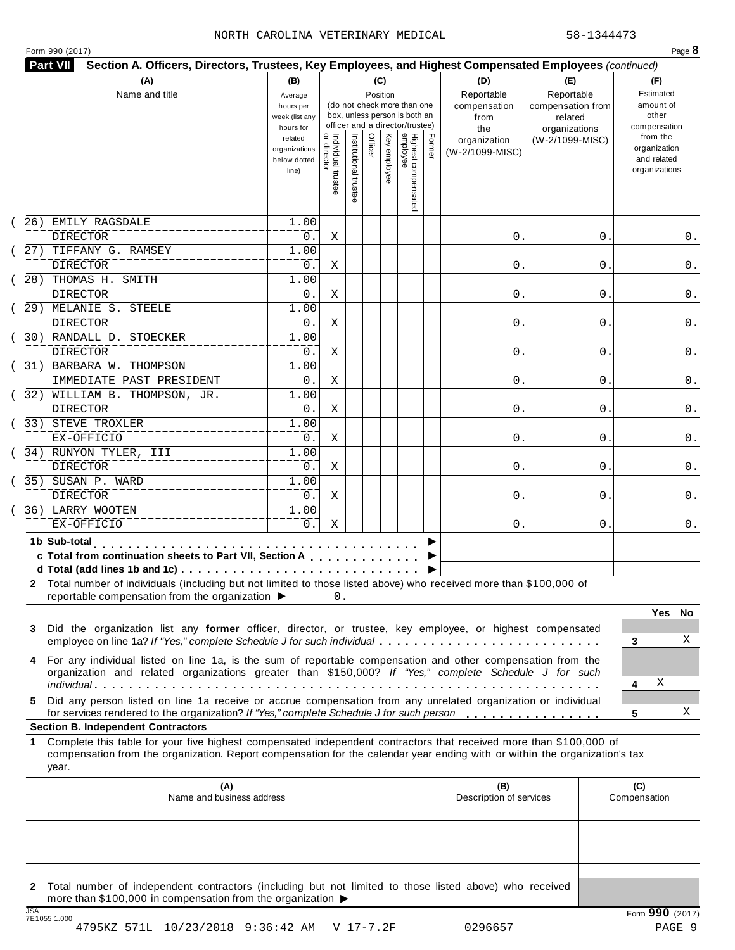|  |  | Form 990 (2017) |  |
|--|--|-----------------|--|
|--|--|-----------------|--|

| Highest compensated<br>employee<br>Key employee<br>related<br>(W-2/1099-MISC)<br>organization<br>organization<br>organizations<br>(W-2/1099-MISC)<br>and related<br>below dotted<br>organizations<br>line)<br>EMILY RAGSDALE<br>1.00<br><b>DIRECTOR</b><br>0.<br>0.<br>Χ<br>0<br>27) TIFFANY G. RAMSEY<br>1.00<br><b>DIRECTOR</b><br>0.<br>0.<br>0<br>0.<br>Χ<br>28) THOMAS H. SMITH<br>1.00<br><b>DIRECTOR</b><br>0.<br>0.<br>Χ<br>0<br>0.<br>29) MELANIE S. STEELE<br>1.00<br><b>DIRECTOR</b><br>0.<br>0.<br>Χ<br>0<br>30) RANDALL D. STOECKER<br>1.00<br>DIRECTOR<br>0.<br>0.<br>Χ<br>0<br>31) BARBARA W. THOMPSON<br>1.00<br>IMMEDIATE PAST PRESIDENT<br>0.<br>$0$ .<br>0<br>Χ<br>32) WILLIAM B. THOMPSON, JR.<br>1.00<br><b>DIRECTOR</b><br>0.<br>0.<br>0<br>Χ<br>33) STEVE TROXLER<br>1.00<br>EX-OFFICIO<br>0.<br>0.<br>Χ<br>0<br>34) RUNYON TYLER, III<br>1.00<br><b>DIRECTOR</b><br>0.<br>0.<br>Χ<br>0<br>35) SUSAN P. WARD<br>1.00<br><b>DIRECTOR</b><br>0.<br>0.<br>0<br>Χ<br>36) LARRY WOOTEN<br>1.00<br>EX-OFFICIO<br>0.<br>Χ<br>0.<br>0<br>1b Sub-total<br>$\alpha$ , and $\alpha$ , and $\alpha$<br>c Total from continuation sheets to Part VII, Section A<br>2 Total number of individuals (including but not limited to those listed above) who received more than \$100,000 of<br>reportable compensation from the organization ▶<br>0.<br><b>Yes</b><br>Did the organization list any former officer, director, or trustee, key employee, or highest compensated<br>employee on line 1a? If "Yes," complete Schedule J for such individual<br>3<br>For any individual listed on line 1a, is the sum of reportable compensation and other compensation from the<br>organization and related organizations greater than \$150,000? If "Yes," complete Schedule J for such<br>х<br>4<br>Did any person listed on line 1a receive or accrue compensation from any unrelated organization or individual<br>for services rendered to the organization? If "Yes," complete Schedule J for such person<br>5<br><b>Section B. Independent Contractors</b><br>Complete this table for your five highest compensated independent contractors that received more than \$100,000 of<br>compensation from the organization. Report compensation for the calendar year ending with or within the organization's tax<br>year.<br>(A)<br>(B)<br>(C)<br>Description of services<br>Name and business address<br>Compensation |        | (A)<br>Name and title | (B)<br>Average<br>hours per<br>week (list any<br>hours for | (do not check more than one<br>box, unless person is both an<br>officer and a director/trustee) |                       | (E)<br>Reportable<br>compensation from<br>related<br>organizations | (F)<br>Estimated<br>amount of<br>other<br>compensation |        |  |  |          |
|-------------------------------------------------------------------------------------------------------------------------------------------------------------------------------------------------------------------------------------------------------------------------------------------------------------------------------------------------------------------------------------------------------------------------------------------------------------------------------------------------------------------------------------------------------------------------------------------------------------------------------------------------------------------------------------------------------------------------------------------------------------------------------------------------------------------------------------------------------------------------------------------------------------------------------------------------------------------------------------------------------------------------------------------------------------------------------------------------------------------------------------------------------------------------------------------------------------------------------------------------------------------------------------------------------------------------------------------------------------------------------------------------------------------------------------------------------------------------------------------------------------------------------------------------------------------------------------------------------------------------------------------------------------------------------------------------------------------------------------------------------------------------------------------------------------------------------------------------------------------------------------------------------------------------------------------------------------------------------------------------------------------------------------------------------------------------------------------------------------------------------------------------------------------------------------------------------------------------------------------------------------------------------------------------------------------------------------------------------------------------------------------------------------------------------|--------|-----------------------|------------------------------------------------------------|-------------------------------------------------------------------------------------------------|-----------------------|--------------------------------------------------------------------|--------------------------------------------------------|--------|--|--|----------|
|                                                                                                                                                                                                                                                                                                                                                                                                                                                                                                                                                                                                                                                                                                                                                                                                                                                                                                                                                                                                                                                                                                                                                                                                                                                                                                                                                                                                                                                                                                                                                                                                                                                                                                                                                                                                                                                                                                                                                                                                                                                                                                                                                                                                                                                                                                                                                                                                                               |        |                       |                                                            | Individual trustee<br>  or director                                                             | Institutional trustee | Officer                                                            |                                                        | Former |  |  | from the |
|                                                                                                                                                                                                                                                                                                                                                                                                                                                                                                                                                                                                                                                                                                                                                                                                                                                                                                                                                                                                                                                                                                                                                                                                                                                                                                                                                                                                                                                                                                                                                                                                                                                                                                                                                                                                                                                                                                                                                                                                                                                                                                                                                                                                                                                                                                                                                                                                                               | 26)    |                       |                                                            |                                                                                                 |                       |                                                                    |                                                        |        |  |  |          |
|                                                                                                                                                                                                                                                                                                                                                                                                                                                                                                                                                                                                                                                                                                                                                                                                                                                                                                                                                                                                                                                                                                                                                                                                                                                                                                                                                                                                                                                                                                                                                                                                                                                                                                                                                                                                                                                                                                                                                                                                                                                                                                                                                                                                                                                                                                                                                                                                                               |        |                       |                                                            |                                                                                                 |                       |                                                                    |                                                        |        |  |  | 0.       |
|                                                                                                                                                                                                                                                                                                                                                                                                                                                                                                                                                                                                                                                                                                                                                                                                                                                                                                                                                                                                                                                                                                                                                                                                                                                                                                                                                                                                                                                                                                                                                                                                                                                                                                                                                                                                                                                                                                                                                                                                                                                                                                                                                                                                                                                                                                                                                                                                                               |        |                       |                                                            |                                                                                                 |                       |                                                                    |                                                        |        |  |  |          |
|                                                                                                                                                                                                                                                                                                                                                                                                                                                                                                                                                                                                                                                                                                                                                                                                                                                                                                                                                                                                                                                                                                                                                                                                                                                                                                                                                                                                                                                                                                                                                                                                                                                                                                                                                                                                                                                                                                                                                                                                                                                                                                                                                                                                                                                                                                                                                                                                                               |        |                       |                                                            |                                                                                                 |                       |                                                                    |                                                        |        |  |  |          |
|                                                                                                                                                                                                                                                                                                                                                                                                                                                                                                                                                                                                                                                                                                                                                                                                                                                                                                                                                                                                                                                                                                                                                                                                                                                                                                                                                                                                                                                                                                                                                                                                                                                                                                                                                                                                                                                                                                                                                                                                                                                                                                                                                                                                                                                                                                                                                                                                                               |        |                       |                                                            |                                                                                                 |                       |                                                                    |                                                        |        |  |  |          |
|                                                                                                                                                                                                                                                                                                                                                                                                                                                                                                                                                                                                                                                                                                                                                                                                                                                                                                                                                                                                                                                                                                                                                                                                                                                                                                                                                                                                                                                                                                                                                                                                                                                                                                                                                                                                                                                                                                                                                                                                                                                                                                                                                                                                                                                                                                                                                                                                                               |        |                       |                                                            |                                                                                                 |                       |                                                                    |                                                        |        |  |  |          |
|                                                                                                                                                                                                                                                                                                                                                                                                                                                                                                                                                                                                                                                                                                                                                                                                                                                                                                                                                                                                                                                                                                                                                                                                                                                                                                                                                                                                                                                                                                                                                                                                                                                                                                                                                                                                                                                                                                                                                                                                                                                                                                                                                                                                                                                                                                                                                                                                                               |        |                       |                                                            |                                                                                                 |                       |                                                                    |                                                        |        |  |  | 0.       |
|                                                                                                                                                                                                                                                                                                                                                                                                                                                                                                                                                                                                                                                                                                                                                                                                                                                                                                                                                                                                                                                                                                                                                                                                                                                                                                                                                                                                                                                                                                                                                                                                                                                                                                                                                                                                                                                                                                                                                                                                                                                                                                                                                                                                                                                                                                                                                                                                                               |        |                       |                                                            |                                                                                                 |                       |                                                                    |                                                        |        |  |  |          |
|                                                                                                                                                                                                                                                                                                                                                                                                                                                                                                                                                                                                                                                                                                                                                                                                                                                                                                                                                                                                                                                                                                                                                                                                                                                                                                                                                                                                                                                                                                                                                                                                                                                                                                                                                                                                                                                                                                                                                                                                                                                                                                                                                                                                                                                                                                                                                                                                                               |        |                       |                                                            |                                                                                                 |                       |                                                                    |                                                        |        |  |  | 0.       |
|                                                                                                                                                                                                                                                                                                                                                                                                                                                                                                                                                                                                                                                                                                                                                                                                                                                                                                                                                                                                                                                                                                                                                                                                                                                                                                                                                                                                                                                                                                                                                                                                                                                                                                                                                                                                                                                                                                                                                                                                                                                                                                                                                                                                                                                                                                                                                                                                                               |        |                       |                                                            |                                                                                                 |                       |                                                                    |                                                        |        |  |  |          |
|                                                                                                                                                                                                                                                                                                                                                                                                                                                                                                                                                                                                                                                                                                                                                                                                                                                                                                                                                                                                                                                                                                                                                                                                                                                                                                                                                                                                                                                                                                                                                                                                                                                                                                                                                                                                                                                                                                                                                                                                                                                                                                                                                                                                                                                                                                                                                                                                                               |        |                       |                                                            |                                                                                                 |                       |                                                                    |                                                        |        |  |  | 0.       |
|                                                                                                                                                                                                                                                                                                                                                                                                                                                                                                                                                                                                                                                                                                                                                                                                                                                                                                                                                                                                                                                                                                                                                                                                                                                                                                                                                                                                                                                                                                                                                                                                                                                                                                                                                                                                                                                                                                                                                                                                                                                                                                                                                                                                                                                                                                                                                                                                                               |        |                       |                                                            |                                                                                                 |                       |                                                                    |                                                        |        |  |  |          |
|                                                                                                                                                                                                                                                                                                                                                                                                                                                                                                                                                                                                                                                                                                                                                                                                                                                                                                                                                                                                                                                                                                                                                                                                                                                                                                                                                                                                                                                                                                                                                                                                                                                                                                                                                                                                                                                                                                                                                                                                                                                                                                                                                                                                                                                                                                                                                                                                                               |        |                       |                                                            |                                                                                                 |                       |                                                                    |                                                        |        |  |  | 0.       |
|                                                                                                                                                                                                                                                                                                                                                                                                                                                                                                                                                                                                                                                                                                                                                                                                                                                                                                                                                                                                                                                                                                                                                                                                                                                                                                                                                                                                                                                                                                                                                                                                                                                                                                                                                                                                                                                                                                                                                                                                                                                                                                                                                                                                                                                                                                                                                                                                                               |        |                       |                                                            |                                                                                                 |                       |                                                                    |                                                        |        |  |  |          |
|                                                                                                                                                                                                                                                                                                                                                                                                                                                                                                                                                                                                                                                                                                                                                                                                                                                                                                                                                                                                                                                                                                                                                                                                                                                                                                                                                                                                                                                                                                                                                                                                                                                                                                                                                                                                                                                                                                                                                                                                                                                                                                                                                                                                                                                                                                                                                                                                                               |        |                       |                                                            |                                                                                                 |                       |                                                                    |                                                        |        |  |  | 0.       |
|                                                                                                                                                                                                                                                                                                                                                                                                                                                                                                                                                                                                                                                                                                                                                                                                                                                                                                                                                                                                                                                                                                                                                                                                                                                                                                                                                                                                                                                                                                                                                                                                                                                                                                                                                                                                                                                                                                                                                                                                                                                                                                                                                                                                                                                                                                                                                                                                                               |        |                       |                                                            |                                                                                                 |                       |                                                                    |                                                        |        |  |  |          |
|                                                                                                                                                                                                                                                                                                                                                                                                                                                                                                                                                                                                                                                                                                                                                                                                                                                                                                                                                                                                                                                                                                                                                                                                                                                                                                                                                                                                                                                                                                                                                                                                                                                                                                                                                                                                                                                                                                                                                                                                                                                                                                                                                                                                                                                                                                                                                                                                                               |        |                       |                                                            |                                                                                                 |                       |                                                                    |                                                        |        |  |  | 0.       |
|                                                                                                                                                                                                                                                                                                                                                                                                                                                                                                                                                                                                                                                                                                                                                                                                                                                                                                                                                                                                                                                                                                                                                                                                                                                                                                                                                                                                                                                                                                                                                                                                                                                                                                                                                                                                                                                                                                                                                                                                                                                                                                                                                                                                                                                                                                                                                                                                                               |        |                       |                                                            |                                                                                                 |                       |                                                                    |                                                        |        |  |  |          |
|                                                                                                                                                                                                                                                                                                                                                                                                                                                                                                                                                                                                                                                                                                                                                                                                                                                                                                                                                                                                                                                                                                                                                                                                                                                                                                                                                                                                                                                                                                                                                                                                                                                                                                                                                                                                                                                                                                                                                                                                                                                                                                                                                                                                                                                                                                                                                                                                                               |        |                       |                                                            |                                                                                                 |                       |                                                                    |                                                        |        |  |  | 0.       |
|                                                                                                                                                                                                                                                                                                                                                                                                                                                                                                                                                                                                                                                                                                                                                                                                                                                                                                                                                                                                                                                                                                                                                                                                                                                                                                                                                                                                                                                                                                                                                                                                                                                                                                                                                                                                                                                                                                                                                                                                                                                                                                                                                                                                                                                                                                                                                                                                                               |        |                       |                                                            |                                                                                                 |                       |                                                                    |                                                        |        |  |  |          |
|                                                                                                                                                                                                                                                                                                                                                                                                                                                                                                                                                                                                                                                                                                                                                                                                                                                                                                                                                                                                                                                                                                                                                                                                                                                                                                                                                                                                                                                                                                                                                                                                                                                                                                                                                                                                                                                                                                                                                                                                                                                                                                                                                                                                                                                                                                                                                                                                                               |        |                       |                                                            |                                                                                                 |                       |                                                                    |                                                        |        |  |  | 0.       |
|                                                                                                                                                                                                                                                                                                                                                                                                                                                                                                                                                                                                                                                                                                                                                                                                                                                                                                                                                                                                                                                                                                                                                                                                                                                                                                                                                                                                                                                                                                                                                                                                                                                                                                                                                                                                                                                                                                                                                                                                                                                                                                                                                                                                                                                                                                                                                                                                                               |        |                       |                                                            |                                                                                                 |                       |                                                                    |                                                        |        |  |  |          |
|                                                                                                                                                                                                                                                                                                                                                                                                                                                                                                                                                                                                                                                                                                                                                                                                                                                                                                                                                                                                                                                                                                                                                                                                                                                                                                                                                                                                                                                                                                                                                                                                                                                                                                                                                                                                                                                                                                                                                                                                                                                                                                                                                                                                                                                                                                                                                                                                                               |        |                       |                                                            |                                                                                                 |                       |                                                                    |                                                        |        |  |  | No.      |
|                                                                                                                                                                                                                                                                                                                                                                                                                                                                                                                                                                                                                                                                                                                                                                                                                                                                                                                                                                                                                                                                                                                                                                                                                                                                                                                                                                                                                                                                                                                                                                                                                                                                                                                                                                                                                                                                                                                                                                                                                                                                                                                                                                                                                                                                                                                                                                                                                               |        |                       |                                                            |                                                                                                 |                       |                                                                    |                                                        |        |  |  | X        |
|                                                                                                                                                                                                                                                                                                                                                                                                                                                                                                                                                                                                                                                                                                                                                                                                                                                                                                                                                                                                                                                                                                                                                                                                                                                                                                                                                                                                                                                                                                                                                                                                                                                                                                                                                                                                                                                                                                                                                                                                                                                                                                                                                                                                                                                                                                                                                                                                                               | 3<br>4 |                       |                                                            |                                                                                                 |                       |                                                                    |                                                        |        |  |  |          |
|                                                                                                                                                                                                                                                                                                                                                                                                                                                                                                                                                                                                                                                                                                                                                                                                                                                                                                                                                                                                                                                                                                                                                                                                                                                                                                                                                                                                                                                                                                                                                                                                                                                                                                                                                                                                                                                                                                                                                                                                                                                                                                                                                                                                                                                                                                                                                                                                                               | 5.     |                       |                                                            |                                                                                                 |                       |                                                                    |                                                        |        |  |  | х        |
|                                                                                                                                                                                                                                                                                                                                                                                                                                                                                                                                                                                                                                                                                                                                                                                                                                                                                                                                                                                                                                                                                                                                                                                                                                                                                                                                                                                                                                                                                                                                                                                                                                                                                                                                                                                                                                                                                                                                                                                                                                                                                                                                                                                                                                                                                                                                                                                                                               |        |                       |                                                            |                                                                                                 |                       |                                                                    |                                                        |        |  |  |          |
|                                                                                                                                                                                                                                                                                                                                                                                                                                                                                                                                                                                                                                                                                                                                                                                                                                                                                                                                                                                                                                                                                                                                                                                                                                                                                                                                                                                                                                                                                                                                                                                                                                                                                                                                                                                                                                                                                                                                                                                                                                                                                                                                                                                                                                                                                                                                                                                                                               |        |                       |                                                            |                                                                                                 |                       |                                                                    |                                                        |        |  |  |          |
|                                                                                                                                                                                                                                                                                                                                                                                                                                                                                                                                                                                                                                                                                                                                                                                                                                                                                                                                                                                                                                                                                                                                                                                                                                                                                                                                                                                                                                                                                                                                                                                                                                                                                                                                                                                                                                                                                                                                                                                                                                                                                                                                                                                                                                                                                                                                                                                                                               |        |                       |                                                            |                                                                                                 |                       |                                                                    |                                                        |        |  |  |          |
|                                                                                                                                                                                                                                                                                                                                                                                                                                                                                                                                                                                                                                                                                                                                                                                                                                                                                                                                                                                                                                                                                                                                                                                                                                                                                                                                                                                                                                                                                                                                                                                                                                                                                                                                                                                                                                                                                                                                                                                                                                                                                                                                                                                                                                                                                                                                                                                                                               | 1      |                       |                                                            |                                                                                                 |                       |                                                                    |                                                        |        |  |  |          |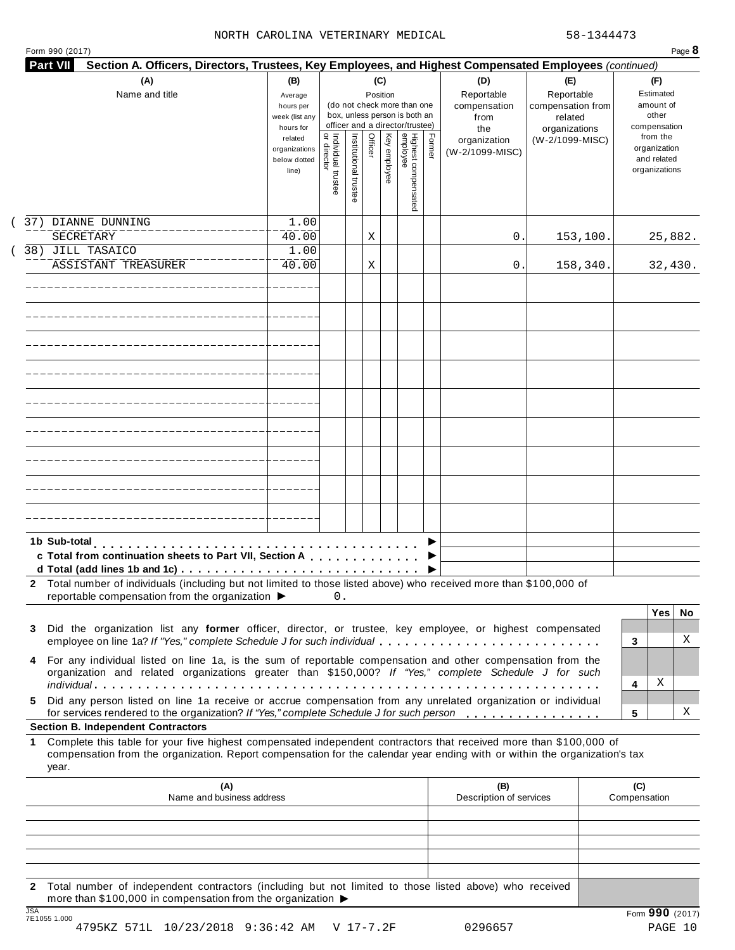| Form 990 (2017) | Page $\delta$ |
|-----------------|---------------|
|-----------------|---------------|

| Part VII         | Section A. Officers, Directors, Trustees, Key Employees, and Highest Compensated Employees (continued)                                                                                                                                                                                                                                                                |                                                            |                                                                                                                    |                       |         |              |                                 |        |                                                  |                                                                    |                                                          |
|------------------|-----------------------------------------------------------------------------------------------------------------------------------------------------------------------------------------------------------------------------------------------------------------------------------------------------------------------------------------------------------------------|------------------------------------------------------------|--------------------------------------------------------------------------------------------------------------------|-----------------------|---------|--------------|---------------------------------|--------|--------------------------------------------------|--------------------------------------------------------------------|----------------------------------------------------------|
|                  | (A)<br>Name and title                                                                                                                                                                                                                                                                                                                                                 | (B)<br>Average<br>hours per<br>week (list any<br>hours for | (C)<br>Position<br>(do not check more than one<br>box, unless person is both an<br>officer and a director/trustee) |                       |         |              |                                 |        | (D)<br>Reportable<br>compensation<br>from<br>the | (E)<br>Reportable<br>compensation from<br>related<br>organizations | (F)<br>Estimated<br>amount of<br>other<br>compensation   |
|                  |                                                                                                                                                                                                                                                                                                                                                                       | related<br>organizations<br>below dotted<br>line)          | <br>  Individual trustee<br>  or director                                                                          | Institutional trustee | Officer | Key employee | Highest compensated<br>employee | Former | organization<br>(W-2/1099-MISC)                  | (W-2/1099-MISC)                                                    | from the<br>organization<br>and related<br>organizations |
|                  | 37) DIANNE DUNNING                                                                                                                                                                                                                                                                                                                                                    | 1.00                                                       |                                                                                                                    |                       |         |              |                                 |        |                                                  |                                                                    |                                                          |
|                  | SECRETARY                                                                                                                                                                                                                                                                                                                                                             | 40.00                                                      |                                                                                                                    |                       | Χ       |              |                                 |        | 0.                                               | 153,100.                                                           | 25,882.                                                  |
|                  | 38) JILL TASAICO<br>ASSISTANT TREASURER                                                                                                                                                                                                                                                                                                                               | 1.00<br>40.00                                              |                                                                                                                    |                       | Χ       |              |                                 |        | 0.                                               | 158,340.                                                           | 32,430.                                                  |
|                  |                                                                                                                                                                                                                                                                                                                                                                       |                                                            |                                                                                                                    |                       |         |              |                                 |        |                                                  |                                                                    |                                                          |
|                  |                                                                                                                                                                                                                                                                                                                                                                       |                                                            |                                                                                                                    |                       |         |              |                                 |        |                                                  |                                                                    |                                                          |
|                  |                                                                                                                                                                                                                                                                                                                                                                       |                                                            |                                                                                                                    |                       |         |              |                                 |        |                                                  |                                                                    |                                                          |
|                  |                                                                                                                                                                                                                                                                                                                                                                       |                                                            |                                                                                                                    |                       |         |              |                                 |        |                                                  |                                                                    |                                                          |
|                  |                                                                                                                                                                                                                                                                                                                                                                       |                                                            |                                                                                                                    |                       |         |              |                                 |        |                                                  |                                                                    |                                                          |
|                  |                                                                                                                                                                                                                                                                                                                                                                       |                                                            |                                                                                                                    |                       |         |              |                                 |        |                                                  |                                                                    |                                                          |
|                  |                                                                                                                                                                                                                                                                                                                                                                       |                                                            |                                                                                                                    |                       |         |              |                                 |        |                                                  |                                                                    |                                                          |
|                  |                                                                                                                                                                                                                                                                                                                                                                       |                                                            |                                                                                                                    |                       |         |              |                                 |        |                                                  |                                                                    |                                                          |
|                  |                                                                                                                                                                                                                                                                                                                                                                       |                                                            |                                                                                                                    |                       |         |              |                                 |        |                                                  |                                                                    |                                                          |
| 1b Sub-total     | c Total from continuation sheets to Part VII, Section A<br>d Total (add lines 1b and 1c) $\cdots$ $\cdots$ $\cdots$ $\cdots$ $\cdots$ $\cdots$ $\cdots$ $\cdots$ $\cdots$ $\cdots$ $\cdots$<br>2 Total number of individuals (including but not limited to those listed above) who received more than \$100,000 of<br>reportable compensation from the organization ▶ |                                                            | $\begin{array}{ccc} & & 0 \end{array}$                                                                             |                       |         |              |                                 |        |                                                  |                                                                    |                                                          |
| 3                | Did the organization list any former officer, director, or trustee, key employee, or highest compensated<br>employee on line 1a? If "Yes," complete Schedule J for such individual                                                                                                                                                                                    |                                                            |                                                                                                                    |                       |         |              |                                 |        |                                                  |                                                                    | Yes  <br>No<br>X<br>3                                    |
| 4                | For any individual listed on line 1a, is the sum of reportable compensation and other compensation from the<br>organization and related organizations greater than \$150,000? If "Yes," complete Schedule J for such                                                                                                                                                  |                                                            |                                                                                                                    |                       |         |              |                                 |        |                                                  |                                                                    | X<br>4                                                   |
| 5.               | Did any person listed on line 1a receive or accrue compensation from any unrelated organization or individual<br>for services rendered to the organization? If "Yes," complete Schedule J for such person<br><b>Section B. Independent Contractors</b>                                                                                                                |                                                            |                                                                                                                    |                       |         |              |                                 |        |                                                  |                                                                    | Χ<br>5                                                   |
| 1<br>year.       | Complete this table for your five highest compensated independent contractors that received more than \$100,000 of<br>compensation from the organization. Report compensation for the calendar year ending with or within the organization's tax                                                                                                                      |                                                            |                                                                                                                    |                       |         |              |                                 |        |                                                  |                                                                    |                                                          |
|                  | (A)<br>Name and business address                                                                                                                                                                                                                                                                                                                                      |                                                            |                                                                                                                    |                       |         |              |                                 |        | (B)<br>Description of services                   |                                                                    | (C)<br>Compensation                                      |
|                  |                                                                                                                                                                                                                                                                                                                                                                       |                                                            |                                                                                                                    |                       |         |              |                                 |        |                                                  |                                                                    |                                                          |
|                  |                                                                                                                                                                                                                                                                                                                                                                       |                                                            |                                                                                                                    |                       |         |              |                                 |        |                                                  |                                                                    |                                                          |
|                  | 2 Total number of independent contractors (including but not limited to those listed above) who received                                                                                                                                                                                                                                                              |                                                            |                                                                                                                    |                       |         |              |                                 |        |                                                  |                                                                    |                                                          |
| $\overline{10A}$ | more than \$100,000 in compensation from the organization ▶                                                                                                                                                                                                                                                                                                           |                                                            |                                                                                                                    |                       |         |              |                                 |        |                                                  |                                                                    | $\sim$ $\sim$                                            |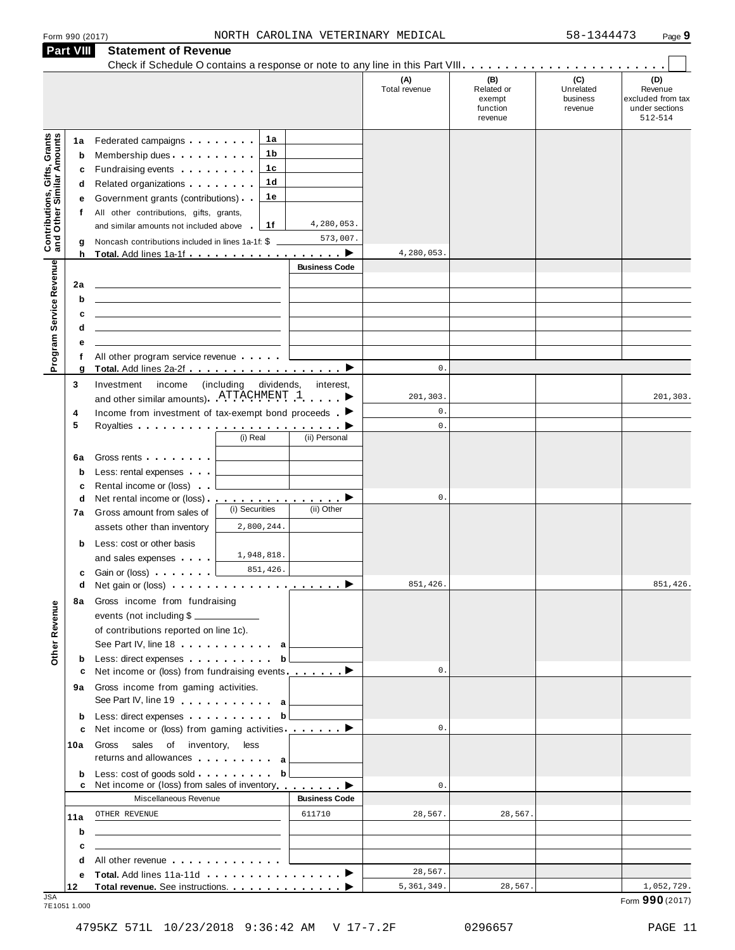|  | Form 990 (2017 |
|--|----------------|
|  |                |

|                                                                  | <b>Part VIII</b>                      | <b>Statement of Revenue</b>                                                                                                                                                                                                                                                                                                                                                                                                    |                                          |                                                               |                                                    |                                         |                                                                  |
|------------------------------------------------------------------|---------------------------------------|--------------------------------------------------------------------------------------------------------------------------------------------------------------------------------------------------------------------------------------------------------------------------------------------------------------------------------------------------------------------------------------------------------------------------------|------------------------------------------|---------------------------------------------------------------|----------------------------------------------------|-----------------------------------------|------------------------------------------------------------------|
|                                                                  |                                       |                                                                                                                                                                                                                                                                                                                                                                                                                                |                                          | (A)<br>Total revenue                                          | (B)<br>Related or<br>exempt<br>function<br>revenue | (C)<br>Unrelated<br>business<br>revenue | (D)<br>Revenue<br>excluded from tax<br>under sections<br>512-514 |
| <b>Contributions, Gifts, Grants</b><br>and Other Similar Amounts | 1a<br>b<br>c<br>d<br>е<br>f<br>g<br>h | 1a<br>Federated campaigns <b>Federated</b><br>1 <sub>b</sub><br>Membership dues<br>1c<br>Fundraising events <b>Fundraising</b><br>1d<br>Related organizations <b>contains</b> and <b>Related</b> organizations <b>and relations</b><br>1е<br>Government grants (contributions)<br>All other contributions, gifts, grants,<br>1f<br>and similar amounts not included above<br>Noncash contributions included in lines 1a-1f: \$ | 4,280,053.<br>573,007.                   | 4,280,053.                                                    |                                                    |                                         |                                                                  |
| Program Service Revenue                                          | 2a<br>b<br>c<br>d<br>е<br>f           | All other program service revenue                                                                                                                                                                                                                                                                                                                                                                                              | <b>Business Code</b>                     |                                                               |                                                    |                                         |                                                                  |
|                                                                  | g<br>3<br>4<br>5                      | (including<br>Investment<br>income<br>and other similar amounts). ATTACHMENT 1<br>Income from investment of tax-exempt bond proceeds $\blacksquare$<br>(i) Real                                                                                                                                                                                                                                                                | dividends,<br>interest,<br>(ii) Personal | $\mathbf{0}$ .<br>201,303.<br>$\mathbf 0$ .<br>$\mathbf{0}$ . |                                                    |                                         | 201,303.                                                         |
|                                                                  | 6a<br>$\mathbf b$<br>c<br>d<br>7a     | Gross rents <b>Container and Container</b><br>Less: rental expenses<br>Rental income or (loss)<br>Net rental income or (loss) <b>interact in the set of the set of the set of the set of the set of the set of the set of the set of the set of the set of the set of the set of the set of the set of the set of the set of the </b><br>(i) Securities<br>Gross amount from sales of                                          | (ii) Other                               | 0.                                                            |                                                    |                                         |                                                                  |
|                                                                  | b<br>с<br>d<br>8а                     | assets other than inventory<br>2,800,244.<br>Less: cost or other basis<br>1,948,818.<br>and sales expenses<br>851,426.<br>Gain or (loss)<br>Net gain or (loss) $\cdots$ $\cdots$ $\cdots$ $\cdots$ $\cdots$ $\cdots$<br>Gross income from fundraising<br>events (not including \$                                                                                                                                              |                                          | 851,426.                                                      |                                                    |                                         | 851,426                                                          |
| Other Revenue                                                    | b<br>c<br>9а                          | of contributions reported on line 1c).<br>See Part IV, line 18 and the state of the state of the state of the state of the state of the state of the state of the state of the state of the state of the state of the state of the state of the state of the state of th<br>Less: direct expenses<br>Net income or (loss) from fundraising events _________<br>Gross income from gaming activities.<br>See Part IV, line 19 a  | b                                        | $\mathbf{0}$ .                                                |                                                    |                                         |                                                                  |
|                                                                  | b<br>c<br>10a                         | Less: direct expenses<br>Net income or (loss) from gaming activities ________<br>sales of inventory, less<br>Gross<br>returns and allowances and allowances                                                                                                                                                                                                                                                                    | b                                        | $\mathbf{0}$ .                                                |                                                    |                                         |                                                                  |
|                                                                  | b<br>c                                |                                                                                                                                                                                                                                                                                                                                                                                                                                | $\mathbf{b}$                             | $\mathbf{0}$ .                                                |                                                    |                                         |                                                                  |
|                                                                  | 11a<br>b<br>с                         | Miscellaneous Revenue<br>OTHER REVENUE                                                                                                                                                                                                                                                                                                                                                                                         | <b>Business Code</b><br>611710           | 28,567.                                                       | 28,567.                                            |                                         |                                                                  |
| .ISA                                                             | d<br>е<br>12                          | All other revenue entitled and a series of the series of the series of the series of the series of the series<br>Total revenue. See instructions.                                                                                                                                                                                                                                                                              |                                          | 28,567.<br>5, 361, 349.                                       | 28,567.                                            |                                         | 1,052,729.                                                       |

JSA Form **990** (2017) 7E1051 1.000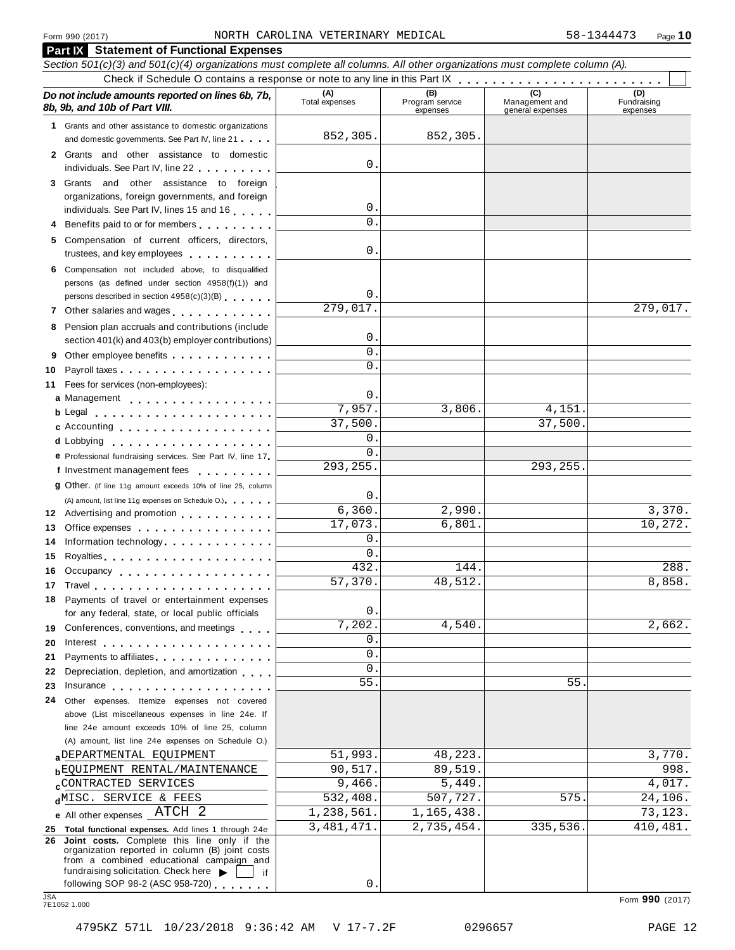#### Form <sup>990</sup> (2017) Page **10** NORTH CAROLINA VETERINARY MEDICAL 58-1344473

| <b>Part IX</b> Statement of Functional Expenses                                                                                                                                                                                           |                       |                                    |                                           |                                |
|-------------------------------------------------------------------------------------------------------------------------------------------------------------------------------------------------------------------------------------------|-----------------------|------------------------------------|-------------------------------------------|--------------------------------|
| Section 501(c)(3) and 501(c)(4) organizations must complete all columns. All other organizations must complete column (A).                                                                                                                |                       |                                    |                                           |                                |
|                                                                                                                                                                                                                                           |                       |                                    |                                           |                                |
| Do not include amounts reported on lines 6b, 7b,<br>8b, 9b, and 10b of Part VIII.                                                                                                                                                         | (A)<br>Total expenses | (B)<br>Program service<br>expenses | (C)<br>Management and<br>general expenses | (D)<br>Fundraising<br>expenses |
| 1 Grants and other assistance to domestic organizations<br>and domestic governments. See Part IV, line 21                                                                                                                                 | 852,305.              | 852,305.                           |                                           |                                |
| Grants and other assistance to domestic<br>2                                                                                                                                                                                              | 0                     |                                    |                                           |                                |
| individuals. See Part IV, line 22<br>3 Grants and other assistance to foreign                                                                                                                                                             |                       |                                    |                                           |                                |
| organizations, foreign governments, and foreign                                                                                                                                                                                           |                       |                                    |                                           |                                |
| individuals. See Part IV, lines 15 and 16                                                                                                                                                                                                 | 0                     |                                    |                                           |                                |
| Benefits paid to or for members<br>4                                                                                                                                                                                                      | $\Omega$              |                                    |                                           |                                |
| Compensation of current officers, directors,                                                                                                                                                                                              |                       |                                    |                                           |                                |
| trustees, and key employees expressed and the set of the set of the set of the set of the set of the set of the                                                                                                                           | 0                     |                                    |                                           |                                |
| Compensation not included above, to disqualified<br>6.                                                                                                                                                                                    |                       |                                    |                                           |                                |
| persons (as defined under section 4958(f)(1)) and                                                                                                                                                                                         |                       |                                    |                                           |                                |
| persons described in section 4958(c)(3)(B)                                                                                                                                                                                                | 0                     |                                    |                                           |                                |
| 7 Other salaries and wages                                                                                                                                                                                                                | 279,017.              |                                    |                                           | 279,017.                       |
| Pension plan accruals and contributions (include<br>8                                                                                                                                                                                     |                       |                                    |                                           |                                |
| section 401(k) and 403(b) employer contributions)                                                                                                                                                                                         | 0                     |                                    |                                           |                                |
| Other employee benefits<br>9                                                                                                                                                                                                              | $\Omega$              |                                    |                                           |                                |
| 10                                                                                                                                                                                                                                        | $\Omega$              |                                    |                                           |                                |
| Fees for services (non-employees):<br>11                                                                                                                                                                                                  |                       |                                    |                                           |                                |
| a Management                                                                                                                                                                                                                              | 0                     |                                    |                                           |                                |
| <b>b</b> Legal <b>contained contained contained contained <b>contained contained </b></b>                                                                                                                                                 | 7,957.                | 3,806.                             | 4,151.                                    |                                |
| c Accounting                                                                                                                                                                                                                              | 37,500.               |                                    | 37,500.                                   |                                |
| d Lobbying                                                                                                                                                                                                                                | 0                     |                                    |                                           |                                |
| e Professional fundraising services. See Part IV, line 17                                                                                                                                                                                 | $\Omega$              |                                    |                                           |                                |
| f Investment management fees                                                                                                                                                                                                              | 293, 255.             |                                    | 293,255.                                  |                                |
| <b>g</b> Other. (If line 11g amount exceeds 10% of line 25, column                                                                                                                                                                        |                       |                                    |                                           |                                |
| (A) amount, list line 11g expenses on Schedule O.)                                                                                                                                                                                        | 0                     |                                    |                                           |                                |
| 12 Advertising and promotion                                                                                                                                                                                                              | 6,360.                | 2,990.                             |                                           | 3,370.                         |
| Office expenses example and the set of the set of the set of the set of the set of the set of the set of the set of the set of the set of the set of the set of the set of the set of the set of the set of the set of the set<br>13      | 17,073.               | 6,801.                             |                                           | 10,272.                        |
| Information technology<br>14                                                                                                                                                                                                              | 0                     |                                    |                                           |                                |
| Royalties<br>15                                                                                                                                                                                                                           | 0                     |                                    |                                           |                                |
| Occupancy<br>16                                                                                                                                                                                                                           | 432.                  | 144.                               |                                           | 288.                           |
|                                                                                                                                                                                                                                           | 57,370                | 48,512.                            |                                           | 8,858.                         |
| 18 Payments of travel or entertainment expenses                                                                                                                                                                                           |                       |                                    |                                           |                                |
| for any federal, state, or local public officials                                                                                                                                                                                         | 0                     |                                    |                                           |                                |
| Conferences, conventions, and meetings<br>19                                                                                                                                                                                              | 7,202.                | 4,540.                             |                                           | 2,662.                         |
| 20                                                                                                                                                                                                                                        | 0                     |                                    |                                           |                                |
| Payments to affiliates experience and the property of the set of the set of the set of the set of the set of the set of the set of the set of the set of the set of the set of the set of the set of the set of the set of the<br>21      | 0<br>0                |                                    |                                           |                                |
| Depreciation, depletion, and amortization<br>22                                                                                                                                                                                           | 55                    |                                    |                                           |                                |
| Insurance <b>All Accounts</b> in the set of the set of the set of the set of the set of the set of the set of the set of the set of the set of the set of the set of the set of the set of the set of the set of the set of the set<br>23 |                       |                                    | 55                                        |                                |
| Other expenses. Itemize expenses not covered<br>24                                                                                                                                                                                        |                       |                                    |                                           |                                |
| above (List miscellaneous expenses in line 24e. If                                                                                                                                                                                        |                       |                                    |                                           |                                |
| line 24e amount exceeds 10% of line 25, column                                                                                                                                                                                            |                       |                                    |                                           |                                |
| (A) amount, list line 24e expenses on Schedule O.)                                                                                                                                                                                        |                       |                                    |                                           |                                |
| aDEPARTMENTAL EQUIPMENT                                                                                                                                                                                                                   | 51,993.               | 48,223.                            |                                           | 3,770.                         |
| <b>bEQUIPMENT RENTAL/MAINTENANCE</b>                                                                                                                                                                                                      | 90,517.               | 89,519.                            |                                           | 998.                           |
| CONTRACTED SERVICES                                                                                                                                                                                                                       | 9,466.                | 5,449.                             |                                           | 4,017.                         |
| dMISC. SERVICE & FEES<br>ATCH 2                                                                                                                                                                                                           | 532,408.              | 507,727.                           | 575                                       | 24,106.                        |
| e All other expenses _                                                                                                                                                                                                                    | 1,238,561.            | 1,165,438.                         |                                           | 73,123.                        |
| 25 Total functional expenses. Add lines 1 through 24e<br>26 Joint costs. Complete this line only if the                                                                                                                                   | 3,481,471             | 2,735,454.                         | 335,536.                                  | 410,481.                       |
| organization reported in column (B) joint costs<br>from a combined educational campaign and                                                                                                                                               |                       |                                    |                                           |                                |
| fundraising solicitation. Check here<br>if                                                                                                                                                                                                |                       |                                    |                                           |                                |
| following SOP 98-2 (ASC 958-720)                                                                                                                                                                                                          | 0                     |                                    |                                           |                                |
| <b>JSA</b><br>7E1052 1.000                                                                                                                                                                                                                |                       |                                    |                                           | Form 990 (2017)                |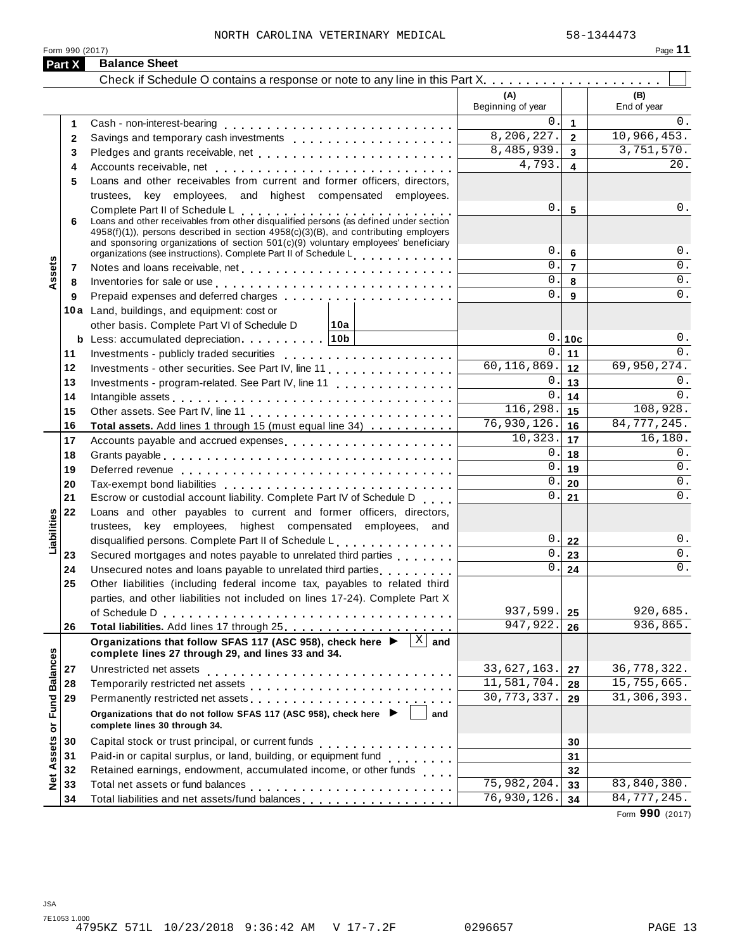| ∽∺∩ค |  |
|------|--|
|      |  |

|                      | Form 990 (2017) |                                                                                                                                                                                                                                |                           |                         | Page 11            |
|----------------------|-----------------|--------------------------------------------------------------------------------------------------------------------------------------------------------------------------------------------------------------------------------|---------------------------|-------------------------|--------------------|
|                      | Part X          | <b>Balance Sheet</b>                                                                                                                                                                                                           |                           |                         |                    |
|                      |                 |                                                                                                                                                                                                                                |                           |                         |                    |
|                      |                 |                                                                                                                                                                                                                                | (A)<br>Beginning of year  |                         | (B)<br>End of year |
|                      | 1               |                                                                                                                                                                                                                                | $\Omega$ .                | $\mathbf{1}$            | 0.                 |
|                      | $\mathbf{2}$    |                                                                                                                                                                                                                                | 8,206,227.                | $\overline{2}$          | 10,966,453.        |
|                      | 3               |                                                                                                                                                                                                                                | 8,485,939.                | $\overline{3}$          | 3,751,570.         |
|                      | 4               |                                                                                                                                                                                                                                | 4,793.                    | $\overline{\mathbf{4}}$ | 20.                |
|                      | 5               | Loans and other receivables from current and former officers, directors,                                                                                                                                                       |                           |                         |                    |
|                      |                 | trustees, key employees, and highest compensated employees.                                                                                                                                                                    |                           |                         |                    |
|                      |                 | Complete Part II of Schedule L<br>Loans and other receivables from other disqualified persons (as defined under section                                                                                                        | 0.                        | $5\phantom{1}$          | 0.                 |
|                      | 6               |                                                                                                                                                                                                                                |                           |                         |                    |
|                      |                 | 4958(f)(1)), persons described in section 4958(c)(3)(B), and contributing employers<br>and sponsoring organizations of section $501(c)(9)$ voluntary employees' beneficiary                                                    |                           |                         |                    |
|                      |                 | organizations (see instructions). Complete Part II of Schedule L                                                                                                                                                               | 0.                        | $6\phantom{1}6$         | 0.                 |
|                      | 7               |                                                                                                                                                                                                                                | $\Omega$ .                | $\overline{7}$          | 0.                 |
| Assets               | 8               | Inventories for sale or use enterpreteral resources in the sale or use of the set of the set of the set of the                                                                                                                 | $\Omega$ .                | 8                       | 0.                 |
|                      | 9               |                                                                                                                                                                                                                                | $\Omega$ .                | 9                       | 0.                 |
|                      |                 | 10a Land, buildings, and equipment: cost or                                                                                                                                                                                    |                           |                         |                    |
|                      |                 | other basis. Complete Part VI of Schedule D<br> 10a                                                                                                                                                                            |                           |                         |                    |
|                      |                 |                                                                                                                                                                                                                                | $0$ .                     | 10c                     | 0.                 |
|                      | 11              |                                                                                                                                                                                                                                | $\Omega$ .                | 11                      | 0.                 |
|                      | 12              |                                                                                                                                                                                                                                | 60, 116, 869.             | 12                      | 69, 950, 274.      |
|                      | 13              | Investments - program-related. See Part IV, line 11                                                                                                                                                                            | 0.                        | 13                      | 0.                 |
|                      | 14              | Intangible assets experience in the contract of the contract of the contract of the contract of the contract of the contract of the contract of the contract of the contract of the contract of the contract of the contract o | $\mathbf{0}$ .            | 14                      | 0.                 |
|                      | 15              |                                                                                                                                                                                                                                | $\overline{116,298}$ .    | 15                      | 108,928.           |
|                      | 16              | Total assets. Add lines 1 through 15 (must equal line 34)                                                                                                                                                                      | 76,930,126.               | 16                      | 84, 777, 245.      |
|                      | 17              |                                                                                                                                                                                                                                | 10, 323.                  | 17                      | 16, 180.           |
|                      | 18              |                                                                                                                                                                                                                                | 0.                        | 18                      | 0.                 |
|                      | 19              |                                                                                                                                                                                                                                | $\Omega$ .                | 19                      | 0.                 |
|                      | 20              |                                                                                                                                                                                                                                | $\Omega$ .                | 20                      | 0.                 |
|                      | 21              | Escrow or custodial account liability. Complete Part IV of Schedule D                                                                                                                                                          | $\Omega$ .                | 21                      | 0.                 |
|                      | 22              | Loans and other payables to current and former officers, directors,                                                                                                                                                            |                           |                         |                    |
| Liabilities          |                 | trustees, key employees, highest compensated employees, and                                                                                                                                                                    |                           |                         |                    |
|                      |                 | disqualified persons. Complete Part II of Schedule L.                                                                                                                                                                          | 0.                        | 22                      | 0.                 |
|                      | 23              | Secured mortgages and notes payable to unrelated third parties                                                                                                                                                                 | $\Omega$ .                | 23                      | 0.                 |
|                      | 24              |                                                                                                                                                                                                                                | 0.                        | 24                      | 0.                 |
|                      | 25              | Other liabilities (including federal income tax, payables to related third                                                                                                                                                     |                           |                         |                    |
|                      |                 | parties, and other liabilities not included on lines 17-24). Complete Part X                                                                                                                                                   |                           |                         |                    |
|                      |                 |                                                                                                                                                                                                                                | 937,599.                  | 25                      | 920,685.           |
|                      | 26              |                                                                                                                                                                                                                                | 947,922.                  | 26                      | 936,865.           |
|                      |                 | Organizations that follow SFAS 117 (ASC 958), check here ▶<br>$ X $ and<br>complete lines 27 through 29, and lines 33 and 34.                                                                                                  |                           |                         |                    |
|                      | 27              |                                                                                                                                                                                                                                | 33,627,163.               | 27                      | 36,778,322.        |
|                      | 28              |                                                                                                                                                                                                                                | 11,581,704.               | 28                      | 15,755,665.        |
|                      | 29              |                                                                                                                                                                                                                                | $\overline{30,773,}$ 337. | 29                      | 31, 306, 393.      |
| <b>Fund Balances</b> |                 | Organizations that do not follow SFAS 117 (ASC 958), check here ▶<br>and<br>complete lines 30 through 34.                                                                                                                      |                           |                         |                    |
|                      | 30              |                                                                                                                                                                                                                                |                           | 30                      |                    |
|                      | 31              | Paid-in or capital surplus, or land, building, or equipment fund<br>                                                                                                                                                           |                           | 31                      |                    |
|                      | 32              | Retained earnings, endowment, accumulated income, or other funds                                                                                                                                                               |                           | 32                      |                    |
| Net Assets or        | 33              |                                                                                                                                                                                                                                | $\overline{75,982,}$ 204. | 33                      | 83,840,380.        |
|                      | 34              | Total liabilities and net assets/fund balances                                                                                                                                                                                 | 76,930,126.               | 34                      | 84, 777, 245.      |
|                      |                 |                                                                                                                                                                                                                                |                           |                         |                    |

Form **990** (2017)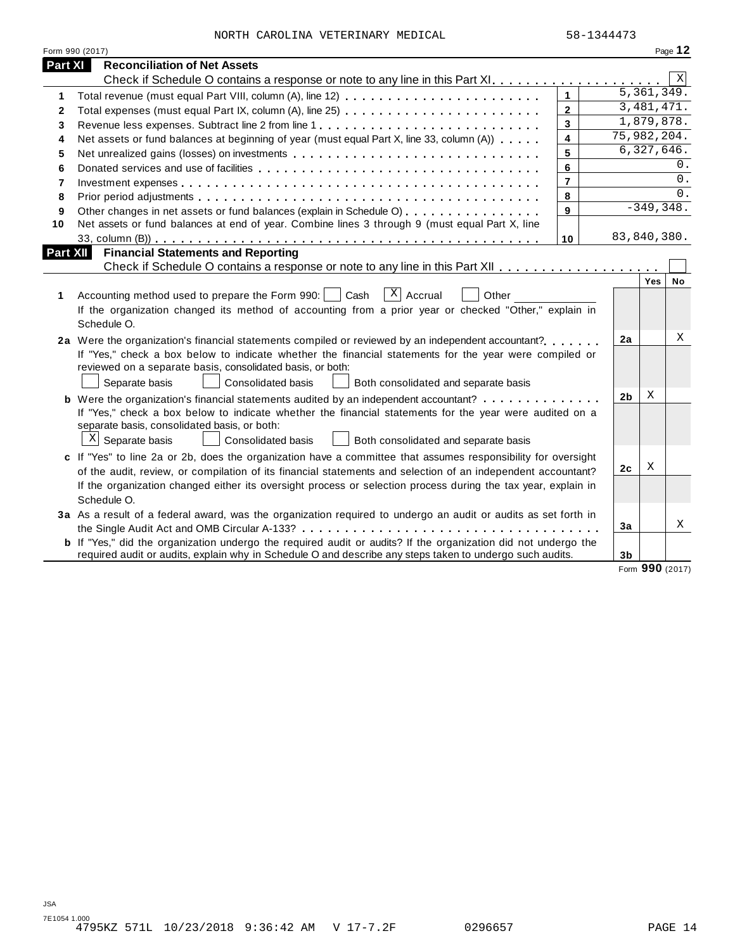| Form 990 (2017)                                                                                                       |                         |                |                         | Page 12 |
|-----------------------------------------------------------------------------------------------------------------------|-------------------------|----------------|-------------------------|---------|
| Part XI<br><b>Reconciliation of Net Assets</b>                                                                        |                         |                |                         |         |
|                                                                                                                       |                         |                |                         | X       |
| 1                                                                                                                     | $\overline{1}$          |                | $\overline{5,361,349}.$ |         |
| Total expenses (must equal Part IX, column (A), line 25)<br>2                                                         | $\overline{\mathbf{2}}$ |                | $\overline{3,481},471.$ |         |
| 3                                                                                                                     | $\overline{3}$          |                | 1,879,878.              |         |
| Net assets or fund balances at beginning of year (must equal Part X, line 33, column (A))<br>4                        | $\overline{\mathbf{4}}$ |                | 75,982,204.             |         |
| Net unrealized gains (losses) on investments<br>5                                                                     | 5                       |                | 6,327,646.              |         |
| 6                                                                                                                     | 6                       |                |                         | 0.      |
| 7                                                                                                                     | $\overline{7}$          |                |                         | 0.      |
| 8                                                                                                                     | 8                       |                |                         | 0.      |
| Other changes in net assets or fund balances (explain in Schedule O)<br>9                                             | 9                       |                | $-349,348.$             |         |
| Net assets or fund balances at end of year. Combine lines 3 through 9 (must equal Part X, line<br>10                  |                         |                |                         |         |
|                                                                                                                       | 10                      | 83,840,380.    |                         |         |
| <b>Financial Statements and Reporting</b><br>Part XII                                                                 |                         |                |                         |         |
|                                                                                                                       |                         |                |                         |         |
|                                                                                                                       |                         |                | Yes                     | No      |
| $\overline{X}$ Accrual<br>Accounting method used to prepare the Form 990:     Cash<br>Other<br>1                      |                         |                |                         |         |
| If the organization changed its method of accounting from a prior year or checked "Other," explain in                 |                         |                |                         |         |
| Schedule O.                                                                                                           |                         |                |                         |         |
| 2a Were the organization's financial statements compiled or reviewed by an independent accountant?                    |                         | 2a             |                         | Χ       |
| If "Yes," check a box below to indicate whether the financial statements for the year were compiled or                |                         |                |                         |         |
| reviewed on a separate basis, consolidated basis, or both:                                                            |                         |                |                         |         |
| Separate basis<br>Consolidated basis<br>Both consolidated and separate basis                                          |                         |                |                         |         |
| <b>b</b> Were the organization's financial statements audited by an independent accountant?                           |                         | 2 <sub>b</sub> | Χ                       |         |
| If "Yes," check a box below to indicate whether the financial statements for the year were audited on a               |                         |                |                         |         |
| separate basis, consolidated basis, or both:                                                                          |                         |                |                         |         |
| Χ<br>Separate basis<br><b>Consolidated basis</b><br>Both consolidated and separate basis                              |                         |                |                         |         |
| c If "Yes" to line 2a or 2b, does the organization have a committee that assumes responsibility for oversight         |                         |                |                         |         |
| of the audit, review, or compilation of its financial statements and selection of an independent accountant?          |                         | 2 <sub>c</sub> | Χ                       |         |
| If the organization changed either its oversight process or selection process during the tax year, explain in         |                         |                |                         |         |
| Schedule O.                                                                                                           |                         |                |                         |         |
| 3a As a result of a federal award, was the organization required to undergo an audit or audits as set forth in        |                         |                |                         |         |
|                                                                                                                       |                         | 3a             |                         | Χ       |
| <b>b</b> If "Yes," did the organization undergo the required audit or audits? If the organization did not undergo the |                         |                |                         |         |
| required audit or audits, explain why in Schedule O and describe any steps taken to undergo such audits.              |                         | 3 <sub>b</sub> |                         |         |
|                                                                                                                       |                         |                | Form 990 (2017)         |         |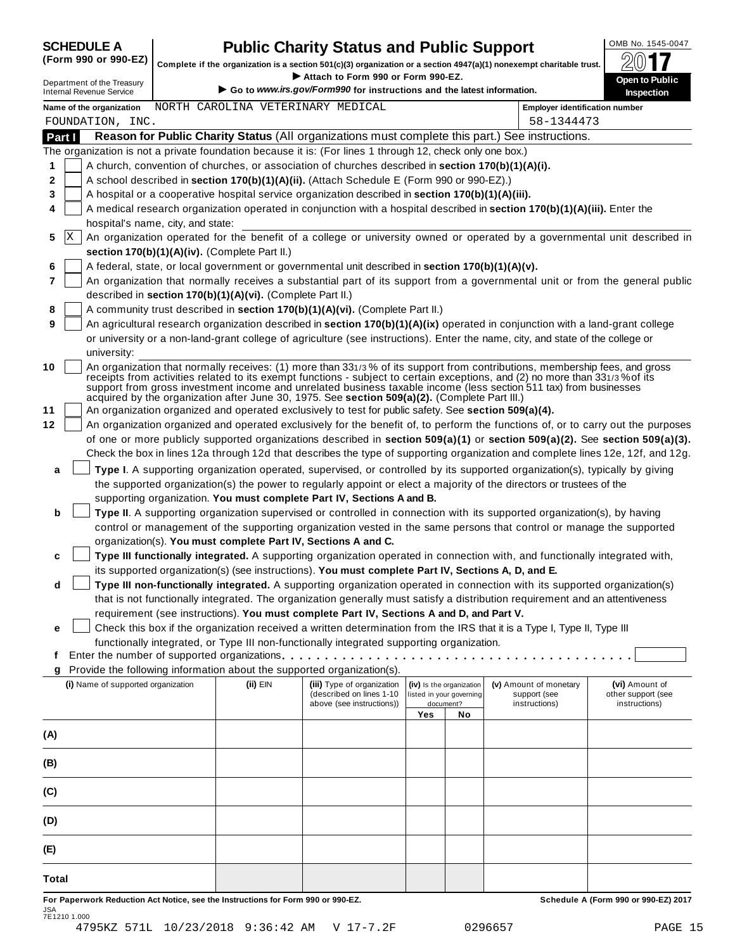**5** X

**6 7**

**8 9**

**10**

**11 12**

**a**

**b**

**c**

**d**

**e**

**f**

**(A)**

**(B)**

**(C)**

**(D)**

**(E)**

**Total**

OMB No. 1545-0047 **SCHEDULE A Public Charity Status and Public Support** Complete if the organization is a section 501(c)(3) organization or a section 4947(a)(1) nonexempt charitable trust.<br>• Attach to Form 990 or Form 990-EZ. Complete if the organization is a section 501(c)(3) organization or a section 4947(a)(1) nonexempt charitable trust.<br>
Department of the Treasury Complete if the organization is a section 501(c)(3) organization or a sectio **Name of the organization** MORTH CAROLINA VETERINARY MEDICAL **Employer identification** number **Part I Reason for Public Charity Status** (All organizations must complete this part.) See instructions. The organization is not a private foundation because it is: (For lines 1 through 12, check only one box.) A church, convention of churches, or association of churches described in **section 170(b)(1)(A)(i).** A school described in **section 170(b)(1)(A)(ii).** (Attach Schedule E (Form 990 or 990-EZ).) A hospital or a cooperative hospital service organization described in **section 170(b)(1)(A)(iii).** A medical research organization operated in conjunction with a hospital described in **section 170(b)(1)(A)(iii).** Enter the hospital's name, city, and state: An organization operated for the benefit of a college or university owned or operated by a governmental unit described in **section 170(b)(1)(A)(iv).** (Complete Part II.) A federal, state, or local government or governmental unit described in **section 170(b)(1)(A)(v).** An organization that normally receives a substantial part of its support from a governmental unit or from the general public described in **section 170(b)(1)(A)(vi).** (Complete Part II.) A community trust described in **section 170(b)(1)(A)(vi).** (Complete Part II.) An agricultural research organization described in **section 170(b)(1)(A)(ix)** operated in conjunction with a land-grant college or university or a non-land-grant college of agriculture (see instructions). Enter the name, city, and state of the college or university: An organization that normally receives: (1) more than 331/3 % of its support from contributions, membership fees, and gross receipts from activities related to its exempt functions - subject to certain exceptions, and (2) no more than 331/3 %of its support from gross investment income and unrelated business taxable income (less section 511 tax) from businesses acquired by the organization after June 30, 1975. See **section 509(a)(2).** (Complete Part III.) An organization organized and operated exclusively to test for public safety. See **section 509(a)(4).** An organization organized and operated exclusively for the benefit of, to perform the functions of, or to carry out the purposes of one or more publicly supported organizations described in **section 509(a)(1)** or **section 509(a)(2).** See **section 509(a)(3).** Check the box in lines 12a through 12d that describes the type of supporting organization and complete lines 12e, 12f, and 12g. **Type I**. A supporting organization operated, supervised, or controlled by its supported organization(s), typically by giving the supported organization(s) the power to regularly appoint or elect a majority of the directors or trustees of the supporting organization. **You must complete Part IV, Sections A and B. Type II**. A supporting organization supervised or controlled in connection with its supported organization(s), by having control or management of the supporting organization vested in the same persons that control or manage the supported organization(s). **You must complete Part IV, Sections A and C. Type III functionally integrated.** A supporting organization operated in connection with, and functionally integrated with, its supported organization(s) (see instructions). **You must complete Part IV, Sections A, D, and E. Type III non-functionally integrated.** A supporting organization operated in connection with its supported organization(s) that is not functionally integrated. The organization generally must satisfy a distribution requirement and an attentiveness requirement (see instructions). **You must complete Part IV, Sections A and D, and Part V.** Check this box if the organization received a written determination from the IRS that it is a Type I, Type II, Type III functionally integrated, or Type III non-functionally integrated supporting organization. m m m m m m m m m m m m m m m m m m m m m m m m m m m m m m m m m m m m m m m m m **g** Provide the following information about the supported organization(s). Enter the number of supported organizations **(i)** Name of supported organization **(ii)** EIN **(iii)** Type of organization (described on lines 1-10 above (see instructions)) **(iv)** Is the organization listed in your governing document? **(v)** Amount of monetary support (see instructions) **(vi)** Amount of other support (see instructions) **Yes No** FOUNDATION, INC. 58-1344473

For Paperwork Reduction Act Notice, see the Instructions for Form 990 or 990-EZ. The Schedule A (Form 990 or 990-EZ) 2017 JSA 7E1210 1.000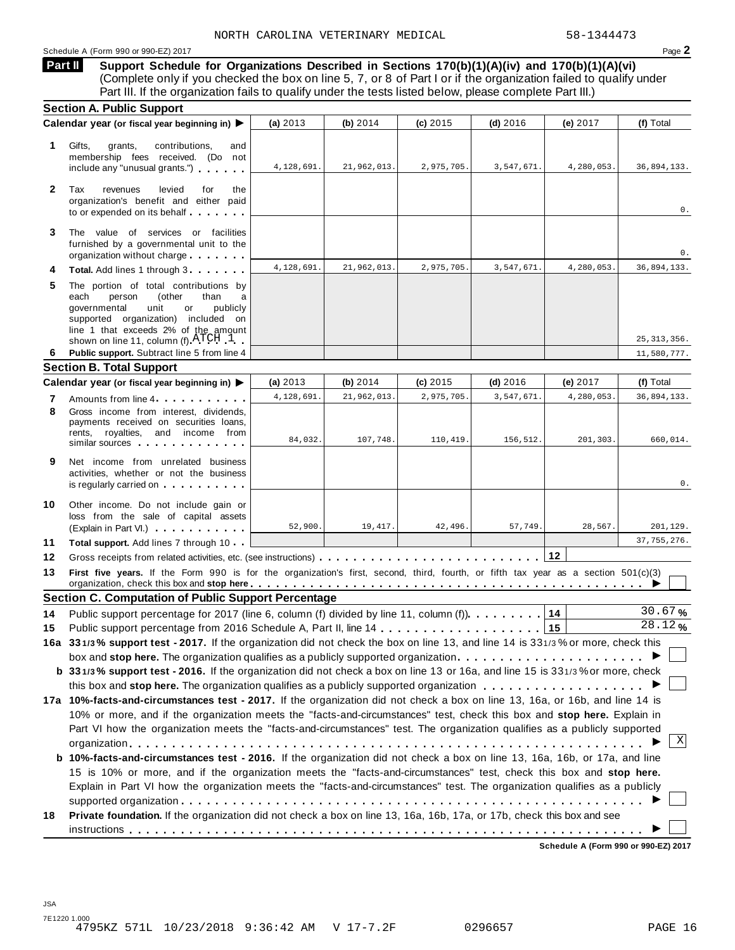Schedule <sup>A</sup> (Form <sup>990</sup> or 990-EZ) <sup>2017</sup> Page **2**

**Part II**

**Support Schedule for Organizations Described in Sections 170(b)(1)(A)(iv) and 170(b)(1)(A)(vi)** (Complete only if you checked the box on line 5, 7, or 8 of Part I or if the organization failed to qualify under Part III. If the organization fails to qualify under the tests listed below, please complete Part III.)

| <b>Section A. Public Support</b>                                                                                                                                                                                                                                              |                                                                                                                                                                                                               |             |            |            |            |                  |
|-------------------------------------------------------------------------------------------------------------------------------------------------------------------------------------------------------------------------------------------------------------------------------|---------------------------------------------------------------------------------------------------------------------------------------------------------------------------------------------------------------|-------------|------------|------------|------------|------------------|
| Calendar year (or fiscal year beginning in) $\blacktriangleright$                                                                                                                                                                                                             | (a) $2013$                                                                                                                                                                                                    | (b) $2014$  | (c) 2015   | $(d)$ 2016 | (e) 2017   | (f) Total        |
| Gifts,<br>grants,<br>contributions.<br>and<br>membership fees received. (Do not<br>include any "unusual grants.")                                                                                                                                                             | 4,128,691.                                                                                                                                                                                                    | 21,962,013. | 2,975,705. | 3,547,671. | 4,280,053. | 36,894,133.      |
| revenues<br>levied<br>for<br>the<br>organization's benefit and either paid<br>to or expended on its behalf                                                                                                                                                                    |                                                                                                                                                                                                               |             |            |            |            | 0.               |
| The value of services or facilities<br>furnished by a governmental unit to the<br>organization without charge                                                                                                                                                                 |                                                                                                                                                                                                               |             |            |            |            | 0.               |
| Total. Add lines 1 through 3                                                                                                                                                                                                                                                  | 4,128,691.                                                                                                                                                                                                    | 21,962,013. | 2,975,705. | 3,547,671. | 4,280,053. | 36,894,133.      |
| The portion of total contributions by<br>each<br>person<br>(other<br>than<br>a<br>governmental<br>unit<br>publicly<br>or<br>supported organization) included on<br>line 1 that exceeds 2% of the amount                                                                       |                                                                                                                                                                                                               |             |            |            |            |                  |
|                                                                                                                                                                                                                                                                               |                                                                                                                                                                                                               |             |            |            |            | 25, 313, 356.    |
|                                                                                                                                                                                                                                                                               |                                                                                                                                                                                                               |             |            |            |            | 11,580,777.      |
|                                                                                                                                                                                                                                                                               |                                                                                                                                                                                                               |             |            |            |            | (f) Total        |
|                                                                                                                                                                                                                                                                               | 4,128,691.                                                                                                                                                                                                    | 21,962,013. | 2,975,705  | 3,547,671  | 4,280,053. | 36,894,133.      |
| Gross income from interest, dividends,<br>payments received on securities loans,<br>rents, royalties, and income from<br>similar sources and the contract of the same sources                                                                                                 | 84,032.                                                                                                                                                                                                       | 107,748.    | 110,419.   | 156,512.   | 201,303.   | 660,014.         |
| Net income from unrelated business<br>activities, whether or not the business<br>is regularly carried on the control of the set of the set of the set of the set of the set of the set of the s                                                                               |                                                                                                                                                                                                               |             |            |            |            | 0.               |
|                                                                                                                                                                                                                                                                               |                                                                                                                                                                                                               |             |            |            |            |                  |
| Other income. Do not include gain or<br>loss from the sale of capital assets<br>(Explain in Part VI.)                                                                                                                                                                         | 52,900.                                                                                                                                                                                                       | 19,417.     | 42,496.    | 57,749.    | 28,567.    | 201,129.         |
| Total support. Add lines 7 through 10                                                                                                                                                                                                                                         |                                                                                                                                                                                                               |             |            |            |            | 37, 755, 276.    |
|                                                                                                                                                                                                                                                                               |                                                                                                                                                                                                               |             |            |            | 12         |                  |
| First five years. If the Form 990 is for the organization's first, second, third, fourth, or fifth tax year as a section 501(c)(3)<br>organization, check this box and stop here $\ldots \ldots \ldots \ldots \ldots \ldots \ldots \ldots \ldots \ldots \ldots \ldots \ldots$ |                                                                                                                                                                                                               |             |            |            |            |                  |
| <b>Section C. Computation of Public Support Percentage</b>                                                                                                                                                                                                                    |                                                                                                                                                                                                               |             |            |            |            |                  |
| Public support percentage for 2017 (line 6, column (f) divided by line 11, column (f) $\ldots \ldots \ldots$                                                                                                                                                                  |                                                                                                                                                                                                               |             |            |            | 14         | 30.67%           |
|                                                                                                                                                                                                                                                                               |                                                                                                                                                                                                               |             |            |            | 15         | $\sqrt{28.12}$ % |
| 16a 331/3% support test - 2017. If the organization did not check the box on line 13, and line 14 is 331/3% or more, check this                                                                                                                                               |                                                                                                                                                                                                               |             |            |            |            |                  |
| box and stop here. The organization qualifies as a publicly supported organization                                                                                                                                                                                            |                                                                                                                                                                                                               |             |            |            |            |                  |
| b 331/3% support test - 2016. If the organization did not check a box on line 13 or 16a, and line 15 is 331/3% or more, check                                                                                                                                                 |                                                                                                                                                                                                               |             |            |            |            |                  |
|                                                                                                                                                                                                                                                                               |                                                                                                                                                                                                               |             |            |            |            |                  |
| 17a 10%-facts-and-circumstances test - 2017. If the organization did not check a box on line 13, 16a, or 16b, and line 14 is                                                                                                                                                  |                                                                                                                                                                                                               |             |            |            |            |                  |
| 10% or more, and if the organization meets the "facts-and-circumstances" test, check this box and stop here. Explain in                                                                                                                                                       |                                                                                                                                                                                                               |             |            |            |            |                  |
| Part VI how the organization meets the "facts-and-circumstances" test. The organization qualifies as a publicly supported                                                                                                                                                     |                                                                                                                                                                                                               |             |            |            |            |                  |
|                                                                                                                                                                                                                                                                               |                                                                                                                                                                                                               |             |            |            |            | Χ                |
| <b>b 10%-facts-and-circumstances test - 2016.</b> If the organization did not check a box on line 13, 16a, 16b, or 17a, and line                                                                                                                                              |                                                                                                                                                                                                               |             |            |            |            |                  |
| 15 is 10% or more, and if the organization meets the "facts-and-circumstances" test, check this box and stop here.                                                                                                                                                            |                                                                                                                                                                                                               |             |            |            |            |                  |
| Explain in Part VI how the organization meets the "facts-and-circumstances" test. The organization qualifies as a publicly                                                                                                                                                    |                                                                                                                                                                                                               |             |            |            |            |                  |
| Private foundation. If the organization did not check a box on line 13, 16a, 16b, 17a, or 17b, check this box and see                                                                                                                                                         |                                                                                                                                                                                                               |             |            |            |            |                  |
|                                                                                                                                                                                                                                                                               | Tax<br>shown on line 11, column (f) $\text{ATCH}$ 1<br>Public support. Subtract line 5 from line 4<br><b>Section B. Total Support</b><br>Calendar year (or fiscal year beginning in) ▶<br>Amounts from line 4 | (a) $2013$  | (b) 2014   | (c) 2015   | $(d)$ 2016 | (e) 2017         |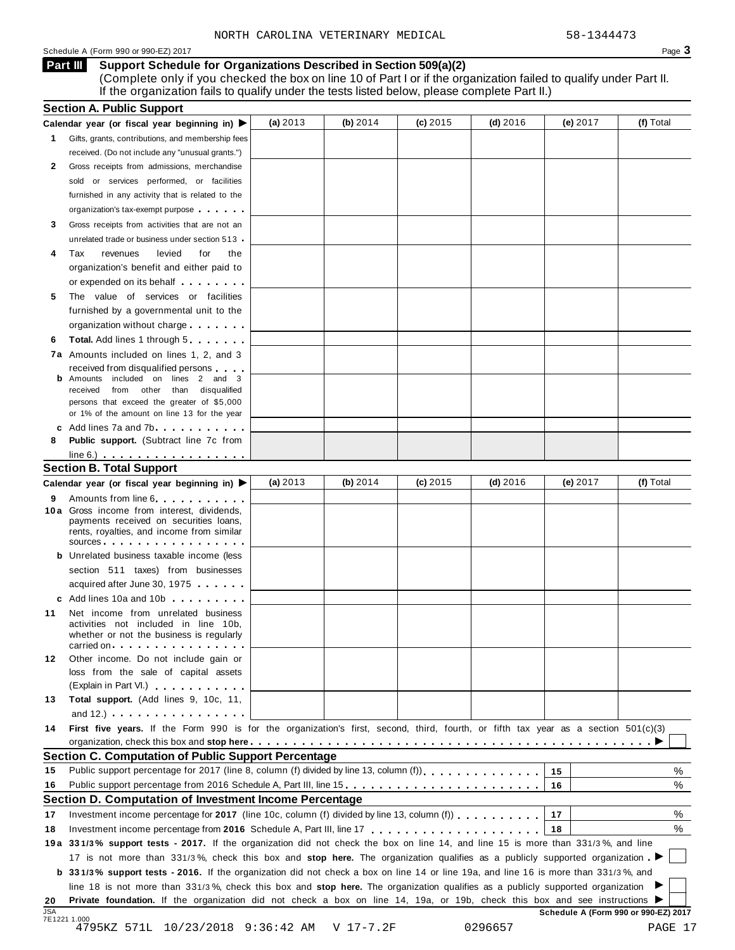#### Schedule A (Form 990 or 990-EZ) 2017  $\qquad \qquad$

**Support Schedule for Organizations Described in Section 509(a)(2) Part III**

(Complete only if you checked the box on line 10 of Part I or if the organization failed to qualify under Part II. If the organization fails to qualify under the tests listed below, please complete Part II.)

| Calendar year (or fiscal year beginning in) $\blacktriangleright$<br>Gifts, grants, contributions, and membership fees<br>received. (Do not include any "unusual grants.")<br>Gross receipts from admissions, merchandise<br>sold or services performed, or facilities<br>furnished in any activity that is related to the<br>organization's tax-exempt purpose<br>Gross receipts from activities that are not an<br>unrelated trade or business under section 513<br>Tax<br>revenues<br>levied<br>for<br>the<br>organization's benefit and either paid to<br>or expended on its behalf <b>contained</b> on $\theta$<br>The value of services or facilities<br>furnished by a governmental unit to the<br>organization without charge<br>Total. Add lines 1 through 5<br><b>7a</b> Amounts included on lines 1, 2, and 3<br>received from disqualified persons<br><b>b</b> Amounts included on lines 2 and 3<br>received from other than disqualified<br>persons that exceed the greater of \$5,000<br>or 1% of the amount on line 13 for the year<br>c Add lines 7a and 7b<br><b>Public support.</b> (Subtract line 7c from | (a) $2013$                                                                                                                                                                                                                                                                                  | (b) 2014                                                 | $(c)$ 2015                                                                                                    | $(d)$ 2016 | (e) 2017                                                                                                                                                                                                                                                                   | (f) Total                                                                                                                                                                                                                                                                                                                                                                                                                                                                                                                                                                                                                                                                                                   |
|------------------------------------------------------------------------------------------------------------------------------------------------------------------------------------------------------------------------------------------------------------------------------------------------------------------------------------------------------------------------------------------------------------------------------------------------------------------------------------------------------------------------------------------------------------------------------------------------------------------------------------------------------------------------------------------------------------------------------------------------------------------------------------------------------------------------------------------------------------------------------------------------------------------------------------------------------------------------------------------------------------------------------------------------------------------------------------------------------------------------------|---------------------------------------------------------------------------------------------------------------------------------------------------------------------------------------------------------------------------------------------------------------------------------------------|----------------------------------------------------------|---------------------------------------------------------------------------------------------------------------|------------|----------------------------------------------------------------------------------------------------------------------------------------------------------------------------------------------------------------------------------------------------------------------------|-------------------------------------------------------------------------------------------------------------------------------------------------------------------------------------------------------------------------------------------------------------------------------------------------------------------------------------------------------------------------------------------------------------------------------------------------------------------------------------------------------------------------------------------------------------------------------------------------------------------------------------------------------------------------------------------------------------|
|                                                                                                                                                                                                                                                                                                                                                                                                                                                                                                                                                                                                                                                                                                                                                                                                                                                                                                                                                                                                                                                                                                                              |                                                                                                                                                                                                                                                                                             |                                                          |                                                                                                               |            |                                                                                                                                                                                                                                                                            |                                                                                                                                                                                                                                                                                                                                                                                                                                                                                                                                                                                                                                                                                                             |
|                                                                                                                                                                                                                                                                                                                                                                                                                                                                                                                                                                                                                                                                                                                                                                                                                                                                                                                                                                                                                                                                                                                              |                                                                                                                                                                                                                                                                                             |                                                          |                                                                                                               |            |                                                                                                                                                                                                                                                                            |                                                                                                                                                                                                                                                                                                                                                                                                                                                                                                                                                                                                                                                                                                             |
|                                                                                                                                                                                                                                                                                                                                                                                                                                                                                                                                                                                                                                                                                                                                                                                                                                                                                                                                                                                                                                                                                                                              |                                                                                                                                                                                                                                                                                             |                                                          |                                                                                                               |            |                                                                                                                                                                                                                                                                            |                                                                                                                                                                                                                                                                                                                                                                                                                                                                                                                                                                                                                                                                                                             |
|                                                                                                                                                                                                                                                                                                                                                                                                                                                                                                                                                                                                                                                                                                                                                                                                                                                                                                                                                                                                                                                                                                                              |                                                                                                                                                                                                                                                                                             |                                                          |                                                                                                               |            |                                                                                                                                                                                                                                                                            |                                                                                                                                                                                                                                                                                                                                                                                                                                                                                                                                                                                                                                                                                                             |
|                                                                                                                                                                                                                                                                                                                                                                                                                                                                                                                                                                                                                                                                                                                                                                                                                                                                                                                                                                                                                                                                                                                              |                                                                                                                                                                                                                                                                                             |                                                          |                                                                                                               |            |                                                                                                                                                                                                                                                                            |                                                                                                                                                                                                                                                                                                                                                                                                                                                                                                                                                                                                                                                                                                             |
|                                                                                                                                                                                                                                                                                                                                                                                                                                                                                                                                                                                                                                                                                                                                                                                                                                                                                                                                                                                                                                                                                                                              |                                                                                                                                                                                                                                                                                             |                                                          |                                                                                                               |            |                                                                                                                                                                                                                                                                            |                                                                                                                                                                                                                                                                                                                                                                                                                                                                                                                                                                                                                                                                                                             |
|                                                                                                                                                                                                                                                                                                                                                                                                                                                                                                                                                                                                                                                                                                                                                                                                                                                                                                                                                                                                                                                                                                                              |                                                                                                                                                                                                                                                                                             |                                                          |                                                                                                               |            |                                                                                                                                                                                                                                                                            |                                                                                                                                                                                                                                                                                                                                                                                                                                                                                                                                                                                                                                                                                                             |
|                                                                                                                                                                                                                                                                                                                                                                                                                                                                                                                                                                                                                                                                                                                                                                                                                                                                                                                                                                                                                                                                                                                              |                                                                                                                                                                                                                                                                                             |                                                          |                                                                                                               |            |                                                                                                                                                                                                                                                                            |                                                                                                                                                                                                                                                                                                                                                                                                                                                                                                                                                                                                                                                                                                             |
|                                                                                                                                                                                                                                                                                                                                                                                                                                                                                                                                                                                                                                                                                                                                                                                                                                                                                                                                                                                                                                                                                                                              |                                                                                                                                                                                                                                                                                             |                                                          |                                                                                                               |            |                                                                                                                                                                                                                                                                            |                                                                                                                                                                                                                                                                                                                                                                                                                                                                                                                                                                                                                                                                                                             |
|                                                                                                                                                                                                                                                                                                                                                                                                                                                                                                                                                                                                                                                                                                                                                                                                                                                                                                                                                                                                                                                                                                                              |                                                                                                                                                                                                                                                                                             |                                                          |                                                                                                               |            |                                                                                                                                                                                                                                                                            |                                                                                                                                                                                                                                                                                                                                                                                                                                                                                                                                                                                                                                                                                                             |
|                                                                                                                                                                                                                                                                                                                                                                                                                                                                                                                                                                                                                                                                                                                                                                                                                                                                                                                                                                                                                                                                                                                              |                                                                                                                                                                                                                                                                                             |                                                          |                                                                                                               |            |                                                                                                                                                                                                                                                                            |                                                                                                                                                                                                                                                                                                                                                                                                                                                                                                                                                                                                                                                                                                             |
|                                                                                                                                                                                                                                                                                                                                                                                                                                                                                                                                                                                                                                                                                                                                                                                                                                                                                                                                                                                                                                                                                                                              |                                                                                                                                                                                                                                                                                             |                                                          |                                                                                                               |            |                                                                                                                                                                                                                                                                            |                                                                                                                                                                                                                                                                                                                                                                                                                                                                                                                                                                                                                                                                                                             |
|                                                                                                                                                                                                                                                                                                                                                                                                                                                                                                                                                                                                                                                                                                                                                                                                                                                                                                                                                                                                                                                                                                                              |                                                                                                                                                                                                                                                                                             |                                                          |                                                                                                               |            |                                                                                                                                                                                                                                                                            |                                                                                                                                                                                                                                                                                                                                                                                                                                                                                                                                                                                                                                                                                                             |
|                                                                                                                                                                                                                                                                                                                                                                                                                                                                                                                                                                                                                                                                                                                                                                                                                                                                                                                                                                                                                                                                                                                              |                                                                                                                                                                                                                                                                                             |                                                          |                                                                                                               |            |                                                                                                                                                                                                                                                                            |                                                                                                                                                                                                                                                                                                                                                                                                                                                                                                                                                                                                                                                                                                             |
|                                                                                                                                                                                                                                                                                                                                                                                                                                                                                                                                                                                                                                                                                                                                                                                                                                                                                                                                                                                                                                                                                                                              |                                                                                                                                                                                                                                                                                             |                                                          |                                                                                                               |            |                                                                                                                                                                                                                                                                            |                                                                                                                                                                                                                                                                                                                                                                                                                                                                                                                                                                                                                                                                                                             |
|                                                                                                                                                                                                                                                                                                                                                                                                                                                                                                                                                                                                                                                                                                                                                                                                                                                                                                                                                                                                                                                                                                                              |                                                                                                                                                                                                                                                                                             |                                                          |                                                                                                               |            |                                                                                                                                                                                                                                                                            |                                                                                                                                                                                                                                                                                                                                                                                                                                                                                                                                                                                                                                                                                                             |
|                                                                                                                                                                                                                                                                                                                                                                                                                                                                                                                                                                                                                                                                                                                                                                                                                                                                                                                                                                                                                                                                                                                              |                                                                                                                                                                                                                                                                                             |                                                          |                                                                                                               |            |                                                                                                                                                                                                                                                                            |                                                                                                                                                                                                                                                                                                                                                                                                                                                                                                                                                                                                                                                                                                             |
|                                                                                                                                                                                                                                                                                                                                                                                                                                                                                                                                                                                                                                                                                                                                                                                                                                                                                                                                                                                                                                                                                                                              |                                                                                                                                                                                                                                                                                             |                                                          |                                                                                                               |            |                                                                                                                                                                                                                                                                            |                                                                                                                                                                                                                                                                                                                                                                                                                                                                                                                                                                                                                                                                                                             |
|                                                                                                                                                                                                                                                                                                                                                                                                                                                                                                                                                                                                                                                                                                                                                                                                                                                                                                                                                                                                                                                                                                                              |                                                                                                                                                                                                                                                                                             |                                                          |                                                                                                               |            |                                                                                                                                                                                                                                                                            |                                                                                                                                                                                                                                                                                                                                                                                                                                                                                                                                                                                                                                                                                                             |
|                                                                                                                                                                                                                                                                                                                                                                                                                                                                                                                                                                                                                                                                                                                                                                                                                                                                                                                                                                                                                                                                                                                              |                                                                                                                                                                                                                                                                                             |                                                          |                                                                                                               |            |                                                                                                                                                                                                                                                                            |                                                                                                                                                                                                                                                                                                                                                                                                                                                                                                                                                                                                                                                                                                             |
|                                                                                                                                                                                                                                                                                                                                                                                                                                                                                                                                                                                                                                                                                                                                                                                                                                                                                                                                                                                                                                                                                                                              |                                                                                                                                                                                                                                                                                             |                                                          |                                                                                                               |            |                                                                                                                                                                                                                                                                            |                                                                                                                                                                                                                                                                                                                                                                                                                                                                                                                                                                                                                                                                                                             |
|                                                                                                                                                                                                                                                                                                                                                                                                                                                                                                                                                                                                                                                                                                                                                                                                                                                                                                                                                                                                                                                                                                                              |                                                                                                                                                                                                                                                                                             |                                                          |                                                                                                               |            |                                                                                                                                                                                                                                                                            |                                                                                                                                                                                                                                                                                                                                                                                                                                                                                                                                                                                                                                                                                                             |
|                                                                                                                                                                                                                                                                                                                                                                                                                                                                                                                                                                                                                                                                                                                                                                                                                                                                                                                                                                                                                                                                                                                              |                                                                                                                                                                                                                                                                                             |                                                          |                                                                                                               |            |                                                                                                                                                                                                                                                                            |                                                                                                                                                                                                                                                                                                                                                                                                                                                                                                                                                                                                                                                                                                             |
|                                                                                                                                                                                                                                                                                                                                                                                                                                                                                                                                                                                                                                                                                                                                                                                                                                                                                                                                                                                                                                                                                                                              |                                                                                                                                                                                                                                                                                             |                                                          |                                                                                                               |            |                                                                                                                                                                                                                                                                            |                                                                                                                                                                                                                                                                                                                                                                                                                                                                                                                                                                                                                                                                                                             |
| $line 6.)$ $\ldots$ $\ldots$ $\ldots$ $\ldots$ $\ldots$                                                                                                                                                                                                                                                                                                                                                                                                                                                                                                                                                                                                                                                                                                                                                                                                                                                                                                                                                                                                                                                                      |                                                                                                                                                                                                                                                                                             |                                                          |                                                                                                               |            |                                                                                                                                                                                                                                                                            |                                                                                                                                                                                                                                                                                                                                                                                                                                                                                                                                                                                                                                                                                                             |
| <b>Section B. Total Support</b>                                                                                                                                                                                                                                                                                                                                                                                                                                                                                                                                                                                                                                                                                                                                                                                                                                                                                                                                                                                                                                                                                              |                                                                                                                                                                                                                                                                                             |                                                          |                                                                                                               |            |                                                                                                                                                                                                                                                                            |                                                                                                                                                                                                                                                                                                                                                                                                                                                                                                                                                                                                                                                                                                             |
| Calendar year (or fiscal year beginning in) ▶                                                                                                                                                                                                                                                                                                                                                                                                                                                                                                                                                                                                                                                                                                                                                                                                                                                                                                                                                                                                                                                                                | (a) $2013$                                                                                                                                                                                                                                                                                  | (b) $2014$                                               | $(c)$ 2015                                                                                                    | $(d)$ 2016 | (e) 2017                                                                                                                                                                                                                                                                   | (f) Total                                                                                                                                                                                                                                                                                                                                                                                                                                                                                                                                                                                                                                                                                                   |
| Amounts from line 6                                                                                                                                                                                                                                                                                                                                                                                                                                                                                                                                                                                                                                                                                                                                                                                                                                                                                                                                                                                                                                                                                                          |                                                                                                                                                                                                                                                                                             |                                                          |                                                                                                               |            |                                                                                                                                                                                                                                                                            |                                                                                                                                                                                                                                                                                                                                                                                                                                                                                                                                                                                                                                                                                                             |
| 10 a Gross income from interest, dividends,<br>payments received on securities loans,<br>rents, royalties, and income from similar<br>$sources$                                                                                                                                                                                                                                                                                                                                                                                                                                                                                                                                                                                                                                                                                                                                                                                                                                                                                                                                                                              |                                                                                                                                                                                                                                                                                             |                                                          |                                                                                                               |            |                                                                                                                                                                                                                                                                            |                                                                                                                                                                                                                                                                                                                                                                                                                                                                                                                                                                                                                                                                                                             |
| <b>b</b> Unrelated business taxable income (less                                                                                                                                                                                                                                                                                                                                                                                                                                                                                                                                                                                                                                                                                                                                                                                                                                                                                                                                                                                                                                                                             |                                                                                                                                                                                                                                                                                             |                                                          |                                                                                                               |            |                                                                                                                                                                                                                                                                            |                                                                                                                                                                                                                                                                                                                                                                                                                                                                                                                                                                                                                                                                                                             |
| section 511 taxes) from businesses                                                                                                                                                                                                                                                                                                                                                                                                                                                                                                                                                                                                                                                                                                                                                                                                                                                                                                                                                                                                                                                                                           |                                                                                                                                                                                                                                                                                             |                                                          |                                                                                                               |            |                                                                                                                                                                                                                                                                            |                                                                                                                                                                                                                                                                                                                                                                                                                                                                                                                                                                                                                                                                                                             |
| acquired after June 30, 1975                                                                                                                                                                                                                                                                                                                                                                                                                                                                                                                                                                                                                                                                                                                                                                                                                                                                                                                                                                                                                                                                                                 |                                                                                                                                                                                                                                                                                             |                                                          |                                                                                                               |            |                                                                                                                                                                                                                                                                            |                                                                                                                                                                                                                                                                                                                                                                                                                                                                                                                                                                                                                                                                                                             |
| c Add lines 10a and 10b                                                                                                                                                                                                                                                                                                                                                                                                                                                                                                                                                                                                                                                                                                                                                                                                                                                                                                                                                                                                                                                                                                      |                                                                                                                                                                                                                                                                                             |                                                          |                                                                                                               |            |                                                                                                                                                                                                                                                                            |                                                                                                                                                                                                                                                                                                                                                                                                                                                                                                                                                                                                                                                                                                             |
| Net income from unrelated business                                                                                                                                                                                                                                                                                                                                                                                                                                                                                                                                                                                                                                                                                                                                                                                                                                                                                                                                                                                                                                                                                           |                                                                                                                                                                                                                                                                                             |                                                          |                                                                                                               |            |                                                                                                                                                                                                                                                                            |                                                                                                                                                                                                                                                                                                                                                                                                                                                                                                                                                                                                                                                                                                             |
| activities not included in line 10b,<br>whether or not the business is regularly                                                                                                                                                                                                                                                                                                                                                                                                                                                                                                                                                                                                                                                                                                                                                                                                                                                                                                                                                                                                                                             |                                                                                                                                                                                                                                                                                             |                                                          |                                                                                                               |            |                                                                                                                                                                                                                                                                            |                                                                                                                                                                                                                                                                                                                                                                                                                                                                                                                                                                                                                                                                                                             |
|                                                                                                                                                                                                                                                                                                                                                                                                                                                                                                                                                                                                                                                                                                                                                                                                                                                                                                                                                                                                                                                                                                                              |                                                                                                                                                                                                                                                                                             |                                                          |                                                                                                               |            |                                                                                                                                                                                                                                                                            |                                                                                                                                                                                                                                                                                                                                                                                                                                                                                                                                                                                                                                                                                                             |
|                                                                                                                                                                                                                                                                                                                                                                                                                                                                                                                                                                                                                                                                                                                                                                                                                                                                                                                                                                                                                                                                                                                              |                                                                                                                                                                                                                                                                                             |                                                          |                                                                                                               |            |                                                                                                                                                                                                                                                                            |                                                                                                                                                                                                                                                                                                                                                                                                                                                                                                                                                                                                                                                                                                             |
|                                                                                                                                                                                                                                                                                                                                                                                                                                                                                                                                                                                                                                                                                                                                                                                                                                                                                                                                                                                                                                                                                                                              |                                                                                                                                                                                                                                                                                             |                                                          |                                                                                                               |            |                                                                                                                                                                                                                                                                            |                                                                                                                                                                                                                                                                                                                                                                                                                                                                                                                                                                                                                                                                                                             |
|                                                                                                                                                                                                                                                                                                                                                                                                                                                                                                                                                                                                                                                                                                                                                                                                                                                                                                                                                                                                                                                                                                                              |                                                                                                                                                                                                                                                                                             |                                                          |                                                                                                               |            |                                                                                                                                                                                                                                                                            |                                                                                                                                                                                                                                                                                                                                                                                                                                                                                                                                                                                                                                                                                                             |
|                                                                                                                                                                                                                                                                                                                                                                                                                                                                                                                                                                                                                                                                                                                                                                                                                                                                                                                                                                                                                                                                                                                              |                                                                                                                                                                                                                                                                                             |                                                          |                                                                                                               |            |                                                                                                                                                                                                                                                                            |                                                                                                                                                                                                                                                                                                                                                                                                                                                                                                                                                                                                                                                                                                             |
|                                                                                                                                                                                                                                                                                                                                                                                                                                                                                                                                                                                                                                                                                                                                                                                                                                                                                                                                                                                                                                                                                                                              |                                                                                                                                                                                                                                                                                             |                                                          |                                                                                                               |            |                                                                                                                                                                                                                                                                            |                                                                                                                                                                                                                                                                                                                                                                                                                                                                                                                                                                                                                                                                                                             |
|                                                                                                                                                                                                                                                                                                                                                                                                                                                                                                                                                                                                                                                                                                                                                                                                                                                                                                                                                                                                                                                                                                                              |                                                                                                                                                                                                                                                                                             |                                                          |                                                                                                               |            |                                                                                                                                                                                                                                                                            |                                                                                                                                                                                                                                                                                                                                                                                                                                                                                                                                                                                                                                                                                                             |
|                                                                                                                                                                                                                                                                                                                                                                                                                                                                                                                                                                                                                                                                                                                                                                                                                                                                                                                                                                                                                                                                                                                              |                                                                                                                                                                                                                                                                                             |                                                          |                                                                                                               |            |                                                                                                                                                                                                                                                                            |                                                                                                                                                                                                                                                                                                                                                                                                                                                                                                                                                                                                                                                                                                             |
|                                                                                                                                                                                                                                                                                                                                                                                                                                                                                                                                                                                                                                                                                                                                                                                                                                                                                                                                                                                                                                                                                                                              |                                                                                                                                                                                                                                                                                             |                                                          |                                                                                                               |            |                                                                                                                                                                                                                                                                            | %                                                                                                                                                                                                                                                                                                                                                                                                                                                                                                                                                                                                                                                                                                           |
|                                                                                                                                                                                                                                                                                                                                                                                                                                                                                                                                                                                                                                                                                                                                                                                                                                                                                                                                                                                                                                                                                                                              |                                                                                                                                                                                                                                                                                             |                                                          |                                                                                                               |            |                                                                                                                                                                                                                                                                            | %                                                                                                                                                                                                                                                                                                                                                                                                                                                                                                                                                                                                                                                                                                           |
|                                                                                                                                                                                                                                                                                                                                                                                                                                                                                                                                                                                                                                                                                                                                                                                                                                                                                                                                                                                                                                                                                                                              |                                                                                                                                                                                                                                                                                             |                                                          |                                                                                                               |            |                                                                                                                                                                                                                                                                            |                                                                                                                                                                                                                                                                                                                                                                                                                                                                                                                                                                                                                                                                                                             |
|                                                                                                                                                                                                                                                                                                                                                                                                                                                                                                                                                                                                                                                                                                                                                                                                                                                                                                                                                                                                                                                                                                                              |                                                                                                                                                                                                                                                                                             |                                                          |                                                                                                               |            |                                                                                                                                                                                                                                                                            |                                                                                                                                                                                                                                                                                                                                                                                                                                                                                                                                                                                                                                                                                                             |
|                                                                                                                                                                                                                                                                                                                                                                                                                                                                                                                                                                                                                                                                                                                                                                                                                                                                                                                                                                                                                                                                                                                              |                                                                                                                                                                                                                                                                                             |                                                          |                                                                                                               |            |                                                                                                                                                                                                                                                                            | %                                                                                                                                                                                                                                                                                                                                                                                                                                                                                                                                                                                                                                                                                                           |
|                                                                                                                                                                                                                                                                                                                                                                                                                                                                                                                                                                                                                                                                                                                                                                                                                                                                                                                                                                                                                                                                                                                              |                                                                                                                                                                                                                                                                                             |                                                          |                                                                                                               |            |                                                                                                                                                                                                                                                                            | %                                                                                                                                                                                                                                                                                                                                                                                                                                                                                                                                                                                                                                                                                                           |
|                                                                                                                                                                                                                                                                                                                                                                                                                                                                                                                                                                                                                                                                                                                                                                                                                                                                                                                                                                                                                                                                                                                              |                                                                                                                                                                                                                                                                                             |                                                          |                                                                                                               |            |                                                                                                                                                                                                                                                                            |                                                                                                                                                                                                                                                                                                                                                                                                                                                                                                                                                                                                                                                                                                             |
|                                                                                                                                                                                                                                                                                                                                                                                                                                                                                                                                                                                                                                                                                                                                                                                                                                                                                                                                                                                                                                                                                                                              |                                                                                                                                                                                                                                                                                             |                                                          |                                                                                                               |            |                                                                                                                                                                                                                                                                            |                                                                                                                                                                                                                                                                                                                                                                                                                                                                                                                                                                                                                                                                                                             |
|                                                                                                                                                                                                                                                                                                                                                                                                                                                                                                                                                                                                                                                                                                                                                                                                                                                                                                                                                                                                                                                                                                                              |                                                                                                                                                                                                                                                                                             |                                                          |                                                                                                               |            |                                                                                                                                                                                                                                                                            |                                                                                                                                                                                                                                                                                                                                                                                                                                                                                                                                                                                                                                                                                                             |
|                                                                                                                                                                                                                                                                                                                                                                                                                                                                                                                                                                                                                                                                                                                                                                                                                                                                                                                                                                                                                                                                                                                              |                                                                                                                                                                                                                                                                                             |                                                          |                                                                                                               |            |                                                                                                                                                                                                                                                                            |                                                                                                                                                                                                                                                                                                                                                                                                                                                                                                                                                                                                                                                                                                             |
|                                                                                                                                                                                                                                                                                                                                                                                                                                                                                                                                                                                                                                                                                                                                                                                                                                                                                                                                                                                                                                                                                                                              |                                                                                                                                                                                                                                                                                             |                                                          |                                                                                                               |            |                                                                                                                                                                                                                                                                            |                                                                                                                                                                                                                                                                                                                                                                                                                                                                                                                                                                                                                                                                                                             |
| Private foundation. If the organization did not check a box on line 14, 19a, or 19b, check this box and see instructions ▶                                                                                                                                                                                                                                                                                                                                                                                                                                                                                                                                                                                                                                                                                                                                                                                                                                                                                                                                                                                                   |                                                                                                                                                                                                                                                                                             |                                                          |                                                                                                               |            |                                                                                                                                                                                                                                                                            |                                                                                                                                                                                                                                                                                                                                                                                                                                                                                                                                                                                                                                                                                                             |
|                                                                                                                                                                                                                                                                                                                                                                                                                                                                                                                                                                                                                                                                                                                                                                                                                                                                                                                                                                                                                                                                                                                              | carried on the carried on the control of the care of the control of the control of the control of the control o<br>Other income. Do not include gain or<br>loss from the sale of capital assets<br>(Explain in Part VI.) <b>All and Strategies</b><br>Total support. (Add lines 9, 10c, 11, | and $12.$ ) $\cdots$ $\cdots$ $\cdots$ $\cdots$ $\cdots$ | Section C. Computation of Public Support Percentage<br>Section D. Computation of Investment Income Percentage |            | Public support percentage for 2017 (line 8, column (f) divided by line 13, column (f)<br>Public support percentage from 2016 Schedule A, Part III, line 15<br>Investment income percentage for 2017 (line 10c, column (f) divided by line 13, column (f) $\ldots$ ,,,,,,,, | First five years. If the Form 990 is for the organization's first, second, third, fourth, or fifth tax year as a section 501(c)(3)<br>15<br>16<br>17<br>18<br>19a 331/3% support tests - 2017. If the organization did not check the box on line 14, and line 15 is more than 331/3%, and line<br>17 is not more than 331/3%, check this box and stop here. The organization qualifies as a publicly supported organization<br><b>b</b> 331/3% support tests - 2016. If the organization did not check a box on line 14 or line 19a, and line 16 is more than 331/3%, and<br>line 18 is not more than 331/3%, check this box and stop here. The organization qualifies as a publicly supported organization |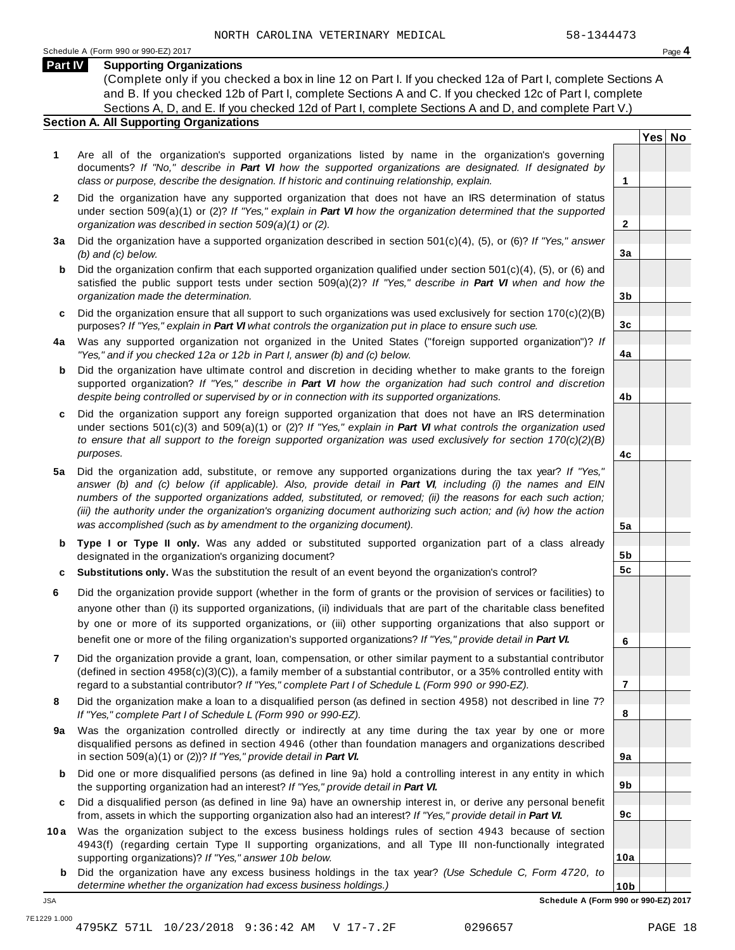**Yes No**

**2**

**3a**

**3b**

**3c**

**4a**

**4b**

**4c**

**5a**

**5b 5c**

**6**

**7**

**8**

**9a**

**9b**

**9c**

**10a**

#### **Part IV Supporting Organizations**

(Complete only if you checked a box in line 12 on Part I. If you checked 12a of Part I, complete Sections A and B. If you checked 12b of Part I, complete Sections A and C. If you checked 12c of Part I, complete Sections A, D, and E. If you checked 12d of Part I, complete Sections A and D, and complete Part V.)

#### **Section A. All Supporting Organizations**

- **1** Are all of the organization's supported organizations listed by name in the organization's governing documents? *If "No," describe in Part VI how the supported organizations are designated. If designated by class or purpose, describe the designation. If historic and continuing relationship, explain.* **1**
- **2** Did the organization have any supported organization that does not have an IRS determination of status under section 509(a)(1) or (2)? *If"Yes," explain in Part VI how the organization determined that the supported organization was described in section 509(a)(1) or (2).*
- **3 a** Did the organization have a supported organization described in section 501(c)(4), (5), or (6)? *If "Yes," answer (b) and (c) below.*
- **b** Did the organization confirm that each supported organization qualified under section 501(c)(4), (5), or (6) and | satisfied the public support tests under section 509(a)(2)? *If "Yes," describe in Part VI when and how the organization made the determination.*
- **c** Did the organization ensure that all support to such organizations was used exclusively for section 170(c)(2)(B) purposes? *If"Yes," explain in Part VI what controls the organization put in place to ensure such use.*
- **4 a** Was any supported organization not organized in the United States ("foreign supported organization")? *If "Yes," and if you checked 12a or 12b in Part I, answer (b) and (c) below.*
- **b** Did the organization have ultimate control and discretion in deciding whether to make grants to the foreign | supported organization? *If "Yes," describe in Part VI how the organization had such control and discretion despite being controlled or supervised by or in connection with its supported organizations.*
- **c** Did the organization support any foreign supported organization that does not have an IRS determination | under sections 501(c)(3) and 509(a)(1) or (2)? *If "Yes," explain in Part VI what controls the organization used to ensure that all support to the foreign supported organization was used exclusively for section 170(c)(2)(B) purposes.*
- **5 a** Did the organization add, substitute, or remove any supported organizations during the tax year? *If "Yes,"* answer (b) and (c) below (if applicable). Also, provide detail in Part VI, including (i) the names and EIN *numbers of the supported organizations added, substituted, or removed; (ii) the reasons for each such action;* (iii) the authority under the organization's organizing document authorizing such action; and (iv) how the action *was accomplished (such as by amendment to the organizing document).*
- **b** Type I or Type II only. Was any added or substituted supported organization part of a class already | designated in the organization's organizing document?
- **c Substitutions only.** Was the substitution the result of an event beyond the organization's control?
- **6** Did the organization provide support (whether in the form of grants or the provision of services or facilities) to anyone other than (i) its supported organizations, (ii) individuals that are part of the charitable class benefited by one or more of its supported organizations, or (iii) other supporting organizations that also support or benefit one or more of the filing organization's supported organizations? *If"Yes," provide detail in Part VI.*
- **7** Did the organization provide a grant, loan, compensation, or other similar payment to a substantial contributor (defined in section 4958(c)(3)(C)), a family member of a substantial contributor, or a 35% controlled entity with regard to a substantial contributor? *If"Yes," complete Part I of Schedule L (Form 990 or 990-EZ).*
- **8** Did the organization make a loan to a disqualified person (as defined in section 4958) not described in line 7? *If "Yes," complete Part I of Schedule L (Form 990 or 990-EZ).*
- **a** Was the organization controlled directly or indirectly at any time during the tax year by one or more | **9** disqualified persons as defined in section 4946 (other than foundation managers and organizations described in section 509(a)(1) or (2))? *If"Yes," provide detail in Part VI.*
- **b** Did one or more disqualified persons (as defined in line 9a) hold a controlling interest in any entity in which | the supporting organization had an interest? *If"Yes," provide detail in Part VI.*
- **c** Did a disqualified person (as defined in line 9a) have an ownership interest in, or derive any personal benefit from, assets in which the supporting organization also had an interest? *If"Yes," provide detail in Part VI.*
- **10a** Was the organization subject to the excess business holdings rules of section 4943 because of section | 4943(f) (regarding certain Type II supporting organizations, and all Type III non-functionally integrated supporting organizations)? *If"Yes," answer 10b below.*
	- **b** Did the organization have any excess business holdings in the tax year? *(Use Schedule C, Form 4720, to determine whether the organization had excess business holdings.)*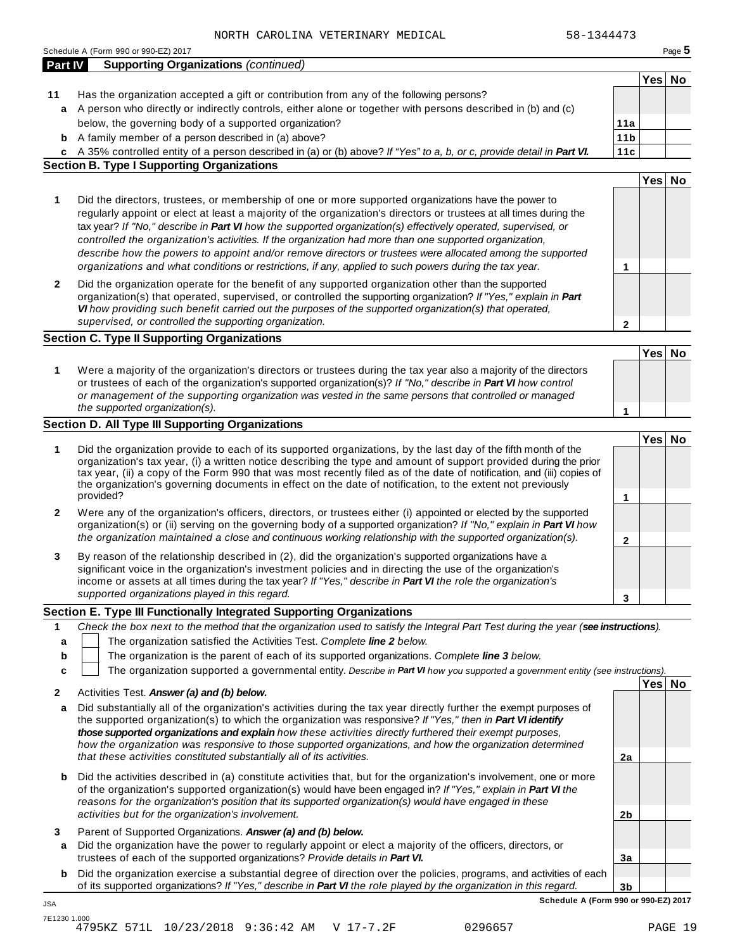|                  | Schedule A (Form 990 or 990-EZ) 2017                                                                                                                                                                                                                                                                                                                                                                                                                                                                                                                                                                                                                                         |                 |        | Page 5 |
|------------------|------------------------------------------------------------------------------------------------------------------------------------------------------------------------------------------------------------------------------------------------------------------------------------------------------------------------------------------------------------------------------------------------------------------------------------------------------------------------------------------------------------------------------------------------------------------------------------------------------------------------------------------------------------------------------|-----------------|--------|--------|
| <b>Part IV</b>   | <b>Supporting Organizations (continued)</b>                                                                                                                                                                                                                                                                                                                                                                                                                                                                                                                                                                                                                                  |                 | Yes No |        |
| 11               | Has the organization accepted a gift or contribution from any of the following persons?                                                                                                                                                                                                                                                                                                                                                                                                                                                                                                                                                                                      |                 |        |        |
| a                | A person who directly or indirectly controls, either alone or together with persons described in (b) and (c)                                                                                                                                                                                                                                                                                                                                                                                                                                                                                                                                                                 |                 |        |        |
|                  | below, the governing body of a supported organization?                                                                                                                                                                                                                                                                                                                                                                                                                                                                                                                                                                                                                       | 11a             |        |        |
| b                | A family member of a person described in (a) above?                                                                                                                                                                                                                                                                                                                                                                                                                                                                                                                                                                                                                          | 11 <sub>b</sub> |        |        |
|                  | c A 35% controlled entity of a person described in (a) or (b) above? If "Yes" to a, b, or c, provide detail in Part VI.                                                                                                                                                                                                                                                                                                                                                                                                                                                                                                                                                      | 11c             |        |        |
|                  | <b>Section B. Type I Supporting Organizations</b>                                                                                                                                                                                                                                                                                                                                                                                                                                                                                                                                                                                                                            |                 |        |        |
|                  |                                                                                                                                                                                                                                                                                                                                                                                                                                                                                                                                                                                                                                                                              |                 | Yes No |        |
| 1                | Did the directors, trustees, or membership of one or more supported organizations have the power to<br>regularly appoint or elect at least a majority of the organization's directors or trustees at all times during the<br>tax year? If "No," describe in Part VI how the supported organization(s) effectively operated, supervised, or<br>controlled the organization's activities. If the organization had more than one supported organization,<br>describe how the powers to appoint and/or remove directors or trustees were allocated among the supported<br>organizations and what conditions or restrictions, if any, applied to such powers during the tax year. | 1               |        |        |
| $\mathbf{2}$     | Did the organization operate for the benefit of any supported organization other than the supported<br>organization(s) that operated, supervised, or controlled the supporting organization? If "Yes," explain in Part<br>VI how providing such benefit carried out the purposes of the supported organization(s) that operated,                                                                                                                                                                                                                                                                                                                                             |                 |        |        |
|                  | supervised, or controlled the supporting organization.                                                                                                                                                                                                                                                                                                                                                                                                                                                                                                                                                                                                                       | 2               |        |        |
|                  | <b>Section C. Type II Supporting Organizations</b>                                                                                                                                                                                                                                                                                                                                                                                                                                                                                                                                                                                                                           |                 |        |        |
|                  |                                                                                                                                                                                                                                                                                                                                                                                                                                                                                                                                                                                                                                                                              |                 | Yes No |        |
| 1                | Were a majority of the organization's directors or trustees during the tax year also a majority of the directors<br>or trustees of each of the organization's supported organization(s)? If "No," describe in Part VI how control<br>or management of the supporting organization was vested in the same persons that controlled or managed<br>the supported organization(s).                                                                                                                                                                                                                                                                                                | 1               |        |        |
|                  | <b>Section D. All Type III Supporting Organizations</b>                                                                                                                                                                                                                                                                                                                                                                                                                                                                                                                                                                                                                      |                 |        |        |
| 1                | Did the organization provide to each of its supported organizations, by the last day of the fifth month of the<br>organization's tax year, (i) a written notice describing the type and amount of support provided during the prior<br>tax year, (ii) a copy of the Form 990 that was most recently filed as of the date of notification, and (iii) copies of<br>the organization's governing documents in effect on the date of notification, to the extent not previously<br>provided?                                                                                                                                                                                     | 1               | Yes No |        |
| 2                | Were any of the organization's officers, directors, or trustees either (i) appointed or elected by the supported<br>organization(s) or (ii) serving on the governing body of a supported organization? If "No," explain in Part VI how<br>the organization maintained a close and continuous working relationship with the supported organization(s).                                                                                                                                                                                                                                                                                                                        | 2               |        |        |
| 3                | By reason of the relationship described in (2), did the organization's supported organizations have a<br>significant voice in the organization's investment policies and in directing the use of the organization's<br>income or assets at all times during the tax year? If "Yes," describe in Part VI the role the organization's<br>supported organizations played in this regard.                                                                                                                                                                                                                                                                                        | 3               |        |        |
|                  | Section E. Type III Functionally Integrated Supporting Organizations                                                                                                                                                                                                                                                                                                                                                                                                                                                                                                                                                                                                         |                 |        |        |
| 1<br>a<br>b<br>c | Check the box next to the method that the organization used to satisfy the Integral Part Test during the year (see instructions).<br>The organization satisfied the Activities Test. Complete line 2 below.<br>The organization is the parent of each of its supported organizations. Complete line 3 below.<br>The organization supported a governmental entity. Describe in Part VI how you supported a government entity (see instructions).                                                                                                                                                                                                                              |                 |        |        |
|                  |                                                                                                                                                                                                                                                                                                                                                                                                                                                                                                                                                                                                                                                                              |                 | Yes No |        |
| 2<br>а           | Activities Test. Answer (a) and (b) below.<br>Did substantially all of the organization's activities during the tax year directly further the exempt purposes of<br>the supported organization(s) to which the organization was responsive? If "Yes," then in Part VI identify<br>those supported organizations and explain how these activities directly furthered their exempt purposes,<br>how the organization was responsive to those supported organizations, and how the organization determined<br>that these activities constituted substantially all of its activities.                                                                                            | 2a              |        |        |
| b                | Did the activities described in (a) constitute activities that, but for the organization's involvement, one or more<br>of the organization's supported organization(s) would have been engaged in? If "Yes," explain in Part VI the<br>reasons for the organization's position that its supported organization(s) would have engaged in these<br>activities but for the organization's involvement.                                                                                                                                                                                                                                                                          | 2 <sub>b</sub>  |        |        |
| 3                | Parent of Supported Organizations. Answer (a) and (b) below.                                                                                                                                                                                                                                                                                                                                                                                                                                                                                                                                                                                                                 |                 |        |        |
| а                | Did the organization have the power to regularly appoint or elect a majority of the officers, directors, or<br>trustees of each of the supported organizations? Provide details in Part VI.                                                                                                                                                                                                                                                                                                                                                                                                                                                                                  | 3a              |        |        |
| b                | Did the organization exercise a substantial degree of direction over the policies, programs, and activities of each<br>of its supported organizations? If "Yes," describe in Part VI the role played by the organization in this regard.                                                                                                                                                                                                                                                                                                                                                                                                                                     | 3 <sub>b</sub>  |        |        |
| JSA              | Schedule A (Form 990 or 990-EZ) 2017                                                                                                                                                                                                                                                                                                                                                                                                                                                                                                                                                                                                                                         |                 |        |        |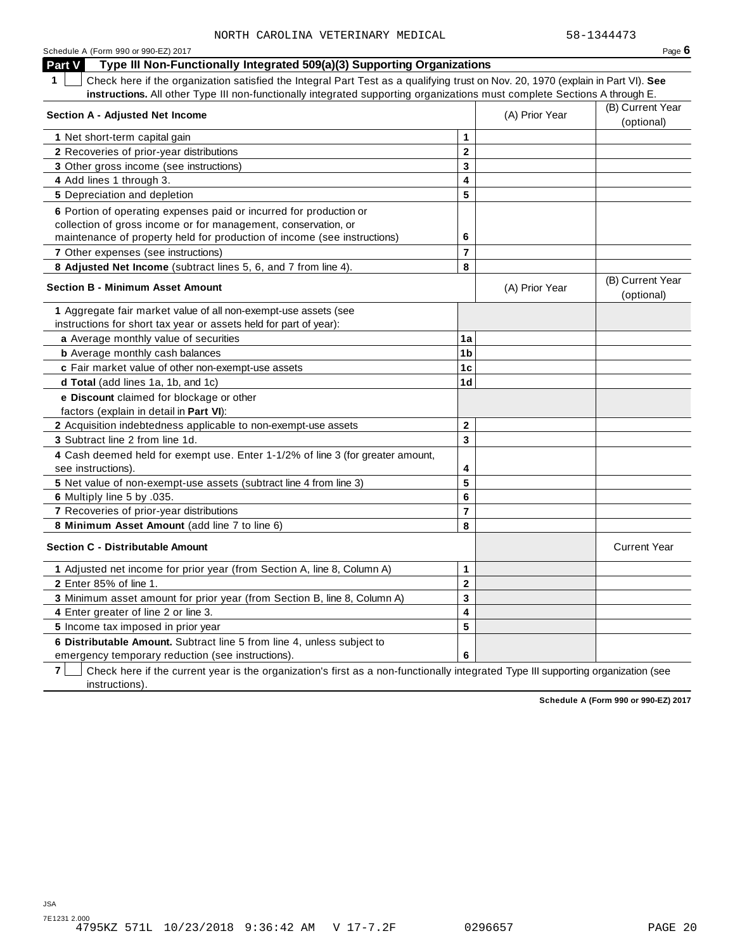| Schedule A (Form 990 or 990-EZ) 2017                                                                                                  |                |                | Page $6$            |
|---------------------------------------------------------------------------------------------------------------------------------------|----------------|----------------|---------------------|
| Part V<br>Type III Non-Functionally Integrated 509(a)(3) Supporting Organizations                                                     |                |                |                     |
| Check here if the organization satisfied the Integral Part Test as a qualifying trust on Nov. 20, 1970 (explain in Part VI). See<br>1 |                |                |                     |
| instructions. All other Type III non-functionally integrated supporting organizations must complete Sections A through E.             |                |                |                     |
|                                                                                                                                       |                | (A) Prior Year | (B) Current Year    |
| <b>Section A - Adjusted Net Income</b>                                                                                                |                |                | (optional)          |
| 1 Net short-term capital gain                                                                                                         | 1              |                |                     |
| 2 Recoveries of prior-year distributions                                                                                              | $\mathbf 2$    |                |                     |
| 3 Other gross income (see instructions)                                                                                               | 3              |                |                     |
| 4 Add lines 1 through 3.                                                                                                              | 4              |                |                     |
| 5 Depreciation and depletion                                                                                                          | 5              |                |                     |
| 6 Portion of operating expenses paid or incurred for production or                                                                    |                |                |                     |
| collection of gross income or for management, conservation, or                                                                        |                |                |                     |
| maintenance of property held for production of income (see instructions)                                                              | 6              |                |                     |
| 7 Other expenses (see instructions)                                                                                                   | $\overline{7}$ |                |                     |
| 8 Adjusted Net Income (subtract lines 5, 6, and 7 from line 4).                                                                       | 8              |                |                     |
| <b>Section B - Minimum Asset Amount</b>                                                                                               |                | (A) Prior Year | (B) Current Year    |
|                                                                                                                                       |                |                | (optional)          |
| 1 Aggregate fair market value of all non-exempt-use assets (see                                                                       |                |                |                     |
| instructions for short tax year or assets held for part of year):                                                                     |                |                |                     |
| a Average monthly value of securities                                                                                                 | 1a             |                |                     |
| <b>b</b> Average monthly cash balances                                                                                                | 1 <sub>b</sub> |                |                     |
| c Fair market value of other non-exempt-use assets                                                                                    | 1c             |                |                     |
| d Total (add lines 1a, 1b, and 1c)                                                                                                    | 1 <sub>d</sub> |                |                     |
| e Discount claimed for blockage or other                                                                                              |                |                |                     |
| factors (explain in detail in Part VI):                                                                                               |                |                |                     |
| 2 Acquisition indebtedness applicable to non-exempt-use assets                                                                        | $\mathbf{2}$   |                |                     |
| 3 Subtract line 2 from line 1d.                                                                                                       | 3              |                |                     |
| 4 Cash deemed held for exempt use. Enter 1-1/2% of line 3 (for greater amount,                                                        |                |                |                     |
| see instructions).                                                                                                                    | 4              |                |                     |
| 5 Net value of non-exempt-use assets (subtract line 4 from line 3)                                                                    | 5              |                |                     |
| 6 Multiply line 5 by .035.                                                                                                            | 6              |                |                     |
| 7 Recoveries of prior-year distributions                                                                                              | $\overline{7}$ |                |                     |
| 8 Minimum Asset Amount (add line 7 to line 6)                                                                                         | 8              |                |                     |
| <b>Section C - Distributable Amount</b>                                                                                               |                |                | <b>Current Year</b> |
| 1 Adjusted net income for prior year (from Section A, line 8, Column A)                                                               | $\mathbf 1$    |                |                     |
| 2 Enter 85% of line 1.                                                                                                                | $\mathbf 2$    |                |                     |
| 3 Minimum asset amount for prior year (from Section B, line 8, Column A)                                                              | 3              |                |                     |
| 4 Enter greater of line 2 or line 3.                                                                                                  | 4              |                |                     |
| 5 Income tax imposed in prior year                                                                                                    | 5              |                |                     |
| 6 Distributable Amount. Subtract line 5 from line 4, unless subject to                                                                |                |                |                     |
| emergency temporary reduction (see instructions).                                                                                     | 6              |                |                     |

**7** Check here if the current year is the organization's first as a non-functionally integrated Type III supporting organization (see instructions).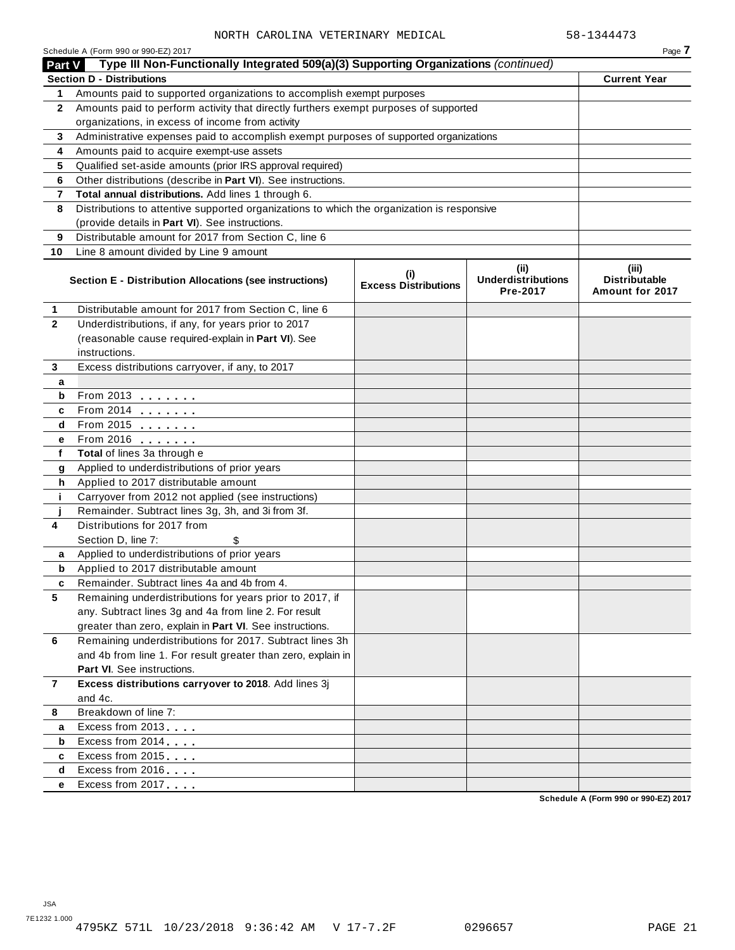|              | Schedule A (Form 990 or 990-EZ) 2017                                                       |                                    |                                               | Page 7                                           |
|--------------|--------------------------------------------------------------------------------------------|------------------------------------|-----------------------------------------------|--------------------------------------------------|
| Part V       | Type III Non-Functionally Integrated 509(a)(3) Supporting Organizations (continued)        |                                    |                                               |                                                  |
|              | <b>Section D - Distributions</b>                                                           |                                    |                                               | <b>Current Year</b>                              |
| 1            | Amounts paid to supported organizations to accomplish exempt purposes                      |                                    |                                               |                                                  |
| $\mathbf{2}$ | Amounts paid to perform activity that directly furthers exempt purposes of supported       |                                    |                                               |                                                  |
|              | organizations, in excess of income from activity                                           |                                    |                                               |                                                  |
| 3            | Administrative expenses paid to accomplish exempt purposes of supported organizations      |                                    |                                               |                                                  |
| 4            | Amounts paid to acquire exempt-use assets                                                  |                                    |                                               |                                                  |
| 5            | Qualified set-aside amounts (prior IRS approval required)                                  |                                    |                                               |                                                  |
| 6            | Other distributions (describe in Part VI). See instructions.                               |                                    |                                               |                                                  |
| 7            | Total annual distributions. Add lines 1 through 6.                                         |                                    |                                               |                                                  |
| 8            | Distributions to attentive supported organizations to which the organization is responsive |                                    |                                               |                                                  |
|              | (provide details in Part VI). See instructions.                                            |                                    |                                               |                                                  |
| 9            | Distributable amount for 2017 from Section C, line 6                                       |                                    |                                               |                                                  |
| 10           | Line 8 amount divided by Line 9 amount                                                     |                                    |                                               |                                                  |
|              | Section E - Distribution Allocations (see instructions)                                    | (i)<br><b>Excess Distributions</b> | (ii)<br><b>Underdistributions</b><br>Pre-2017 | (iii)<br><b>Distributable</b><br>Amount for 2017 |
| 1            | Distributable amount for 2017 from Section C, line 6                                       |                                    |                                               |                                                  |
| $\mathbf{2}$ | Underdistributions, if any, for years prior to 2017                                        |                                    |                                               |                                                  |
|              | (reasonable cause required-explain in Part VI). See                                        |                                    |                                               |                                                  |
|              | instructions.                                                                              |                                    |                                               |                                                  |
| 3            | Excess distributions carryover, if any, to 2017                                            |                                    |                                               |                                                  |
| a            |                                                                                            |                                    |                                               |                                                  |
| b            | From 2013                                                                                  |                                    |                                               |                                                  |
| C            | From 2014                                                                                  |                                    |                                               |                                                  |
| d            | From 2015                                                                                  |                                    |                                               |                                                  |
| е            | From 2016 <b></b>                                                                          |                                    |                                               |                                                  |
| f            | Total of lines 3a through e                                                                |                                    |                                               |                                                  |
| g            | Applied to underdistributions of prior years                                               |                                    |                                               |                                                  |
| h            | Applied to 2017 distributable amount                                                       |                                    |                                               |                                                  |
| j.           | Carryover from 2012 not applied (see instructions)                                         |                                    |                                               |                                                  |
|              | Remainder. Subtract lines 3g, 3h, and 3i from 3f.                                          |                                    |                                               |                                                  |
| 4            | Distributions for 2017 from                                                                |                                    |                                               |                                                  |
|              | Section D, line 7:<br>\$                                                                   |                                    |                                               |                                                  |
| a            | Applied to underdistributions of prior years                                               |                                    |                                               |                                                  |
| b            | Applied to 2017 distributable amount                                                       |                                    |                                               |                                                  |
|              | Remainder. Subtract lines 4a and 4b from 4                                                 |                                    |                                               |                                                  |
| 5            | Remaining underdistributions for years prior to 2017, if                                   |                                    |                                               |                                                  |
|              | any. Subtract lines 3g and 4a from line 2. For result                                      |                                    |                                               |                                                  |
|              | greater than zero, explain in Part VI. See instructions.                                   |                                    |                                               |                                                  |
| 6            | Remaining underdistributions for 2017. Subtract lines 3h                                   |                                    |                                               |                                                  |
|              | and 4b from line 1. For result greater than zero, explain in                               |                                    |                                               |                                                  |
|              | Part VI. See instructions.                                                                 |                                    |                                               |                                                  |
| 7            | Excess distributions carryover to 2018. Add lines 3j                                       |                                    |                                               |                                                  |
|              |                                                                                            |                                    |                                               |                                                  |
|              | and 4c.                                                                                    |                                    |                                               |                                                  |
| 8            | Breakdown of line 7:                                                                       |                                    |                                               |                                                  |
| a            | Excess from 2013                                                                           |                                    |                                               |                                                  |
| b            | Excess from 2014                                                                           |                                    |                                               |                                                  |
| c            | Excess from 2015                                                                           |                                    |                                               |                                                  |
| d            | Excess from 2016                                                                           |                                    |                                               |                                                  |
| е            | Excess from 2017                                                                           |                                    |                                               |                                                  |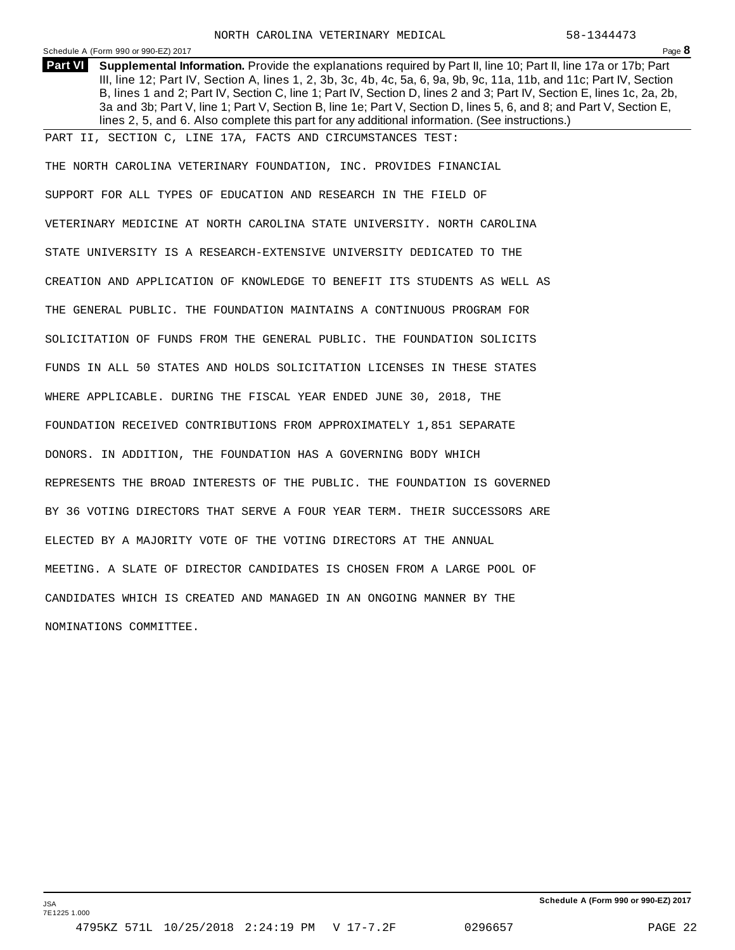#### Schedule <sup>A</sup> (Form <sup>990</sup> or 990-EZ) <sup>2017</sup> Page **8**

**Supplemental Information.** Provide the explanations required by Part II, line 10; Part II, line 17a or 17b; Part **Part VI** III, line 12; Part IV, Section A, lines 1, 2, 3b, 3c, 4b, 4c, 5a, 6, 9a, 9b, 9c, 11a, 11b, and 11c; Part IV, Section B, lines 1 and 2; Part IV, Section C, line 1; Part IV, Section D, lines 2 and 3; Part IV, Section E, lines 1c, 2a, 2b, 3a and 3b; Part V, line 1; Part V, Section B, line 1e; Part V, Section D, lines 5, 6, and 8; and Part V, Section E, lines 2, 5, and 6. Also complete this part for any additional information. (See instructions.)

PART II, SECTION C, LINE 17A, FACTS AND CIRCUMSTANCES TEST: THE NORTH CAROLINA VETERINARY FOUNDATION, INC. PROVIDES FINANCIAL SUPPORT FOR ALL TYPES OF EDUCATION AND RESEARCH IN THE FIELD OF VETERINARY MEDICINE AT NORTH CAROLINA STATE UNIVERSITY. NORTH CAROLINA STATE UNIVERSITY IS A RESEARCH-EXTENSIVE UNIVERSITY DEDICATED TO THE CREATION AND APPLICATION OF KNOWLEDGE TO BENEFIT ITS STUDENTS AS WELL AS THE GENERAL PUBLIC. THE FOUNDATION MAINTAINS A CONTINUOUS PROGRAM FOR SOLICITATION OF FUNDS FROM THE GENERAL PUBLIC. THE FOUNDATION SOLICITS FUNDS IN ALL 50 STATES AND HOLDS SOLICITATION LICENSES IN THESE STATES WHERE APPLICABLE. DURING THE FISCAL YEAR ENDED JUNE 30, 2018, THE FOUNDATION RECEIVED CONTRIBUTIONS FROM APPROXIMATELY 1,851 SEPARATE DONORS. IN ADDITION, THE FOUNDATION HAS A GOVERNING BODY WHICH REPRESENTS THE BROAD INTERESTS OF THE PUBLIC. THE FOUNDATION IS GOVERNED BY 36 VOTING DIRECTORS THAT SERVE A FOUR YEAR TERM. THEIR SUCCESSORS ARE ELECTED BY A MAJORITY VOTE OF THE VOTING DIRECTORS AT THE ANNUAL MEETING. A SLATE OF DIRECTOR CANDIDATES IS CHOSEN FROM A LARGE POOL OF CANDIDATES WHICH IS CREATED AND MANAGED IN AN ONGOING MANNER BY THE NOMINATIONS COMMITTEE.

JSA 7E1225 1.000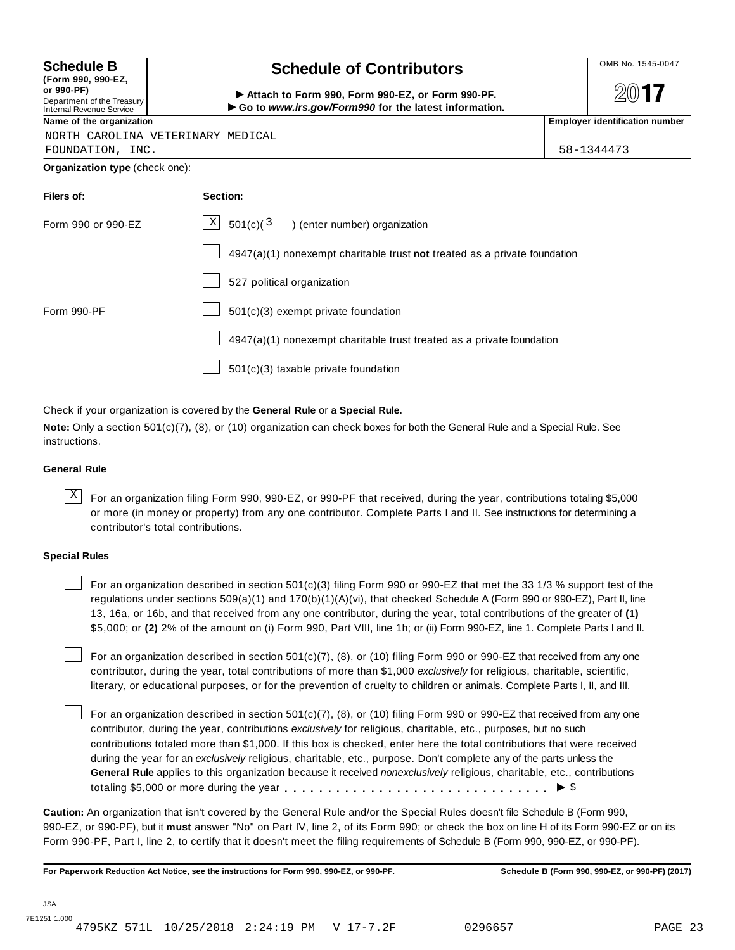| (Form 990, 990-EZ,         |  |
|----------------------------|--|
| or 990-PF)                 |  |
| Department of the Treasury |  |
| Internal Devenue Consice   |  |

## **Schedule B**  $\leftarrow$  **Contributors**

(Porm 990, Form 990, Form 990-EZ, or Form 990-PF.<br>Department of the Treasury → Attach to Form 990, Form 990-EZ, or Form 990-PF.<br>Internal Revenue Service → → Go to www.irs.gov/Form990 for the latest information.<br>Name of th

 $20$ **17** 

FOUNDATION, INC. 58-1344473

**Organization type** (check one):

| Filers of:         | Section:                                                                          |
|--------------------|-----------------------------------------------------------------------------------|
| Form 990 or 990-EZ | $\lfloor \frac{X}{2} \rfloor$ 501(c)( $\frac{3}{2}$ ) (enter number) organization |
|                    | 4947(a)(1) nonexempt charitable trust not treated as a private foundation         |
|                    | 527 political organization                                                        |
| Form 990-PF        | 501(c)(3) exempt private foundation                                               |
|                    | 4947(a)(1) nonexempt charitable trust treated as a private foundation             |
|                    | 501(c)(3) taxable private foundation                                              |

Check if your organization is covered by the **General Rule** or a **Special Rule.**

**Note:** Only a section 501(c)(7), (8), or (10) organization can check boxes for both the General Rule and a Special Rule. See instructions.

#### **General Rule**

 $\overline{X}$  For an organization filing Form 990, 990-EZ, or 990-PF that received, during the year, contributions totaling \$5,000 or more (in money or property) from any one contributor. Complete Parts I and II. See instructions for determining a contributor's total contributions.

#### **Special Rules**

For an organization described in section 501(c)(3) filing Form 990 or 990-EZ that met the 33 1/3 % support test of the regulations under sections 509(a)(1) and 170(b)(1)(A)(vi), that checked Schedule A (Form 990 or 990-EZ), Part II, line 13, 16a, or 16b, and that received from any one contributor, during the year, total contributions of the greater of **(1)** \$5,000; or **(2)** 2% of the amount on (i) Form 990, Part VIII, line 1h; or (ii) Form 990-EZ, line 1. Complete Parts I and II.

For an organization described in section 501(c)(7), (8), or (10) filing Form 990 or 990-EZ that received from any one contributor, during the year, total contributions of more than \$1,000 *exclusively* for religious, charitable, scientific, literary, or educational purposes, or for the prevention of cruelty to children or animals. Complete Parts I, II, and III.

For an organization described in section 501(c)(7), (8), or (10) filing Form 990 or 990-EZ that received from any one contributor, during the year, contributions *exclusively* for religious, charitable, etc., purposes, but no such contributions totaled more than \$1,000. If this box is checked, enter here the total contributions that were received during the year for an *exclusively* religious, charitable, etc., purpose. Don't complete any of the parts unless the **General Rule** applies to this organization because it received *nonexclusively* religious, charitable, etc., contributions totaling \$5,000 or more during the year m m m m m m m m m m m m m m m m m m m m m m m m m m m m m m m I \$

**Caution:** An organization that isn't covered by the General Rule and/or the Special Rules doesn't file Schedule B (Form 990, 990-EZ, or 990-PF), but it **must** answer "No" on Part IV, line 2, of its Form 990; or check the box on line H of its Form 990-EZ or on its Form 990-PF, Part I, line 2, to certify that it doesn't meet the filing requirements of Schedule B (Form 990, 990-EZ, or 990-PF).

For Paperwork Reduction Act Notice, see the instructions for Form 990, 990-EZ, or 990-PF. Schedule B (Form 990, 990-EZ, or 990-PF) (2017)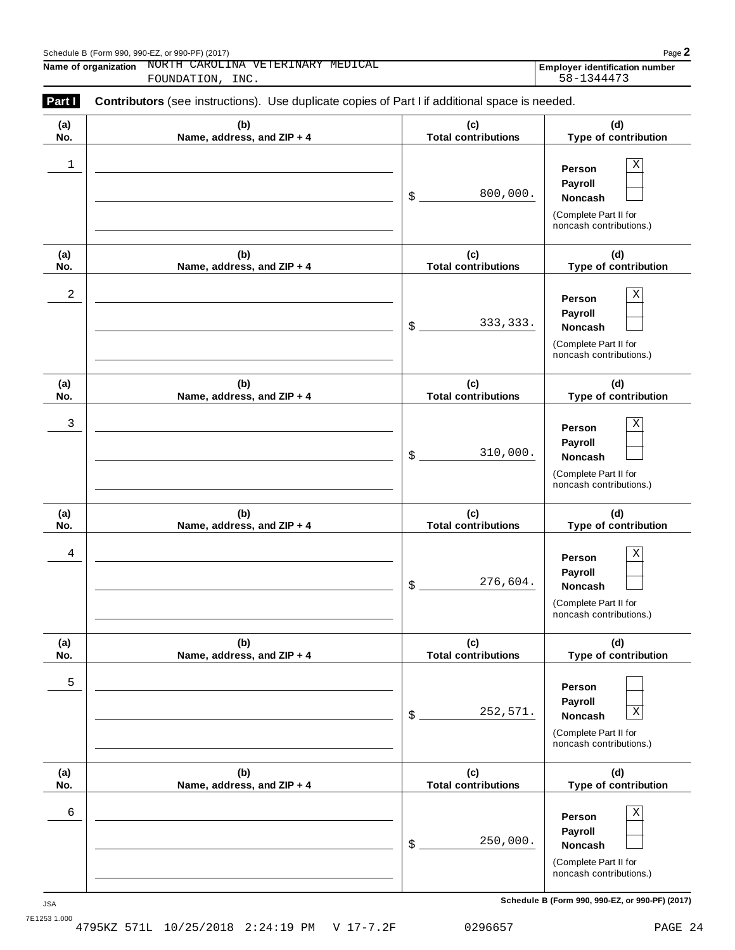| Schedule B (Form 990, 990-EZ, or 990-PF) (2017) | Page ≥ |
|-------------------------------------------------|--------|
|                                                 |        |

| (a)        | (b)                        | (c)                        | (d)                                                                                             |
|------------|----------------------------|----------------------------|-------------------------------------------------------------------------------------------------|
| No.        | Name, address, and ZIP + 4 | <b>Total contributions</b> | Type of contribution                                                                            |
| 1          |                            | 800,000.<br>\$             | Χ<br>Person<br>Payroll<br>Noncash<br>(Complete Part II for<br>noncash contributions.)           |
| (a)        | (b)                        | (c)                        | (d)                                                                                             |
| No.        | Name, address, and ZIP + 4 | <b>Total contributions</b> | Type of contribution                                                                            |
| $\sqrt{2}$ |                            | 333, 333.<br>\$            | Χ<br>Person<br>Payroll<br>Noncash<br>(Complete Part II for<br>noncash contributions.)           |
| (a)        | (b)                        | (c)                        | (d)                                                                                             |
| No.        | Name, address, and ZIP + 4 | <b>Total contributions</b> | Type of contribution                                                                            |
| 3          |                            | 310,000.<br>\$             | Χ<br>Person<br>Payroll<br>Noncash<br>(Complete Part II for<br>noncash contributions.)           |
| (a)        | (b)                        | (c)                        | (d)                                                                                             |
| No.        | Name, address, and ZIP + 4 | <b>Total contributions</b> | Type of contribution                                                                            |
| 4          |                            | 276,604.<br>\$             | Χ<br>Person<br>Payroll<br><b>Noncash</b><br>(Complete Part II for<br>noncash contributions.)    |
| (a)        | (b)                        | (c)                        | (d)                                                                                             |
| No.        | Name, address, and ZIP + 4 | <b>Total contributions</b> | Type of contribution                                                                            |
| 5          |                            | 252,571.<br>\$             | Person<br>Payroll<br>$\mathbf X$<br>Noncash<br>(Complete Part II for<br>noncash contributions.) |
| (a)        | (b)                        | (c)                        | (d)                                                                                             |
| No.        | Name, address, and ZIP + 4 | <b>Total contributions</b> | Type of contribution                                                                            |
| 6          |                            | 250,000.<br>\$             | Х<br>Person<br>Payroll<br>Noncash<br>(Complete Part II for<br>noncash contributions.)           |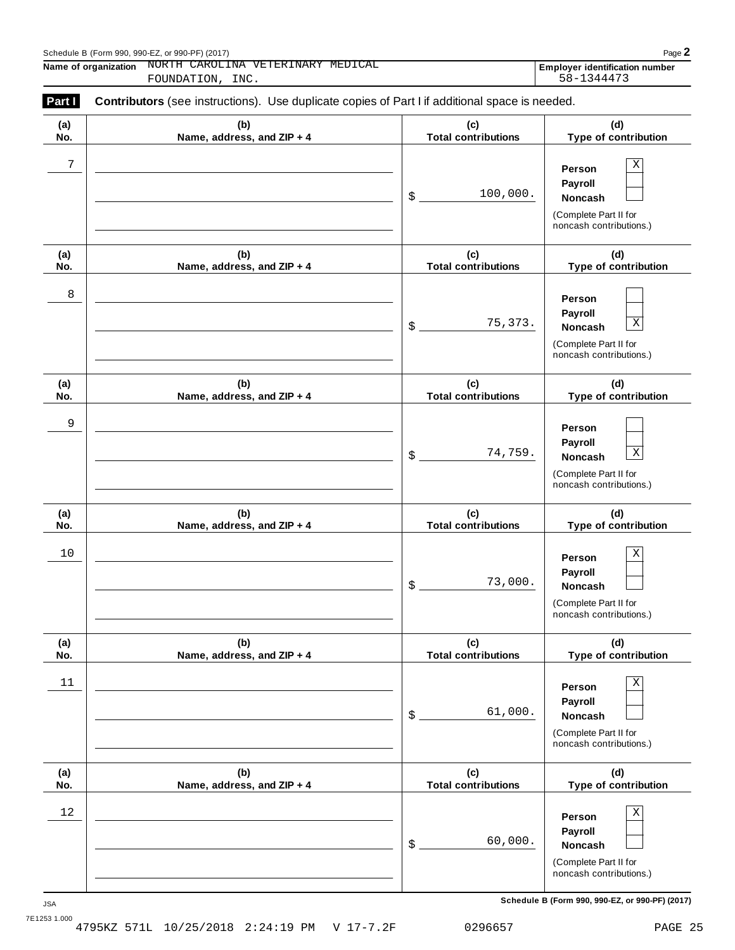| Schedule B (Form 990, 990-EZ, or 990-PF) (2017) | Page ≥ |
|-------------------------------------------------|--------|
|                                                 |        |

| (a)  | (b)                        | (c)                        | (d)                                                                                                    |
|------|----------------------------|----------------------------|--------------------------------------------------------------------------------------------------------|
| No.  | Name, address, and ZIP + 4 | <b>Total contributions</b> | Type of contribution                                                                                   |
| 7    |                            | 100,000.<br>\$             | Χ<br>Person<br>Payroll<br><b>Noncash</b><br>(Complete Part II for<br>noncash contributions.)           |
| (a)  | (b)                        | (c)                        | (d)                                                                                                    |
| No.  | Name, address, and ZIP + 4 | <b>Total contributions</b> | Type of contribution                                                                                   |
| 8    |                            | 75,373.<br>\$              | Person<br>Payroll<br>$\mathbf X$<br><b>Noncash</b><br>(Complete Part II for<br>noncash contributions.) |
| (a)  | (b)                        | (c)                        | (d)                                                                                                    |
| No.  | Name, address, and ZIP + 4 | <b>Total contributions</b> | Type of contribution                                                                                   |
| 9    |                            | 74,759.<br>\$              | Person<br>Payroll<br>$\mathbf X$<br><b>Noncash</b><br>(Complete Part II for<br>noncash contributions.) |
| (a)  | (b)                        | (c)                        | (d)                                                                                                    |
| No.  | Name, address, and ZIP + 4 | <b>Total contributions</b> | Type of contribution                                                                                   |
| $10$ |                            | 73,000.<br>\$              | Χ<br>Person<br>Payroll<br>Noncash<br>(Complete Part II for<br>noncash contributions.)                  |
| (a)  | (b)                        | (c)                        | (d)                                                                                                    |
| No.  | Name, address, and ZIP + 4 | <b>Total contributions</b> | Type of contribution                                                                                   |
| 11   |                            | 61,000.<br>\$              | Χ<br>Person<br>Payroll<br>Noncash<br>(Complete Part II for<br>noncash contributions.)                  |
| (a)  | (b)                        | (c)                        | (d)                                                                                                    |
| No.  | Name, address, and ZIP + 4 | <b>Total contributions</b> | Type of contribution                                                                                   |
| 12   |                            | 60,000.<br>\$              | $\mathbf X$<br>Person<br>Payroll<br>Noncash                                                            |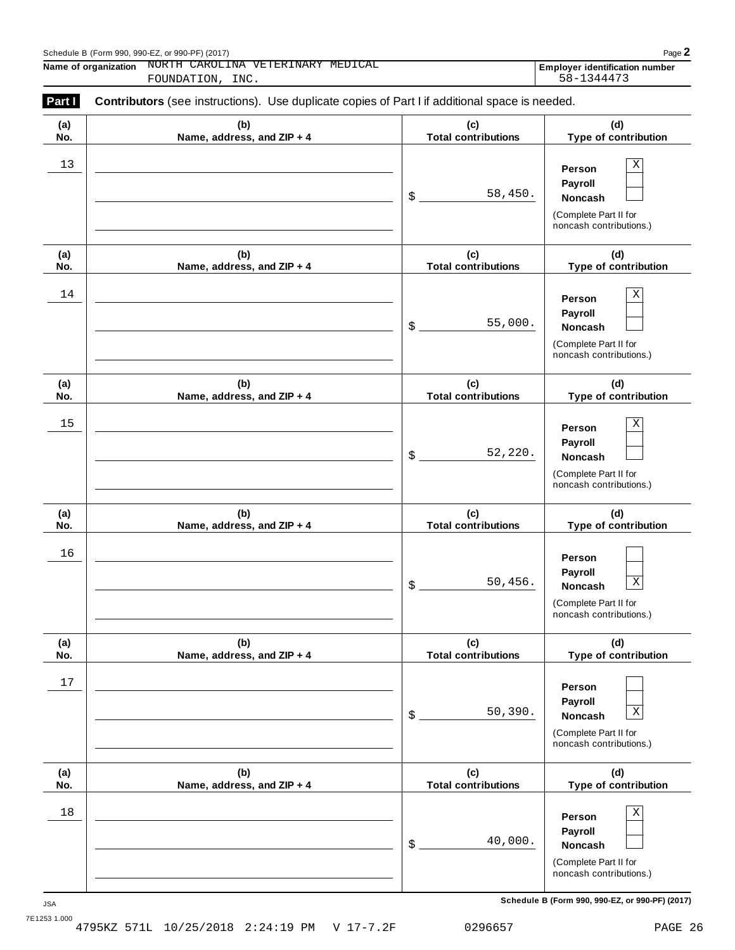| Schedule B (Form 990, 990-EZ, or 990-PF) (2017) | Page ≥ |
|-------------------------------------------------|--------|
|                                                 |        |

**Name of organization NORTH CAROLINA VETERINARY MEDICAL Employer identification** number FOUNDATION, INC. 58-1344473

| Part I     | <b>Contributors</b> (see instructions). Use duplicate copies of Part I if additional space is needed. |                                   |                                                                                                 |
|------------|-------------------------------------------------------------------------------------------------------|-----------------------------------|-------------------------------------------------------------------------------------------------|
| (a)<br>No. | (b)<br>Name, address, and ZIP + 4                                                                     | (c)<br><b>Total contributions</b> | (d)<br>Type of contribution                                                                     |
| 13         |                                                                                                       | 58,450.<br>\$                     | Χ<br>Person<br>Payroll<br>Noncash<br>(Complete Part II for<br>noncash contributions.)           |
| (a)<br>No. | (b)<br>Name, address, and ZIP + 4                                                                     | (c)<br><b>Total contributions</b> | (d)<br>Type of contribution                                                                     |
| 14         |                                                                                                       | 55,000.<br>\$                     | Χ<br>Person<br>Payroll<br>Noncash<br>(Complete Part II for<br>noncash contributions.)           |
| (a)<br>No. | (b)<br>Name, address, and ZIP + 4                                                                     | (c)<br><b>Total contributions</b> | (d)<br>Type of contribution                                                                     |
| 15         |                                                                                                       | 52,220.<br>\$                     | Χ<br>Person<br>Payroll<br>Noncash<br>(Complete Part II for<br>noncash contributions.)           |
| (a)<br>No. | (b)<br>Name, address, and ZIP + 4                                                                     | (c)<br><b>Total contributions</b> | (d)<br>Type of contribution                                                                     |
| 16         |                                                                                                       | 50,456.<br>\$                     | Person<br>Payroll<br>$\mathbf X$<br>Noncash<br>(Complete Part II for<br>noncash contributions.) |
| (a)<br>No. | (b)<br>Name, address, and ZIP + 4                                                                     | (c)<br><b>Total contributions</b> | (d)<br><b>Type of contribution</b>                                                              |
| 17         |                                                                                                       | 50, 390.<br>\$                    | Person<br>Payroll<br>$\mathbf X$<br>Noncash<br>(Complete Part II for<br>noncash contributions.) |
| (a)<br>No. | (b)<br>Name, address, and ZIP + 4                                                                     | (c)<br><b>Total contributions</b> | (d)<br>Type of contribution                                                                     |
| 18         |                                                                                                       | 40,000.<br>\$                     | Χ<br>Person<br>Payroll<br>Noncash<br>(Complete Part II for<br>noncash contributions.)           |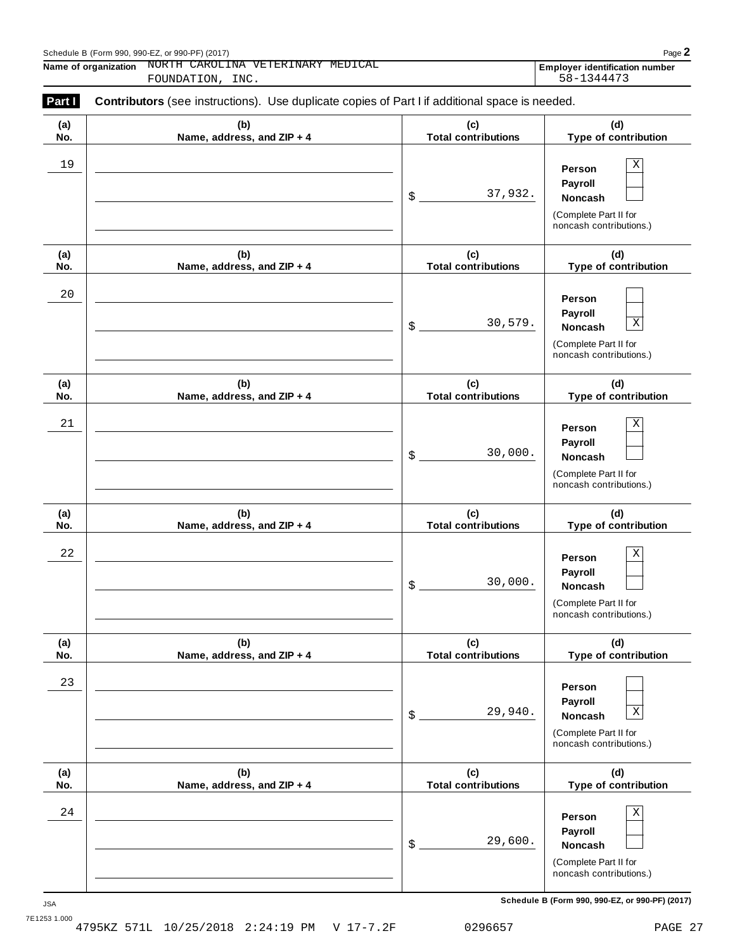| Schedule B (Form 990, 990-EZ, or 990-PF) (2017) | Page ≥ |
|-------------------------------------------------|--------|
|                                                 |        |

| (a)        | (b)                               | (c)                               | (d)                                                                                             |
|------------|-----------------------------------|-----------------------------------|-------------------------------------------------------------------------------------------------|
| No.        | Name, address, and ZIP + 4        | <b>Total contributions</b>        | Type of contribution                                                                            |
| 19         |                                   | 37,932.<br>\$                     | Χ<br>Person<br>Payroll<br>Noncash<br>(Complete Part II for<br>noncash contributions.)           |
| (a)<br>No. | (b)<br>Name, address, and ZIP + 4 | (c)<br><b>Total contributions</b> | (d)<br>Type of contribution                                                                     |
| 20         |                                   | 30,579.<br>\$                     | Person<br>Payroll<br>$\mathbf X$<br>Noncash<br>(Complete Part II for<br>noncash contributions.) |
| (a)<br>No. | (b)<br>Name, address, and ZIP + 4 | (c)<br><b>Total contributions</b> | (d)<br>Type of contribution                                                                     |
| 21         |                                   | 30,000.<br>\$                     | Χ<br>Person<br>Payroll<br>Noncash<br>(Complete Part II for<br>noncash contributions.)           |
| (a)<br>No. | (b)<br>Name, address, and ZIP + 4 | (c)<br><b>Total contributions</b> | (d)<br>Type of contribution                                                                     |
| 22         |                                   | 30,000.<br>\$                     | Χ<br>Person<br>Payroll<br>Noncash<br>(Complete Part II for<br>noncash contributions.)           |
| (a)<br>No. | (b)<br>Name, address, and ZIP + 4 | (c)<br><b>Total contributions</b> | (d)<br>Type of contribution                                                                     |
| 23         |                                   | 29,940.<br>\$                     | Person<br>Payroll<br>$\mathbf X$<br>Noncash<br>(Complete Part II for<br>noncash contributions.) |
| (a)<br>No. | (b)<br>Name, address, and ZIP + 4 | (c)<br><b>Total contributions</b> | (d)<br>Type of contribution                                                                     |
| 24         |                                   | 29,600.<br>\$                     | х<br>Person<br>Payroll<br>Noncash<br>(Complete Part II for                                      |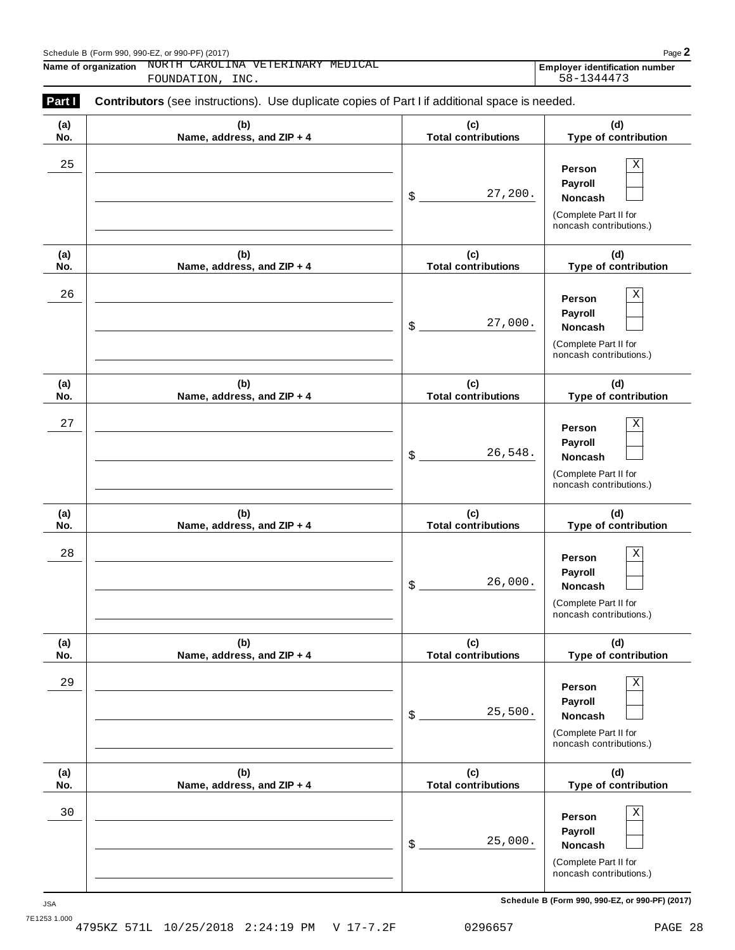| Schedule B (Form 990, 990-EZ, or 990-PF) (2017) | Page ≥ |
|-------------------------------------------------|--------|
|                                                 |        |

| Part I     | Contributors (see instructions). Use duplicate copies of Part I if additional space is needed. |                                   |                                                                                       |
|------------|------------------------------------------------------------------------------------------------|-----------------------------------|---------------------------------------------------------------------------------------|
| (a)<br>No. | (b)<br>Name, address, and ZIP + 4                                                              | (c)<br><b>Total contributions</b> | (d)<br>Type of contribution                                                           |
| 25         |                                                                                                | 27,200.<br>\$                     | Χ<br>Person<br>Payroll<br>Noncash<br>(Complete Part II for<br>noncash contributions.) |
| (a)<br>No. | (b)<br>Name, address, and ZIP + 4                                                              | (c)<br><b>Total contributions</b> | (d)<br>Type of contribution                                                           |
| 26         |                                                                                                | 27,000.<br>\$                     | Χ<br>Person<br>Payroll<br>Noncash<br>(Complete Part II for<br>noncash contributions.) |
| (a)<br>No. | (b)<br>Name, address, and ZIP + 4                                                              | (c)<br><b>Total contributions</b> | (d)<br>Type of contribution                                                           |
| 27         |                                                                                                | 26,548.<br>\$                     | Χ<br>Person<br>Payroll<br>Noncash<br>(Complete Part II for<br>noncash contributions.) |
| (a)<br>No. | (b)<br>Name, address, and ZIP + 4                                                              | (c)<br><b>Total contributions</b> | (d)<br>Type of contribution                                                           |
| 28         |                                                                                                | 26,000.<br>\$                     | Χ<br>Person<br>Payroll<br>Noncash<br>(Complete Part II for<br>noncash contributions.) |
| (a)<br>No. | (b)<br>Name, address, and ZIP + 4                                                              | (c)<br><b>Total contributions</b> | (d)<br>Type of contribution                                                           |
| 29         |                                                                                                | 25,500.<br>\$                     | Χ<br>Person<br>Payroll<br>Noncash<br>(Complete Part II for<br>noncash contributions.) |
| (a)<br>No. | (b)<br>Name, address, and ZIP + 4                                                              | (c)<br><b>Total contributions</b> | (d)<br>Type of contribution                                                           |
| 30         |                                                                                                | 25,000.<br>\$                     | Χ<br>Person<br>Payroll<br>Noncash<br>(Complete Part II for<br>noncash contributions.) |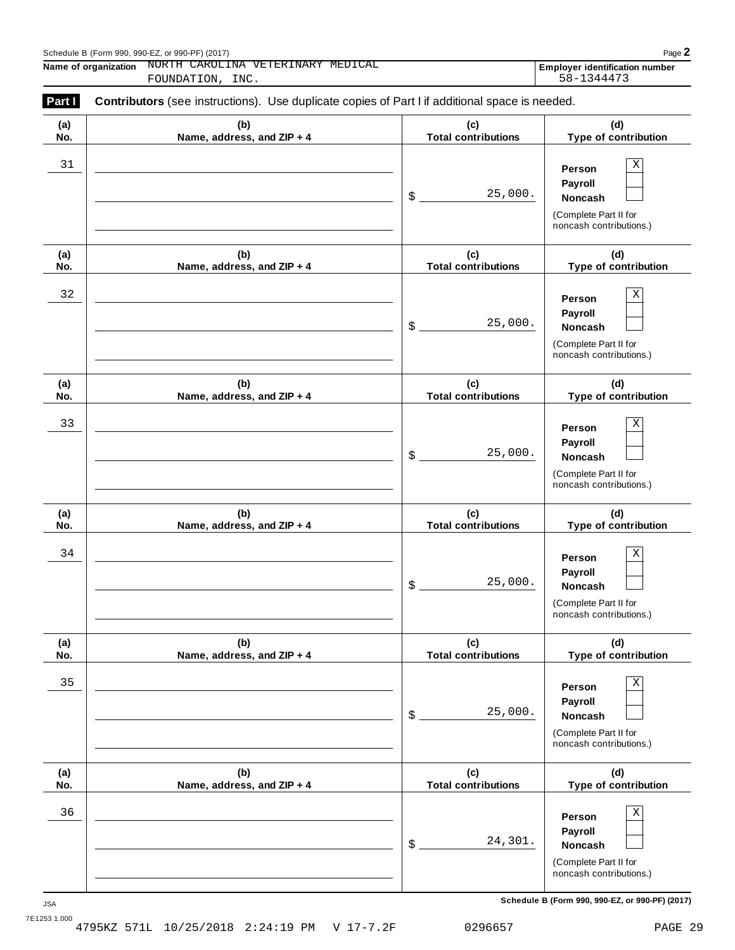| Schedule B (Form 990, 990-EZ, or 990-PF) (2017) | Page ≥ |
|-------------------------------------------------|--------|
|                                                 |        |

| Part I     | Contributors (see instructions). Use duplicate copies of Part I if additional space is needed. |                                   |                                                                                       |
|------------|------------------------------------------------------------------------------------------------|-----------------------------------|---------------------------------------------------------------------------------------|
| (a)<br>No. | (b)<br>Name, address, and ZIP + 4                                                              | (c)<br><b>Total contributions</b> | (d)<br>Type of contribution                                                           |
| 31         |                                                                                                | 25,000.<br>$\mathsf{\$}$ .        | Χ<br>Person<br>Payroll<br>Noncash<br>(Complete Part II for<br>noncash contributions.) |
| (a)<br>No. | (b)<br>Name, address, and ZIP + 4                                                              | (c)<br><b>Total contributions</b> | (d)<br>Type of contribution                                                           |
| 32         |                                                                                                | 25,000.<br>\$                     | Χ<br>Person<br>Payroll<br>Noncash<br>(Complete Part II for<br>noncash contributions.) |
| (a)<br>No. | (b)<br>Name, address, and ZIP + 4                                                              | (c)<br><b>Total contributions</b> | (d)<br>Type of contribution                                                           |
| 33         |                                                                                                | 25,000.<br>\$                     | Χ<br>Person<br>Payroll<br>Noncash<br>(Complete Part II for<br>noncash contributions.) |
| (a)<br>No. | (b)<br>Name, address, and ZIP + 4                                                              | (c)<br><b>Total contributions</b> | (d)<br>Type of contribution                                                           |
| 34         |                                                                                                | 25,000.<br>\$                     | Χ<br>Person<br>Payroll<br>Noncash<br>(Complete Part II for<br>noncash contributions.) |
| (a)<br>No. | (b)<br>Name, address, and ZIP + 4                                                              | (c)<br><b>Total contributions</b> | (d)<br>Type of contribution                                                           |
| 35         |                                                                                                | 25,000.<br>\$                     | X<br>Person<br>Payroll<br>Noncash<br>(Complete Part II for<br>noncash contributions.) |
| (a)<br>No. | (b)<br>Name, address, and ZIP + 4                                                              | (c)<br><b>Total contributions</b> | (d)<br>Type of contribution                                                           |
| 36         |                                                                                                | 24,301.<br>\$                     | Х<br>Person<br>Payroll<br>Noncash<br>(Complete Part II for<br>noncash contributions.) |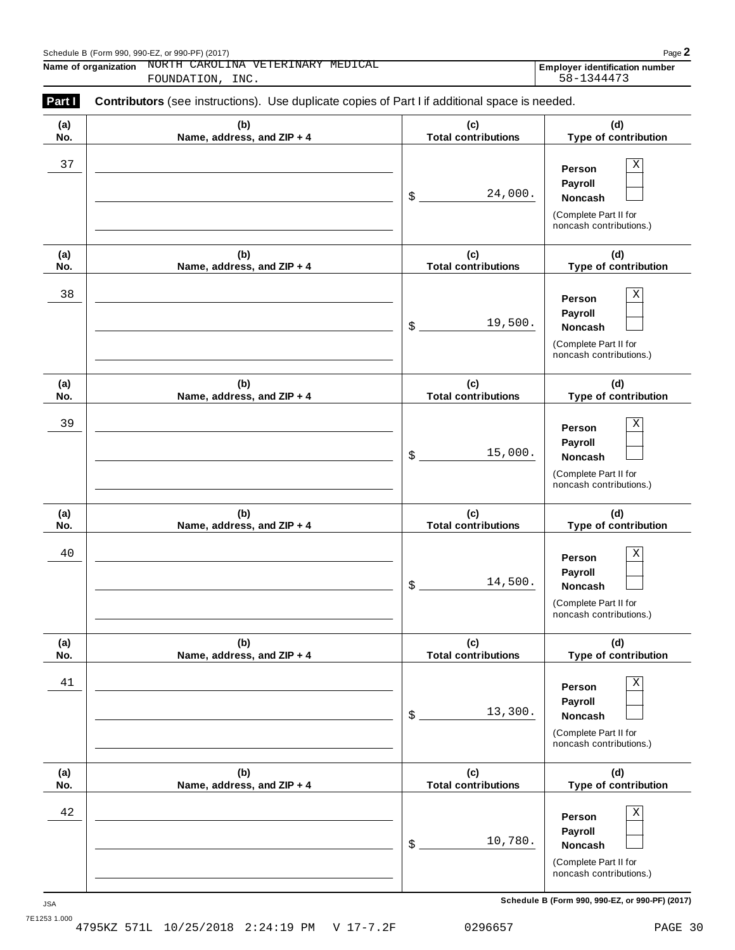| Schedule B (Form 990, 990-EZ, or 990-PF) (2017) | Page ≥ |
|-------------------------------------------------|--------|
|                                                 |        |

**Name of organization NORTH CAROLINA VETERINARY MEDICAL Employer identification** number FOUNDATION, INC. 2008. [2010] THE SET ON DATION, INC.

| Part I      | <b>Contributors</b> (see instructions). Use duplicate copies of Part I if additional space is needed. |                                   |                                                                                       |
|-------------|-------------------------------------------------------------------------------------------------------|-----------------------------------|---------------------------------------------------------------------------------------|
| (a)<br>No.  | (b)<br>Name, address, and ZIP + 4                                                                     | (c)<br><b>Total contributions</b> | (d)<br>Type of contribution                                                           |
| 37          |                                                                                                       | 24,000.<br>\$                     | Χ<br>Person<br>Payroll<br>Noncash<br>(Complete Part II for<br>noncash contributions.) |
| (a)<br>No.  | (b)<br>Name, address, and ZIP + 4                                                                     | (c)<br><b>Total contributions</b> | (d)<br>Type of contribution                                                           |
| 38          |                                                                                                       | 19,500.<br>\$                     | Χ<br>Person<br>Payroll<br>Noncash<br>(Complete Part II for<br>noncash contributions.) |
| (a)<br>No.  | (b)<br>Name, address, and ZIP + 4                                                                     | (c)<br><b>Total contributions</b> | (d)<br>Type of contribution                                                           |
| 39          |                                                                                                       | 15,000.<br>\$                     | Χ<br>Person<br>Payroll<br>Noncash<br>(Complete Part II for<br>noncash contributions.) |
| (a)<br>No.  | (b)<br>Name, address, and ZIP + 4                                                                     | (c)<br><b>Total contributions</b> | (d)<br>Type of contribution                                                           |
| 40          |                                                                                                       | 14,500.<br>\$                     | Χ<br>Person<br>Payroll<br>Noncash<br>(Complete Part II for<br>noncash contributions.) |
| (a)<br>No.  | (b)<br>Name, address, and ZIP + 4                                                                     | (c)<br><b>Total contributions</b> | (d)<br>Type of contribution                                                           |
| 41          |                                                                                                       | 13,300.<br>\$                     | Χ<br>Person<br>Payroll<br>Noncash<br>(Complete Part II for<br>noncash contributions.) |
| (a)<br>No.  | (b)<br>Name, address, and ZIP + 4                                                                     | (c)<br><b>Total contributions</b> | (d)<br>Type of contribution                                                           |
| $4\sqrt{2}$ |                                                                                                       | 10,780.<br>\$                     | Х<br>Person<br>Payroll<br>Noncash<br>(Complete Part II for<br>noncash contributions.) |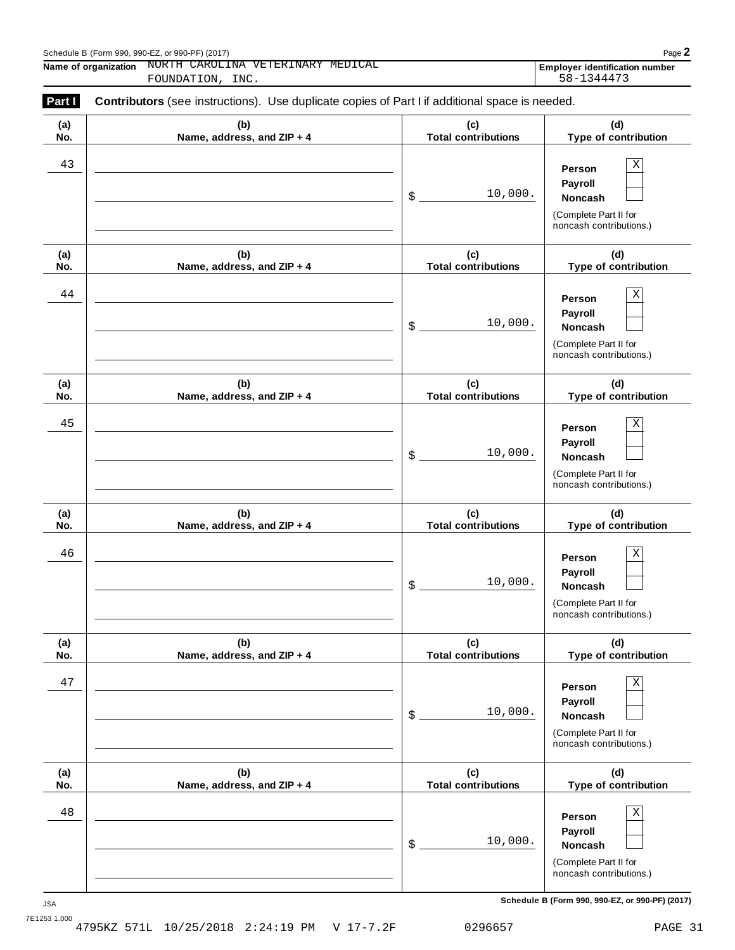| Schedule B (Form 990, 990-EZ, or 990-PF) (2017) | Page ≥ |
|-------------------------------------------------|--------|
|                                                 |        |

| (a) | (b)                        | (c)                        | (d)                                                                                          |
|-----|----------------------------|----------------------------|----------------------------------------------------------------------------------------------|
| No. | Name, address, and ZIP + 4 | <b>Total contributions</b> | Type of contribution                                                                         |
| 43  |                            | 10,000.<br>\$              | Χ<br>Person<br>Payroll<br><b>Noncash</b><br>(Complete Part II for<br>noncash contributions.) |
| (a) | (b)                        | (c)                        | (d)                                                                                          |
| No. | Name, address, and ZIP + 4 | <b>Total contributions</b> | Type of contribution                                                                         |
| 44  |                            | 10,000.<br>\$              | Χ<br>Person<br>Payroll<br><b>Noncash</b><br>(Complete Part II for<br>noncash contributions.) |
| (a) | (b)                        | (c)                        | (d)                                                                                          |
| No. | Name, address, and ZIP + 4 | <b>Total contributions</b> | Type of contribution                                                                         |
| 45  |                            | 10,000.<br>\$              | Χ<br>Person<br>Payroll<br><b>Noncash</b><br>(Complete Part II for<br>noncash contributions.) |
| (a) | (b)                        | (c)                        | (d)                                                                                          |
| No. | Name, address, and ZIP + 4 | <b>Total contributions</b> | Type of contribution                                                                         |
| 46  |                            | 10,000.<br>\$              | Χ<br>Person<br>Payroll<br><b>Noncash</b><br>(Complete Part II for<br>noncash contributions.) |
| (a) | (b)                        | (c)                        | (d)                                                                                          |
| No. | Name, address, and ZIP + 4 | <b>Total contributions</b> | Type of contribution                                                                         |
| 47  |                            | 10,000.<br>\$              | Χ<br>Person<br>Payroll<br><b>Noncash</b><br>(Complete Part II for<br>noncash contributions.) |
| (a) | (b)                        | (c)                        | (d)                                                                                          |
| No. | Name, address, and ZIP + 4 | <b>Total contributions</b> | Type of contribution                                                                         |
| 48  |                            | 10,000.<br>\$              | Χ<br>Person<br>Payroll<br>Noncash<br>(Complete Part II for                                   |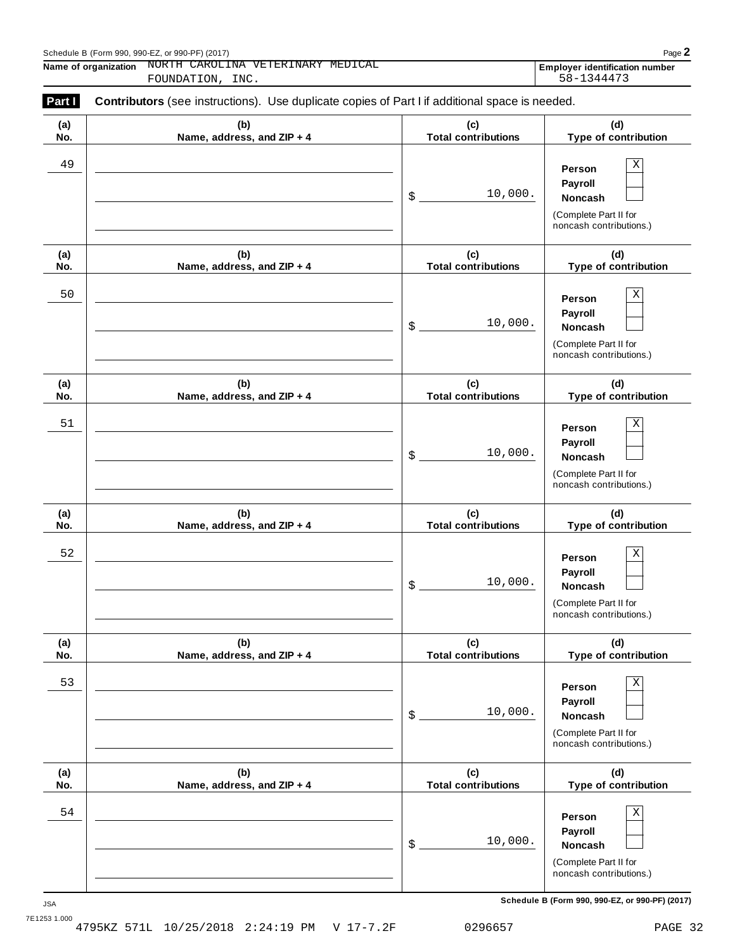| Schedule B (Form 990, 990-EZ, or 990-PF) (2017) | Page ≥ |
|-------------------------------------------------|--------|
|                                                 |        |

| Part I     | Contributors (see instructions). Use duplicate copies of Part I if additional space is needed. |                                   |                                                                                                 |  |
|------------|------------------------------------------------------------------------------------------------|-----------------------------------|-------------------------------------------------------------------------------------------------|--|
| (a)<br>No. | (b)<br>Name, address, and ZIP + 4                                                              | (c)<br><b>Total contributions</b> | (d)<br>Type of contribution                                                                     |  |
| 49         |                                                                                                | 10,000.<br>\$                     | $\mathbf X$<br>Person<br>Payroll<br>Noncash<br>(Complete Part II for<br>noncash contributions.) |  |
| (a)<br>No. | (b)<br>Name, address, and ZIP + 4                                                              | (c)<br><b>Total contributions</b> | (d)<br>Type of contribution                                                                     |  |
| 50         |                                                                                                | 10,000.<br>\$                     | Χ<br>Person<br>Payroll<br>Noncash<br>(Complete Part II for<br>noncash contributions.)           |  |
| (a)<br>No. | (b)<br>Name, address, and ZIP + 4                                                              | (c)<br><b>Total contributions</b> | (d)<br>Type of contribution                                                                     |  |
| 51         |                                                                                                | 10,000.<br>\$                     | Χ<br>Person<br>Payroll<br>Noncash<br>(Complete Part II for<br>noncash contributions.)           |  |
| (a)<br>No. | (b)<br>Name, address, and ZIP + 4                                                              | (c)<br><b>Total contributions</b> | (d)<br>Type of contribution                                                                     |  |
| 52         |                                                                                                | 10,000.<br>\$                     | Χ<br>Person<br>Payroll<br>Noncash<br>(Complete Part II for<br>noncash contributions.)           |  |
| (a)<br>No. | (b)<br>Name, address, and ZIP + 4                                                              | (c)<br><b>Total contributions</b> | (d)<br>Type of contribution                                                                     |  |
| 53         |                                                                                                | 10,000.<br>\$                     | Χ<br>Person<br>Payroll<br><b>Noncash</b><br>(Complete Part II for<br>noncash contributions.)    |  |
| (a)<br>No. | (b)<br>Name, address, and ZIP + 4                                                              | (c)<br><b>Total contributions</b> | (d)<br>Type of contribution                                                                     |  |
| 54         |                                                                                                | 10,000.<br>\$                     | Χ<br>Person<br>Payroll<br>Noncash<br>(Complete Part II for<br>noncash contributions.)           |  |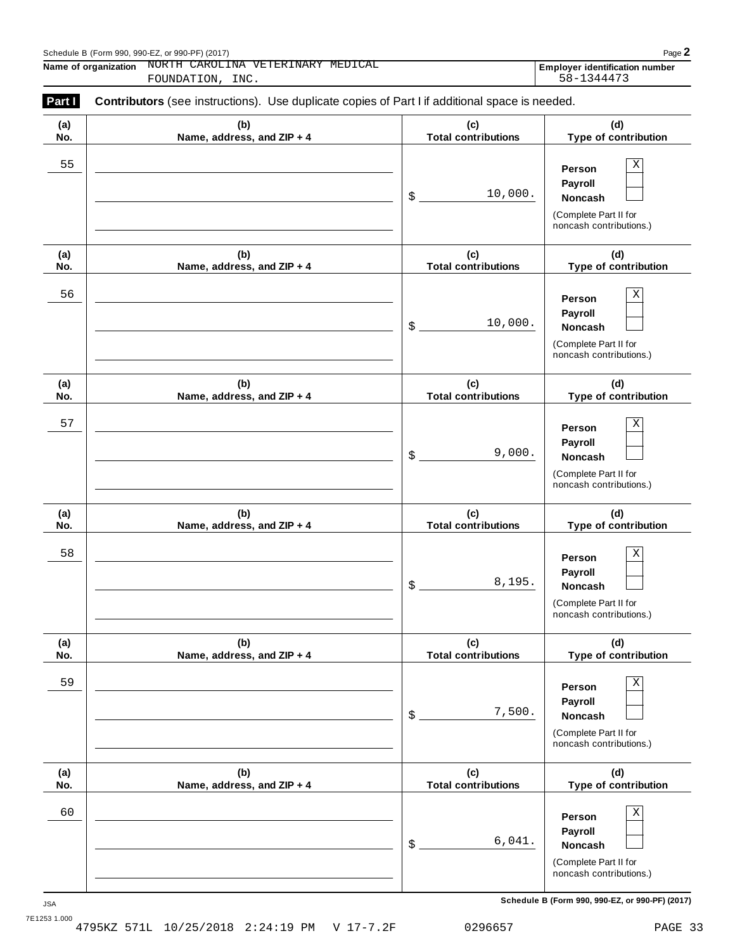| Schedule B (Form 990, 990-EZ, or 990-PF) (2017) | Page ≥ |
|-------------------------------------------------|--------|
|                                                 |        |

| Part I     | Contributors (see instructions). Use duplicate copies of Part I if additional space is needed. |                                   |                                                                                              |
|------------|------------------------------------------------------------------------------------------------|-----------------------------------|----------------------------------------------------------------------------------------------|
| (a)<br>No. | (b)<br>Name, address, and ZIP + 4                                                              | (c)<br><b>Total contributions</b> | (d)<br>Type of contribution                                                                  |
| 55         |                                                                                                | 10,000.<br>\$                     | Χ<br>Person<br>Payroll<br>Noncash<br>(Complete Part II for<br>noncash contributions.)        |
| (a)<br>No. | (b)<br>Name, address, and ZIP + 4                                                              | (c)<br><b>Total contributions</b> | (d)<br>Type of contribution                                                                  |
| 56         |                                                                                                | 10,000.<br>\$                     | Χ<br>Person<br>Payroll<br>Noncash<br>(Complete Part II for<br>noncash contributions.)        |
| (a)<br>No. | (b)<br>Name, address, and ZIP + 4                                                              | (c)<br><b>Total contributions</b> | (d)<br>Type of contribution                                                                  |
| 57         |                                                                                                | 9,000.<br>\$                      | Χ<br>Person<br>Payroll<br>Noncash<br>(Complete Part II for<br>noncash contributions.)        |
| (a)<br>No. | (b)<br>Name, address, and ZIP + 4                                                              | (c)<br><b>Total contributions</b> | (d)<br>Type of contribution                                                                  |
| 58         |                                                                                                | 8,195.<br>\$                      | Χ<br>Person<br>Payroll<br>Noncash<br>(Complete Part II for<br>noncash contributions.)        |
| (a)<br>No. | (b)<br>Name, address, and ZIP + 4                                                              | (c)<br><b>Total contributions</b> | (d)<br><b>Type of contribution</b>                                                           |
| 59         |                                                                                                | 7,500.<br>\$                      | Χ<br>Person<br>Payroll<br><b>Noncash</b><br>(Complete Part II for<br>noncash contributions.) |
| (a)<br>No. | (b)<br>Name, address, and ZIP + 4                                                              | (c)<br><b>Total contributions</b> | (d)<br><b>Type of contribution</b>                                                           |
| 60         |                                                                                                | 6,041.<br>\$                      | Χ<br>Person<br>Payroll<br>Noncash<br>(Complete Part II for<br>noncash contributions.)        |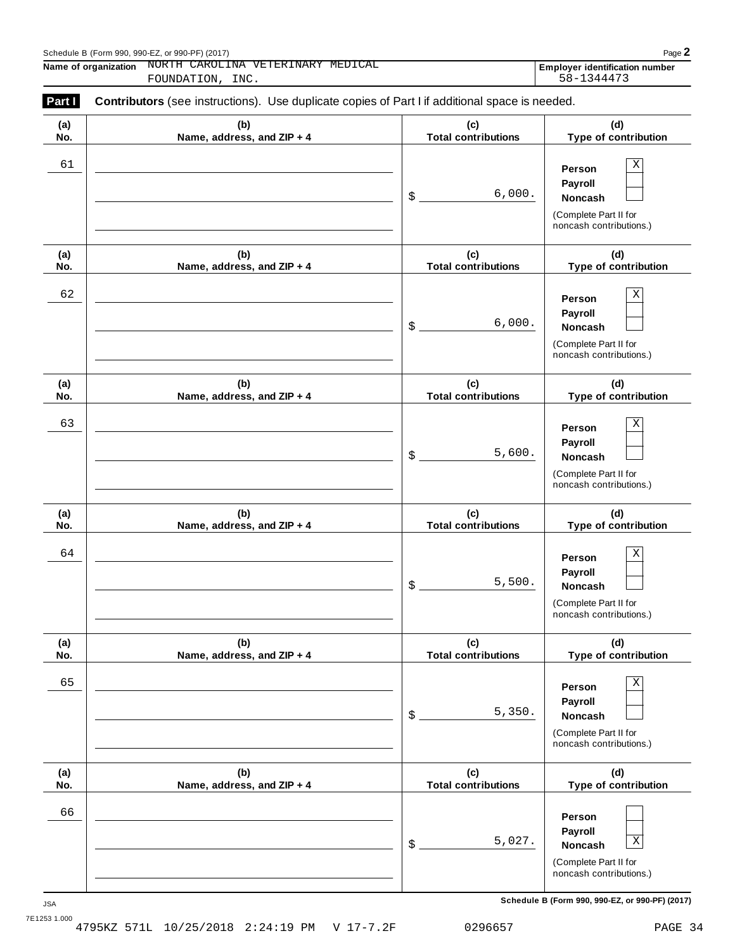| Schedule B (Form 990, 990-EZ, or 990-PF) (2017) | Page ≥ |
|-------------------------------------------------|--------|
|                                                 |        |

**Name of organization NORTH CAROLINA VETERINARY MEDICAL Employer identification** number

NORTH CAROLINA VETERINARY MEDICAL **Employer identification number**<br>FOUNDATION, INC. 58-1344473

| (a) | (b)                        | (c)                        | (d)                                                                                             |
|-----|----------------------------|----------------------------|-------------------------------------------------------------------------------------------------|
| No. | Name, address, and ZIP + 4 | <b>Total contributions</b> | Type of contribution                                                                            |
| 61  |                            | 6,000.<br>\$               | Χ<br>Person<br>Payroll<br>Noncash<br>(Complete Part II for<br>noncash contributions.)           |
| (a) | (b)                        | (c)                        | (d)                                                                                             |
| No. | Name, address, and ZIP + 4 | <b>Total contributions</b> | Type of contribution                                                                            |
| 62  |                            | 6,000.<br>\$               | Χ<br>Person<br>Payroll<br>Noncash<br>(Complete Part II for<br>noncash contributions.)           |
| (a) | (b)                        | (c)                        | (d)                                                                                             |
| No. | Name, address, and ZIP + 4 | <b>Total contributions</b> | Type of contribution                                                                            |
| 63  |                            | 5,600.<br>\$               | Χ<br>Person<br>Payroll<br>Noncash<br>(Complete Part II for<br>noncash contributions.)           |
| (a) | (b)                        | (c)                        | (d)                                                                                             |
| No. | Name, address, and ZIP + 4 | <b>Total contributions</b> | Type of contribution                                                                            |
| 64  |                            | 5,500.<br>\$               | Χ<br>Person<br>Payroll<br>Noncash<br>(Complete Part II for<br>noncash contributions.)           |
| (a) | (b)                        | (c)                        | (d)                                                                                             |
| No. | Name, address, and ZIP + 4 | <b>Total contributions</b> | Type of contribution                                                                            |
| 65  |                            | 5,350.<br>\$               | х<br>Person<br>Payroll<br>Noncash<br>(Complete Part II for<br>noncash contributions.)           |
| (a) | (b)                        | (c)                        | (d)                                                                                             |
| No. | Name, address, and ZIP + 4 | <b>Total contributions</b> | Type of contribution                                                                            |
| 66  |                            | 5,027.<br>\$               | Person<br>Payroll<br>$\mathbf X$<br>Noncash<br>(Complete Part II for<br>noncash contributions.) |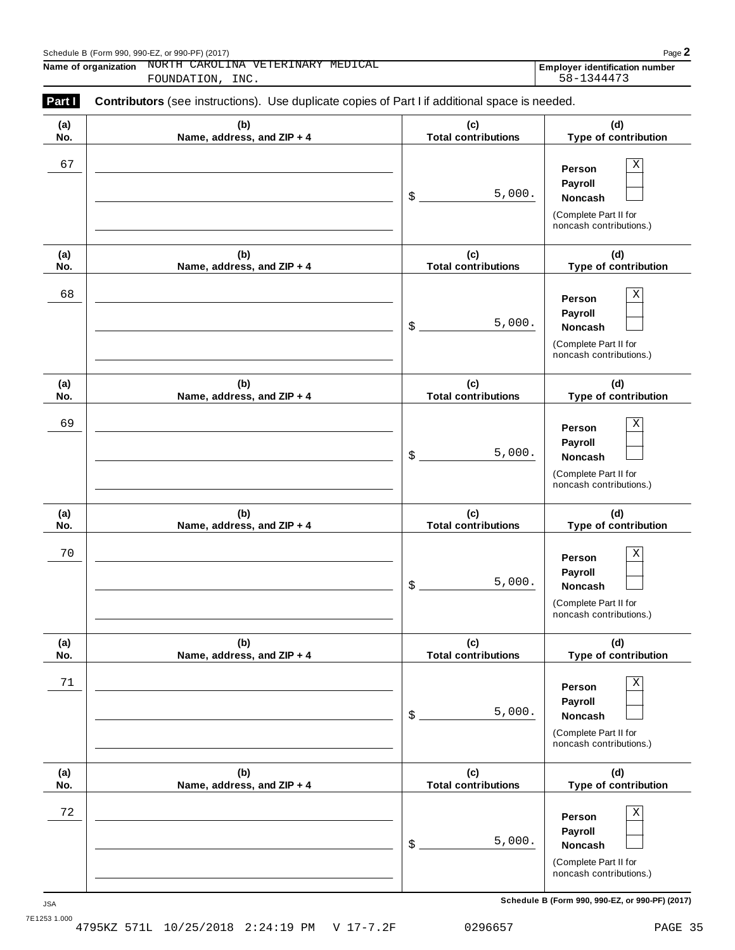| Schedule B (Form 990, 990-EZ, or 990-PF) (2017) | Page ≥ |
|-------------------------------------------------|--------|
|                                                 |        |

| Part I     | Contributors (see instructions). Use duplicate copies of Part I if additional space is needed. |                                   |                                                                                              |
|------------|------------------------------------------------------------------------------------------------|-----------------------------------|----------------------------------------------------------------------------------------------|
| (a)<br>No. | (b)<br>Name, address, and ZIP + 4                                                              | (c)<br><b>Total contributions</b> | (d)<br>Type of contribution                                                                  |
| 67         |                                                                                                | 5,000.<br>\$                      | Χ<br>Person<br>Payroll<br>Noncash<br>(Complete Part II for<br>noncash contributions.)        |
| (a)<br>No. | (b)<br>Name, address, and ZIP + 4                                                              | (c)<br><b>Total contributions</b> | (d)<br>Type of contribution                                                                  |
| 68         |                                                                                                | 5,000.<br>\$                      | Χ<br>Person<br>Payroll<br><b>Noncash</b><br>(Complete Part II for<br>noncash contributions.) |
| (a)<br>No. | (b)<br>Name, address, and ZIP + 4                                                              | (c)<br><b>Total contributions</b> | (d)<br>Type of contribution                                                                  |
| 69         |                                                                                                | 5,000.<br>\$                      | Χ<br>Person<br>Payroll<br>Noncash<br>(Complete Part II for<br>noncash contributions.)        |
| (a)<br>No. | (b)<br>Name, address, and ZIP + 4                                                              | (c)<br><b>Total contributions</b> | (d)<br>Type of contribution                                                                  |
| 70         |                                                                                                | 5,000.<br>\$                      | Χ<br>Person<br>Payroll<br><b>Noncash</b><br>(Complete Part II for<br>noncash contributions.) |
| (a)<br>No. | (b)<br>Name, address, and ZIP + 4                                                              | (c)<br><b>Total contributions</b> | (d)<br><b>Type of contribution</b>                                                           |
| 71         |                                                                                                | 5,000.<br>\$                      | Χ<br>Person<br>Payroll<br><b>Noncash</b><br>(Complete Part II for<br>noncash contributions.) |
| (a)<br>No. | (b)<br>Name, address, and ZIP + 4                                                              | (c)<br><b>Total contributions</b> | (d)<br><b>Type of contribution</b>                                                           |
| 72         |                                                                                                | 5,000.<br>\$                      | Χ<br>Person<br>Payroll<br>Noncash<br>(Complete Part II for<br>noncash contributions.)        |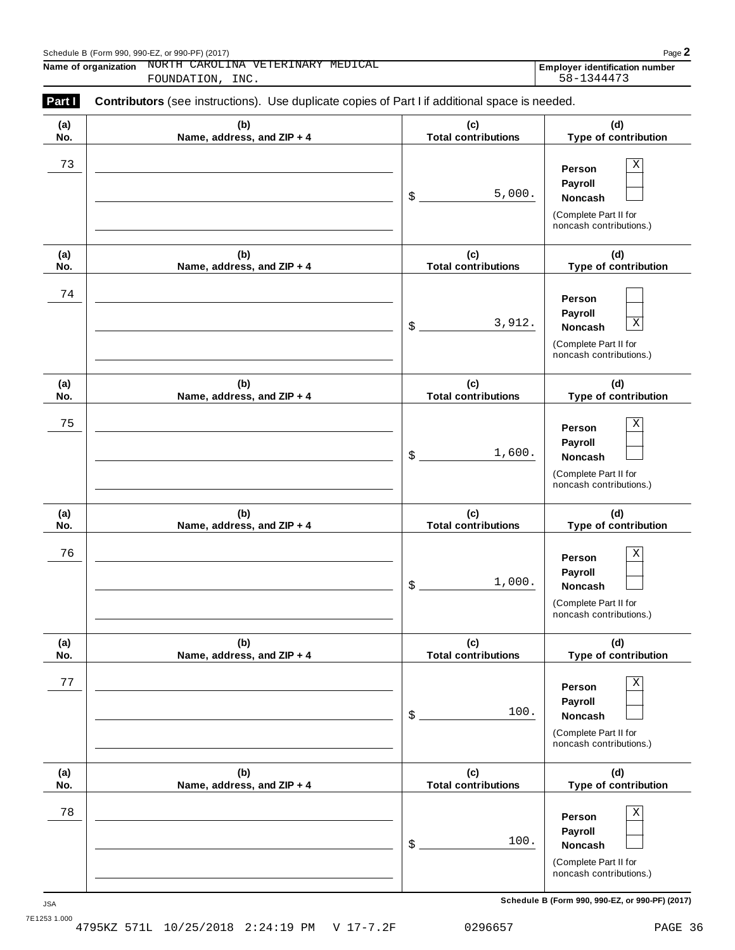| Schedule B (Form 990, 990-EZ, or 990-PF) (2017) | Page ≥ |
|-------------------------------------------------|--------|
|                                                 |        |

| Part I     | Contributors (see instructions). Use duplicate copies of Part I if additional space is needed. |                                   |                                                                                                 |  |  |
|------------|------------------------------------------------------------------------------------------------|-----------------------------------|-------------------------------------------------------------------------------------------------|--|--|
| (a)<br>No. | (b)<br>Name, address, and ZIP + 4                                                              | (c)<br><b>Total contributions</b> | (d)<br>Type of contribution                                                                     |  |  |
| 73         |                                                                                                | 5,000.<br>\$                      | Χ<br>Person<br>Payroll<br>Noncash<br>(Complete Part II for<br>noncash contributions.)           |  |  |
| (a)<br>No. | (b)<br>Name, address, and ZIP + 4                                                              | (c)<br><b>Total contributions</b> | (d)<br>Type of contribution                                                                     |  |  |
| 74         |                                                                                                | 3,912.<br>\$                      | Person<br>Payroll<br>$\mathbf X$<br>Noncash<br>(Complete Part II for<br>noncash contributions.) |  |  |
| (a)<br>No. | (b)<br>Name, address, and ZIP + 4                                                              | (c)<br><b>Total contributions</b> | (d)<br>Type of contribution                                                                     |  |  |
| 75         |                                                                                                | 1,600.<br>\$                      | Χ<br>Person<br>Payroll<br>Noncash<br>(Complete Part II for<br>noncash contributions.)           |  |  |
| (a)<br>No. | (b)<br>Name, address, and ZIP + 4                                                              | (c)<br><b>Total contributions</b> | (d)<br>Type of contribution                                                                     |  |  |
| 76         |                                                                                                | 1,000.<br>\$                      | Χ<br>Person<br>Payroll<br>Noncash<br>(Complete Part II for<br>noncash contributions.)           |  |  |
| (a)<br>No. | (b)<br>Name, address, and ZIP + 4                                                              | (c)<br><b>Total contributions</b> | (d)<br>Type of contribution                                                                     |  |  |
| 77         |                                                                                                | 100.<br>\$                        | Χ<br>Person<br>Payroll<br>Noncash<br>(Complete Part II for<br>noncash contributions.)           |  |  |
| (a)<br>No. | (b)<br>Name, address, and ZIP + 4                                                              | (c)<br><b>Total contributions</b> | (d)<br>Type of contribution                                                                     |  |  |
| 78         |                                                                                                | 100.<br>\$                        | Χ<br>Person<br>Payroll<br>Noncash<br>(Complete Part II for<br>noncash contributions.)           |  |  |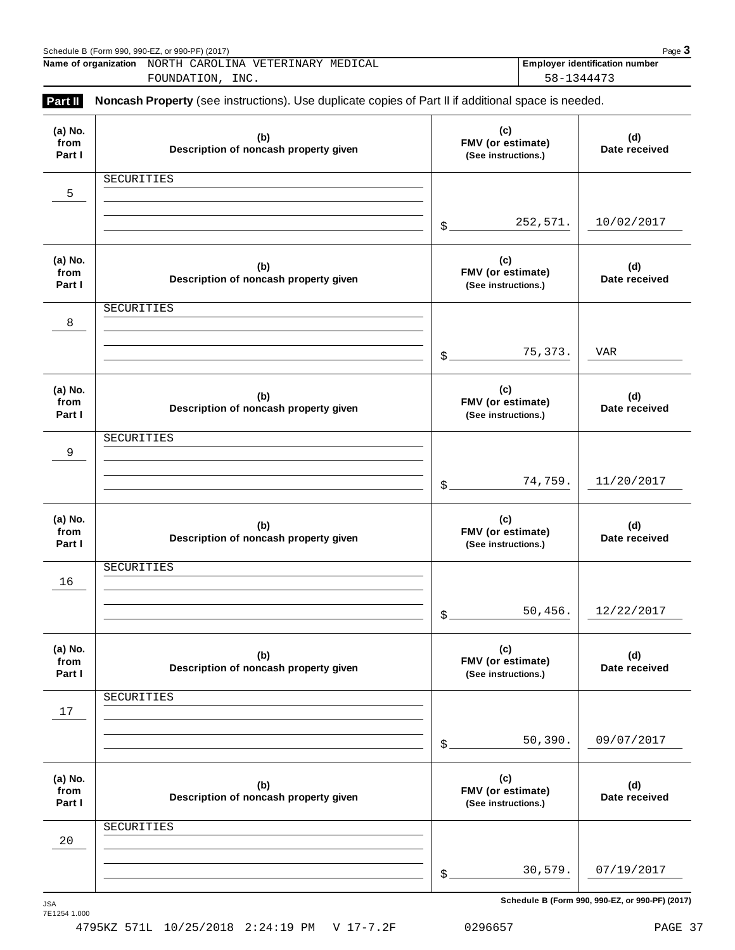|                           | Schedule B (Form 990, 990-EZ, or 990-PF) (2017)                                                     |                                                 |                                                 | Page 3                                |
|---------------------------|-----------------------------------------------------------------------------------------------------|-------------------------------------------------|-------------------------------------------------|---------------------------------------|
|                           | Name of organization NORTH CAROLINA VETERINARY MEDICAL                                              |                                                 |                                                 | <b>Employer identification number</b> |
|                           | FOUNDATION, INC.                                                                                    |                                                 | 58-1344473                                      |                                       |
| Part II                   | Noncash Property (see instructions). Use duplicate copies of Part II if additional space is needed. |                                                 |                                                 |                                       |
| (a) No.<br>from<br>Part I | (b)<br>Description of noncash property given                                                        |                                                 | (c)<br>FMV (or estimate)<br>(See instructions.) |                                       |
| 5                         | SECURITIES                                                                                          |                                                 |                                                 |                                       |
|                           |                                                                                                     | \$                                              | 252,571.                                        | 10/02/2017                            |
| (a) No.<br>from<br>Part I | (b)<br>Description of noncash property given                                                        | (c)<br>FMV (or estimate)<br>(See instructions.) |                                                 | (d)<br>Date received                  |
| $\,8\,$                   | SECURITIES                                                                                          |                                                 |                                                 |                                       |
|                           |                                                                                                     | \$                                              | 75, 373.                                        | VAR                                   |
| (a) No.<br>from<br>Part I | (b)<br>Description of noncash property given                                                        | (c)<br>FMV (or estimate)<br>(See instructions.) |                                                 | (d)<br>Date received                  |
| 9                         | SECURITIES                                                                                          |                                                 |                                                 |                                       |
|                           |                                                                                                     | \$                                              | 74,759.                                         | 11/20/2017                            |
| (a) No.<br>from<br>Part I | (b)<br>Description of noncash property given                                                        | (c)<br>FMV (or estimate)<br>(See instructions.) |                                                 | (d)<br>Date received                  |
|                           | SECURITIES                                                                                          |                                                 |                                                 |                                       |
| 16                        |                                                                                                     |                                                 |                                                 |                                       |
|                           |                                                                                                     | \$                                              | 50,456.                                         | 12/22/2017                            |
| (a) No.<br>from<br>Part I | (b)<br>Description of noncash property given                                                        | (c)<br>FMV (or estimate)<br>(See instructions.) |                                                 | (d)<br>Date received                  |
| 17                        | SECURITIES                                                                                          |                                                 |                                                 |                                       |
|                           |                                                                                                     | \$                                              | 50,390.                                         | 09/07/2017                            |
| (a) No.<br>from<br>Part I | (b)<br>Description of noncash property given                                                        | (c)<br>FMV (or estimate)<br>(See instructions.) |                                                 | (d)<br>Date received                  |
|                           | SECURITIES                                                                                          |                                                 |                                                 |                                       |
| 20                        |                                                                                                     |                                                 |                                                 |                                       |
|                           |                                                                                                     | \$                                              | 30,579.                                         | 07/19/2017                            |

 $S$ chedule B (Form 990, 990-EZ, or 990-PF) (2017)

7E1254 1.000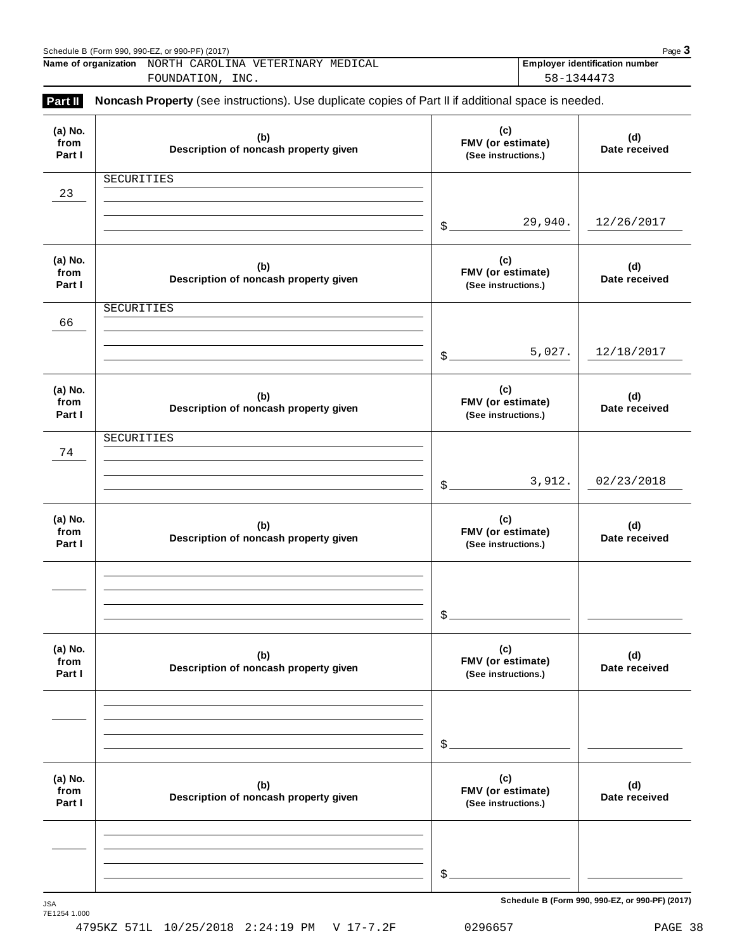|                           | Schedule B (Form 990, 990-EZ, or 990-PF) (2017)<br>Name of organization NORTH CAROLINA VETERINARY MEDICAL |                                                 |            | Page 3<br><b>Employer identification number</b> |
|---------------------------|-----------------------------------------------------------------------------------------------------------|-------------------------------------------------|------------|-------------------------------------------------|
|                           | FOUNDATION, INC.                                                                                          |                                                 | 58-1344473 |                                                 |
| Part II                   | Noncash Property (see instructions). Use duplicate copies of Part II if additional space is needed.       |                                                 |            |                                                 |
| (a) No.<br>from<br>Part I | (b)<br>Description of noncash property given                                                              | (c)<br>FMV (or estimate)<br>(See instructions.) |            | (d)<br>Date received                            |
| 23                        | SECURITIES                                                                                                |                                                 |            |                                                 |
|                           |                                                                                                           | $\delta$                                        | 29,940.    | 12/26/2017                                      |
| (a) No.<br>from<br>Part I | (b)<br>Description of noncash property given                                                              | (c)<br>FMV (or estimate)<br>(See instructions.) |            | (d)<br>Date received                            |
| 66                        | SECURITIES                                                                                                |                                                 |            |                                                 |
|                           |                                                                                                           | $\mathcal{L}_{-}$                               | 5,027.     | 12/18/2017                                      |
| (a) No.<br>from<br>Part I | (b)<br>Description of noncash property given                                                              | (c)<br>FMV (or estimate)<br>(See instructions.) |            | (d)<br>Date received                            |
| 74                        | SECURITIES                                                                                                |                                                 |            |                                                 |
|                           |                                                                                                           | \$                                              | 3,912.     | 02/23/2018                                      |
| (a) No.<br>from<br>Part I | (b)<br>Description of noncash property given                                                              | (c)<br>FMV (or estimate)<br>(See instructions.) |            | (d)<br>Date received                            |
|                           |                                                                                                           |                                                 |            |                                                 |
|                           |                                                                                                           | \$                                              |            |                                                 |
| (a) No.<br>from<br>Part I | (b)<br>Description of noncash property given                                                              | (c)<br>FMV (or estimate)<br>(See instructions.) |            | (d)<br>Date received                            |
|                           |                                                                                                           |                                                 |            |                                                 |
|                           |                                                                                                           | \$                                              |            |                                                 |
| (a) No.<br>from<br>Part I | (b)<br>Description of noncash property given                                                              | (c)<br>FMV (or estimate)<br>(See instructions.) |            | (d)<br>Date received                            |
|                           |                                                                                                           |                                                 |            |                                                 |
|                           |                                                                                                           | \$                                              |            |                                                 |
|                           |                                                                                                           |                                                 |            |                                                 |

 $S$ chedule B (Form 990, 990-EZ, or 990-PF) (2017)

7E1254 1.000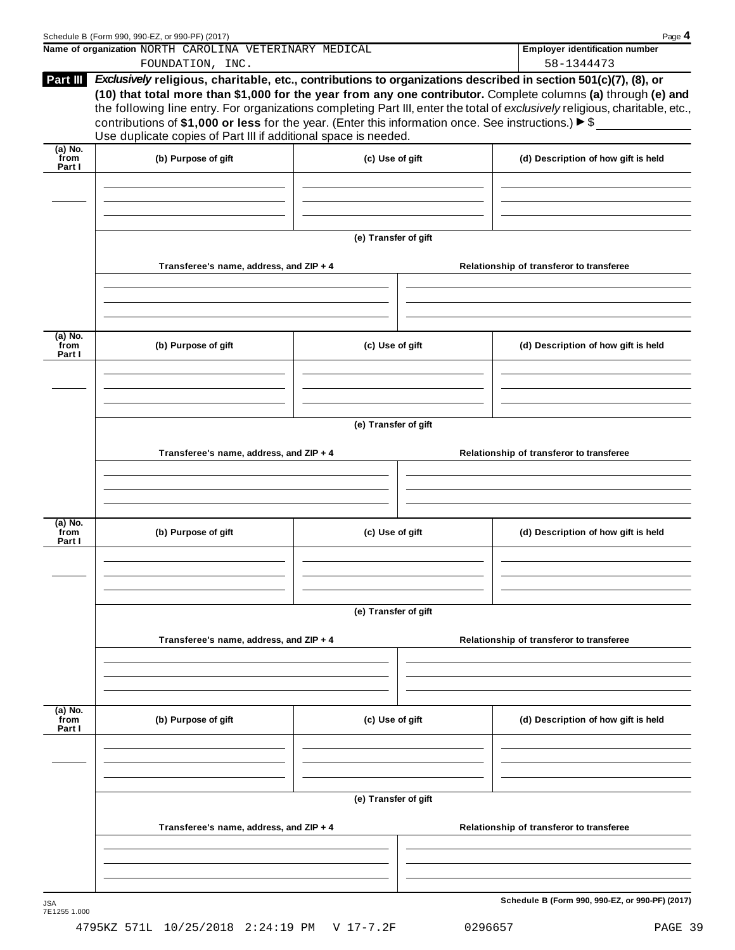|                             | Schedule B (Form 990, 990-EZ, or 990-PF) (2017)                                                                                                                                                                                                                                                                                                                                                                                                                                                                                                            |                      |                                          | Page 4                                          |  |  |  |  |  |  |  |
|-----------------------------|------------------------------------------------------------------------------------------------------------------------------------------------------------------------------------------------------------------------------------------------------------------------------------------------------------------------------------------------------------------------------------------------------------------------------------------------------------------------------------------------------------------------------------------------------------|----------------------|------------------------------------------|-------------------------------------------------|--|--|--|--|--|--|--|
|                             | Name of organization NORTH CAROLINA VETERINARY MEDICAL                                                                                                                                                                                                                                                                                                                                                                                                                                                                                                     |                      |                                          | <b>Employer identification number</b>           |  |  |  |  |  |  |  |
|                             | FOUNDATION, INC.                                                                                                                                                                                                                                                                                                                                                                                                                                                                                                                                           |                      |                                          | 58-1344473                                      |  |  |  |  |  |  |  |
| Part III                    | Exclusively religious, charitable, etc., contributions to organizations described in section 501(c)(7), (8), or<br>(10) that total more than \$1,000 for the year from any one contributor. Complete columns (a) through (e) and<br>the following line entry. For organizations completing Part III, enter the total of exclusively religious, charitable, etc.,<br>contributions of \$1,000 or less for the year. (Enter this information once. See instructions.) $\triangleright$ \$<br>Use duplicate copies of Part III if additional space is needed. |                      |                                          |                                                 |  |  |  |  |  |  |  |
| $(a)$ No.<br>from<br>Part I | (b) Purpose of gift                                                                                                                                                                                                                                                                                                                                                                                                                                                                                                                                        | (c) Use of gift      |                                          | (d) Description of how gift is held             |  |  |  |  |  |  |  |
|                             |                                                                                                                                                                                                                                                                                                                                                                                                                                                                                                                                                            |                      |                                          |                                                 |  |  |  |  |  |  |  |
|                             | (e) Transfer of gift                                                                                                                                                                                                                                                                                                                                                                                                                                                                                                                                       |                      |                                          |                                                 |  |  |  |  |  |  |  |
|                             | Transferee's name, address, and ZIP + 4                                                                                                                                                                                                                                                                                                                                                                                                                                                                                                                    |                      |                                          | Relationship of transferor to transferee        |  |  |  |  |  |  |  |
| $(a)$ No.<br>from           | (b) Purpose of gift                                                                                                                                                                                                                                                                                                                                                                                                                                                                                                                                        | (c) Use of gift      |                                          | (d) Description of how gift is held             |  |  |  |  |  |  |  |
| Part I                      |                                                                                                                                                                                                                                                                                                                                                                                                                                                                                                                                                            |                      |                                          |                                                 |  |  |  |  |  |  |  |
|                             |                                                                                                                                                                                                                                                                                                                                                                                                                                                                                                                                                            | (e) Transfer of gift |                                          |                                                 |  |  |  |  |  |  |  |
|                             | Transferee's name, address, and ZIP + 4                                                                                                                                                                                                                                                                                                                                                                                                                                                                                                                    |                      | Relationship of transferor to transferee |                                                 |  |  |  |  |  |  |  |
|                             |                                                                                                                                                                                                                                                                                                                                                                                                                                                                                                                                                            |                      |                                          |                                                 |  |  |  |  |  |  |  |
| (a) No.<br>from<br>Part I   | (b) Purpose of gift                                                                                                                                                                                                                                                                                                                                                                                                                                                                                                                                        | (c) Use of gift      |                                          | (d) Description of how gift is held             |  |  |  |  |  |  |  |
|                             |                                                                                                                                                                                                                                                                                                                                                                                                                                                                                                                                                            | (e) Transfer of gift |                                          |                                                 |  |  |  |  |  |  |  |
|                             | Transferee's name, address, and ZIP + 4                                                                                                                                                                                                                                                                                                                                                                                                                                                                                                                    |                      | Relationship of transferor to transferee |                                                 |  |  |  |  |  |  |  |
|                             |                                                                                                                                                                                                                                                                                                                                                                                                                                                                                                                                                            |                      |                                          |                                                 |  |  |  |  |  |  |  |
| $(a)$ No.<br>from<br>Part I | (b) Purpose of gift                                                                                                                                                                                                                                                                                                                                                                                                                                                                                                                                        | (c) Use of gift      |                                          | (d) Description of how gift is held             |  |  |  |  |  |  |  |
|                             |                                                                                                                                                                                                                                                                                                                                                                                                                                                                                                                                                            |                      |                                          |                                                 |  |  |  |  |  |  |  |
|                             |                                                                                                                                                                                                                                                                                                                                                                                                                                                                                                                                                            | (e) Transfer of gift |                                          |                                                 |  |  |  |  |  |  |  |
|                             | Transferee's name, address, and ZIP + 4                                                                                                                                                                                                                                                                                                                                                                                                                                                                                                                    |                      |                                          | Relationship of transferor to transferee        |  |  |  |  |  |  |  |
|                             |                                                                                                                                                                                                                                                                                                                                                                                                                                                                                                                                                            |                      |                                          |                                                 |  |  |  |  |  |  |  |
|                             |                                                                                                                                                                                                                                                                                                                                                                                                                                                                                                                                                            |                      |                                          | Schedule B (Form 990, 990-EZ, or 990-PF) (2017) |  |  |  |  |  |  |  |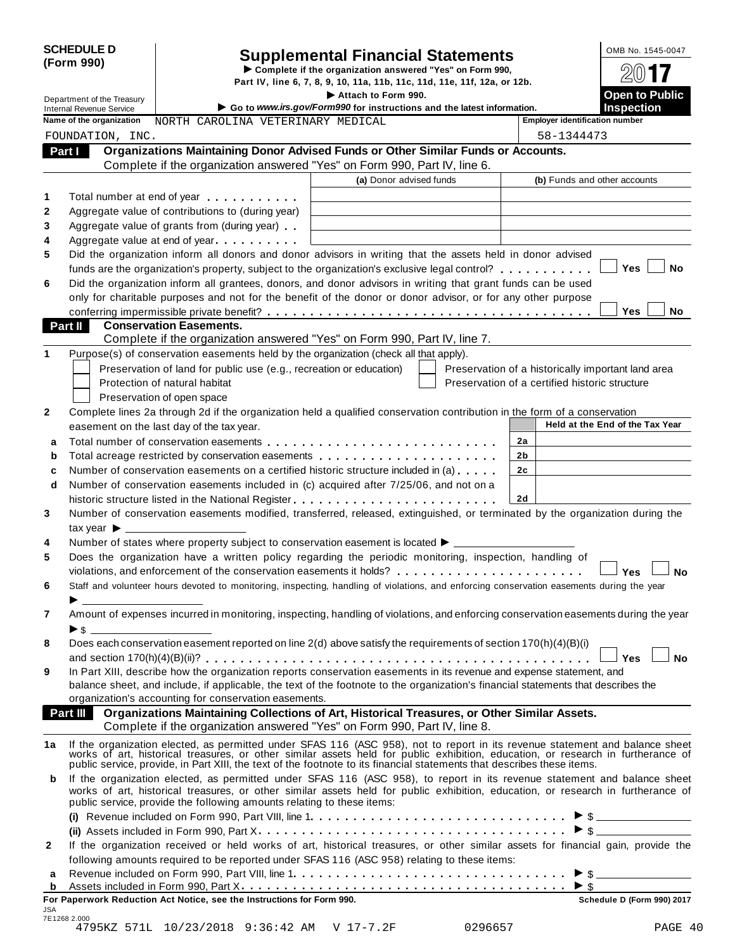| <b>SCHEDULE D</b> |  |
|-------------------|--|
| (Form 990)        |  |

# CHEDULE D<br>
Supplemental Financial Statements<br>
Complete if the organization answered "Yes" on Form 990,<br>
Part IV, line 6, 7, 8, 9, 10, 11a, 11b, 11c, 11d, 11e, 11f, 12a, or 12b.<br>
Attach to Form 990.<br>
Deen to Public

|                 |                                                        |                                                                                                                                                                                                                                | $1.44$ , $1.47$ , $1.47$ , $1.47$ , $1.47$ , $1.47$                                                                                                                                                                            |                                                    | <b>Open to Public</b>           |
|-----------------|--------------------------------------------------------|--------------------------------------------------------------------------------------------------------------------------------------------------------------------------------------------------------------------------------|--------------------------------------------------------------------------------------------------------------------------------------------------------------------------------------------------------------------------------|----------------------------------------------------|---------------------------------|
|                 | Department of the Treasury<br>Internal Revenue Service |                                                                                                                                                                                                                                | Attach to Form 990.<br>Go to www.irs.gov/Form990 for instructions and the latest information.                                                                                                                                  |                                                    | <b>Inspection</b>               |
|                 | Name of the organization                               | NORTH CAROLINA VETERINARY MEDICAL                                                                                                                                                                                              |                                                                                                                                                                                                                                | <b>Employer identification number</b>              |                                 |
|                 | FOUNDATION, INC.                                       |                                                                                                                                                                                                                                |                                                                                                                                                                                                                                | 58-1344473                                         |                                 |
| Part I          |                                                        |                                                                                                                                                                                                                                | Organizations Maintaining Donor Advised Funds or Other Similar Funds or Accounts.                                                                                                                                              |                                                    |                                 |
|                 |                                                        |                                                                                                                                                                                                                                | Complete if the organization answered "Yes" on Form 990, Part IV, line 6.                                                                                                                                                      |                                                    |                                 |
|                 |                                                        |                                                                                                                                                                                                                                | (a) Donor advised funds                                                                                                                                                                                                        |                                                    | (b) Funds and other accounts    |
|                 |                                                        | Total number at end of year manufacturers and response to the state of the state of the state of the state of the state of the state of the state of the state of the state of the state of the state of the state of the stat |                                                                                                                                                                                                                                |                                                    |                                 |
|                 |                                                        | Aggregate value of contributions to (during year)                                                                                                                                                                              |                                                                                                                                                                                                                                |                                                    |                                 |
|                 |                                                        | Aggregate value of grants from (during year)                                                                                                                                                                                   |                                                                                                                                                                                                                                |                                                    |                                 |
|                 |                                                        | Aggregate value at end of year expression and Aggregate value                                                                                                                                                                  |                                                                                                                                                                                                                                |                                                    |                                 |
|                 |                                                        |                                                                                                                                                                                                                                | Did the organization inform all donors and donor advisors in writing that the assets held in donor advised                                                                                                                     |                                                    |                                 |
|                 |                                                        |                                                                                                                                                                                                                                | funds are the organization's property, subject to the organization's exclusive legal control?                                                                                                                                  |                                                    | No<br>Yes                       |
|                 |                                                        |                                                                                                                                                                                                                                | Did the organization inform all grantees, donors, and donor advisors in writing that grant funds can be used                                                                                                                   |                                                    |                                 |
|                 |                                                        |                                                                                                                                                                                                                                | only for charitable purposes and not for the benefit of the donor or donor advisor, or for any other purpose                                                                                                                   |                                                    |                                 |
|                 |                                                        |                                                                                                                                                                                                                                |                                                                                                                                                                                                                                |                                                    | <b>Yes</b><br>No                |
| <b>Part II</b>  |                                                        | <b>Conservation Easements.</b>                                                                                                                                                                                                 |                                                                                                                                                                                                                                |                                                    |                                 |
|                 |                                                        |                                                                                                                                                                                                                                | Complete if the organization answered "Yes" on Form 990, Part IV, line 7.                                                                                                                                                      |                                                    |                                 |
|                 |                                                        |                                                                                                                                                                                                                                | Purpose(s) of conservation easements held by the organization (check all that apply).                                                                                                                                          |                                                    |                                 |
|                 |                                                        | Preservation of land for public use (e.g., recreation or education)                                                                                                                                                            |                                                                                                                                                                                                                                | Preservation of a historically important land area |                                 |
|                 |                                                        | Protection of natural habitat                                                                                                                                                                                                  |                                                                                                                                                                                                                                | Preservation of a certified historic structure     |                                 |
|                 |                                                        | Preservation of open space                                                                                                                                                                                                     |                                                                                                                                                                                                                                |                                                    |                                 |
|                 |                                                        |                                                                                                                                                                                                                                | Complete lines 2a through 2d if the organization held a qualified conservation contribution in the form of a conservation                                                                                                      |                                                    |                                 |
|                 |                                                        | easement on the last day of the tax year.                                                                                                                                                                                      |                                                                                                                                                                                                                                |                                                    | Held at the End of the Tax Year |
| a               |                                                        |                                                                                                                                                                                                                                |                                                                                                                                                                                                                                | 2a                                                 |                                 |
| b               |                                                        |                                                                                                                                                                                                                                | Total acreage restricted by conservation easements                                                                                                                                                                             | 2b                                                 |                                 |
| c               |                                                        |                                                                                                                                                                                                                                | Number of conservation easements on a certified historic structure included in (a)                                                                                                                                             | 2c                                                 |                                 |
| d               |                                                        |                                                                                                                                                                                                                                | Number of conservation easements included in (c) acquired after 7/25/06, and not on a                                                                                                                                          |                                                    |                                 |
|                 |                                                        |                                                                                                                                                                                                                                | historic structure listed in the National Register                                                                                                                                                                             | 2d                                                 |                                 |
|                 |                                                        |                                                                                                                                                                                                                                | Number of conservation easements modified, transferred, released, extinguished, or terminated by the organization during the                                                                                                   |                                                    |                                 |
|                 |                                                        |                                                                                                                                                                                                                                |                                                                                                                                                                                                                                |                                                    |                                 |
|                 |                                                        |                                                                                                                                                                                                                                | Number of states where property subject to conservation easement is located >                                                                                                                                                  |                                                    |                                 |
|                 |                                                        |                                                                                                                                                                                                                                | Does the organization have a written policy regarding the periodic monitoring, inspection, handling of                                                                                                                         |                                                    |                                 |
|                 |                                                        |                                                                                                                                                                                                                                | violations, and enforcement of the conservation easements it holds?                                                                                                                                                            |                                                    | Yes<br>No                       |
|                 |                                                        |                                                                                                                                                                                                                                | Staff and volunteer hours devoted to monitoring, inspecting, handling of violations, and enforcing conservation easements during the year                                                                                      |                                                    |                                 |
|                 |                                                        |                                                                                                                                                                                                                                |                                                                                                                                                                                                                                |                                                    |                                 |
|                 |                                                        |                                                                                                                                                                                                                                | Amount of expenses incurred in monitoring, inspecting, handling of violations, and enforcing conservation easements during the year                                                                                            |                                                    |                                 |
|                 | $\triangleright$ \$                                    |                                                                                                                                                                                                                                |                                                                                                                                                                                                                                |                                                    |                                 |
|                 |                                                        |                                                                                                                                                                                                                                | Does each conservation easement reported on line 2(d) above satisfy the requirements of section 170(h)(4)(B)(i)                                                                                                                |                                                    |                                 |
|                 |                                                        |                                                                                                                                                                                                                                |                                                                                                                                                                                                                                |                                                    | <b>No</b><br><b>Yes</b>         |
|                 |                                                        |                                                                                                                                                                                                                                | In Part XIII, describe how the organization reports conservation easements in its revenue and expense statement, and                                                                                                           |                                                    |                                 |
|                 |                                                        |                                                                                                                                                                                                                                | balance sheet, and include, if applicable, the text of the footnote to the organization's financial statements that describes the                                                                                              |                                                    |                                 |
|                 |                                                        | organization's accounting for conservation easements.                                                                                                                                                                          |                                                                                                                                                                                                                                |                                                    |                                 |
| <b>Part III</b> |                                                        |                                                                                                                                                                                                                                | Organizations Maintaining Collections of Art, Historical Treasures, or Other Similar Assets.                                                                                                                                   |                                                    |                                 |
|                 |                                                        |                                                                                                                                                                                                                                | Complete if the organization answered "Yes" on Form 990, Part IV, line 8.                                                                                                                                                      |                                                    |                                 |
| 1a              |                                                        |                                                                                                                                                                                                                                | If the organization elected, as permitted under SFAS 116 (ASC 958), not to report in its revenue statement and balance sheet works of art, historical treasures, or other similar assets held for public exhibition, education |                                                    |                                 |
|                 |                                                        |                                                                                                                                                                                                                                | public service, provide, in Part XIII, the text of the footnote to its financial statements that describes these items.                                                                                                        |                                                    |                                 |
| b               |                                                        |                                                                                                                                                                                                                                | If the organization elected, as permitted under SFAS 116 (ASC 958), to report in its revenue statement and balance sheet                                                                                                       |                                                    |                                 |
|                 |                                                        |                                                                                                                                                                                                                                | works of art, historical treasures, or other similar assets held for public exhibition, education, or research in furtherance of                                                                                               |                                                    |                                 |
|                 |                                                        | public service, provide the following amounts relating to these items:                                                                                                                                                         |                                                                                                                                                                                                                                |                                                    |                                 |
|                 |                                                        |                                                                                                                                                                                                                                |                                                                                                                                                                                                                                |                                                    |                                 |
|                 |                                                        |                                                                                                                                                                                                                                |                                                                                                                                                                                                                                |                                                    | $\triangleright$ \$             |
|                 |                                                        |                                                                                                                                                                                                                                | If the organization received or held works of art, historical treasures, or other similar assets for financial gain, provide the                                                                                               |                                                    |                                 |
|                 |                                                        |                                                                                                                                                                                                                                | following amounts required to be reported under SFAS 116 (ASC 958) relating to these items:                                                                                                                                    |                                                    |                                 |
| a               |                                                        |                                                                                                                                                                                                                                |                                                                                                                                                                                                                                |                                                    |                                 |
| b               |                                                        |                                                                                                                                                                                                                                |                                                                                                                                                                                                                                |                                                    |                                 |
| <b>JSA</b>      |                                                        | For Paperwork Reduction Act Notice, see the Instructions for Form 990.                                                                                                                                                         |                                                                                                                                                                                                                                |                                                    | Schedule D (Form 990) 2017      |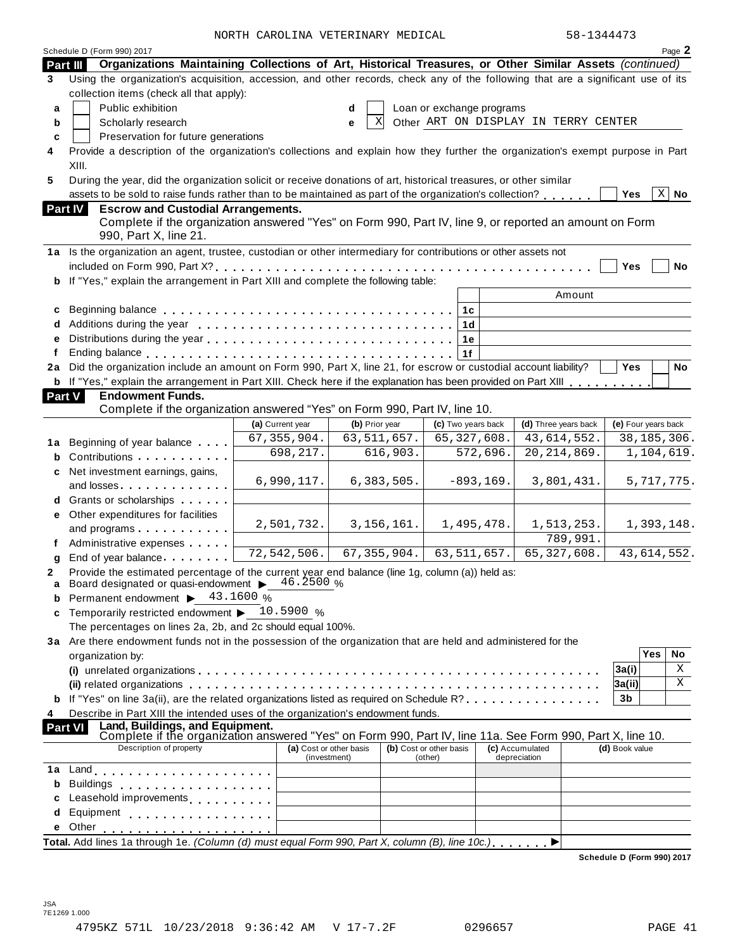|    |                                                                                                                                                                                                                                | NORTH CAROLINA VETERINARY MEDICAL |                         |                                    |                                      | 58-1344473           |                |                            |
|----|--------------------------------------------------------------------------------------------------------------------------------------------------------------------------------------------------------------------------------|-----------------------------------|-------------------------|------------------------------------|--------------------------------------|----------------------|----------------|----------------------------|
|    | Schedule D (Form 990) 2017<br>Organizations Maintaining Collections of Art, Historical Treasures, or Other Similar Assets (continued)<br>Part III                                                                              |                                   |                         |                                    |                                      |                      |                | Page 2                     |
| 3  | Using the organization's acquisition, accession, and other records, check any of the following that are a significant use of its                                                                                               |                                   |                         |                                    |                                      |                      |                |                            |
|    | collection items (check all that apply):                                                                                                                                                                                       |                                   |                         |                                    |                                      |                      |                |                            |
| a  | Public exhibition                                                                                                                                                                                                              |                                   | d                       | Loan or exchange programs          |                                      |                      |                |                            |
| b  | Scholarly research                                                                                                                                                                                                             |                                   | Χ<br>е                  |                                    | Other ART ON DISPLAY IN TERRY CENTER |                      |                |                            |
| C  | Preservation for future generations                                                                                                                                                                                            |                                   |                         |                                    |                                      |                      |                |                            |
| 4  | Provide a description of the organization's collections and explain how they further the organization's exempt purpose in Part                                                                                                 |                                   |                         |                                    |                                      |                      |                |                            |
|    | XIII.                                                                                                                                                                                                                          |                                   |                         |                                    |                                      |                      |                |                            |
| 5  | During the year, did the organization solicit or receive donations of art, historical treasures, or other similar                                                                                                              |                                   |                         |                                    |                                      |                      |                |                            |
|    | assets to be sold to raise funds rather than to be maintained as part of the organization's collection?                                                                                                                        |                                   |                         |                                    |                                      |                      | Yes            | $\mathbf{x}$<br>No         |
|    | <b>Part IV</b><br><b>Escrow and Custodial Arrangements.</b>                                                                                                                                                                    |                                   |                         |                                    |                                      |                      |                |                            |
|    | Complete if the organization answered "Yes" on Form 990, Part IV, line 9, or reported an amount on Form<br>990, Part X, line 21.                                                                                               |                                   |                         |                                    |                                      |                      |                |                            |
|    | 1a Is the organization an agent, trustee, custodian or other intermediary for contributions or other assets not                                                                                                                |                                   |                         |                                    |                                      |                      |                |                            |
|    |                                                                                                                                                                                                                                |                                   |                         |                                    |                                      |                      | Yes            | <b>No</b>                  |
| b  | If "Yes," explain the arrangement in Part XIII and complete the following table:                                                                                                                                               |                                   |                         |                                    |                                      |                      |                |                            |
|    |                                                                                                                                                                                                                                |                                   |                         |                                    |                                      | Amount               |                |                            |
| c  |                                                                                                                                                                                                                                |                                   |                         | 1c                                 |                                      |                      |                |                            |
|    |                                                                                                                                                                                                                                |                                   |                         | 1d                                 |                                      |                      |                |                            |
| e  |                                                                                                                                                                                                                                |                                   |                         | 1e                                 |                                      |                      |                |                            |
| f  |                                                                                                                                                                                                                                |                                   |                         | 1f                                 |                                      |                      |                |                            |
| 2a | Did the organization include an amount on Form 990, Part X, line 21, for escrow or custodial account liability?                                                                                                                |                                   |                         |                                    |                                      |                      | <b>Yes</b>     | <b>No</b>                  |
|    | <b>b</b> If "Yes," explain the arrangement in Part XIII. Check here if the explanation has been provided on Part XIII                                                                                                          |                                   |                         |                                    |                                      |                      |                |                            |
|    | Part V<br><b>Endowment Funds.</b>                                                                                                                                                                                              |                                   |                         |                                    |                                      |                      |                |                            |
|    | Complete if the organization answered "Yes" on Form 990, Part IV, line 10.                                                                                                                                                     |                                   |                         |                                    |                                      |                      |                |                            |
|    |                                                                                                                                                                                                                                | (a) Current year                  | (b) Prior year          | (c) Two years back                 |                                      | (d) Three years back |                | (e) Four years back        |
| 1a | Beginning of year balance                                                                                                                                                                                                      | 67, 355, 904.                     | 63, 511, 657.           | 65, 327, 608.                      |                                      | 43,614,552.          |                | 38, 185, 306.              |
| b  | Contributions                                                                                                                                                                                                                  | 698,217.                          | 616,903.                | 572,696.                           |                                      | 20, 214, 869.        |                | 1,104,619.                 |
|    |                                                                                                                                                                                                                                |                                   |                         |                                    |                                      |                      |                |                            |
|    | Net investment earnings, gains,<br>and losses experiences and losses                                                                                                                                                           | 6,990,117.                        | 6,383,505.              | $-893, 169.$                       |                                      | 3,801,431.           |                | 5,717,775.                 |
|    |                                                                                                                                                                                                                                |                                   |                         |                                    |                                      |                      |                |                            |
|    | d Grants or scholarships                                                                                                                                                                                                       |                                   |                         |                                    |                                      |                      |                |                            |
| е  | Other expenditures for facilities                                                                                                                                                                                              | 2,501,732.                        | 3, 156, 161.            | 1,495,478.                         |                                      | 1,513,253.           |                | 1,393,148.                 |
|    | and programs                                                                                                                                                                                                                   |                                   |                         |                                    |                                      | 789,991.             |                |                            |
|    | Administrative expenses                                                                                                                                                                                                        | 72,542,506.                       | 67, 355, 904.           | 63,511,657.                        |                                      | 65, 327, 608.        |                | $\overline{43,614}$ , 552. |
| g  | End of year balance expansion of year balance                                                                                                                                                                                  |                                   |                         |                                    |                                      |                      |                |                            |
| a  | Provide the estimated percentage of the current year end balance (line 1g, column (a)) held as:<br>Board designated or quasi-endowment > 46.2500 %                                                                             |                                   |                         |                                    |                                      |                      |                |                            |
| b  | Permanent endowment $\blacktriangleright$ 43.1600 %                                                                                                                                                                            |                                   |                         |                                    |                                      |                      |                |                            |
| c  | Temporarily restricted endowment $\blacktriangleright$ 10.5900 %                                                                                                                                                               |                                   |                         |                                    |                                      |                      |                |                            |
|    | The percentages on lines 2a, 2b, and 2c should equal 100%.                                                                                                                                                                     |                                   |                         |                                    |                                      |                      |                |                            |
|    | 3a Are there endowment funds not in the possession of the organization that are held and administered for the                                                                                                                  |                                   |                         |                                    |                                      |                      |                |                            |
|    | organization by:                                                                                                                                                                                                               |                                   |                         |                                    |                                      |                      |                | Yes<br>No                  |
|    |                                                                                                                                                                                                                                |                                   |                         |                                    |                                      |                      | 3a(i)          | Χ                          |
|    |                                                                                                                                                                                                                                |                                   |                         |                                    |                                      |                      | 3a(ii)         | X                          |
|    | <b>b</b> If "Yes" on line 3a(ii), are the related organizations listed as required on Schedule R?                                                                                                                              |                                   |                         |                                    |                                      |                      | 3b             |                            |
| 4  | Describe in Part XIII the intended uses of the organization's endowment funds.                                                                                                                                                 |                                   |                         |                                    |                                      |                      |                |                            |
|    | Land, Buildings, and Equipment.<br>Part VI                                                                                                                                                                                     |                                   |                         |                                    |                                      |                      |                |                            |
|    | Complete if the organization answered "Yes" on Form 990, Part IV, line 11a. See Form 990, Part X, line 10.                                                                                                                     |                                   |                         |                                    |                                      |                      |                |                            |
|    | Description of property                                                                                                                                                                                                        | (investment)                      | (a) Cost or other basis | (b) Cost or other basis<br>(other) | (c) Accumulated<br>depreciation      |                      | (d) Book value |                            |
| 1a | Land ___________________________                                                                                                                                                                                               |                                   |                         |                                    |                                      |                      |                |                            |
| b  | Buildings                                                                                                                                                                                                                      |                                   |                         |                                    |                                      |                      |                |                            |
| c  | Leasehold improvements [1, 1, 1, 1, 1, 1]                                                                                                                                                                                      |                                   |                         |                                    |                                      |                      |                |                            |
| d  | Equipment entertainment and all the set of the set of the set of the set of the set of the set of the set of the set of the set of the set of the set of the set of the set of the set of the set of the set of the set of the |                                   |                         |                                    |                                      |                      |                |                            |
| е  | Other                                                                                                                                                                                                                          |                                   |                         |                                    |                                      |                      |                |                            |
|    | Total. Add lines 1a through 1e. (Column (d) must equal Form 990, Part X, column (B), line 10c.).                                                                                                                               |                                   |                         |                                    |                                      |                      |                |                            |
|    |                                                                                                                                                                                                                                |                                   |                         |                                    |                                      |                      |                | Schedule D (Form 990) 2017 |
|    |                                                                                                                                                                                                                                |                                   |                         |                                    |                                      |                      |                |                            |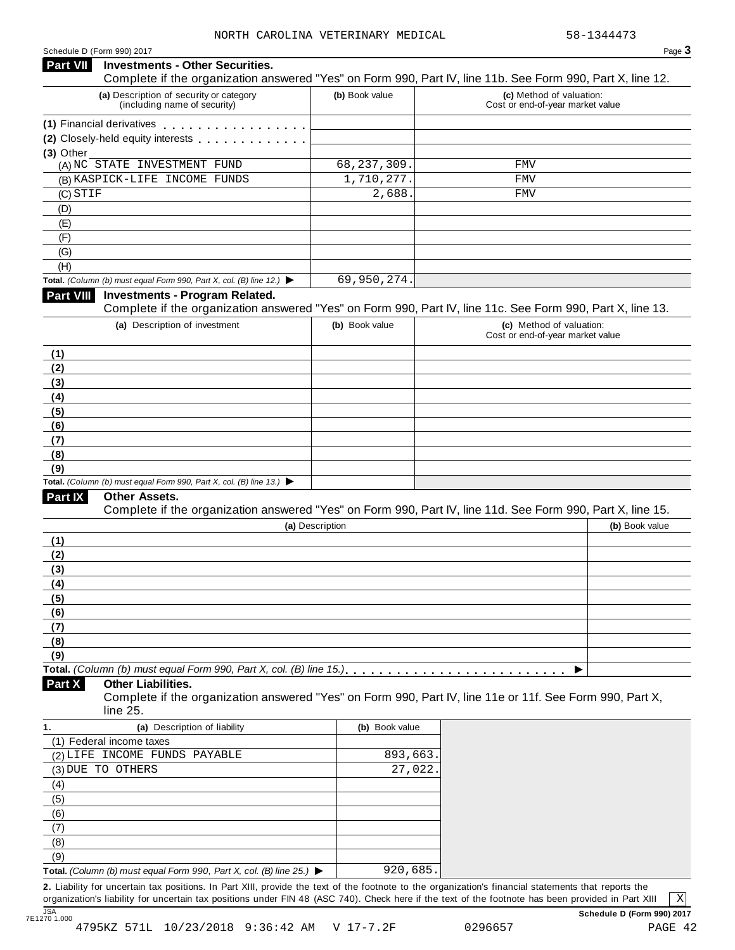#### Schedule <sup>D</sup> (Form 990) <sup>2017</sup> Page **3 Investments - Other Securities. Part VII** Investments - Other Securities.<br>Complete if the organization answered "Yes" on Form 990, Part IV, line 11b. See Form 990, Part X, line 12. **(a)** Description of security or category (including name of security) **(b)** Book value **(c)** Method of valuation: Cost or end-of-year market value **(1)** Financial derivatives **(2)** Closely-held equity interests **(3)** Other (A) NC STATE INVESTMENT FUND 68,237,309. FMV (B) KASPICK-LIFE INCOME FUNDS 1,710,277. FMV (C) STIF (D) (E) (F)  $\overline{(G)}$ (H) **Total.** *(Column (b) must equal Form 990, Part X, col. (B) line 12.)* I **Investments - Program Related.** Complete if the organization answered "Yes" on Form 990, Part IV, line 11c. See Form 990, Part X, line 13. **(a)** Description of investment **(b)** Book value **(c)** Method of valuation: Cost or end-of-year market value **(1) (2) (3) (4) (5) (6) (7) (8) (9) Total.** *(Column (b) must equal Form 990, Part X, col. (B) line 13.)* I **Other Assets.** Complete if the organization answered "Yes" on Form 990, Part IV, line 11d. See Form 990, Part X, line 15. **(a)** Description **(b)** Book value **(1) (2) (3) (4) (5) (6) (7) (8) (9)**  $\blacksquare$   $\blacksquare$   $\blacksquare$   $\blacksquare$   $\lozenge$   $\lozenge$   $\blacksquare$   $\blacksquare$   $\blacksquare$   $\blacksquare$   $\blacksquare$   $\blacksquare$   $\blacksquare$   $\blacksquare$   $\blacksquare$   $\blacksquare$   $\blacksquare$   $\blacksquare$   $\blacksquare$   $\blacksquare$   $\blacksquare$   $\blacksquare$   $\blacksquare$   $\blacksquare$   $\blacksquare$   $\blacksquare$   $\blacksquare$   $\blacksquare$   $\blacksquare$   $\blacksquare$   $\blacksquare$   $\blacks$ **Other Liabilities.** Complete if the organization answered "Yes" on Form 990, Part IV, line 11e or 11f. See Form 990, Part X, line 25. **Part X 1. (a)** Description of liability **(b)** Book value (1) Federal income taxes (2) LIFE INCOME FUNDS PAYABLE 893,663. (3) DUE TO OTHERS 27,022. (4) (5) (6) (7) (8) (9)  $STIF$  FMV 69,950,274.

**Total.** *(Column (b) must equal Form 990, Part X, col. (B) line 25.)* I **2.** Liability for uncertain tax positions. In Part XIII, provide the text of the footnote to the organization's financial statements that reports the 920,685.

organization's liability for uncertain tax positions under FIN 48 (ASC 740). Check here if the text of the footnote has been provided in Part XIII JSA **Schedule D (Form 990) 2017** JSA<br>7E1270 1.000

X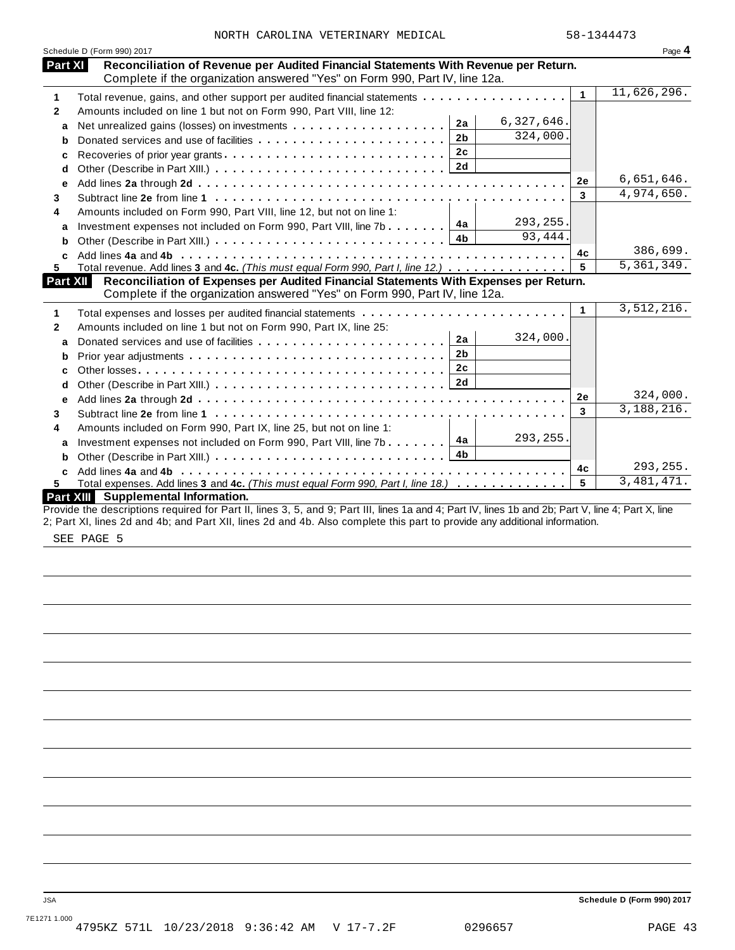| NORTH CAROLINA VETERINARY MEDICAL |
|-----------------------------------|
|-----------------------------------|

|                | Schedule D (Form 990) 2017                                                                                                                                         |                | Page 4       |
|----------------|--------------------------------------------------------------------------------------------------------------------------------------------------------------------|----------------|--------------|
| <b>Part XI</b> | Reconciliation of Revenue per Audited Financial Statements With Revenue per Return.<br>Complete if the organization answered "Yes" on Form 990, Part IV, line 12a. |                |              |
| 1              | Total revenue, gains, and other support per audited financial statements                                                                                           | $\mathbf{1}$   | 11,626,296.  |
| $\mathbf{2}$   | Amounts included on line 1 but not on Form 990, Part VIII, line 12:                                                                                                |                |              |
| a              | 6,327,646.<br>2a                                                                                                                                                   |                |              |
| b              | 324,000.<br>2 <sub>b</sub>                                                                                                                                         |                |              |
| c              | 2c                                                                                                                                                                 |                |              |
| d              |                                                                                                                                                                    |                |              |
| е              |                                                                                                                                                                    | 2e             | 6,651,646.   |
| 3              |                                                                                                                                                                    | 3              | 4,974,650.   |
| 4              | Amounts included on Form 990, Part VIII, line 12, but not on line 1:                                                                                               |                |              |
| a              | 293,255.<br>Investment expenses not included on Form 990, Part VIII, line 7b 4a                                                                                    |                |              |
| b              | 93,444.<br>4b                                                                                                                                                      |                |              |
| C              |                                                                                                                                                                    | 4c             | 386,699.     |
| 5.             | Total revenue. Add lines 3 and 4c. (This must equal Form 990, Part I, line 12.)                                                                                    | 5              | 5, 361, 349. |
| Part XII       | Reconciliation of Expenses per Audited Financial Statements With Expenses per Return.                                                                              |                |              |
|                | Complete if the organization answered "Yes" on Form 990, Part IV, line 12a.                                                                                        |                | 3,512,216.   |
| 1              |                                                                                                                                                                    | $\mathbf{1}$   |              |
| $\mathbf{2}$   | Amounts included on line 1 but not on Form 990, Part IX, line 25:                                                                                                  |                |              |
| a              | 324,000.<br>2a                                                                                                                                                     |                |              |
| b              | 2 <b>b</b>                                                                                                                                                         |                |              |
| c              | 2c                                                                                                                                                                 |                |              |
| d              |                                                                                                                                                                    |                |              |
| е              |                                                                                                                                                                    | 2e             | 324,000.     |
| 3              |                                                                                                                                                                    | 3              | 3, 188, 216. |
| 4              | Amounts included on Form 990, Part IX, line 25, but not on line 1:                                                                                                 |                |              |
| a              | 293,255.<br>4a<br>Investment expenses not included on Form 990, Part VIII, line 7b                                                                                 |                |              |
| b              |                                                                                                                                                                    |                |              |
| C              |                                                                                                                                                                    | 4 <sub>c</sub> | 293, 255.    |
| 5              | Total expenses. Add lines 3 and 4c. (This must equal Form 990, Part I, line 18.)                                                                                   | 5              | 3, 481, 471. |
|                | <b>Part XIII</b> Supplemental Information.                                                                                                                         |                |              |
|                | Provide the descriptions required for Part II, lines 3, 5, and 9; Part III, lines 1a and 4; Part IV, lines 1b and 2b; Part V, line 4; Part X, line                 |                |              |
|                | 2; Part XI, lines 2d and 4b; and Part XII, lines 2d and 4b. Also complete this part to provide any additional information.                                         |                |              |

SEE PAGE 5

JSA **Schedule D (Form 990) 2017**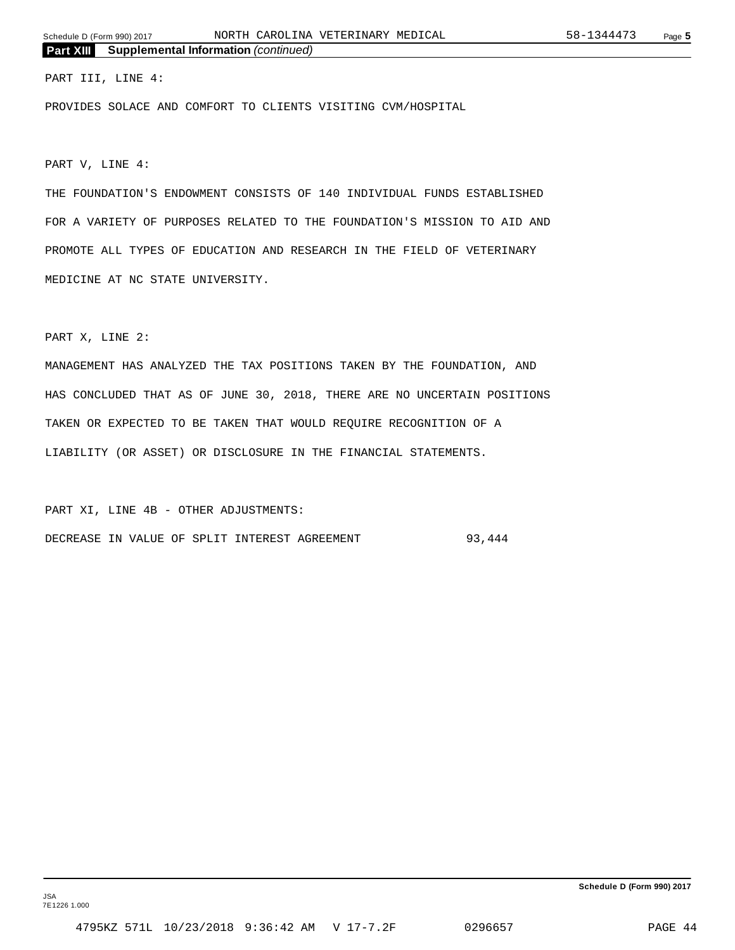#### PART III, LINE 4:

PROVIDES SOLACE AND COMFORT TO CLIENTS VISITING CVM/HOSPITAL

PART V, LINE 4:

THE FOUNDATION'S ENDOWMENT CONSISTS OF 140 INDIVIDUAL FUNDS ESTABLISHED FOR A VARIETY OF PURPOSES RELATED TO THE FOUNDATION'S MISSION TO AID AND PROMOTE ALL TYPES OF EDUCATION AND RESEARCH IN THE FIELD OF VETERINARY MEDICINE AT NC STATE UNIVERSITY.

PART X, LINE 2:

MANAGEMENT HAS ANALYZED THE TAX POSITIONS TAKEN BY THE FOUNDATION, AND HAS CONCLUDED THAT AS OF JUNE 30, 2018, THERE ARE NO UNCERTAIN POSITIONS TAKEN OR EXPECTED TO BE TAKEN THAT WOULD REQUIRE RECOGNITION OF A LIABILITY (OR ASSET) OR DISCLOSURE IN THE FINANCIAL STATEMENTS.

PART XI, LINE 4B - OTHER ADJUSTMENTS: DECREASE IN VALUE OF SPLIT INTEREST AGREEMENT 93,444

JSA 7E1226 1.000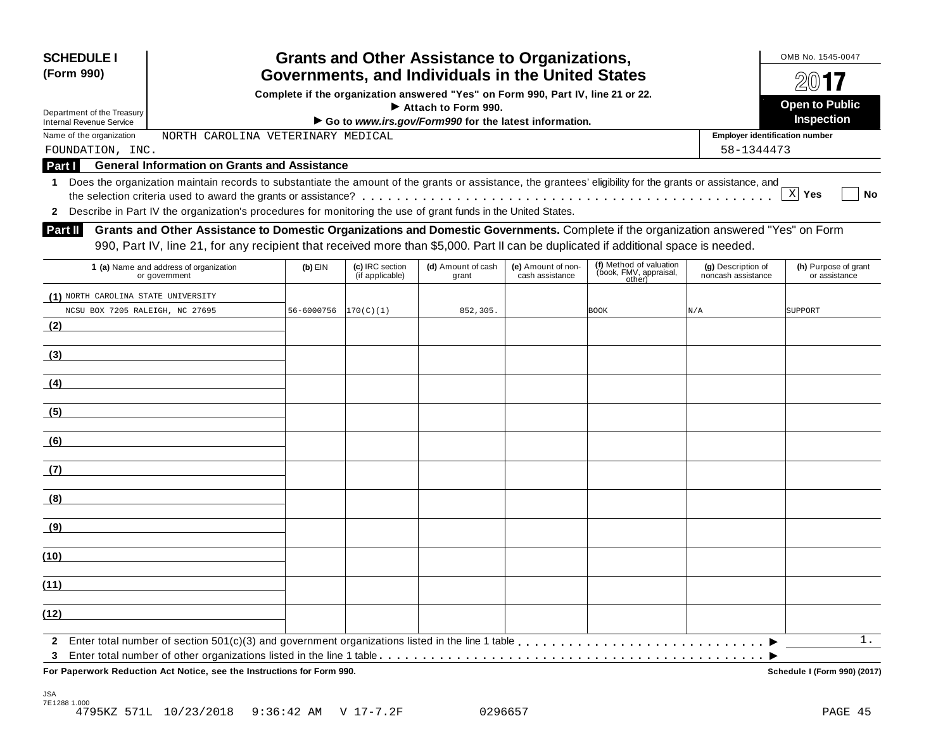| <b>SCHEDULE</b><br>(Form 990)                               |                                                                                                                                                                                                                                                                           |            |                                    | <b>Grants and Other Assistance to Organizations,</b><br>Governments, and Individuals in the United States |                                       |                                                             |                                          | OMB No. 1545-0047                     |
|-------------------------------------------------------------|---------------------------------------------------------------------------------------------------------------------------------------------------------------------------------------------------------------------------------------------------------------------------|------------|------------------------------------|-----------------------------------------------------------------------------------------------------------|---------------------------------------|-------------------------------------------------------------|------------------------------------------|---------------------------------------|
|                                                             |                                                                                                                                                                                                                                                                           |            |                                    | Complete if the organization answered "Yes" on Form 990, Part IV, line 21 or 22.                          |                                       |                                                             |                                          |                                       |
| Department of the Treasury                                  |                                                                                                                                                                                                                                                                           |            |                                    | $\blacktriangleright$ Attach to Form 990.                                                                 |                                       |                                                             |                                          | <b>Open to Public</b><br>Inspection   |
| <b>Internal Revenue Service</b><br>Name of the organization | NORTH CAROLINA VETERINARY MEDICAL                                                                                                                                                                                                                                         |            |                                    | Go to www.irs.gov/Form990 for the latest information.                                                     |                                       |                                                             | <b>Employer identification number</b>    |                                       |
| FOUNDATION, INC.                                            |                                                                                                                                                                                                                                                                           |            |                                    |                                                                                                           |                                       |                                                             | 58-1344473                               |                                       |
| Part I                                                      | <b>General Information on Grants and Assistance</b>                                                                                                                                                                                                                       |            |                                    |                                                                                                           |                                       |                                                             |                                          |                                       |
| 1                                                           | Does the organization maintain records to substantiate the amount of the grants or assistance, the grantees' eligibility for the grants or assistance, and                                                                                                                |            |                                    |                                                                                                           |                                       |                                                             |                                          |                                       |
|                                                             |                                                                                                                                                                                                                                                                           |            |                                    |                                                                                                           |                                       |                                                             |                                          | $X$ Yes<br>No                         |
| $\mathbf{2}$                                                | Describe in Part IV the organization's procedures for monitoring the use of grant funds in the United States.                                                                                                                                                             |            |                                    |                                                                                                           |                                       |                                                             |                                          |                                       |
| Part II                                                     | Grants and Other Assistance to Domestic Organizations and Domestic Governments. Complete if the organization answered "Yes" on Form<br>990, Part IV, line 21, for any recipient that received more than \$5,000. Part II can be duplicated if additional space is needed. |            |                                    |                                                                                                           |                                       |                                                             |                                          |                                       |
|                                                             | 1 (a) Name and address of organization<br>or government                                                                                                                                                                                                                   | $(b)$ EIN  | (c) IRC section<br>(if applicable) | (d) Amount of cash<br>grant                                                                               | (e) Amount of non-<br>cash assistance | (f) Method of valuation<br>(book, FMV, appraisal,<br>other) | (g) Description of<br>noncash assistance | (h) Purpose of grant<br>or assistance |
| (1) NORTH CAROLINA STATE UNIVERSITY                         |                                                                                                                                                                                                                                                                           |            |                                    |                                                                                                           |                                       |                                                             |                                          |                                       |
| NCSU BOX 7205 RALEIGH, NC 27695                             |                                                                                                                                                                                                                                                                           | 56-6000756 | 170(C)(1)                          | 852,305.                                                                                                  |                                       | <b>BOOK</b>                                                 | N/A                                      | SUPPORT                               |
| (2)                                                         |                                                                                                                                                                                                                                                                           |            |                                    |                                                                                                           |                                       |                                                             |                                          |                                       |
| (3)                                                         |                                                                                                                                                                                                                                                                           |            |                                    |                                                                                                           |                                       |                                                             |                                          |                                       |
| (4)                                                         |                                                                                                                                                                                                                                                                           |            |                                    |                                                                                                           |                                       |                                                             |                                          |                                       |
| (5)                                                         |                                                                                                                                                                                                                                                                           |            |                                    |                                                                                                           |                                       |                                                             |                                          |                                       |
| (6)                                                         |                                                                                                                                                                                                                                                                           |            |                                    |                                                                                                           |                                       |                                                             |                                          |                                       |
| (7)                                                         |                                                                                                                                                                                                                                                                           |            |                                    |                                                                                                           |                                       |                                                             |                                          |                                       |
| (8)                                                         |                                                                                                                                                                                                                                                                           |            |                                    |                                                                                                           |                                       |                                                             |                                          |                                       |
| (9)                                                         |                                                                                                                                                                                                                                                                           |            |                                    |                                                                                                           |                                       |                                                             |                                          |                                       |
| (10)                                                        |                                                                                                                                                                                                                                                                           |            |                                    |                                                                                                           |                                       |                                                             |                                          |                                       |
| (11)                                                        |                                                                                                                                                                                                                                                                           |            |                                    |                                                                                                           |                                       |                                                             |                                          |                                       |
| (12)                                                        |                                                                                                                                                                                                                                                                           |            |                                    |                                                                                                           |                                       |                                                             |                                          |                                       |
| $\mathbf{2}$<br>3                                           |                                                                                                                                                                                                                                                                           |            |                                    |                                                                                                           |                                       |                                                             |                                          | 1.                                    |
|                                                             | For Paperwork Reduction Act Notice, see the Instructions for Form 990.                                                                                                                                                                                                    |            |                                    |                                                                                                           |                                       |                                                             |                                          | Schedule I (Form 990) (2017)          |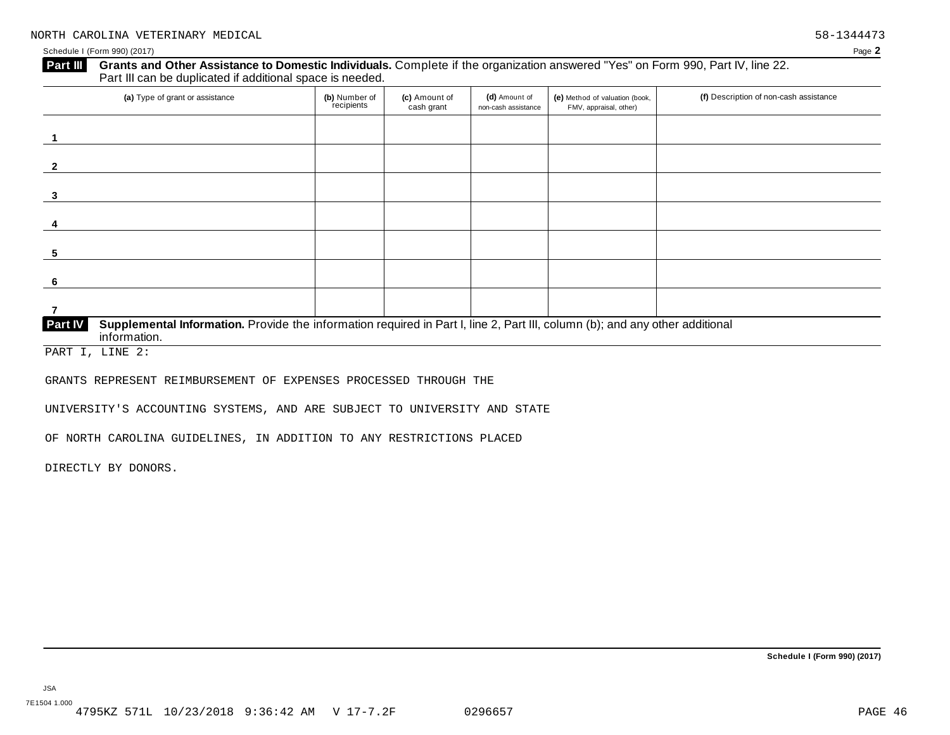#### **Grants and Other Assistance to Domestic Individuals.** Complete ifthe organization answered "Yes" on Form 990, Part IV, line 22. **Part III** Grants and Other Assistance to Domestic Individuals<br>Part III can be duplicated if additional space is needed.

| (a) Type of grant or assistance                                                                                                                         | (b) Number of<br>recipients | (c) Amount of<br>cash grant | (d) Amount of<br>non-cash assistance | (e) Method of valuation (book,<br>FMV, appraisal, other) | (f) Description of non-cash assistance |
|---------------------------------------------------------------------------------------------------------------------------------------------------------|-----------------------------|-----------------------------|--------------------------------------|----------------------------------------------------------|----------------------------------------|
|                                                                                                                                                         |                             |                             |                                      |                                                          |                                        |
| $\overline{2}$                                                                                                                                          |                             |                             |                                      |                                                          |                                        |
| 3                                                                                                                                                       |                             |                             |                                      |                                                          |                                        |
| 4                                                                                                                                                       |                             |                             |                                      |                                                          |                                        |
| 5                                                                                                                                                       |                             |                             |                                      |                                                          |                                        |
| 6                                                                                                                                                       |                             |                             |                                      |                                                          |                                        |
|                                                                                                                                                         |                             |                             |                                      |                                                          |                                        |
| Part IV<br>Supplemental Information. Provide the information required in Part I, line 2, Part III, column (b); and any other additional<br>information. |                             |                             |                                      |                                                          |                                        |

PART I, LINE 2:

GRANTS REPRESENT REIMBURSEMENT OF EXPENSES PROCESSED THROUGH THE

UNIVERSITY'S ACCOUNTING SYSTEMS, AND ARE SUBJECT TO UNIVERSITY AND STATE

OF NORTH CAROLINA GUIDELINES, IN ADDITION TO ANY RESTRICTIONS PLACED

DIRECTLY BY DONORS.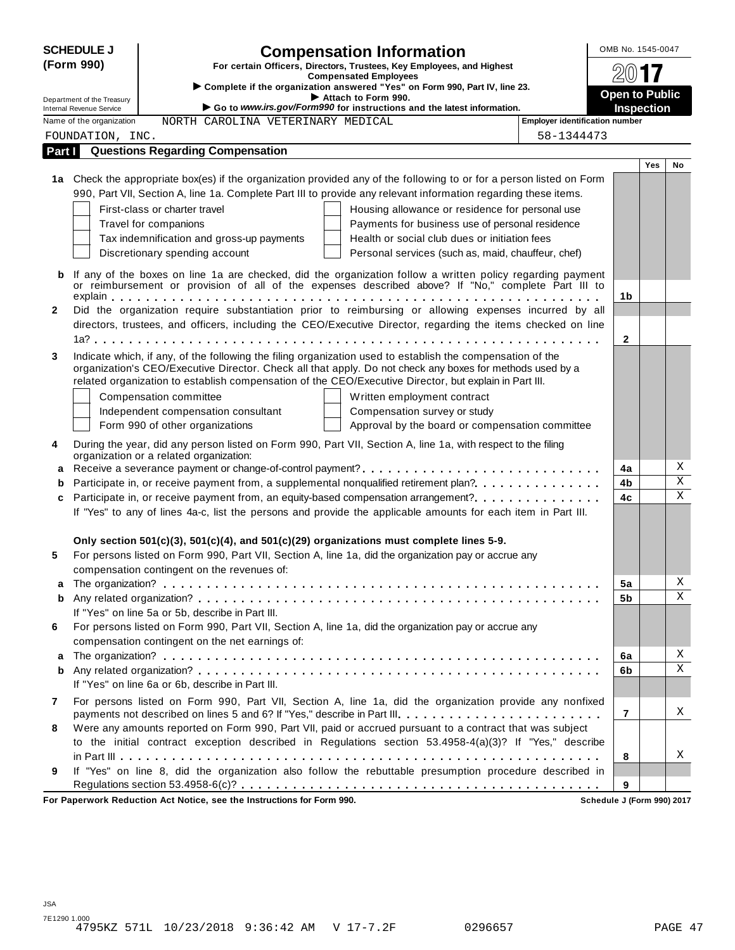|              | <b>SCHEDULE J</b>                                           | <b>Compensation Information</b>                                                                                                                                                                                     | OMB No. 1545-0047     |            |             |
|--------------|-------------------------------------------------------------|---------------------------------------------------------------------------------------------------------------------------------------------------------------------------------------------------------------------|-----------------------|------------|-------------|
|              | (Form 990)                                                  | For certain Officers, Directors, Trustees, Key Employees, and Highest                                                                                                                                               |                       |            |             |
|              |                                                             | <b>Compensated Employees</b><br>Complete if the organization answered "Yes" on Form 990, Part IV, line 23.                                                                                                          |                       |            |             |
|              | Department of the Treasury                                  | Attach to Form 990.                                                                                                                                                                                                 | <b>Open to Public</b> |            |             |
|              | <b>Internal Revenue Service</b><br>Name of the organization | Go to www.irs.gov/Form990 for instructions and the latest information.<br><b>Employer identification number</b><br>NORTH CAROLINA VETERINARY MEDICAL                                                                | <b>Inspection</b>     |            |             |
|              | FOUNDATION, INC.                                            | 58-1344473                                                                                                                                                                                                          |                       |            |             |
| Part I       |                                                             | <b>Questions Regarding Compensation</b>                                                                                                                                                                             |                       |            |             |
|              |                                                             |                                                                                                                                                                                                                     |                       | <b>Yes</b> | No          |
|              |                                                             | 1a Check the appropriate box(es) if the organization provided any of the following to or for a person listed on Form                                                                                                |                       |            |             |
|              |                                                             | 990, Part VII, Section A, line 1a. Complete Part III to provide any relevant information regarding these items.                                                                                                     |                       |            |             |
|              |                                                             | First-class or charter travel<br>Housing allowance or residence for personal use                                                                                                                                    |                       |            |             |
|              |                                                             | Payments for business use of personal residence<br>Travel for companions                                                                                                                                            |                       |            |             |
|              |                                                             | Health or social club dues or initiation fees<br>Tax indemnification and gross-up payments                                                                                                                          |                       |            |             |
|              |                                                             | Discretionary spending account<br>Personal services (such as, maid, chauffeur, chef)                                                                                                                                |                       |            |             |
| b            |                                                             | If any of the boxes on line 1a are checked, did the organization follow a written policy regarding payment                                                                                                          |                       |            |             |
|              |                                                             | or reimbursement or provision of all of the expenses described above? If "No," complete Part III to                                                                                                                 |                       |            |             |
|              |                                                             |                                                                                                                                                                                                                     | 1b                    |            |             |
| $\mathbf{2}$ |                                                             | Did the organization require substantiation prior to reimbursing or allowing expenses incurred by all                                                                                                               |                       |            |             |
|              |                                                             | directors, trustees, and officers, including the CEO/Executive Director, regarding the items checked on line                                                                                                        |                       |            |             |
|              |                                                             |                                                                                                                                                                                                                     | $\mathbf{2}$          |            |             |
| 3            |                                                             | Indicate which, if any, of the following the filing organization used to establish the compensation of the                                                                                                          |                       |            |             |
|              |                                                             | organization's CEO/Executive Director. Check all that apply. Do not check any boxes for methods used by a<br>related organization to establish compensation of the CEO/Executive Director, but explain in Part III. |                       |            |             |
|              |                                                             | Compensation committee<br>Written employment contract                                                                                                                                                               |                       |            |             |
|              |                                                             | Independent compensation consultant<br>Compensation survey or study                                                                                                                                                 |                       |            |             |
|              |                                                             | Form 990 of other organizations<br>Approval by the board or compensation committee                                                                                                                                  |                       |            |             |
|              |                                                             |                                                                                                                                                                                                                     |                       |            |             |
| 4            |                                                             | During the year, did any person listed on Form 990, Part VII, Section A, line 1a, with respect to the filing<br>organization or a related organization:                                                             |                       |            |             |
| а            |                                                             |                                                                                                                                                                                                                     | 4a                    |            | Χ           |
| b            |                                                             | Participate in, or receive payment from, a supplemental nonqualified retirement plan?                                                                                                                               | 4b                    |            | $\mathbf X$ |
| c            |                                                             | Participate in, or receive payment from, an equity-based compensation arrangement?                                                                                                                                  | 4c                    |            | $\mathbf X$ |
|              |                                                             | If "Yes" to any of lines 4a-c, list the persons and provide the applicable amounts for each item in Part III.                                                                                                       |                       |            |             |
|              |                                                             |                                                                                                                                                                                                                     |                       |            |             |
|              |                                                             | Only section $501(c)(3)$ , $501(c)(4)$ , and $501(c)(29)$ organizations must complete lines 5-9.                                                                                                                    |                       |            |             |
| 5            |                                                             | For persons listed on Form 990, Part VII, Section A, line 1a, did the organization pay or accrue any                                                                                                                |                       |            |             |
|              |                                                             | compensation contingent on the revenues of:                                                                                                                                                                         |                       |            | Χ           |
| а            |                                                             |                                                                                                                                                                                                                     | 5a<br>5b              |            | Χ           |
| b            |                                                             | If "Yes" on line 5a or 5b, describe in Part III.                                                                                                                                                                    |                       |            |             |
| 6            |                                                             | For persons listed on Form 990, Part VII, Section A, line 1a, did the organization pay or accrue any                                                                                                                |                       |            |             |
|              |                                                             | compensation contingent on the net earnings of:                                                                                                                                                                     |                       |            |             |
| a            |                                                             |                                                                                                                                                                                                                     | 6a                    |            | X           |
| b            |                                                             |                                                                                                                                                                                                                     | 6b                    |            | Χ           |
|              |                                                             | If "Yes" on line 6a or 6b, describe in Part III.                                                                                                                                                                    |                       |            |             |
| 7            |                                                             | For persons listed on Form 990, Part VII, Section A, line 1a, did the organization provide any nonfixed                                                                                                             |                       |            |             |
|              |                                                             | payments not described on lines 5 and 6? If "Yes," describe in Part III.                                                                                                                                            | $\overline{7}$        |            | X           |
| 8            |                                                             | Were any amounts reported on Form 990, Part VII, paid or accrued pursuant to a contract that was subject                                                                                                            |                       |            |             |
|              |                                                             | to the initial contract exception described in Regulations section 53.4958-4(a)(3)? If "Yes," describe                                                                                                              |                       |            |             |
|              |                                                             |                                                                                                                                                                                                                     | 8                     |            | X           |
| 9            |                                                             | If "Yes" on line 8, did the organization also follow the rebuttable presumption procedure described in                                                                                                              |                       |            |             |
|              |                                                             |                                                                                                                                                                                                                     | 9                     |            |             |

**For Paperwork Reduction Act Notice, see the Instructions for Form 990. Schedule J (Form 990) 2017**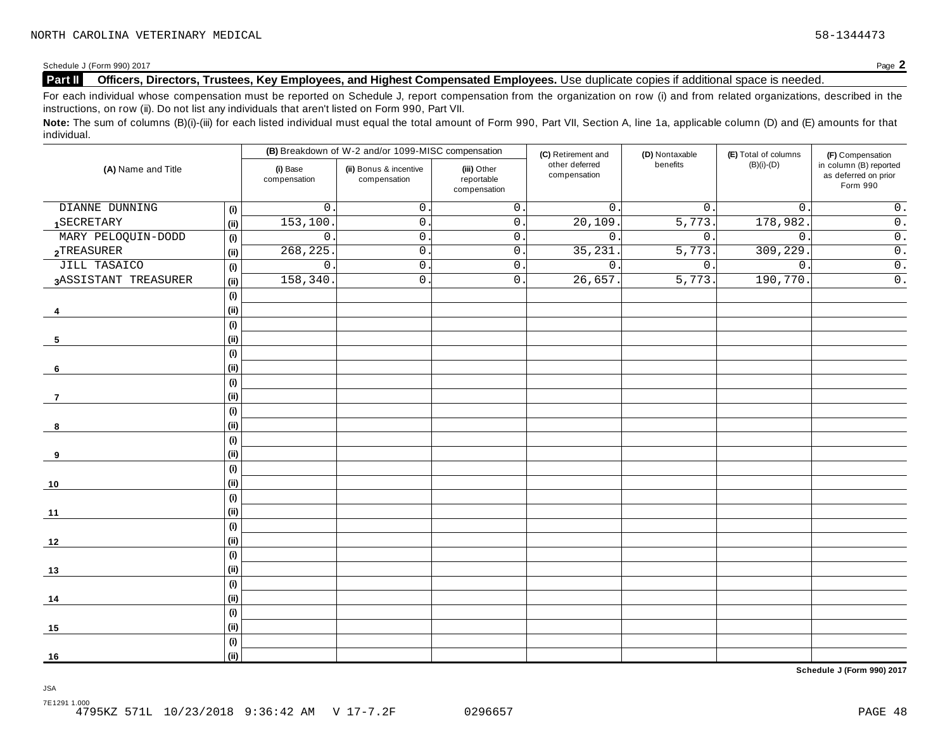#### **Part II Officers, Directors, Trustees, Key Employees, and Highest Compensated Employees.** Use duplicate copies ifadditional space is needed.

For each individual whose compensation must be reported on Schedule J, report compensation from the organization on row (i) and from related organizations, described in the instructions, on row (ii). Do not list any individuals that aren't listed on Form 990, Part VII.

Note: The sum of columns (B)(i)-(iii) for each listed individual must equal the total amount of Form 990, Part VII, Section A, line 1a, applicable column (D) and (E) amounts for that individual.

| (A) Name and Title   |                              |                          | (B) Breakdown of W-2 and/or 1099-MISC compensation |                                           | (C) Retirement and             | (D) Nontaxable   | (E) Total of columns | (F) Compensation                                           |
|----------------------|------------------------------|--------------------------|----------------------------------------------------|-------------------------------------------|--------------------------------|------------------|----------------------|------------------------------------------------------------|
|                      |                              | (i) Base<br>compensation | (ii) Bonus & incentive<br>compensation             | (iii) Other<br>reportable<br>compensation | other deferred<br>compensation | benefits         | $(B)(i)-(D)$         | in column (B) reported<br>as deferred on prior<br>Form 990 |
| DIANNE DUNNING       | (i)                          | $\mathsf{O}$             | $\mathsf{O}\xspace$                                | $\mathsf{O}$ .                            | $\mathbf{0}$ .                 | $\overline{0}$ . | $\mathsf{O}$ .       | $\overline{0}$ .                                           |
| 1SECRETARY           | (i)                          | 153,100                  | 0.                                                 | $\overline{0}$ .                          | 20,109.                        | 5,773.           | 178,982.             | $\overline{0}$ .                                           |
| MARY PELOQUIN-DODD   | (i)                          | $\mathsf{O}$             | $\mathbf{0}$ .                                     | $\mathsf{0}$ .                            | $0$ .                          | $\mathbf{0}$ .   | $\mathbf 0$ .        | $\overline{0}$ .                                           |
| 2TREASURER           | (i)                          | 268, 225                 | $\mathsf{O}$ .                                     | $0\,$ .                                   | 35,231                         | 5,773.           | 309,229              | $\overline{0}$ .                                           |
| <b>JILL TASAICO</b>  | (i)                          | $\mathsf{O}$             | $\mathsf{O}$ .                                     | $\mathsf{0}$ .                            | $\overline{0}$ .               | $\overline{0}$ . | $\mathbf 0$ .        | $\overline{0}$ .                                           |
| 3ASSISTANT TREASURER | (i)                          | 158,340                  | $\mathsf{O}$ .                                     | $\mathsf{0}$ .                            | 26,657                         | 5,773.           | 190,770.             | $\overline{0}$ .                                           |
|                      | (i)                          |                          |                                                    |                                           |                                |                  |                      |                                                            |
| 4                    | (i)                          |                          |                                                    |                                           |                                |                  |                      |                                                            |
|                      | (i)                          |                          |                                                    |                                           |                                |                  |                      |                                                            |
| 5                    | (ii)                         |                          |                                                    |                                           |                                |                  |                      |                                                            |
|                      | $\qquad \qquad \textbf{(i)}$ |                          |                                                    |                                           |                                |                  |                      |                                                            |
| 6                    | (i)                          |                          |                                                    |                                           |                                |                  |                      |                                                            |
|                      | (i)                          |                          |                                                    |                                           |                                |                  |                      |                                                            |
| 7                    | (i)                          |                          |                                                    |                                           |                                |                  |                      |                                                            |
|                      | (i)                          |                          |                                                    |                                           |                                |                  |                      |                                                            |
| 8                    | (i)                          |                          |                                                    |                                           |                                |                  |                      |                                                            |
|                      | (i)                          |                          |                                                    |                                           |                                |                  |                      |                                                            |
| 9                    | (i)                          |                          |                                                    |                                           |                                |                  |                      |                                                            |
|                      | (i)                          |                          |                                                    |                                           |                                |                  |                      |                                                            |
| 10                   | (i)                          |                          |                                                    |                                           |                                |                  |                      |                                                            |
|                      | (i)                          |                          |                                                    |                                           |                                |                  |                      |                                                            |
| 11                   | (i)                          |                          |                                                    |                                           |                                |                  |                      |                                                            |
|                      | (i)                          |                          |                                                    |                                           |                                |                  |                      |                                                            |
| 12                   | (i)                          |                          |                                                    |                                           |                                |                  |                      |                                                            |
|                      | (i)                          |                          |                                                    |                                           |                                |                  |                      |                                                            |
| 13                   | (ii)                         |                          |                                                    |                                           |                                |                  |                      |                                                            |
|                      | (i)                          |                          |                                                    |                                           |                                |                  |                      |                                                            |
| 14                   | (i)                          |                          |                                                    |                                           |                                |                  |                      |                                                            |
|                      | (i)                          |                          |                                                    |                                           |                                |                  |                      |                                                            |
| 15                   | (i)                          |                          |                                                    |                                           |                                |                  |                      |                                                            |
|                      | (i)                          |                          |                                                    |                                           |                                |                  |                      |                                                            |
| 16                   | (ii)                         |                          |                                                    |                                           |                                |                  |                      |                                                            |

**Schedule J (Form 990) 2017**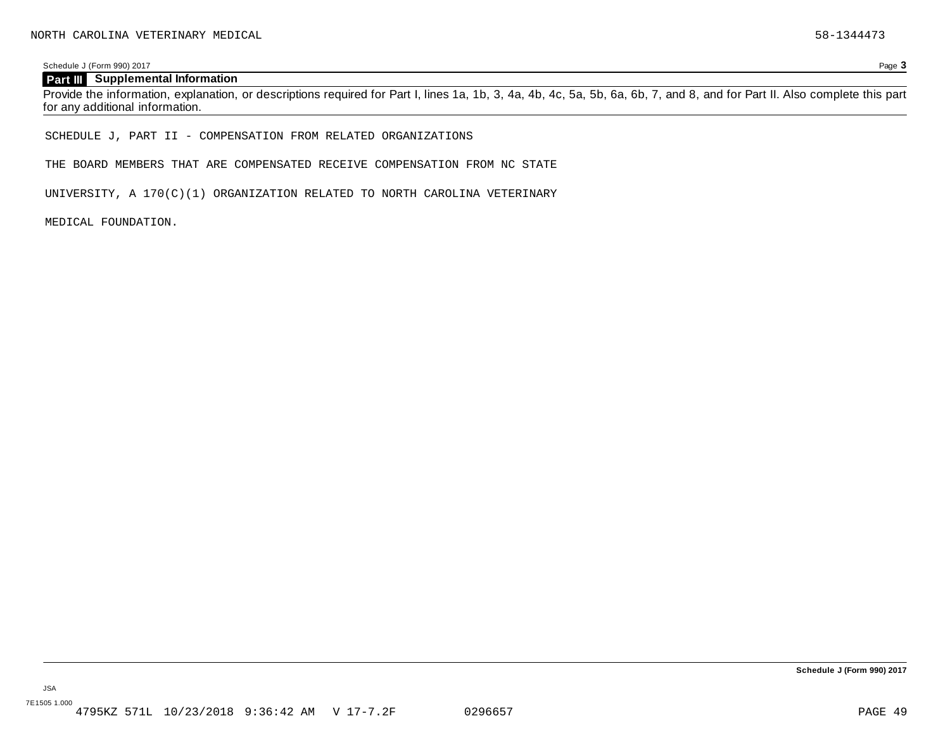Schedule J (Form 990) 2017 Page **3**

#### **Part III Supplemental Information**

Provide the information, explanation, or descriptions required for Part I, lines 1a, 1b, 3, 4a, 4b, 4c, 5a, 5b, 6a, 6b, 7, and 8, and for Part II. Also complete this part for any additional information.

SCHEDULE J, PART II - COMPENSATION FROM RELATED ORGANIZATIONS

THE BOARD MEMBERS THAT ARE COMPENSATED RECEIVE COMPENSATION FROM NC STATE

UNIVERSITY, A 170(C)(1) ORGANIZATION RELATED TO NORTH CAROLINA VETERINARY

MEDICAL FOUNDATION.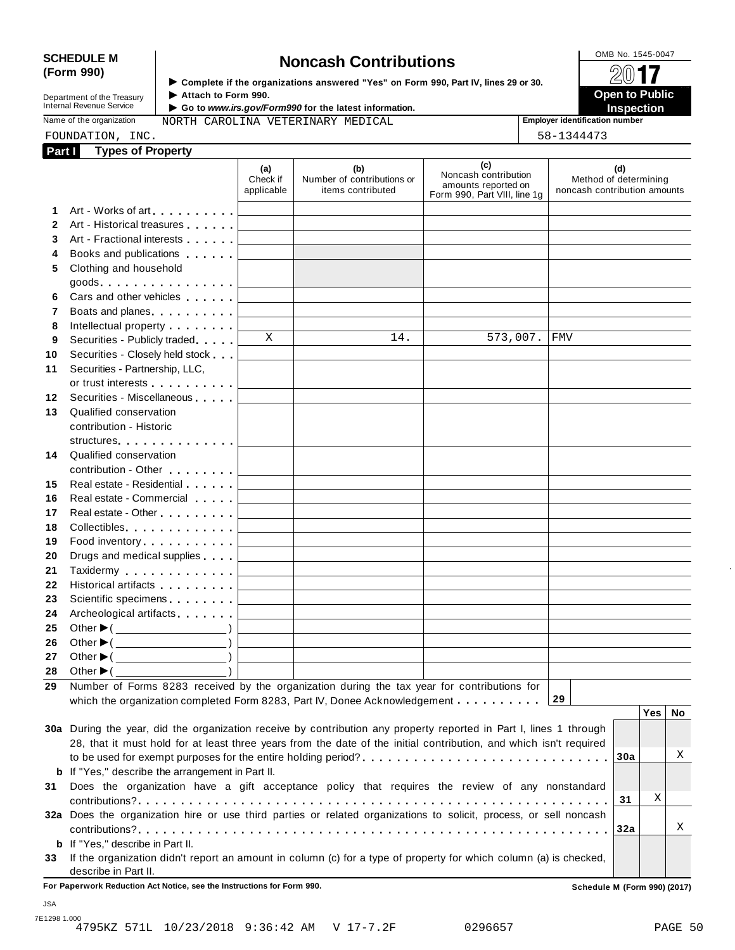# SCHEDULE M<br> **SCHEDULE M SCHEDULE M SCHEDULE M Noncash Contributions**<br> **SCHEDULE M None All <b>non- SCHEDULE M SCHEDULE M SCHEDULE M SCHEDULE M SCHEDULE M SCHEDULE M SCHEDULE M SC**

**Department of the Treasury<br>Internal Revenue Service** 

**Examplete** if the organizations answered "Yes" on Form 990, Part Ⅳ, lines 29 or 30. 
<br>● Attach to Form 990. **Department of the Treasury** ▶ Attach to Form 990.<br>Internal Revenue Service ▶ Go to *www.irs.gov/Form990* for the latest information.<br>Nome of the organization and property. Galbert and a superpresent and a superpresent of

Name of the organization **MORTH CAROLINA VETERINARY MEDICAL Employer identification number** 

| FOUNDATION | INC.<br>____ | ۰ ت<br>$ -$ |
|------------|--------------|-------------|
|            |              |             |

| Part I | <b>Types of Property</b>                                                                                                                                                                                                      |                               |                                                        |                                                                                    |                                                              |
|--------|-------------------------------------------------------------------------------------------------------------------------------------------------------------------------------------------------------------------------------|-------------------------------|--------------------------------------------------------|------------------------------------------------------------------------------------|--------------------------------------------------------------|
|        |                                                                                                                                                                                                                               | (a)<br>Check if<br>applicable | (b)<br>Number of contributions or<br>items contributed | (c)<br>Noncash contribution<br>amounts reported on<br>Form 990, Part VIII, line 1g | (d)<br>Method of determining<br>noncash contribution amounts |
| 1      | Art - Works of art <b>Article 2018</b>                                                                                                                                                                                        |                               |                                                        |                                                                                    |                                                              |
| 2      | Art - Historical treasures                                                                                                                                                                                                    |                               |                                                        |                                                                                    |                                                              |
| 3      | Art - Fractional interests                                                                                                                                                                                                    |                               |                                                        |                                                                                    |                                                              |
| 4      | Books and publications entering and                                                                                                                                                                                           |                               |                                                        |                                                                                    |                                                              |
| 5      | Clothing and household                                                                                                                                                                                                        |                               |                                                        |                                                                                    |                                                              |
|        | $goods$                                                                                                                                                                                                                       |                               |                                                        |                                                                                    |                                                              |
| 6      | Cars and other vehicles                                                                                                                                                                                                       |                               |                                                        |                                                                                    |                                                              |
| 7      | Boats and planes experience of                                                                                                                                                                                                |                               |                                                        |                                                                                    |                                                              |
| 8      | Intellectual property                                                                                                                                                                                                         |                               |                                                        |                                                                                    |                                                              |
| 9      | Securities - Publicly traded                                                                                                                                                                                                  | X                             | 14.                                                    | 573,007.                                                                           | FMV                                                          |
| 10     | Securities - Closely held stock                                                                                                                                                                                               |                               |                                                        |                                                                                    |                                                              |
| 11     | Securities - Partnership, LLC,                                                                                                                                                                                                |                               |                                                        |                                                                                    |                                                              |
|        | or trust interests experience that the set of the set of the set of the set of the set of the set of the set of the set of the set of the set of the set of the set of the set of the set of the set of the set of the set of |                               |                                                        |                                                                                    |                                                              |
| 12     | Securities - Miscellaneous                                                                                                                                                                                                    |                               |                                                        |                                                                                    |                                                              |
| 13     | Qualified conservation                                                                                                                                                                                                        |                               |                                                        |                                                                                    |                                                              |
|        | contribution - Historic                                                                                                                                                                                                       |                               |                                                        |                                                                                    |                                                              |
|        | structures experiences and the state of the state of the state of the state of the state of the state of the state of the state of the state of the state of the state of the state of the state of the state of the state of |                               |                                                        |                                                                                    |                                                              |
| 14     | Qualified conservation                                                                                                                                                                                                        |                               |                                                        |                                                                                    |                                                              |
|        |                                                                                                                                                                                                                               |                               |                                                        |                                                                                    |                                                              |
| 15     | Real estate - Residential                                                                                                                                                                                                     |                               |                                                        |                                                                                    |                                                              |
| 16     | Real estate - Commercial                                                                                                                                                                                                      |                               |                                                        |                                                                                    |                                                              |
| 17     | Real estate - Other <b>Called a Contact Contact Advisor</b>                                                                                                                                                                   |                               |                                                        |                                                                                    |                                                              |
| 18     | Collectibles <b>Collectibles</b>                                                                                                                                                                                              |                               |                                                        |                                                                                    |                                                              |
| 19     | Food inventory                                                                                                                                                                                                                |                               |                                                        |                                                                                    |                                                              |
| 20     | Drugs and medical supplies                                                                                                                                                                                                    |                               |                                                        |                                                                                    |                                                              |
| 21     | Taxidermy Taxidermy                                                                                                                                                                                                           |                               |                                                        |                                                                                    |                                                              |
| 22     | Historical artifacts <b>All Accords</b>                                                                                                                                                                                       |                               |                                                        |                                                                                    |                                                              |
| 23     | Scientific specimens <b>Scientific specimens</b>                                                                                                                                                                              |                               |                                                        |                                                                                    |                                                              |
| 24     | Archeological artifacts <b>Archeological</b>                                                                                                                                                                                  |                               |                                                        |                                                                                    |                                                              |
| 25     | Other $\blacktriangleright$ ( $\_\_\_\_\_\_\_\_$ )                                                                                                                                                                            |                               |                                                        |                                                                                    |                                                              |
| 26     | Other $\blacktriangleright$ ( $\_\_\_\_\_\_\_\_\_$ )                                                                                                                                                                          |                               |                                                        |                                                                                    |                                                              |
| 27     | Other $\blacktriangleright$ ( $\qquad \qquad$                                                                                                                                                                                 |                               |                                                        |                                                                                    |                                                              |
| 28     | $\overline{\phantom{a}}$<br>Other $\blacktriangleright$ (                                                                                                                                                                     |                               |                                                        |                                                                                    |                                                              |
| 29     | Number of Forms 8283 received by the organization during the tax year for contributions for                                                                                                                                   |                               |                                                        |                                                                                    |                                                              |
|        | which the organization completed Form 8283, Part IV, Donee Acknowledgement                                                                                                                                                    |                               |                                                        |                                                                                    | 29                                                           |
|        |                                                                                                                                                                                                                               |                               |                                                        |                                                                                    | No<br>Yes                                                    |
|        | 30a During the year, did the organization receive by contribution any property reported in Part I, lines 1 through                                                                                                            |                               |                                                        |                                                                                    |                                                              |
|        | 28, that it must hold for at least three years from the date of the initial contribution, and which isn't required                                                                                                            |                               |                                                        |                                                                                    | Χ                                                            |
|        |                                                                                                                                                                                                                               |                               |                                                        |                                                                                    | 30a                                                          |
|        | <b>b</b> If "Yes," describe the arrangement in Part II.                                                                                                                                                                       |                               |                                                        |                                                                                    |                                                              |
| 31     | Does the organization have a gift acceptance policy that requires the review of any nonstandard                                                                                                                               |                               |                                                        |                                                                                    | Χ                                                            |
|        |                                                                                                                                                                                                                               |                               |                                                        |                                                                                    | 31                                                           |
|        | 32a Does the organization hire or use third parties or related organizations to solicit, process, or sell noncash                                                                                                             |                               |                                                        |                                                                                    | Χ                                                            |
|        |                                                                                                                                                                                                                               |                               |                                                        |                                                                                    | 32a                                                          |
|        | <b>b</b> If "Yes," describe in Part II.                                                                                                                                                                                       |                               |                                                        |                                                                                    |                                                              |
| 33     | If the organization didn't report an amount in column (c) for a type of property for which column (a) is checked,<br>describe in Part II.                                                                                     |                               |                                                        |                                                                                    |                                                              |
|        | For Paperwork Reduction Act Notice, see the Instructions for Form 990.                                                                                                                                                        |                               |                                                        |                                                                                    | Schedule M (Form 990) (2017)                                 |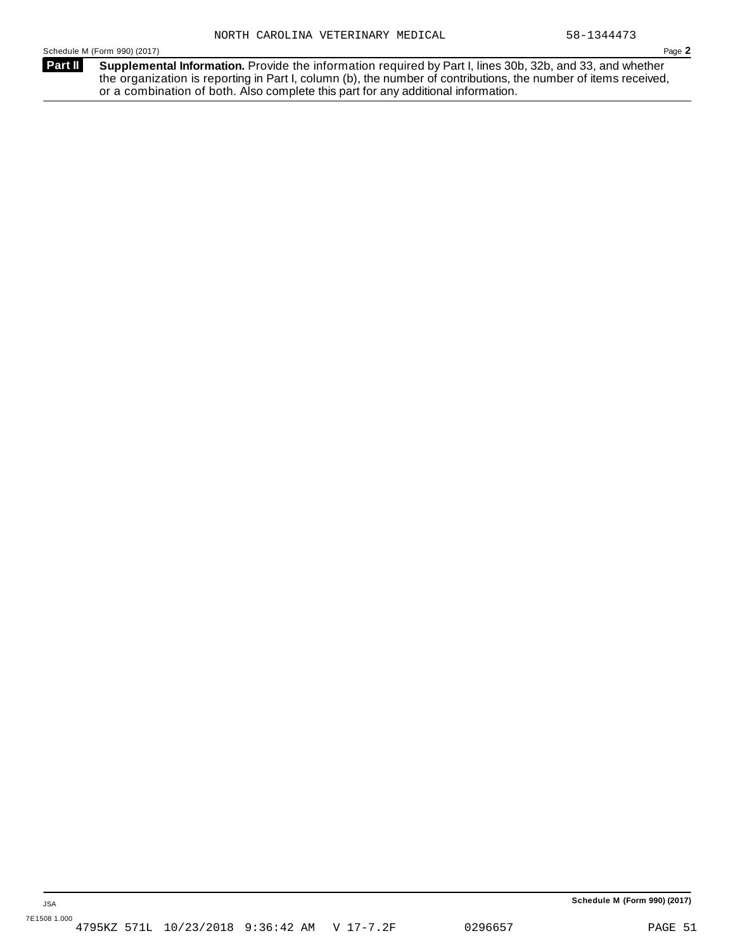Schedule M (Form 990) (2017) Page **2**

**Part II**

**Supplemental Information.** Provide the information required by Part I, lines 30b, 32b, and 33, and whether the organization is reporting in Part I, column (b), the number of contributions, the number of items received, or a combination of both. Also complete this part for any additional information.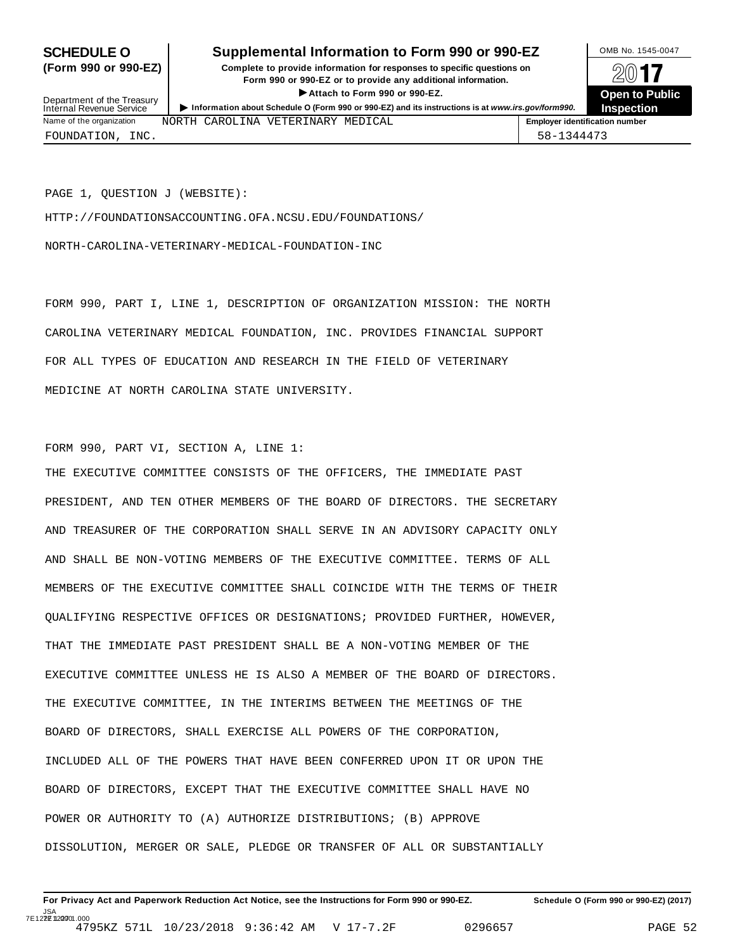### **SCHEDULE O** Supplemental Information to Form 990 or 990-EZ DMB No. 1545-0047

**(Form 990 or 990-EZ) Complete to provide information for responses to specific questions on** Form 990 or 990-EZ or to provide any additional information. I**Attach to Form <sup>990</sup> or 990-EZ. Open to Public**



Department of the Treasury<br>Internal Revenue Service

| <b>Published</b> the Housair<br>Internal Revenue Service | Information about Schedule O (Form 990 or 990-EZ) and its instructions is at www.irs.gov/form990.<br>Inspection |                                       |
|----------------------------------------------------------|-----------------------------------------------------------------------------------------------------------------|---------------------------------------|
| Name of the organization                                 | NORTH CAROLINA VETERINARY MEDICAL                                                                               | <b>Employer identification number</b> |
| FOUNDATION, INC.                                         |                                                                                                                 | 58-1344473                            |

PAGE 1, QUESTION J (WEBSITE):

HTTP://FOUNDATIONSACCOUNTING.OFA.NCSU.EDU/FOUNDATIONS/

NORTH-CAROLINA-VETERINARY-MEDICAL-FOUNDATION-INC

FORM 990, PART I, LINE 1, DESCRIPTION OF ORGANIZATION MISSION: THE NORTH CAROLINA VETERINARY MEDICAL FOUNDATION, INC. PROVIDES FINANCIAL SUPPORT FOR ALL TYPES OF EDUCATION AND RESEARCH IN THE FIELD OF VETERINARY MEDICINE AT NORTH CAROLINA STATE UNIVERSITY.

FORM 990, PART VI, SECTION A, LINE 1:

THE EXECUTIVE COMMITTEE CONSISTS OF THE OFFICERS, THE IMMEDIATE PAST PRESIDENT, AND TEN OTHER MEMBERS OF THE BOARD OF DIRECTORS. THE SECRETARY AND TREASURER OF THE CORPORATION SHALL SERVE IN AN ADVISORY CAPACITY ONLY AND SHALL BE NON-VOTING MEMBERS OF THE EXECUTIVE COMMITTEE. TERMS OF ALL MEMBERS OF THE EXECUTIVE COMMITTEE SHALL COINCIDE WITH THE TERMS OF THEIR QUALIFYING RESPECTIVE OFFICES OR DESIGNATIONS; PROVIDED FURTHER, HOWEVER, THAT THE IMMEDIATE PAST PRESIDENT SHALL BE A NON-VOTING MEMBER OF THE EXECUTIVE COMMITTEE UNLESS HE IS ALSO A MEMBER OF THE BOARD OF DIRECTORS. THE EXECUTIVE COMMITTEE, IN THE INTERIMS BETWEEN THE MEETINGS OF THE BOARD OF DIRECTORS, SHALL EXERCISE ALL POWERS OF THE CORPORATION, INCLUDED ALL OF THE POWERS THAT HAVE BEEN CONFERRED UPON IT OR UPON THE BOARD OF DIRECTORS, EXCEPT THAT THE EXECUTIVE COMMITTEE SHALL HAVE NO POWER OR AUTHORITY TO (A) AUTHORIZE DISTRIBUTIONS; (B) APPROVE DISSOLUTION, MERGER OR SALE, PLEDGE OR TRANSFER OF ALL OR SUBSTANTIALLY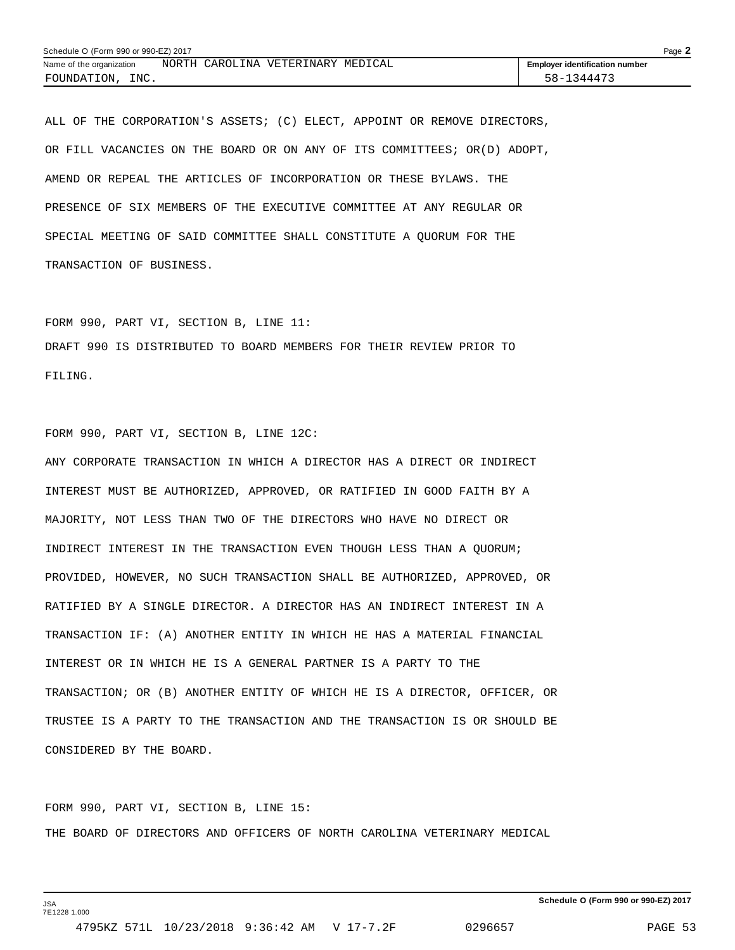| Schedule O (Form 990 or 990-EZ) 2017 |  |  |                                   |  |                                       | Page $\blacktriangle$ |
|--------------------------------------|--|--|-----------------------------------|--|---------------------------------------|-----------------------|
| Name of the organization             |  |  | NORTH CAROLINA VETERINARY MEDICAL |  | <b>Employer identification number</b> |                       |
| INC.<br>FOUNDATION,                  |  |  |                                   |  | 58-1344473                            |                       |

ALL OF THE CORPORATION'S ASSETS; (C) ELECT, APPOINT OR REMOVE DIRECTORS, OR FILL VACANCIES ON THE BOARD OR ON ANY OF ITS COMMITTEES; OR(D) ADOPT, AMEND OR REPEAL THE ARTICLES OF INCORPORATION OR THESE BYLAWS. THE PRESENCE OF SIX MEMBERS OF THE EXECUTIVE COMMITTEE AT ANY REGULAR OR SPECIAL MEETING OF SAID COMMITTEE SHALL CONSTITUTE A QUORUM FOR THE TRANSACTION OF BUSINESS.

FORM 990, PART VI, SECTION B, LINE 11: DRAFT 990 IS DISTRIBUTED TO BOARD MEMBERS FOR THEIR REVIEW PRIOR TO FILING.

FORM 990, PART VI, SECTION B, LINE 12C:

ANY CORPORATE TRANSACTION IN WHICH A DIRECTOR HAS A DIRECT OR INDIRECT INTEREST MUST BE AUTHORIZED, APPROVED, OR RATIFIED IN GOOD FAITH BY A MAJORITY, NOT LESS THAN TWO OF THE DIRECTORS WHO HAVE NO DIRECT OR INDIRECT INTEREST IN THE TRANSACTION EVEN THOUGH LESS THAN A QUORUM; PROVIDED, HOWEVER, NO SUCH TRANSACTION SHALL BE AUTHORIZED, APPROVED, OR RATIFIED BY A SINGLE DIRECTOR. A DIRECTOR HAS AN INDIRECT INTEREST IN A TRANSACTION IF: (A) ANOTHER ENTITY IN WHICH HE HAS A MATERIAL FINANCIAL INTEREST OR IN WHICH HE IS A GENERAL PARTNER IS A PARTY TO THE TRANSACTION; OR (B) ANOTHER ENTITY OF WHICH HE IS A DIRECTOR, OFFICER, OR TRUSTEE IS A PARTY TO THE TRANSACTION AND THE TRANSACTION IS OR SHOULD BE CONSIDERED BY THE BOARD.

FORM 990, PART VI, SECTION B, LINE 15: THE BOARD OF DIRECTORS AND OFFICERS OF NORTH CAROLINA VETERINARY MEDICAL

JSA 7E1228 1.000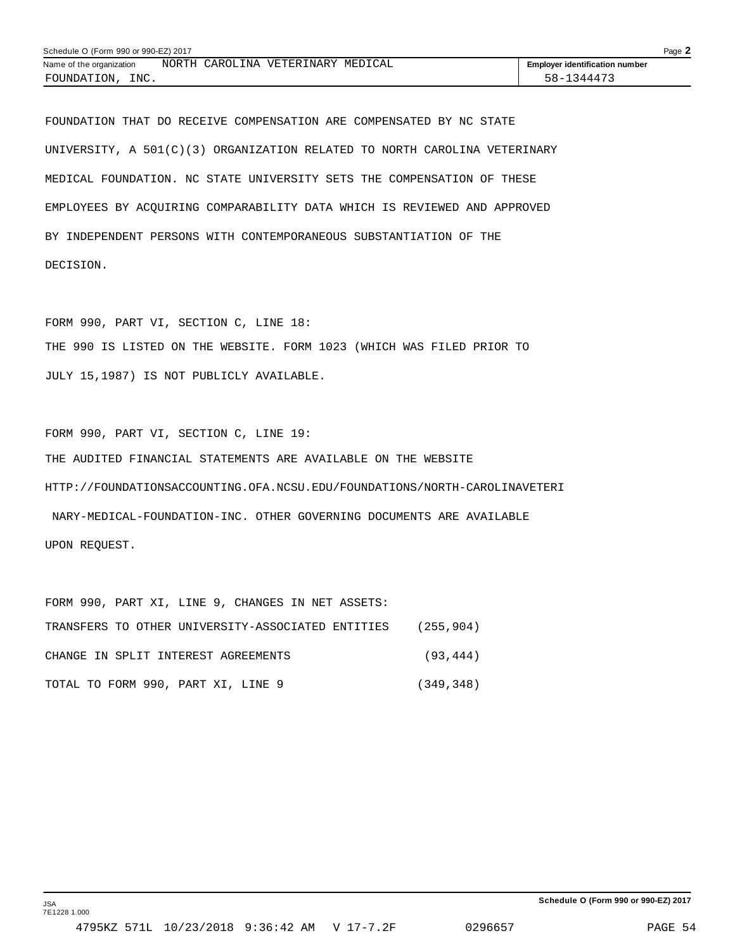| Schedule O (Form 990 or 990-EZ) 2017 |  |  |                                   |  |  | Page $\blacktriangle$                 |  |
|--------------------------------------|--|--|-----------------------------------|--|--|---------------------------------------|--|
| Name of the organization             |  |  | NORTH CAROLINA VETERINARY MEDICAL |  |  | <b>Employer identification number</b> |  |
| INC.<br>FOUNDATION,                  |  |  |                                   |  |  | 58-1344473                            |  |

FOUNDATION THAT DO RECEIVE COMPENSATION ARE COMPENSATED BY NC STATE UNIVERSITY, A 501(C)(3) ORGANIZATION RELATED TO NORTH CAROLINA VETERINARY MEDICAL FOUNDATION. NC STATE UNIVERSITY SETS THE COMPENSATION OF THESE EMPLOYEES BY ACQUIRING COMPARABILITY DATA WHICH IS REVIEWED AND APPROVED BY INDEPENDENT PERSONS WITH CONTEMPORANEOUS SUBSTANTIATION OF THE DECISION.

FORM 990, PART VI, SECTION C, LINE 18: THE 990 IS LISTED ON THE WEBSITE. FORM 1023 (WHICH WAS FILED PRIOR TO JULY 15,1987) IS NOT PUBLICLY AVAILABLE.

FORM 990, PART VI, SECTION C, LINE 19: THE AUDITED FINANCIAL STATEMENTS ARE AVAILABLE ON THE WEBSITE HTTP://FOUNDATIONSACCOUNTING.OFA.NCSU.EDU/FOUNDATIONS/NORTH-CAROLINAVETERI NARY-MEDICAL-FOUNDATION-INC. OTHER GOVERNING DOCUMENTS ARE AVAILABLE UPON REQUEST.

FORM 990, PART XI, LINE 9, CHANGES IN NET ASSETS: TRANSFERS TO OTHER UNIVERSITY-ASSOCIATED ENTITIES (255,904) CHANGE IN SPLIT INTEREST AGREEMENTS (93,444) TOTAL TO FORM 990, PART XI, LINE 9 (349,348)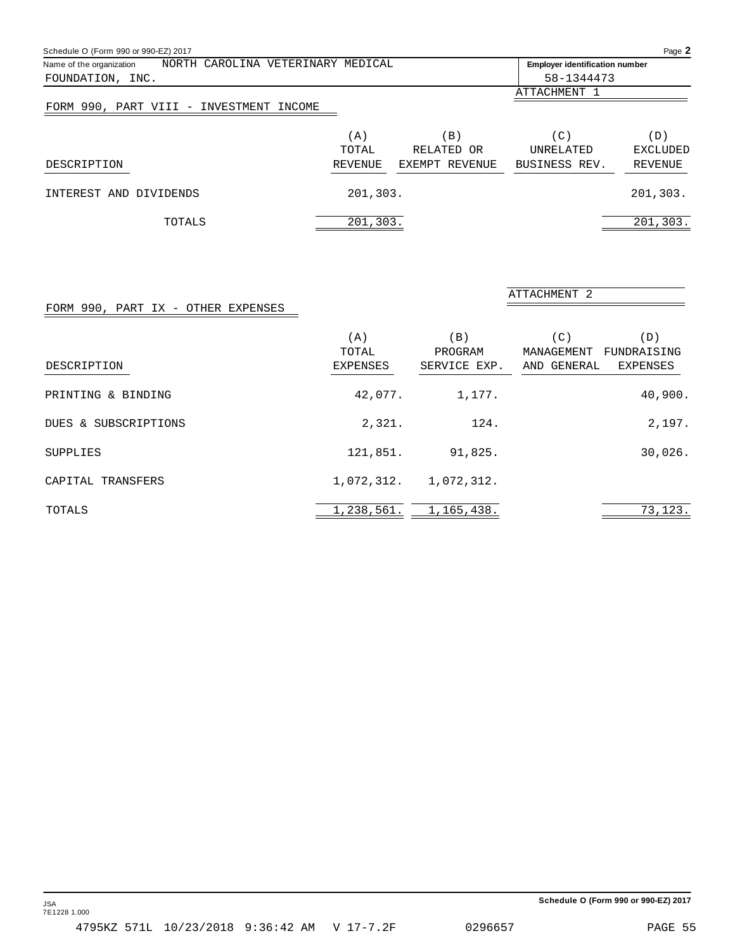<span id="page-55-0"></span>

| Schedule O (Form 990 or 990-EZ) 2017                          |              |                            |                                       | Page 2                 |
|---------------------------------------------------------------|--------------|----------------------------|---------------------------------------|------------------------|
| NORTH CAROLINA VETERINARY MEDICAL<br>Name of the organization |              |                            | <b>Employer identification number</b> |                        |
| FOUNDATION, INC.                                              |              |                            | 58-1344473                            |                        |
|                                                               |              |                            | ATTACHMENT 1                          |                        |
| FORM 990, PART VIII - INVESTMENT INCOME                       |              |                            |                                       |                        |
|                                                               | (A)<br>TOTAL | $\mathsf{B}$<br>RELATED OR | (C)<br>UNRELATED                      | (D)<br><b>EXCLUDED</b> |
| DESCRIPTION                                                   | REVENUE      | EXEMPT REVENUE             | BUSINESS REV.                         | REVENUE                |
| INTEREST AND DIVIDENDS                                        | 201,303.     |                            |                                       | 201,303.               |
| TOTALS                                                        | 201,303.     |                            |                                       | 201,303.               |

## FORM 990, PART IX - OTHER EXPENSES

| DESCRIPTION          | (A)<br>TOTAL<br>EXPENSES | $\left( \begin{array}{c} B \end{array} \right)$<br>PROGRAM<br>SERVICE EXP. | (C)<br>MANAGEMENT<br>GENERAL<br>AND | (D)<br>FUNDRAISING<br>EXPENSES |
|----------------------|--------------------------|----------------------------------------------------------------------------|-------------------------------------|--------------------------------|
| PRINTING & BINDING   | 42,077.                  | 1,177.                                                                     |                                     | 40,900.                        |
| DUES & SUBSCRIPTIONS | 2.321.                   | 124.                                                                       |                                     | 2,197.                         |
| SUPPLIES             | 121,851.                 | 91,825.                                                                    |                                     | 30,026.                        |
| CAPITAL TRANSFERS    | 1,072,312.               | 1,072,312.                                                                 |                                     |                                |
| TOTALS               | 1,238,561.               | 1,165,438.                                                                 |                                     | 73,123.                        |

ATTACHMENT 2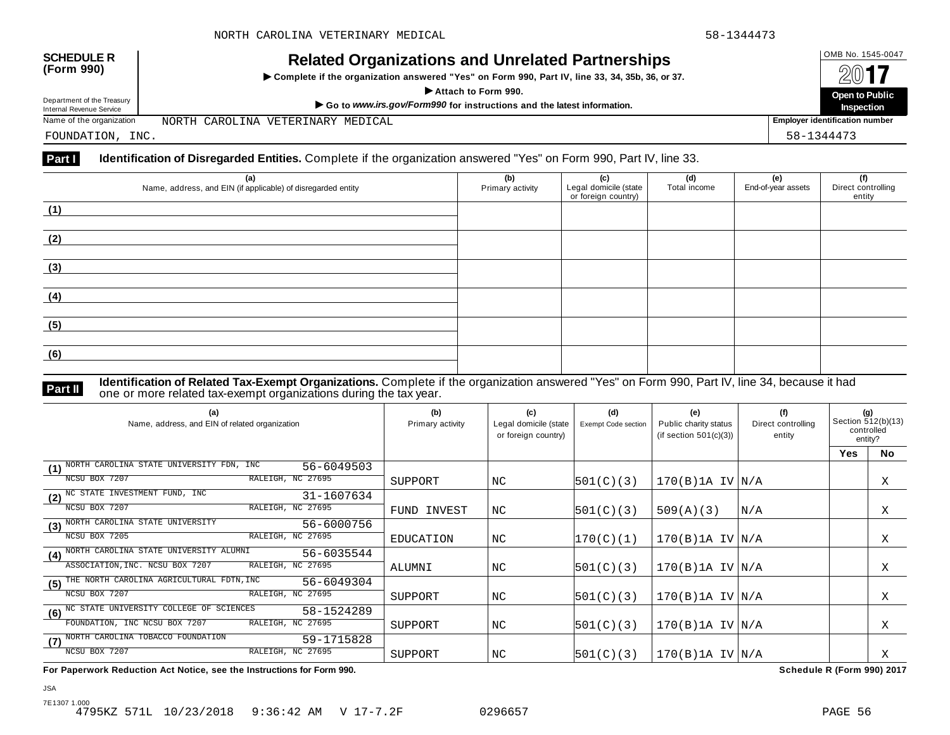| <b>SCHEDULE R</b> |  |
|-------------------|--|
| (Form 990)        |  |

# OMB No. 1545-0047 **SCHEDULE R (Form 990) Related Organizations and Unrelated Partnerships**

 $\triangleright$  Complete if the organization answered "Yes" on Form 990, Part IV, line 33, 34, 35b, 36, or 37.



Department of the Treasury

Department of the Treasury<br>
Internal Revenue Service **Department of the Treasury** Depen to Public<br>
Inspection<br>
Name of the organization MORTH CAROLINA VETERINARY MEDICAL **Department of the latest information.** NORTH CAROLINA VETERINARY MEDICAL

FOUNDATION, INC. 58-1344473

#### **Part I Identification of Disregarded Entities.** Complete if the organization answered "Yes" on Form 990, Part IV, line 33.

| (a)<br>Name, address, and EIN (if applicable) of disregarded entity | (b)<br>Primary activity | (c)<br>Legal domicile (state<br>or foreign country) | (d)<br>Total income | (e)<br>End-of-year assets | (f)<br>Direct controlling<br>entity |
|---------------------------------------------------------------------|-------------------------|-----------------------------------------------------|---------------------|---------------------------|-------------------------------------|
| (1)                                                                 |                         |                                                     |                     |                           |                                     |
| (2)                                                                 |                         |                                                     |                     |                           |                                     |
| (3)                                                                 |                         |                                                     |                     |                           |                                     |
| (4)                                                                 |                         |                                                     |                     |                           |                                     |
| (5)                                                                 |                         |                                                     |                     |                           |                                     |
| (6)                                                                 |                         |                                                     |                     |                           |                                     |

**Identification of Related Tax-Exempt Organizations.** Complete if the organization answered "Yes" on Form 990, Part IV, line 34, because it had **Part II** one or more related tax-exempt organizations during the tax year.

| (a)<br>Name, address, and EIN of related organization            | (b)<br>Primary activity | (c)<br>Legal domicile (state<br>or foreign country) | (d)<br>Exempt Code section | (e)<br>Public charity status<br>(if section $501(c)(3)$ ) | (f)<br>Direct controlling<br>entity | (g)<br>Section 512(b)(13)<br>controlled<br>entity? |           |
|------------------------------------------------------------------|-------------------------|-----------------------------------------------------|----------------------------|-----------------------------------------------------------|-------------------------------------|----------------------------------------------------|-----------|
|                                                                  |                         |                                                     |                            |                                                           |                                     | <b>Yes</b>                                         | <b>No</b> |
| NORTH CAROLINA STATE UNIVERSITY FDN,<br>INC<br>56-6049503<br>(1) |                         |                                                     |                            |                                                           |                                     |                                                    |           |
| RALEIGH, NC 27695<br>NCSU BOX 7207                               | SUPPORT                 | NC.                                                 | 501(C)(3)                  | $170(B)$ 1A IV $N/A$                                      |                                     |                                                    | Χ         |
| (2) <sup>NC</sup> STATE INVESTMENT FUND, INC<br>31-1607634       |                         |                                                     |                            |                                                           |                                     |                                                    |           |
| RALEIGH, NC 27695<br>NCSU BOX 7207                               | FUND INVEST             | NC                                                  | 501(C)(3)                  | 509(A)(3)                                                 | N/A                                 |                                                    | Χ         |
| (3) NORTH CAROLINA STATE UNIVERSITY<br>56-6000756                |                         |                                                     |                            |                                                           |                                     |                                                    |           |
| RALEIGH, NC 27695<br>NCSU BOX 7205                               | <b>EDUCATION</b>        | NC                                                  | 170(C)(1)                  | $170(B)$ 1A IV $N/A$                                      |                                     |                                                    | Χ         |
| (4) NORTH CAROLINA STATE UNIVERSITY ALUMNI<br>56-6035544         |                         |                                                     |                            |                                                           |                                     |                                                    |           |
| RALEIGH, NC 27695<br>ASSOCIATION, INC. NCSU BOX 7207             | ALUMNI                  | NC                                                  | 501(C)(3)                  | $170(B)$ 1A IV $N/A$                                      |                                     |                                                    | Χ         |
| THE NORTH CAROLINA AGRICULTURAL FDTN, INC<br>56-6049304<br>(5)   |                         |                                                     |                            |                                                           |                                     |                                                    |           |
| NCSU BOX 7207<br>RALEIGH, NC 27695                               | SUPPORT                 | NC                                                  | 501(C)(3)                  | $170(B)$ 1A IV $N/A$                                      |                                     |                                                    | Χ         |
| (6) NC STATE UNIVERSITY COLLEGE OF SCIENCES<br>58-1524289        |                         |                                                     |                            |                                                           |                                     |                                                    |           |
| FOUNDATION, INC NCSU BOX 7207<br>RALEIGH, NC 27695               | SUPPORT                 | NC                                                  | 501(C)(3)                  | $170(B)$ 1A IV $ N/A$                                     |                                     |                                                    | Χ         |
| (7) NORTH CAROLINA TOBACCO FOUNDATION<br>59-1715828              |                         |                                                     |                            |                                                           |                                     |                                                    |           |
| RALEIGH, NC 27695<br>NCSU BOX 7207                               | SUPPORT                 | NC                                                  | 501(C)(3)                  | $170(B)$ 1A IV $ N/A$                                     |                                     |                                                    | Χ         |

**For Paperwork Reduction Act Notice, see the Instructions for Form 990. Schedule R (Form 990) 2017**

JSA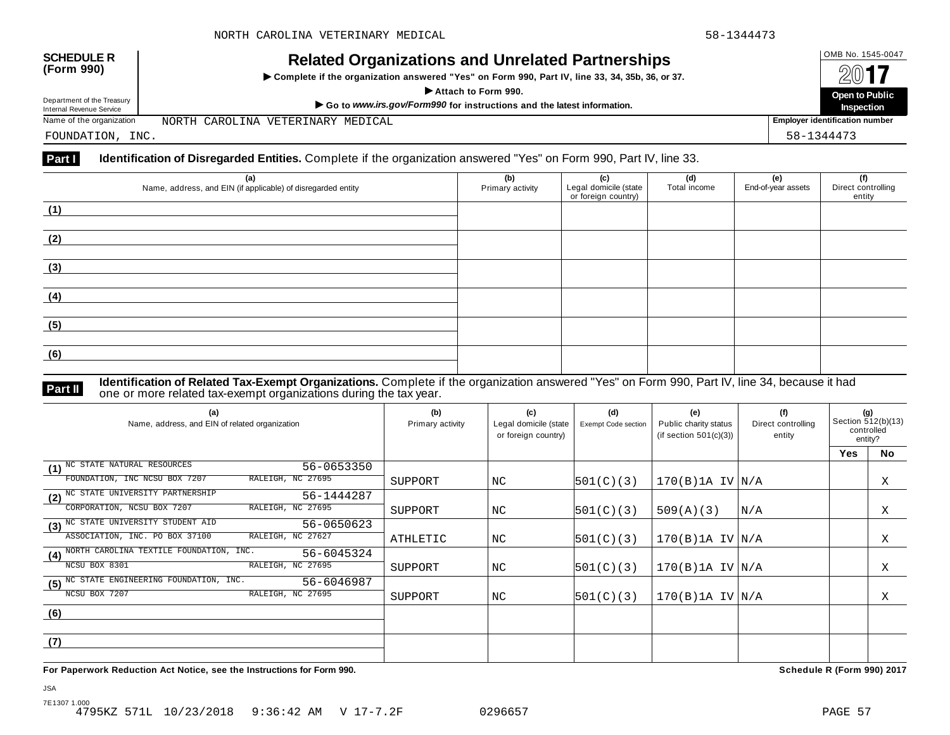| <b>SCHEDULE R</b> |  |
|-------------------|--|
| (Form 990)        |  |

# OMB No. 1545-0047 **SCHEDULE R (Form 990) Related Organizations and Unrelated Partnerships**

 $\triangleright$  Complete if the organization answered "Yes" on Form 990, Part IV, line 33, 34, 35b, 36, or 37.



Department of the Treasury

Department of the Treasury<br>
Internal Revenue Service **Department of the Treasury** Depen to Public<br>
Inspection<br>
Name of the organization MORTH CAROLINA VETERINARY MEDICAL **Department of the latest information.** NORTH CAROLINA VETERINARY MEDICAL

FOUNDATION, INC. 58-1344473

#### **Part I Identification of Disregarded Entities.** Complete if the organization answered "Yes" on Form 990, Part IV, line 33.

| (a)<br>Name, address, and EIN (if applicable) of disregarded entity | (b)<br>Primary activity | (c)<br>Legal domicile (state<br>or foreign country) | (d)<br>Total income | (e)<br>End-of-year assets | (f)<br>Direct controlling<br>entity |
|---------------------------------------------------------------------|-------------------------|-----------------------------------------------------|---------------------|---------------------------|-------------------------------------|
| (1)                                                                 |                         |                                                     |                     |                           |                                     |
| (2)                                                                 |                         |                                                     |                     |                           |                                     |
| (3)                                                                 |                         |                                                     |                     |                           |                                     |
| (4)                                                                 |                         |                                                     |                     |                           |                                     |
| (5)                                                                 |                         |                                                     |                     |                           |                                     |
| (6)                                                                 |                         |                                                     |                     |                           |                                     |

**Identification of Related Tax-Exempt Organizations.** Complete if the organization answered "Yes" on Form 990, Part IV, line 34, because it had **Part II** one or more related tax-exempt organizations during the tax year.

| (a)<br>Name, address, and EIN of related organization                          | (b)<br>Primary activity | (c)<br>Legal domicile (state<br>or foreign country) | (d)<br><b>Exempt Code section</b> | (e)<br>Public charity status<br>(if section $501(c)(3)$ ) | (f)<br>Direct controlling<br>entity | (g)<br>Section 512(b)(13)<br>controlled<br>entity? |    |
|--------------------------------------------------------------------------------|-------------------------|-----------------------------------------------------|-----------------------------------|-----------------------------------------------------------|-------------------------------------|----------------------------------------------------|----|
|                                                                                |                         |                                                     |                                   |                                                           |                                     | <b>Yes</b>                                         | No |
| (1) NC STATE NATURAL RESOURCES<br>56-0653350                                   |                         |                                                     |                                   |                                                           |                                     |                                                    |    |
| RALEIGH, NC 27695<br>FOUNDATION, INC NCSU BOX 7207                             | SUPPORT                 | ΝC                                                  | 501(C)(3)                         | $170(B)$ 1A IV $N/A$                                      |                                     |                                                    | Χ  |
| $\boxed{(2)}^{\overline{\text{NC}}$ STATE UNIVERSITY PARTNERSHIP<br>56-1444287 |                         |                                                     |                                   |                                                           |                                     |                                                    |    |
| RALEIGH, NC 27695<br>CORPORATION, NCSU BOX 7207                                | SUPPORT                 | NC                                                  | 501(C)(3)                         | 509(A)(3)                                                 | N/A                                 |                                                    | X  |
| NC STATE UNIVERSITY STUDENT AID<br>56-0650623<br>(3)                           |                         |                                                     |                                   |                                                           |                                     |                                                    |    |
| ASSOCIATION, INC. PO BOX 37100<br>RALEIGH, NC 27627                            | ATHLETIC                | NC                                                  | 501(C)(3)                         | $170(B)$ 1A IV $N/A$                                      |                                     |                                                    | X  |
| (4) NORTH CAROLINA TEXTILE FOUNDATION, INC.<br>56-6045324                      |                         |                                                     |                                   |                                                           |                                     |                                                    |    |
| NCSU BOX 8301<br>RALEIGH, NC 27695                                             | SUPPORT                 | NC                                                  | 501(C)(3)                         | $170(B)$ 1A IV $N/A$                                      |                                     |                                                    | X  |
| NC STATE ENGINEERING FOUNDATION, INC.<br>56-6046987<br>(5)                     |                         |                                                     |                                   |                                                           |                                     |                                                    |    |
| NCSU BOX 7207<br>RALEIGH, NC 27695                                             | SUPPORT                 | ΝC                                                  | 501(C)(3)                         | $170(B)$ 1A IV $ N/A$                                     |                                     |                                                    | Χ  |
| (6)                                                                            |                         |                                                     |                                   |                                                           |                                     |                                                    |    |
|                                                                                |                         |                                                     |                                   |                                                           |                                     |                                                    |    |
| (7)                                                                            |                         |                                                     |                                   |                                                           |                                     |                                                    |    |
|                                                                                |                         |                                                     |                                   |                                                           |                                     |                                                    |    |

**For Paperwork Reduction Act Notice, see the Instructions for Form 990. Schedule R (Form 990) 2017**

7E1307 1.000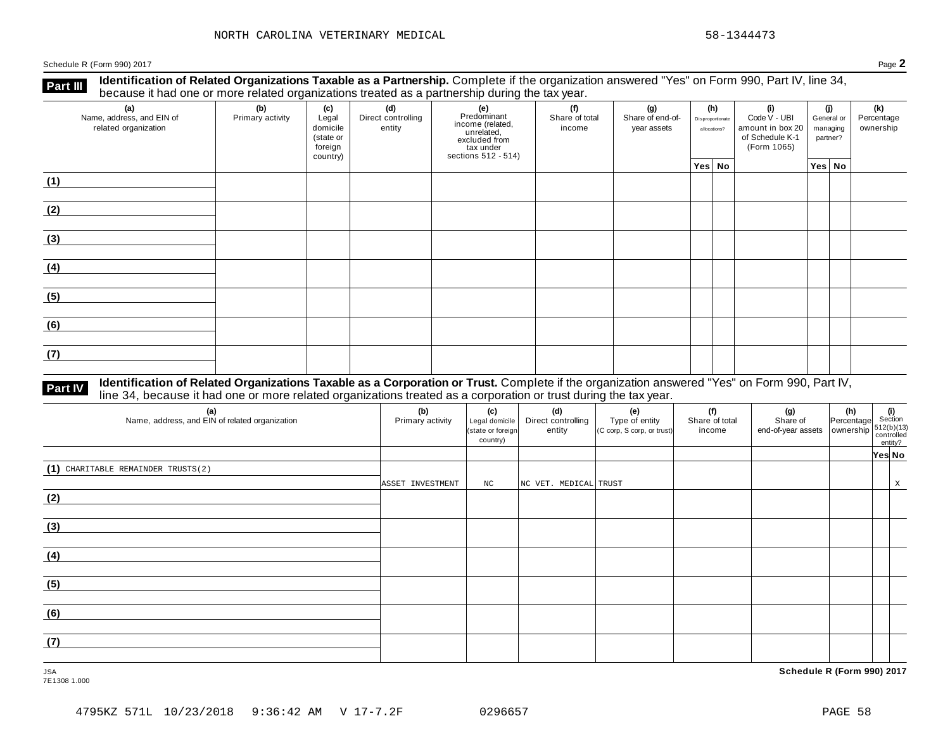Schedule <sup>R</sup> (Form 990) <sup>2017</sup> Page **2**

**Identification of Related Organizations Taxable as a Partnership.** Complete if the organization answered "Yes" on Form 990, Part IV, line 34, **because it had one or more related organizations Taxable as a Partnership.** Complete if the organization of Related organizations treated as a partnership during the tax year.

| (a)<br>Name, address, and EIN of<br>related organization | ັ<br>(b)<br>Primary activity | (c)<br>Legal<br>domicile<br>(state or<br>foreign<br>country) | .<br>(d)<br>Direct controlling<br>entity | ັ<br>(e)<br>Predominant<br>Frecomman<br>income (related,<br>unrelated,<br>excluded from<br>sections 512 - 514) | (f)<br>Share of total<br>income | (g)<br>Share of end-of-<br>year assets | (h)<br>Disproportionate<br>allocations? |  | (i)<br>Code V - UBI<br>amount in box 20<br>of Schedule K-1<br>(Form 1065) | (j)<br>General or<br>managing<br>partner? |        | (k)<br>Percentage<br>ownership |
|----------------------------------------------------------|------------------------------|--------------------------------------------------------------|------------------------------------------|----------------------------------------------------------------------------------------------------------------|---------------------------------|----------------------------------------|-----------------------------------------|--|---------------------------------------------------------------------------|-------------------------------------------|--------|--------------------------------|
|                                                          |                              |                                                              |                                          |                                                                                                                |                                 |                                        | Yes No                                  |  |                                                                           |                                           | Yes No |                                |
| (1)                                                      |                              |                                                              |                                          |                                                                                                                |                                 |                                        |                                         |  |                                                                           |                                           |        |                                |
| (2)                                                      |                              |                                                              |                                          |                                                                                                                |                                 |                                        |                                         |  |                                                                           |                                           |        |                                |
| (3)                                                      |                              |                                                              |                                          |                                                                                                                |                                 |                                        |                                         |  |                                                                           |                                           |        |                                |
| (4)                                                      |                              |                                                              |                                          |                                                                                                                |                                 |                                        |                                         |  |                                                                           |                                           |        |                                |
| (5)                                                      |                              |                                                              |                                          |                                                                                                                |                                 |                                        |                                         |  |                                                                           |                                           |        |                                |
| (6)                                                      |                              |                                                              |                                          |                                                                                                                |                                 |                                        |                                         |  |                                                                           |                                           |        |                                |
| (7)                                                      |                              |                                                              |                                          |                                                                                                                |                                 |                                        |                                         |  |                                                                           |                                           |        |                                |

# **Part IV** Identification of Related Organizations Taxable as a Corporation or Trust. Complete if the organization answered "Yes" on Form 990, Part IV,<br>line 34, because it had one or more related organizations treated as a

| (a)<br>Name, address, and EIN of related organization | (b)<br>Primary activity | (c)<br>Legal domicile<br>(state or foreign<br>country) | (d)<br>Direct controlling<br>entity | (e)<br>Type of entity<br>(C corp, S corp, or trust) | (f)<br>Share of total<br>income | (g)<br>Share of<br>end-of-year assets $\left  \begin{array}{c} 0.000180 \\ 0.00000 \\ 0.000000 \\ 0.000000 \\ \end{array} \right $ = 512(b)(13) | $\begin{vmatrix} \n\textbf{(h)} \\ \n\text{Percentage} \n\end{vmatrix}$ Section | entity? |   |
|-------------------------------------------------------|-------------------------|--------------------------------------------------------|-------------------------------------|-----------------------------------------------------|---------------------------------|-------------------------------------------------------------------------------------------------------------------------------------------------|---------------------------------------------------------------------------------|---------|---|
|                                                       |                         |                                                        |                                     |                                                     |                                 |                                                                                                                                                 |                                                                                 | Yes No  |   |
| $(1)$ CHARITABLE REMAINDER TRUSTS(2)                  |                         |                                                        |                                     |                                                     |                                 |                                                                                                                                                 |                                                                                 |         |   |
|                                                       | ASSET INVESTMENT        | $_{\mathrm{NC}}$                                       | NC VET. MEDICAL TRUST               |                                                     |                                 |                                                                                                                                                 |                                                                                 |         | X |
| (2)                                                   |                         |                                                        |                                     |                                                     |                                 |                                                                                                                                                 |                                                                                 |         |   |
| (3)                                                   |                         |                                                        |                                     |                                                     |                                 |                                                                                                                                                 |                                                                                 |         |   |
| (4)                                                   |                         |                                                        |                                     |                                                     |                                 |                                                                                                                                                 |                                                                                 |         |   |
| (5)                                                   |                         |                                                        |                                     |                                                     |                                 |                                                                                                                                                 |                                                                                 |         |   |
| (6)                                                   |                         |                                                        |                                     |                                                     |                                 |                                                                                                                                                 |                                                                                 |         |   |
| (7)                                                   |                         |                                                        |                                     |                                                     |                                 |                                                                                                                                                 |                                                                                 |         |   |

7E1308 1.000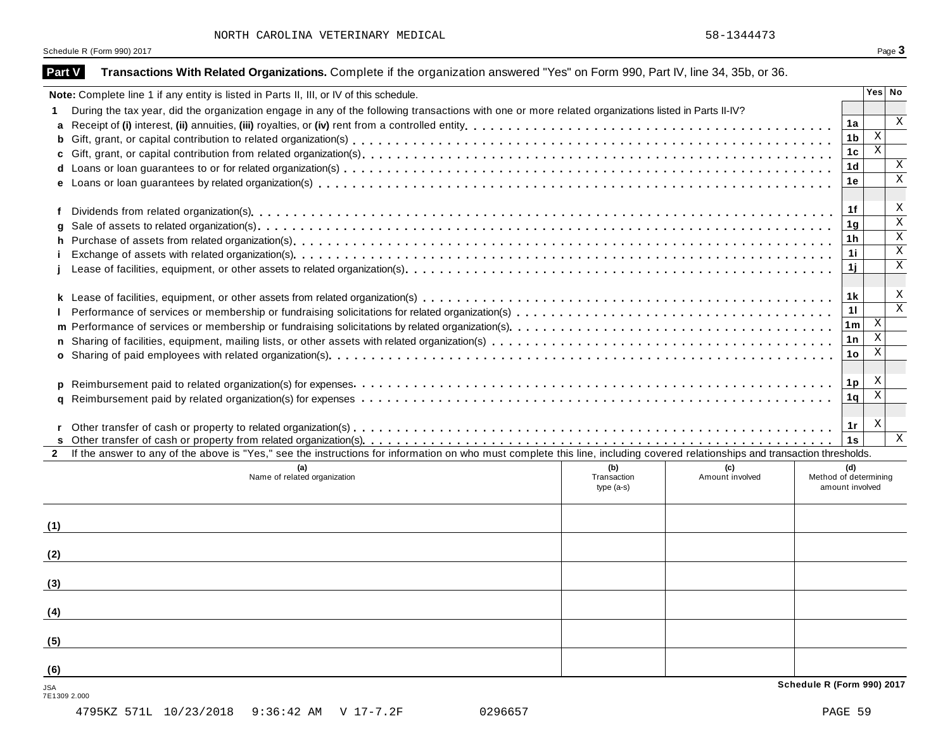Schedule R (Form 990) 2017 Page 3

| <b>Part V</b>              | Transactions With Related Organizations. Complete if the organization answered "Yes" on Form 990, Part IV, line 34, 35b, or 36.                                              |                                  |                        |                                                 |                |                                                      |  |  |  |
|----------------------------|------------------------------------------------------------------------------------------------------------------------------------------------------------------------------|----------------------------------|------------------------|-------------------------------------------------|----------------|------------------------------------------------------|--|--|--|
|                            | Note: Complete line 1 if any entity is listed in Parts II, III, or IV of this schedule.                                                                                      |                                  |                        |                                                 |                | Yes No                                               |  |  |  |
|                            | During the tax year, did the organization engage in any of the following transactions with one or more related organizations listed in Parts II-IV?                          |                                  |                        |                                                 |                |                                                      |  |  |  |
| a                          |                                                                                                                                                                              |                                  |                        |                                                 |                |                                                      |  |  |  |
| b                          |                                                                                                                                                                              |                                  |                        |                                                 |                |                                                      |  |  |  |
| c                          |                                                                                                                                                                              |                                  |                        |                                                 |                |                                                      |  |  |  |
| d                          |                                                                                                                                                                              |                                  |                        |                                                 |                |                                                      |  |  |  |
|                            |                                                                                                                                                                              |                                  |                        |                                                 |                |                                                      |  |  |  |
|                            |                                                                                                                                                                              |                                  |                        | 1 <sub>f</sub>                                  |                | X                                                    |  |  |  |
| q                          |                                                                                                                                                                              |                                  |                        | 1 <sub>g</sub>                                  |                | $\overline{\mathbf{x}}$                              |  |  |  |
| h                          |                                                                                                                                                                              |                                  |                        | 1 <sub>h</sub>                                  |                | $\overline{X}$                                       |  |  |  |
|                            |                                                                                                                                                                              |                                  |                        | 11                                              |                | $\overline{\mathbf{x}}$                              |  |  |  |
|                            |                                                                                                                                                                              |                                  |                        |                                                 | 1j             | $\overline{X}$                                       |  |  |  |
|                            |                                                                                                                                                                              |                                  |                        | 1k                                              |                | X                                                    |  |  |  |
|                            |                                                                                                                                                                              |                                  |                        |                                                 | 11             | $\overline{\mathbf{x}}$                              |  |  |  |
|                            |                                                                                                                                                                              |                                  |                        | 1 <sub>m</sub>                                  |                | $\boldsymbol{\mathrm{X}}$<br>$\overline{\mathbf{x}}$ |  |  |  |
|                            |                                                                                                                                                                              |                                  |                        |                                                 |                |                                                      |  |  |  |
| o                          |                                                                                                                                                                              |                                  |                        |                                                 |                |                                                      |  |  |  |
|                            |                                                                                                                                                                              |                                  |                        | 1p                                              |                | X                                                    |  |  |  |
| a                          | <b>D</b>                                                                                                                                                                     |                                  |                        |                                                 |                |                                                      |  |  |  |
|                            |                                                                                                                                                                              |                                  |                        |                                                 | 1 <sub>q</sub> |                                                      |  |  |  |
|                            |                                                                                                                                                                              |                                  |                        |                                                 |                |                                                      |  |  |  |
| s                          |                                                                                                                                                                              |                                  |                        |                                                 |                |                                                      |  |  |  |
| $\mathbf{2}$               | If the answer to any of the above is "Yes," see the instructions for information on who must complete this line, including covered relationships and transaction thresholds. |                                  |                        |                                                 |                |                                                      |  |  |  |
|                            | (a)<br>Name of related organization                                                                                                                                          | (b)<br>Transaction<br>type (a-s) | (c)<br>Amount involved | (d)<br>Method of determining<br>amount involved |                |                                                      |  |  |  |
| (1)                        |                                                                                                                                                                              |                                  |                        |                                                 |                |                                                      |  |  |  |
| (2)                        |                                                                                                                                                                              |                                  |                        |                                                 |                |                                                      |  |  |  |
| (3)                        |                                                                                                                                                                              |                                  |                        |                                                 |                |                                                      |  |  |  |
| (4)                        |                                                                                                                                                                              |                                  |                        |                                                 |                |                                                      |  |  |  |
|                            |                                                                                                                                                                              |                                  |                        |                                                 |                |                                                      |  |  |  |
| (5)                        |                                                                                                                                                                              |                                  |                        |                                                 |                |                                                      |  |  |  |
| (6)                        |                                                                                                                                                                              |                                  |                        |                                                 |                |                                                      |  |  |  |
| <b>JSA</b><br>7E1309 2.000 |                                                                                                                                                                              |                                  |                        | Schedule R (Form 990) 2017                      |                |                                                      |  |  |  |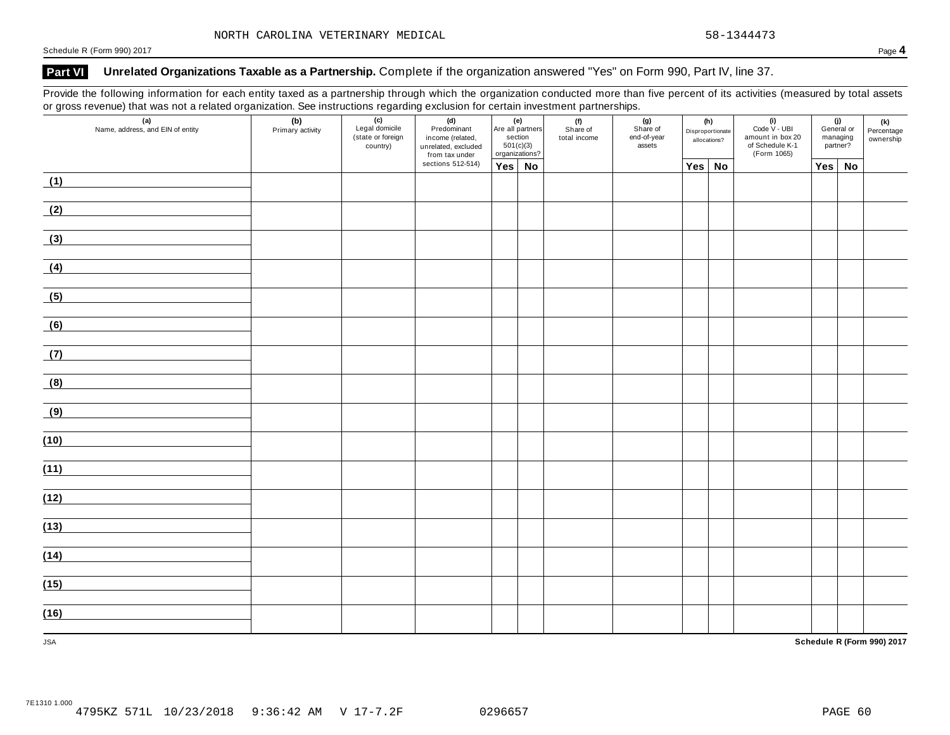Schedule <sup>R</sup> (Form 990) <sup>2017</sup> Page **4**

#### **Part VI Unrelated Organizations Taxable as a Partnership.** Complete if the organization answered "Yes" on Form 990, Part IV, line 37.

Provide the following information for each entity taxed as a partnership through which the organization conducted more than five percent of its activities (measured by total assets or gross revenue) that was not a related organization. See instructions regarding exclusion for certain investment partnerships.

| (a)<br>Name, address, and EIN of entity | (c)<br>Legal domicile<br>(b)<br>Primary activity<br>(state or foreign<br>country) |  | (d)<br>Predominant<br>income (related,<br>unrelated, excluded<br>from tax under | (e)<br>Are all partners<br>section<br>501(c)(3)<br>organizations? |  | (f)<br>Share of<br>total income | (g)<br>Share of<br>end-of-year<br>assets | (h)<br>Disproportionate<br>allocations? |        | $(i)$<br>Code $\vee$ - UBI<br>amount in box 20<br>of Schedule K-1<br>(Form 1065) | (j)<br>General or<br>managing<br>partner? |    | (k)<br>Percentage<br>ownership |
|-----------------------------------------|-----------------------------------------------------------------------------------|--|---------------------------------------------------------------------------------|-------------------------------------------------------------------|--|---------------------------------|------------------------------------------|-----------------------------------------|--------|----------------------------------------------------------------------------------|-------------------------------------------|----|--------------------------------|
|                                         |                                                                                   |  | sections 512-514)                                                               | $Yes \mid No$                                                     |  |                                 |                                          |                                         | Yes No |                                                                                  | Yes                                       | No |                                |
| (1)                                     |                                                                                   |  |                                                                                 |                                                                   |  |                                 |                                          |                                         |        |                                                                                  |                                           |    |                                |
| (2)                                     |                                                                                   |  |                                                                                 |                                                                   |  |                                 |                                          |                                         |        |                                                                                  |                                           |    |                                |
| (3)                                     |                                                                                   |  |                                                                                 |                                                                   |  |                                 |                                          |                                         |        |                                                                                  |                                           |    |                                |
| (4)                                     |                                                                                   |  |                                                                                 |                                                                   |  |                                 |                                          |                                         |        |                                                                                  |                                           |    |                                |
| (5)                                     |                                                                                   |  |                                                                                 |                                                                   |  |                                 |                                          |                                         |        |                                                                                  |                                           |    |                                |
| (6)                                     |                                                                                   |  |                                                                                 |                                                                   |  |                                 |                                          |                                         |        |                                                                                  |                                           |    |                                |
| (7)                                     |                                                                                   |  |                                                                                 |                                                                   |  |                                 |                                          |                                         |        |                                                                                  |                                           |    |                                |
| (8)                                     |                                                                                   |  |                                                                                 |                                                                   |  |                                 |                                          |                                         |        |                                                                                  |                                           |    |                                |
| (9)                                     |                                                                                   |  |                                                                                 |                                                                   |  |                                 |                                          |                                         |        |                                                                                  |                                           |    |                                |
| (10)                                    |                                                                                   |  |                                                                                 |                                                                   |  |                                 |                                          |                                         |        |                                                                                  |                                           |    |                                |
| (11)                                    |                                                                                   |  |                                                                                 |                                                                   |  |                                 |                                          |                                         |        |                                                                                  |                                           |    |                                |
| (12)                                    |                                                                                   |  |                                                                                 |                                                                   |  |                                 |                                          |                                         |        |                                                                                  |                                           |    |                                |
| (13)                                    |                                                                                   |  |                                                                                 |                                                                   |  |                                 |                                          |                                         |        |                                                                                  |                                           |    |                                |
| (14)                                    |                                                                                   |  |                                                                                 |                                                                   |  |                                 |                                          |                                         |        |                                                                                  |                                           |    |                                |
| (15)                                    |                                                                                   |  |                                                                                 |                                                                   |  |                                 |                                          |                                         |        |                                                                                  |                                           |    |                                |
| (16)                                    |                                                                                   |  |                                                                                 |                                                                   |  |                                 |                                          |                                         |        |                                                                                  |                                           |    |                                |
| <b>JSA</b>                              |                                                                                   |  |                                                                                 |                                                                   |  |                                 |                                          |                                         |        |                                                                                  |                                           |    | Schedule R (Form 990) 2017     |

7E1310 1.000